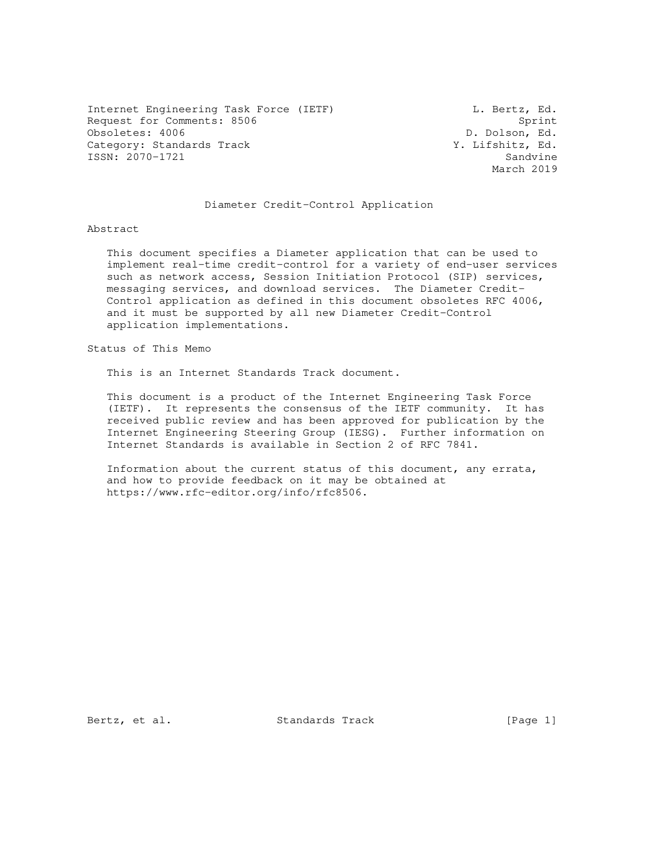Internet Engineering Task Force (IETF) L. Bertz, Ed. Request for Comments: 8506 Sprint<br>
Obsoletes: 4006 D. Dolson, Ed. Category: Standards Track Y. Lifshitz, Ed. ISSN: 2070-1721 Sandvine

D. Dolson, Ed. March 2019

### Diameter Credit-Control Application

### Abstract

 This document specifies a Diameter application that can be used to implement real-time credit-control for a variety of end-user services such as network access, Session Initiation Protocol (SIP) services, messaging services, and download services. The Diameter Credit- Control application as defined in this document obsoletes RFC 4006, and it must be supported by all new Diameter Credit-Control application implementations.

Status of This Memo

This is an Internet Standards Track document.

 This document is a product of the Internet Engineering Task Force (IETF). It represents the consensus of the IETF community. It has received public review and has been approved for publication by the Internet Engineering Steering Group (IESG). Further information on Internet Standards is available in Section 2 of RFC 7841.

 Information about the current status of this document, any errata, and how to provide feedback on it may be obtained at https://www.rfc-editor.org/info/rfc8506.

Bertz, et al. Standards Track [Page 1]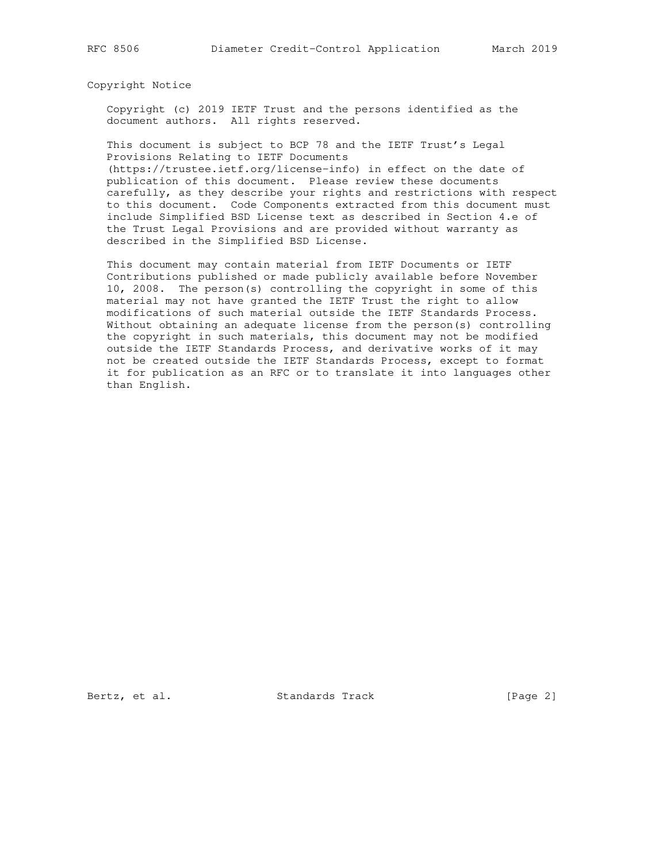#### Copyright Notice

 Copyright (c) 2019 IETF Trust and the persons identified as the document authors. All rights reserved.

 This document is subject to BCP 78 and the IETF Trust's Legal Provisions Relating to IETF Documents

 (https://trustee.ietf.org/license-info) in effect on the date of publication of this document. Please review these documents carefully, as they describe your rights and restrictions with respect to this document. Code Components extracted from this document must include Simplified BSD License text as described in Section 4.e of the Trust Legal Provisions and are provided without warranty as described in the Simplified BSD License.

 This document may contain material from IETF Documents or IETF Contributions published or made publicly available before November 10, 2008. The person(s) controlling the copyright in some of this material may not have granted the IETF Trust the right to allow modifications of such material outside the IETF Standards Process. Without obtaining an adequate license from the person(s) controlling the copyright in such materials, this document may not be modified outside the IETF Standards Process, and derivative works of it may not be created outside the IETF Standards Process, except to format it for publication as an RFC or to translate it into languages other than English.

Bertz, et al. Standards Track [Page 2]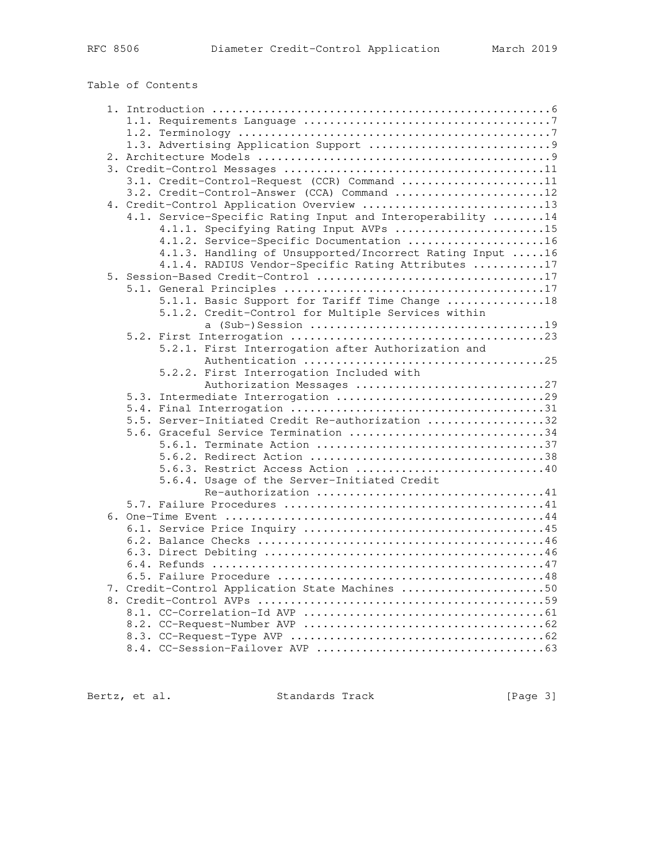# Table of Contents

|  | 3.1. Credit-Control-Request (CCR) Command 11                                             |
|--|------------------------------------------------------------------------------------------|
|  | 3.2. Credit-Control-Answer (CCA) Command 12                                              |
|  | 4. Credit-Control Application Overview 13                                                |
|  | 4.1. Service-Specific Rating Input and Interoperability 14                               |
|  | 4.1.1. Specifying Rating Input AVPs 15                                                   |
|  | 4.1.2. Service-Specific Documentation 16                                                 |
|  | 4.1.3. Handling of Unsupported/Incorrect Rating Input 16                                 |
|  | 4.1.4. RADIUS Vendor-Specific Rating Attributes 17                                       |
|  |                                                                                          |
|  |                                                                                          |
|  | 5.1.1. Basic Support for Tariff Time Change 18                                           |
|  | 5.1.2. Credit-Control for Multiple Services within                                       |
|  |                                                                                          |
|  |                                                                                          |
|  | 5.2.1. First Interrogation after Authorization and                                       |
|  |                                                                                          |
|  | 5.2.2. First Interrogation Included with                                                 |
|  | Authorization Messages 27                                                                |
|  | 5.3. Intermediate Interrogation 29                                                       |
|  |                                                                                          |
|  | 5.5. Server-Initiated Credit Re-authorization 32<br>5.6. Graceful Service Termination 34 |
|  |                                                                                          |
|  |                                                                                          |
|  | 5.6.3. Restrict Access Action 40                                                         |
|  | 5.6.4. Usage of the Server-Initiated Credit                                              |
|  |                                                                                          |
|  |                                                                                          |
|  |                                                                                          |
|  |                                                                                          |
|  |                                                                                          |
|  |                                                                                          |
|  |                                                                                          |
|  |                                                                                          |
|  | 7. Credit-Control Application State Machines 50                                          |
|  |                                                                                          |
|  |                                                                                          |
|  |                                                                                          |
|  |                                                                                          |
|  |                                                                                          |
|  |                                                                                          |

Bertz, et al. Standards Track [Page 3]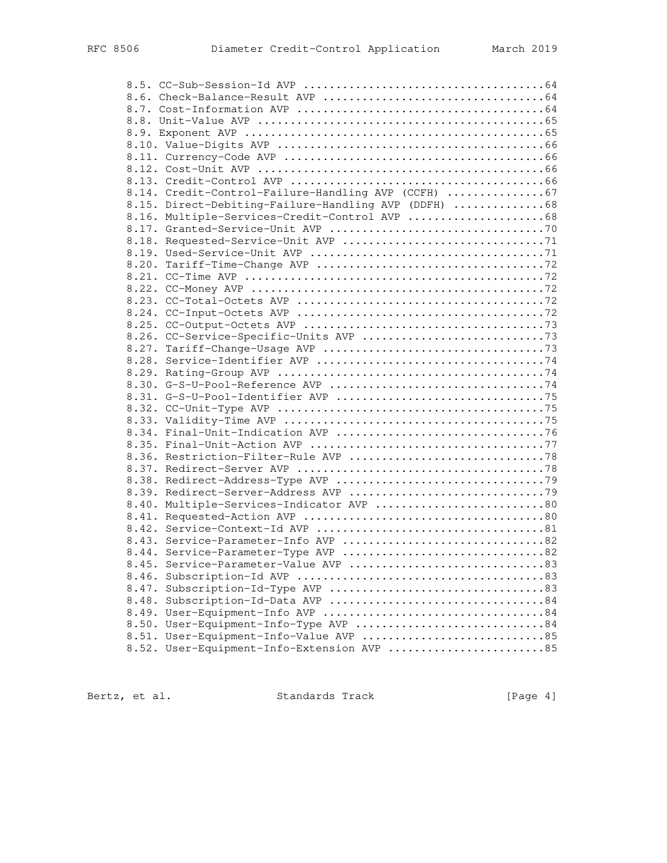| 8.14. Credit-Control-Failure-Handling AVP (CCFH) 67  |
|------------------------------------------------------|
| 8.15. Direct-Debiting-Failure-Handling AVP (DDFH) 68 |
| 8.16. Multiple-Services-Credit-Control AVP 68        |
|                                                      |
|                                                      |
|                                                      |
|                                                      |
|                                                      |
|                                                      |
|                                                      |
|                                                      |
|                                                      |
|                                                      |
|                                                      |
|                                                      |
|                                                      |
|                                                      |
|                                                      |
|                                                      |
|                                                      |
|                                                      |
|                                                      |
|                                                      |
|                                                      |
|                                                      |
|                                                      |
|                                                      |
| 8.40. Multiple-Services-Indicator AVP 80             |
|                                                      |
|                                                      |
| 8.44. Service-Parameter-Type AVP 82                  |
|                                                      |
|                                                      |
|                                                      |
|                                                      |
|                                                      |
|                                                      |
| 8.50. User-Equipment-Info-Type AVP 84                |
| 8.51. User-Equipment-Info-Value AVP 85               |
| 8.52. User-Equipment-Info-Extension AVP 85           |

Bertz, et al. Standards Track [Page 4]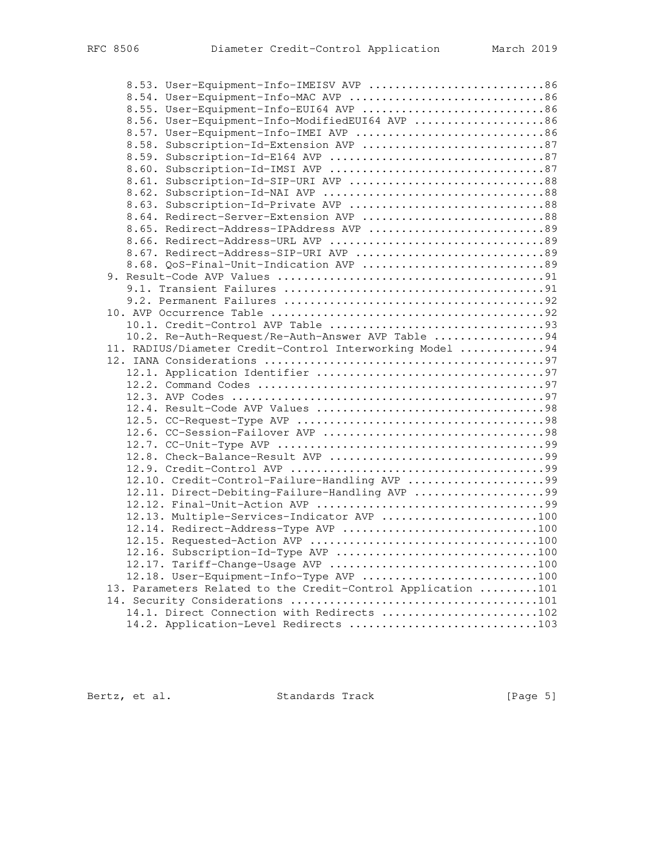|  | 8.53. User-Equipment-Info-IMEISV AVP 86        |  |
|--|------------------------------------------------|--|
|  |                                                |  |
|  | 8.55. User-Equipment-Info-EUI64 AVP 86         |  |
|  | 8.56. User-Equipment-Info-ModifiedEUI64 AVP 86 |  |
|  | 8.57. User-Equipment-Info-IMEI AVP 86          |  |
|  |                                                |  |
|  |                                                |  |
|  |                                                |  |
|  |                                                |  |
|  |                                                |  |
|  |                                                |  |
|  | 8.64. Redirect-Server-Extension AVP 88         |  |
|  |                                                |  |
|  |                                                |  |
|  |                                                |  |
|  | 8.68. QoS-Final-Unit-Indication AVP 89         |  |
|  |                                                |  |

| 8.64. Redirect-Server-Extension AVP 88                       |  |
|--------------------------------------------------------------|--|
| 8.65. Redirect-Address-IPAddress AVP 89                      |  |
|                                                              |  |
|                                                              |  |
| 8.68. QoS-Final-Unit-Indication AVP 89                       |  |
|                                                              |  |
|                                                              |  |
|                                                              |  |
|                                                              |  |
|                                                              |  |
| 10.2. Re-Auth-Request/Re-Auth-Answer AVP Table 94            |  |
| 11. RADIUS/Diameter Credit-Control Interworking Model 94     |  |
|                                                              |  |
|                                                              |  |
|                                                              |  |
|                                                              |  |
|                                                              |  |
|                                                              |  |
|                                                              |  |
|                                                              |  |
|                                                              |  |
|                                                              |  |
|                                                              |  |
|                                                              |  |
|                                                              |  |
| 12.13. Multiple-Services-Indicator AVP 100                   |  |
| 12.14. Redirect-Address-Type AVP 100                         |  |
|                                                              |  |
|                                                              |  |
|                                                              |  |
| 12.18. User-Equipment-Info-Type AVP 100                      |  |
| 13. Parameters Related to the Credit-Control Application 101 |  |
|                                                              |  |
| 14.1. Direct Connection with Redirects 102                   |  |
| 14.2. Application-Level Redirects 103                        |  |

Bertz, et al. Standards Track [Page 5]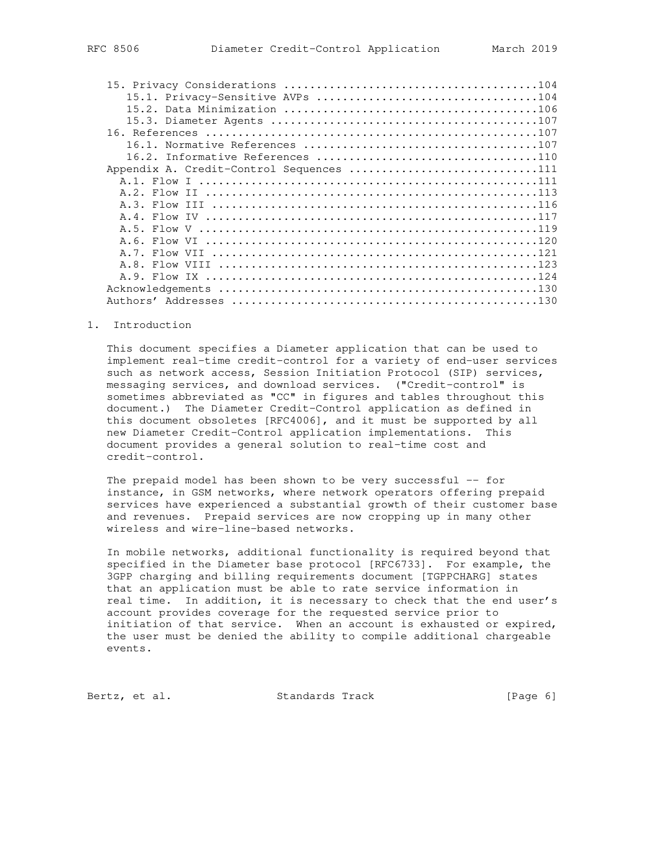| Appendix A. Credit-Control Sequences 111 |
|------------------------------------------|
|                                          |
|                                          |
|                                          |
|                                          |
|                                          |
|                                          |
|                                          |
|                                          |
|                                          |
|                                          |
|                                          |
|                                          |

#### 1. Introduction

 This document specifies a Diameter application that can be used to implement real-time credit-control for a variety of end-user services such as network access, Session Initiation Protocol (SIP) services, messaging services, and download services. ("Credit-control" is sometimes abbreviated as "CC" in figures and tables throughout this document.) The Diameter Credit-Control application as defined in this document obsoletes [RFC4006], and it must be supported by all new Diameter Credit-Control application implementations. This document provides a general solution to real-time cost and credit-control.

 The prepaid model has been shown to be very successful -- for instance, in GSM networks, where network operators offering prepaid services have experienced a substantial growth of their customer base and revenues. Prepaid services are now cropping up in many other wireless and wire-line-based networks.

 In mobile networks, additional functionality is required beyond that specified in the Diameter base protocol [RFC6733]. For example, the 3GPP charging and billing requirements document [TGPPCHARG] states that an application must be able to rate service information in real time. In addition, it is necessary to check that the end user's account provides coverage for the requested service prior to initiation of that service. When an account is exhausted or expired, the user must be denied the ability to compile additional chargeable events.

Bertz, et al. Standards Track [Page 6]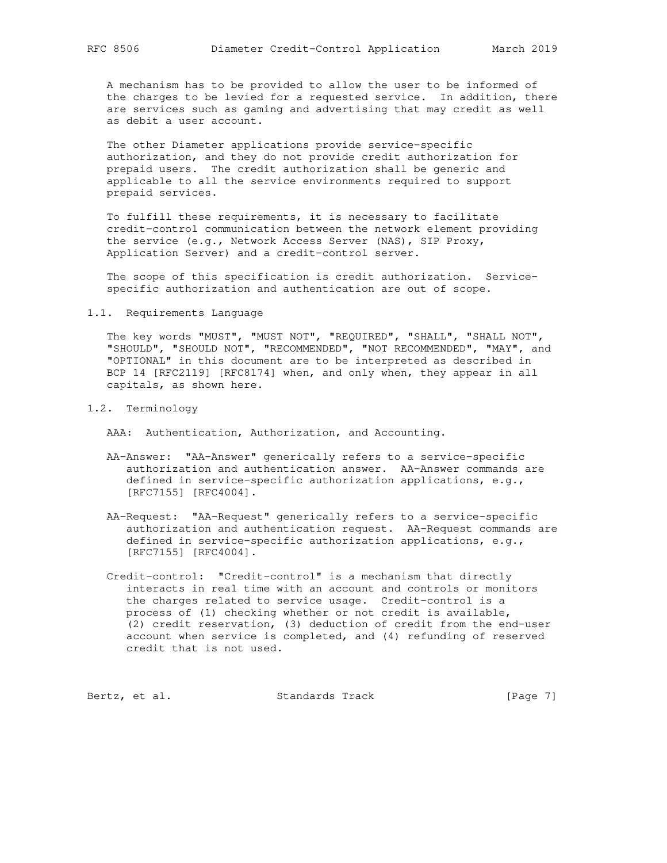A mechanism has to be provided to allow the user to be informed of the charges to be levied for a requested service. In addition, there are services such as gaming and advertising that may credit as well as debit a user account.

 The other Diameter applications provide service-specific authorization, and they do not provide credit authorization for prepaid users. The credit authorization shall be generic and applicable to all the service environments required to support prepaid services.

 To fulfill these requirements, it is necessary to facilitate credit-control communication between the network element providing the service (e.g., Network Access Server (NAS), SIP Proxy, Application Server) and a credit-control server.

 The scope of this specification is credit authorization. Service specific authorization and authentication are out of scope.

#### 1.1. Requirements Language

 The key words "MUST", "MUST NOT", "REQUIRED", "SHALL", "SHALL NOT", "SHOULD", "SHOULD NOT", "RECOMMENDED", "NOT RECOMMENDED", "MAY", and "OPTIONAL" in this document are to be interpreted as described in BCP 14 [RFC2119] [RFC8174] when, and only when, they appear in all capitals, as shown here.

1.2. Terminology

AAA: Authentication, Authorization, and Accounting.

- AA-Answer: "AA-Answer" generically refers to a service-specific authorization and authentication answer. AA-Answer commands are defined in service-specific authorization applications, e.g., [RFC7155] [RFC4004].
- AA-Request: "AA-Request" generically refers to a service-specific authorization and authentication request. AA-Request commands are defined in service-specific authorization applications, e.g., [RFC7155] [RFC4004].
- Credit-control: "Credit-control" is a mechanism that directly interacts in real time with an account and controls or monitors the charges related to service usage. Credit-control is a process of (1) checking whether or not credit is available, (2) credit reservation, (3) deduction of credit from the end-user account when service is completed, and (4) refunding of reserved credit that is not used.

| [Page 7]<br>Standards Track<br>Bertz, et al. |  |  |  |  |  |  |
|----------------------------------------------|--|--|--|--|--|--|
|----------------------------------------------|--|--|--|--|--|--|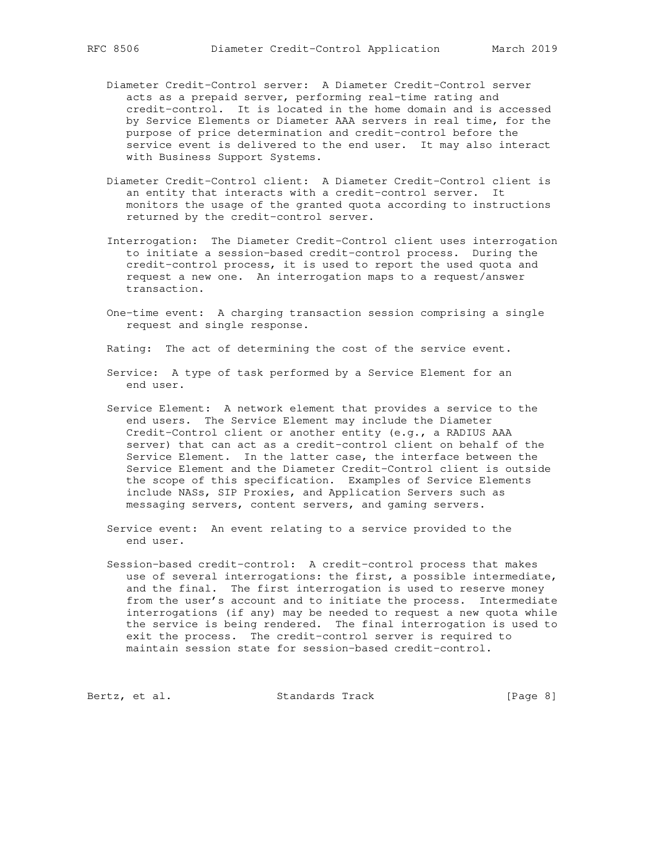- Diameter Credit-Control server: A Diameter Credit-Control server acts as a prepaid server, performing real-time rating and credit-control. It is located in the home domain and is accessed by Service Elements or Diameter AAA servers in real time, for the purpose of price determination and credit-control before the service event is delivered to the end user. It may also interact with Business Support Systems.
- Diameter Credit-Control client: A Diameter Credit-Control client is an entity that interacts with a credit-control server. It monitors the usage of the granted quota according to instructions returned by the credit-control server.
- Interrogation: The Diameter Credit-Control client uses interrogation to initiate a session-based credit-control process. During the credit-control process, it is used to report the used quota and request a new one. An interrogation maps to a request/answer transaction.
- One-time event: A charging transaction session comprising a single request and single response.

Rating: The act of determining the cost of the service event.

- Service: A type of task performed by a Service Element for an end user.
- Service Element: A network element that provides a service to the end users. The Service Element may include the Diameter Credit-Control client or another entity (e.g., a RADIUS AAA server) that can act as a credit-control client on behalf of the Service Element. In the latter case, the interface between the Service Element and the Diameter Credit-Control client is outside the scope of this specification. Examples of Service Elements include NASs, SIP Proxies, and Application Servers such as messaging servers, content servers, and gaming servers.
- Service event: An event relating to a service provided to the end user.
- Session-based credit-control: A credit-control process that makes use of several interrogations: the first, a possible intermediate, and the final. The first interrogation is used to reserve money from the user's account and to initiate the process. Intermediate interrogations (if any) may be needed to request a new quota while the service is being rendered. The final interrogation is used to exit the process. The credit-control server is required to maintain session state for session-based credit-control.

Bertz, et al. Standards Track [Page 8]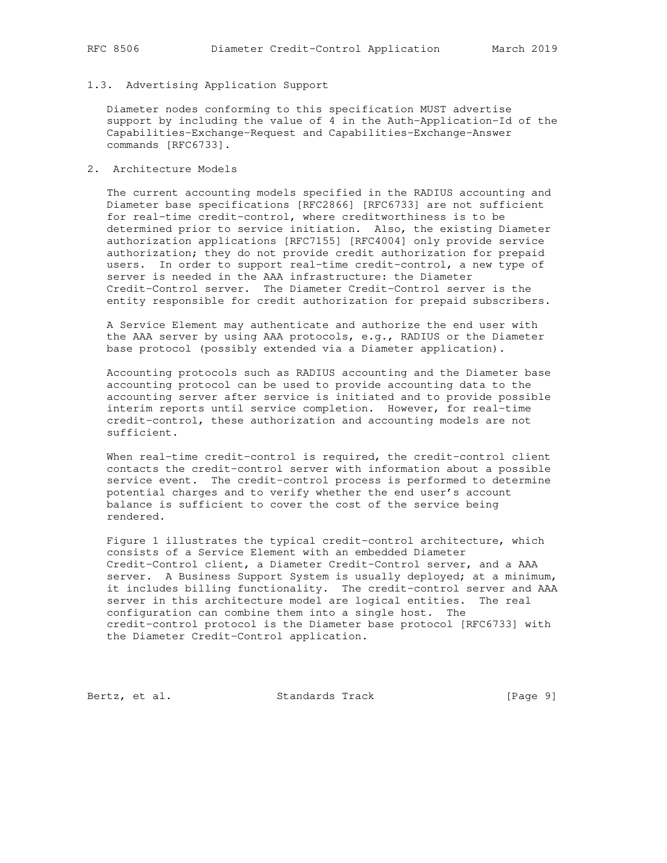# 1.3. Advertising Application Support

 Diameter nodes conforming to this specification MUST advertise support by including the value of 4 in the Auth-Application-Id of the Capabilities-Exchange-Request and Capabilities-Exchange-Answer commands [RFC6733].

2. Architecture Models

 The current accounting models specified in the RADIUS accounting and Diameter base specifications [RFC2866] [RFC6733] are not sufficient for real-time credit-control, where creditworthiness is to be determined prior to service initiation. Also, the existing Diameter authorization applications [RFC7155] [RFC4004] only provide service authorization; they do not provide credit authorization for prepaid users. In order to support real-time credit-control, a new type of server is needed in the AAA infrastructure: the Diameter Credit-Control server. The Diameter Credit-Control server is the entity responsible for credit authorization for prepaid subscribers.

 A Service Element may authenticate and authorize the end user with the AAA server by using AAA protocols, e.g., RADIUS or the Diameter base protocol (possibly extended via a Diameter application).

 Accounting protocols such as RADIUS accounting and the Diameter base accounting protocol can be used to provide accounting data to the accounting server after service is initiated and to provide possible interim reports until service completion. However, for real-time credit-control, these authorization and accounting models are not sufficient.

 When real-time credit-control is required, the credit-control client contacts the credit-control server with information about a possible service event. The credit-control process is performed to determine potential charges and to verify whether the end user's account balance is sufficient to cover the cost of the service being rendered.

 Figure 1 illustrates the typical credit-control architecture, which consists of a Service Element with an embedded Diameter Credit-Control client, a Diameter Credit-Control server, and a AAA server. A Business Support System is usually deployed; at a minimum, it includes billing functionality. The credit-control server and AAA server in this architecture model are logical entities. The real configuration can combine them into a single host. The credit-control protocol is the Diameter base protocol [RFC6733] with the Diameter Credit-Control application.

Bertz, et al. Standards Track [Page 9]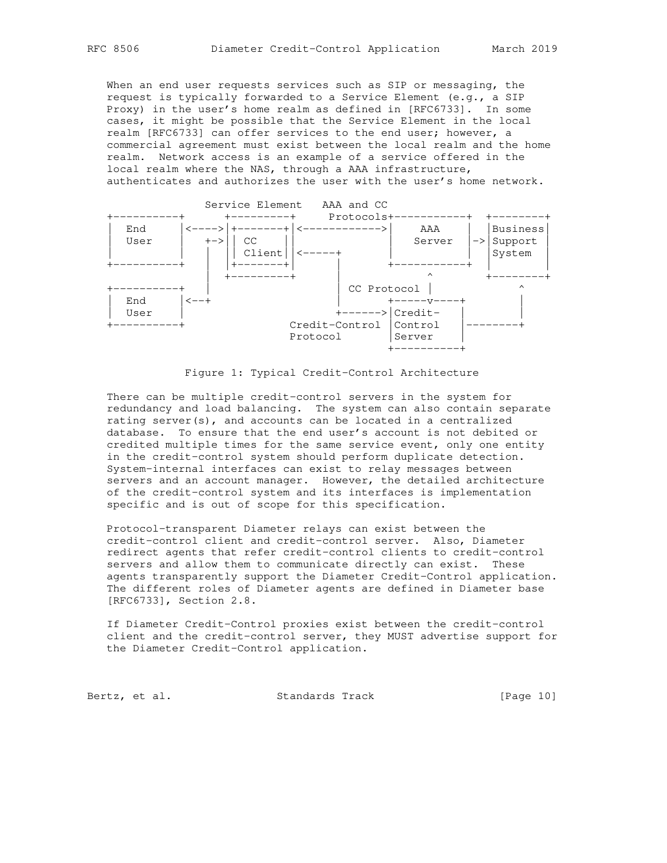When an end user requests services such as SIP or messaging, the request is typically forwarded to a Service Element (e.g., a SIP Proxy) in the user's home realm as defined in [RFC6733]. In some cases, it might be possible that the Service Element in the local realm [RFC6733] can offer services to the end user; however, a commercial agreement must exist between the local realm and the home realm. Network access is an example of a service offered in the local realm where the NAS, through a AAA infrastructure, authenticates and authorizes the user with the user's home network.



Figure 1: Typical Credit-Control Architecture

 There can be multiple credit-control servers in the system for redundancy and load balancing. The system can also contain separate rating server(s), and accounts can be located in a centralized database. To ensure that the end user's account is not debited or credited multiple times for the same service event, only one entity in the credit-control system should perform duplicate detection. System-internal interfaces can exist to relay messages between servers and an account manager. However, the detailed architecture of the credit-control system and its interfaces is implementation specific and is out of scope for this specification.

 Protocol-transparent Diameter relays can exist between the credit-control client and credit-control server. Also, Diameter redirect agents that refer credit-control clients to credit-control servers and allow them to communicate directly can exist. These agents transparently support the Diameter Credit-Control application. The different roles of Diameter agents are defined in Diameter base [RFC6733], Section 2.8.

 If Diameter Credit-Control proxies exist between the credit-control client and the credit-control server, they MUST advertise support for the Diameter Credit-Control application.

Bertz, et al. Standards Track [Page 10]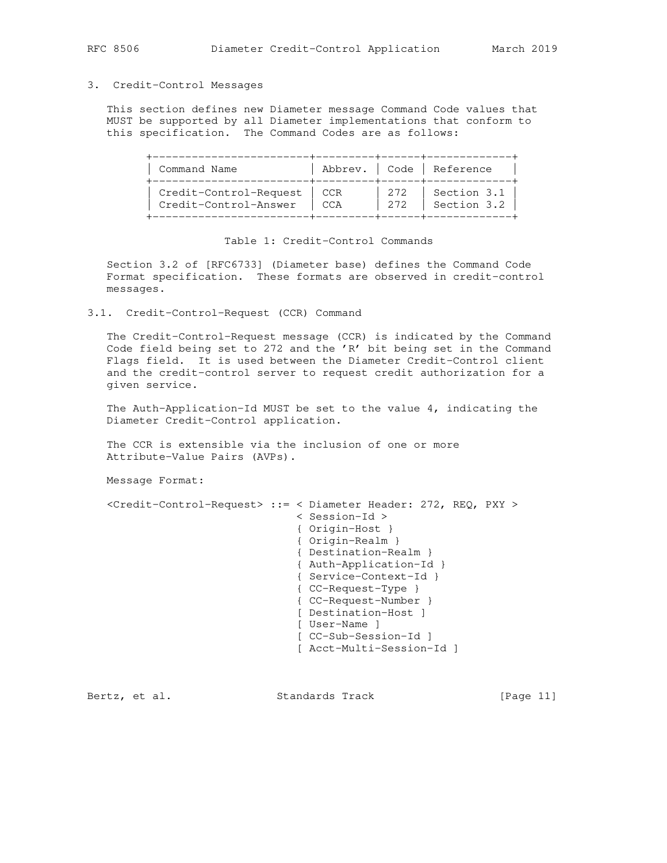#### 3. Credit-Control Messages

 This section defines new Diameter message Command Code values that MUST be supported by all Diameter implementations that conform to this specification. The Command Codes are as follows:

+------------------------+---------+------+-------------+

| Command Name                                                |              | Abbrev.   Code   Reference             |  |
|-------------------------------------------------------------|--------------|----------------------------------------|--|
| Credit-Control-Request   CCR<br>Credit-Control-Answer   CCA | 1272<br>2.72 | $ $ Section 3.1 $ $<br>Section 3.2 $ $ |  |

#### Table 1: Credit-Control Commands

 Section 3.2 of [RFC6733] (Diameter base) defines the Command Code Format specification. These formats are observed in credit-control messages.

#### 3.1. Credit-Control-Request (CCR) Command

 The Credit-Control-Request message (CCR) is indicated by the Command Code field being set to 272 and the 'R' bit being set in the Command Flags field. It is used between the Diameter Credit-Control client and the credit-control server to request credit authorization for a given service.

 The Auth-Application-Id MUST be set to the value 4, indicating the Diameter Credit-Control application.

 The CCR is extensible via the inclusion of one or more Attribute-Value Pairs (AVPs).

Message Format:

```
 <Credit-Control-Request> ::= < Diameter Header: 272, REQ, PXY >
                               < Session-Id >
                               { Origin-Host }
                               { Origin-Realm }
                               { Destination-Realm }
                               { Auth-Application-Id }
                               { Service-Context-Id }
                               { CC-Request-Type }
                               { CC-Request-Number }
                               [ Destination-Host ]
                               [ User-Name ]
                               [ CC-Sub-Session-Id ]
                                [ Acct-Multi-Session-Id ]
```
Bertz, et al. Standards Track [Page 11]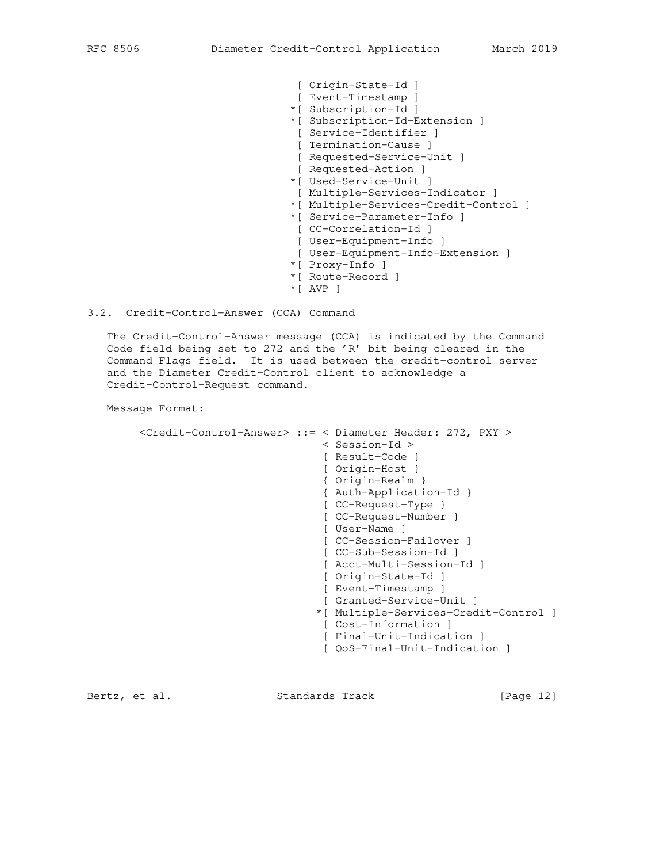```
 [ Origin-State-Id ]
  [ Event-Timestamp ]
 *[ Subscription-Id ]
 *[ Subscription-Id-Extension ]
 [ Service-Identifier ]
 [ Termination-Cause ]
 [ Requested-Service-Unit ]
 [ Requested-Action ]
 *[ Used-Service-Unit ]
 [ Multiple-Services-Indicator ]
 *[ Multiple-Services-Credit-Control ]
 *[ Service-Parameter-Info ]
  [ CC-Correlation-Id ]
 [ User-Equipment-Info ]
 [ User-Equipment-Info-Extension ]
 *[ Proxy-Info ]
 *[ Route-Record ]
* [ AVP ]
```
3.2. Credit-Control-Answer (CCA) Command

 The Credit-Control-Answer message (CCA) is indicated by the Command Code field being set to 272 and the 'R' bit being cleared in the Command Flags field. It is used between the credit-control server and the Diameter Credit-Control client to acknowledge a Credit-Control-Request command.

Message Format:

```
 <Credit-Control-Answer> ::= < Diameter Header: 272, PXY >
                              < Session-Id >
                              { Result-Code }
                              { Origin-Host }
                              { Origin-Realm }
                              { Auth-Application-Id }
                              { CC-Request-Type }
                              { CC-Request-Number }
                               [ User-Name ]
                              [ CC-Session-Failover ]
                              [ CC-Sub-Session-Id ]
                               [ Acct-Multi-Session-Id ]
                              [ Origin-State-Id ]
                              [ Event-Timestamp ]
                               [ Granted-Service-Unit ]
                             *[ Multiple-Services-Credit-Control ]
                              [ Cost-Information ]
                               [ Final-Unit-Indication ]
                               [ QoS-Final-Unit-Indication ]
```
Bertz, et al. Standards Track [Page 12]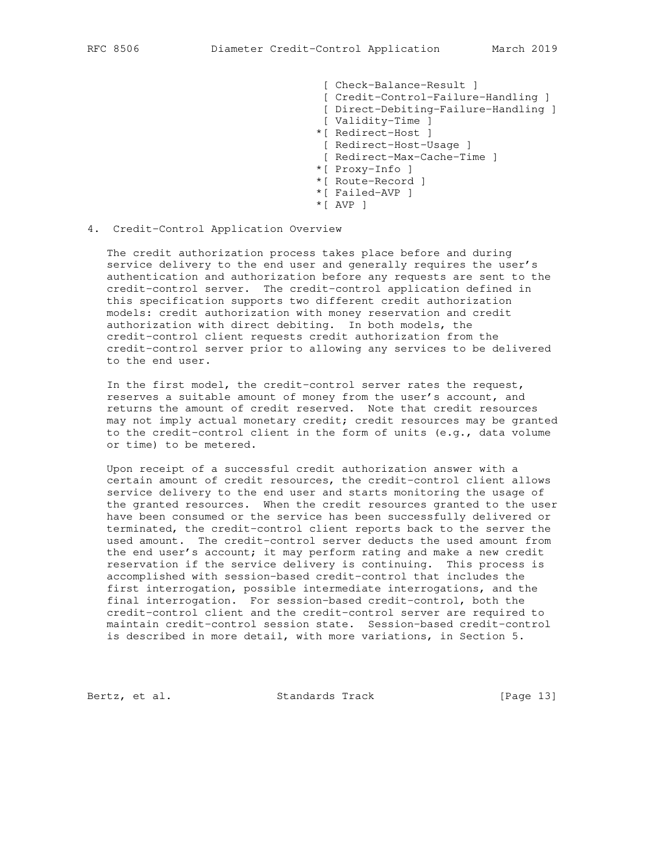[ Check-Balance-Result ] [ Credit-Control-Failure-Handling ] [ Direct-Debiting-Failure-Handling ] [ Validity-Time ] \*[ Redirect-Host ] [ Redirect-Host-Usage ] [ Redirect-Max-Cache-Time ] \*[ Proxy-Info ] \*[ Route-Record ] \*[ Failed-AVP ] \*[ AVP ]

### 4. Credit-Control Application Overview

 The credit authorization process takes place before and during service delivery to the end user and generally requires the user's authentication and authorization before any requests are sent to the credit-control server. The credit-control application defined in this specification supports two different credit authorization models: credit authorization with money reservation and credit authorization with direct debiting. In both models, the credit-control client requests credit authorization from the credit-control server prior to allowing any services to be delivered to the end user.

 In the first model, the credit-control server rates the request, reserves a suitable amount of money from the user's account, and returns the amount of credit reserved. Note that credit resources may not imply actual monetary credit; credit resources may be granted to the credit-control client in the form of units (e.g., data volume or time) to be metered.

 Upon receipt of a successful credit authorization answer with a certain amount of credit resources, the credit-control client allows service delivery to the end user and starts monitoring the usage of the granted resources. When the credit resources granted to the user have been consumed or the service has been successfully delivered or terminated, the credit-control client reports back to the server the used amount. The credit-control server deducts the used amount from the end user's account; it may perform rating and make a new credit reservation if the service delivery is continuing. This process is accomplished with session-based credit-control that includes the first interrogation, possible intermediate interrogations, and the final interrogation. For session-based credit-control, both the credit-control client and the credit-control server are required to maintain credit-control session state. Session-based credit-control is described in more detail, with more variations, in Section 5.

Bertz, et al. Standards Track [Page 13]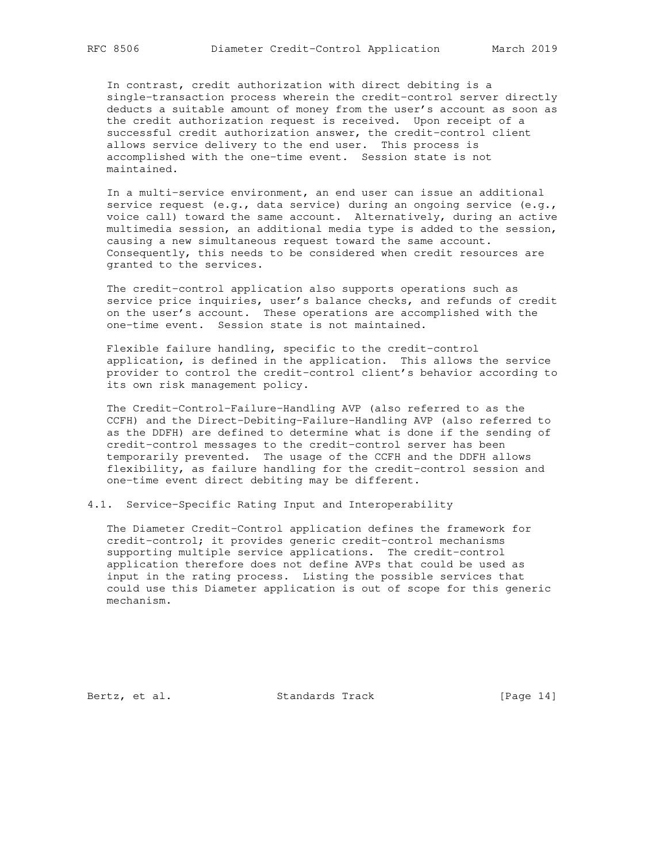In contrast, credit authorization with direct debiting is a single-transaction process wherein the credit-control server directly deducts a suitable amount of money from the user's account as soon as the credit authorization request is received. Upon receipt of a successful credit authorization answer, the credit-control client allows service delivery to the end user. This process is accomplished with the one-time event. Session state is not maintained.

 In a multi-service environment, an end user can issue an additional service request (e.g., data service) during an ongoing service (e.g., voice call) toward the same account. Alternatively, during an active multimedia session, an additional media type is added to the session, causing a new simultaneous request toward the same account. Consequently, this needs to be considered when credit resources are granted to the services.

 The credit-control application also supports operations such as service price inquiries, user's balance checks, and refunds of credit on the user's account. These operations are accomplished with the one-time event. Session state is not maintained.

 Flexible failure handling, specific to the credit-control application, is defined in the application. This allows the service provider to control the credit-control client's behavior according to its own risk management policy.

 The Credit-Control-Failure-Handling AVP (also referred to as the CCFH) and the Direct-Debiting-Failure-Handling AVP (also referred to as the DDFH) are defined to determine what is done if the sending of credit-control messages to the credit-control server has been temporarily prevented. The usage of the CCFH and the DDFH allows flexibility, as failure handling for the credit-control session and one-time event direct debiting may be different.

4.1. Service-Specific Rating Input and Interoperability

 The Diameter Credit-Control application defines the framework for credit-control; it provides generic credit-control mechanisms supporting multiple service applications. The credit-control application therefore does not define AVPs that could be used as input in the rating process. Listing the possible services that could use this Diameter application is out of scope for this generic mechanism.

Bertz, et al. Standards Track [Page 14]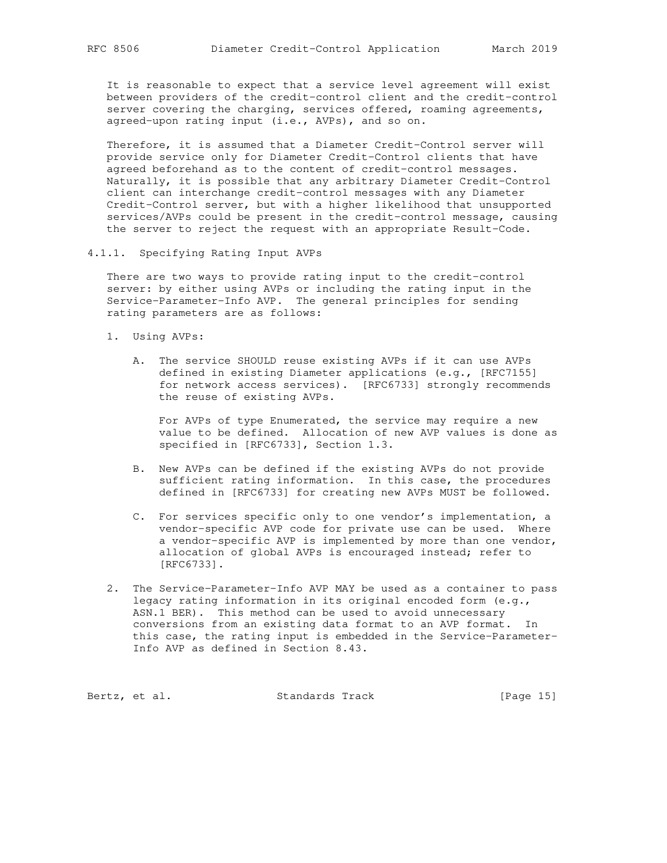It is reasonable to expect that a service level agreement will exist between providers of the credit-control client and the credit-control server covering the charging, services offered, roaming agreements, agreed-upon rating input (i.e., AVPs), and so on.

 Therefore, it is assumed that a Diameter Credit-Control server will provide service only for Diameter Credit-Control clients that have agreed beforehand as to the content of credit-control messages. Naturally, it is possible that any arbitrary Diameter Credit-Control client can interchange credit-control messages with any Diameter Credit-Control server, but with a higher likelihood that unsupported services/AVPs could be present in the credit-control message, causing the server to reject the request with an appropriate Result-Code.

4.1.1. Specifying Rating Input AVPs

 There are two ways to provide rating input to the credit-control server: by either using AVPs or including the rating input in the Service-Parameter-Info AVP. The general principles for sending rating parameters are as follows:

- 1. Using AVPs:
	- A. The service SHOULD reuse existing AVPs if it can use AVPs defined in existing Diameter applications (e.g., [RFC7155] for network access services). [RFC6733] strongly recommends the reuse of existing AVPs.

 For AVPs of type Enumerated, the service may require a new value to be defined. Allocation of new AVP values is done as specified in [RFC6733], Section 1.3.

- B. New AVPs can be defined if the existing AVPs do not provide sufficient rating information. In this case, the procedures defined in [RFC6733] for creating new AVPs MUST be followed.
- C. For services specific only to one vendor's implementation, a vendor-specific AVP code for private use can be used. Where a vendor-specific AVP is implemented by more than one vendor, allocation of global AVPs is encouraged instead; refer to [RFC6733].
- 2. The Service-Parameter-Info AVP MAY be used as a container to pass legacy rating information in its original encoded form (e.g., ASN.1 BER). This method can be used to avoid unnecessary conversions from an existing data format to an AVP format. In this case, the rating input is embedded in the Service-Parameter- Info AVP as defined in Section 8.43.

|  | Bertz, et al. | Standards Track |  | [Page 15] |  |
|--|---------------|-----------------|--|-----------|--|
|--|---------------|-----------------|--|-----------|--|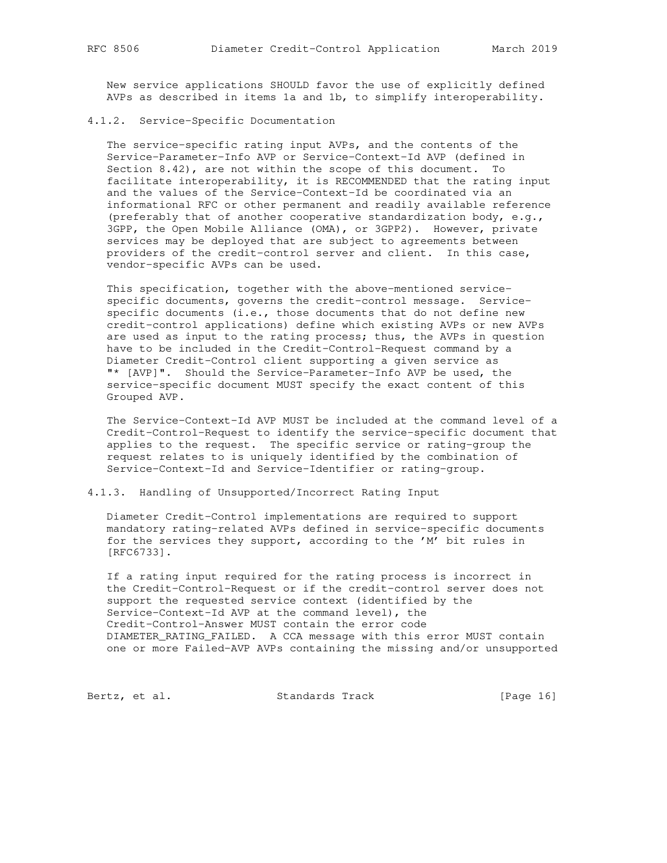New service applications SHOULD favor the use of explicitly defined AVPs as described in items 1a and 1b, to simplify interoperability.

4.1.2. Service-Specific Documentation

 The service-specific rating input AVPs, and the contents of the Service-Parameter-Info AVP or Service-Context-Id AVP (defined in Section 8.42), are not within the scope of this document. To facilitate interoperability, it is RECOMMENDED that the rating input and the values of the Service-Context-Id be coordinated via an informational RFC or other permanent and readily available reference (preferably that of another cooperative standardization body, e.g., 3GPP, the Open Mobile Alliance (OMA), or 3GPP2). However, private services may be deployed that are subject to agreements between providers of the credit-control server and client. In this case, vendor-specific AVPs can be used.

 This specification, together with the above-mentioned service specific documents, governs the credit-control message. Service specific documents (i.e., those documents that do not define new credit-control applications) define which existing AVPs or new AVPs are used as input to the rating process; thus, the AVPs in question have to be included in the Credit-Control-Request command by a Diameter Credit-Control client supporting a given service as "\* [AVP]". Should the Service-Parameter-Info AVP be used, the service-specific document MUST specify the exact content of this Grouped AVP.

 The Service-Context-Id AVP MUST be included at the command level of a Credit-Control-Request to identify the service-specific document that applies to the request. The specific service or rating-group the request relates to is uniquely identified by the combination of Service-Context-Id and Service-Identifier or rating-group.

4.1.3. Handling of Unsupported/Incorrect Rating Input

 Diameter Credit-Control implementations are required to support mandatory rating-related AVPs defined in service-specific documents for the services they support, according to the 'M' bit rules in [RFC6733].

 If a rating input required for the rating process is incorrect in the Credit-Control-Request or if the credit-control server does not support the requested service context (identified by the Service-Context-Id AVP at the command level), the Credit-Control-Answer MUST contain the error code DIAMETER\_RATING\_FAILED. A CCA message with this error MUST contain one or more Failed-AVP AVPs containing the missing and/or unsupported

Bertz, et al. Standards Track [Page 16]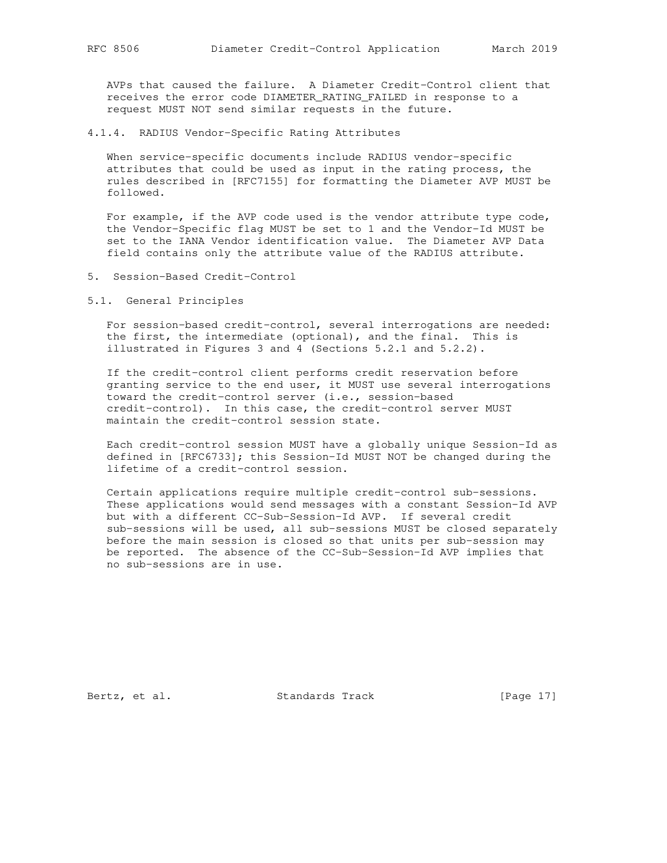AVPs that caused the failure. A Diameter Credit-Control client that receives the error code DIAMETER\_RATING\_FAILED in response to a request MUST NOT send similar requests in the future.

4.1.4. RADIUS Vendor-Specific Rating Attributes

 When service-specific documents include RADIUS vendor-specific attributes that could be used as input in the rating process, the rules described in [RFC7155] for formatting the Diameter AVP MUST be followed.

 For example, if the AVP code used is the vendor attribute type code, the Vendor-Specific flag MUST be set to 1 and the Vendor-Id MUST be set to the IANA Vendor identification value. The Diameter AVP Data field contains only the attribute value of the RADIUS attribute.

5. Session-Based Credit-Control

5.1. General Principles

 For session-based credit-control, several interrogations are needed: the first, the intermediate (optional), and the final. This is illustrated in Figures 3 and 4 (Sections 5.2.1 and 5.2.2).

 If the credit-control client performs credit reservation before granting service to the end user, it MUST use several interrogations toward the credit-control server (i.e., session-based credit-control). In this case, the credit-control server MUST maintain the credit-control session state.

 Each credit-control session MUST have a globally unique Session-Id as defined in [RFC6733]; this Session-Id MUST NOT be changed during the lifetime of a credit-control session.

 Certain applications require multiple credit-control sub-sessions. These applications would send messages with a constant Session-Id AVP but with a different CC-Sub-Session-Id AVP. If several credit sub-sessions will be used, all sub-sessions MUST be closed separately before the main session is closed so that units per sub-session may be reported. The absence of the CC-Sub-Session-Id AVP implies that no sub-sessions are in use.

Bertz, et al. Standards Track [Page 17]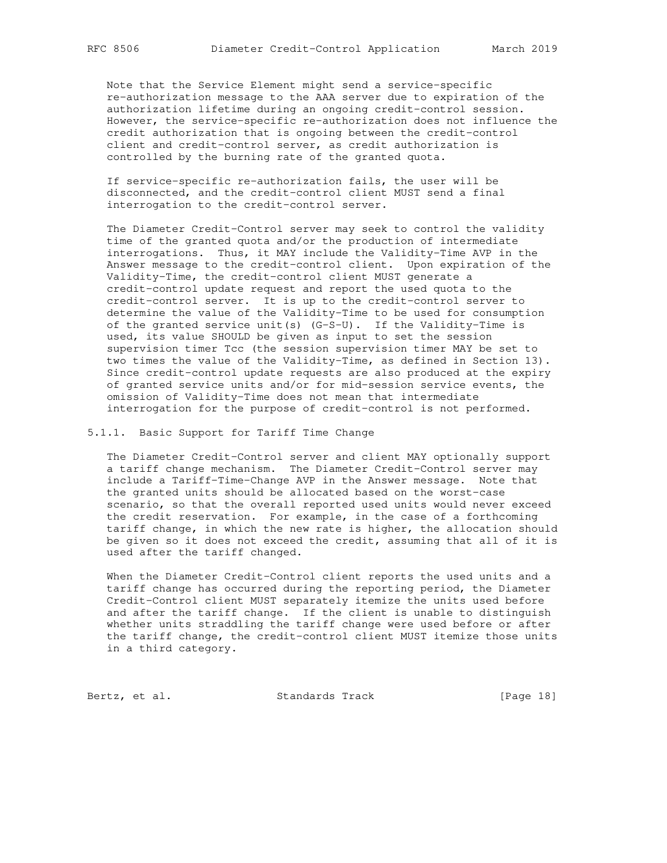Note that the Service Element might send a service-specific re-authorization message to the AAA server due to expiration of the authorization lifetime during an ongoing credit-control session. However, the service-specific re-authorization does not influence the credit authorization that is ongoing between the credit-control client and credit-control server, as credit authorization is controlled by the burning rate of the granted quota.

 If service-specific re-authorization fails, the user will be disconnected, and the credit-control client MUST send a final interrogation to the credit-control server.

 The Diameter Credit-Control server may seek to control the validity time of the granted quota and/or the production of intermediate interrogations. Thus, it MAY include the Validity-Time AVP in the Answer message to the credit-control client. Upon expiration of the Validity-Time, the credit-control client MUST generate a credit-control update request and report the used quota to the credit-control server. It is up to the credit-control server to determine the value of the Validity-Time to be used for consumption of the granted service unit(s) (G-S-U). If the Validity-Time is used, its value SHOULD be given as input to set the session supervision timer Tcc (the session supervision timer MAY be set to two times the value of the Validity-Time, as defined in Section 13). Since credit-control update requests are also produced at the expiry of granted service units and/or for mid-session service events, the omission of Validity-Time does not mean that intermediate interrogation for the purpose of credit-control is not performed.

# 5.1.1. Basic Support for Tariff Time Change

 The Diameter Credit-Control server and client MAY optionally support a tariff change mechanism. The Diameter Credit-Control server may include a Tariff-Time-Change AVP in the Answer message. Note that the granted units should be allocated based on the worst-case scenario, so that the overall reported used units would never exceed the credit reservation. For example, in the case of a forthcoming tariff change, in which the new rate is higher, the allocation should be given so it does not exceed the credit, assuming that all of it is used after the tariff changed.

 When the Diameter Credit-Control client reports the used units and a tariff change has occurred during the reporting period, the Diameter Credit-Control client MUST separately itemize the units used before and after the tariff change. If the client is unable to distinguish whether units straddling the tariff change were used before or after the tariff change, the credit-control client MUST itemize those units in a third category.

Bertz, et al. Standards Track [Page 18]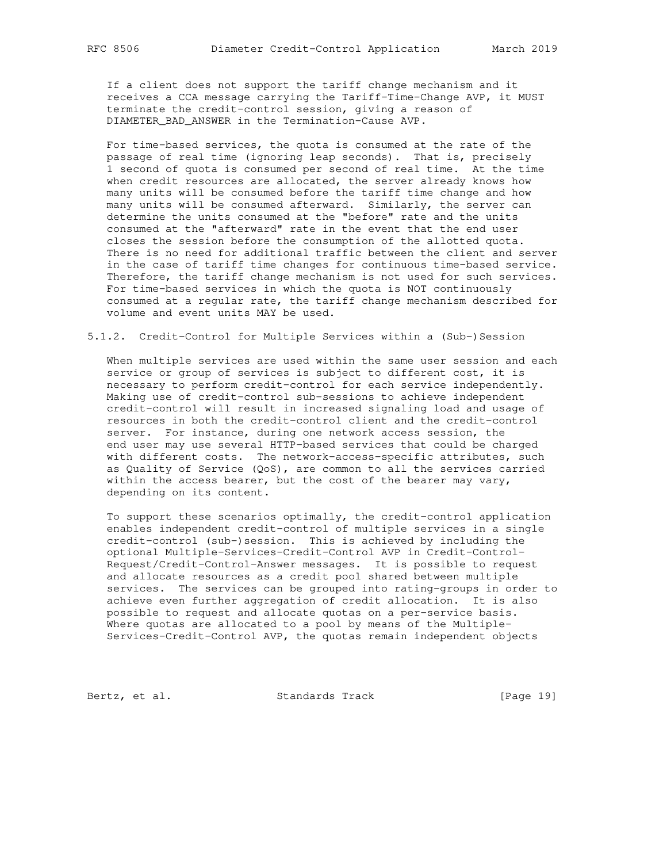If a client does not support the tariff change mechanism and it receives a CCA message carrying the Tariff-Time-Change AVP, it MUST terminate the credit-control session, giving a reason of DIAMETER\_BAD\_ANSWER in the Termination-Cause AVP.

 For time-based services, the quota is consumed at the rate of the passage of real time (ignoring leap seconds). That is, precisely 1 second of quota is consumed per second of real time. At the time when credit resources are allocated, the server already knows how many units will be consumed before the tariff time change and how many units will be consumed afterward. Similarly, the server can determine the units consumed at the "before" rate and the units consumed at the "afterward" rate in the event that the end user closes the session before the consumption of the allotted quota. There is no need for additional traffic between the client and server in the case of tariff time changes for continuous time-based service. Therefore, the tariff change mechanism is not used for such services. For time-based services in which the quota is NOT continuously consumed at a regular rate, the tariff change mechanism described for volume and event units MAY be used.

5.1.2. Credit-Control for Multiple Services within a (Sub-)Session

 When multiple services are used within the same user session and each service or group of services is subject to different cost, it is necessary to perform credit-control for each service independently. Making use of credit-control sub-sessions to achieve independent credit-control will result in increased signaling load and usage of resources in both the credit-control client and the credit-control server. For instance, during one network access session, the end user may use several HTTP-based services that could be charged with different costs. The network-access-specific attributes, such as Quality of Service (QoS), are common to all the services carried within the access bearer, but the cost of the bearer may vary, depending on its content.

 To support these scenarios optimally, the credit-control application enables independent credit-control of multiple services in a single credit-control (sub-)session. This is achieved by including the optional Multiple-Services-Credit-Control AVP in Credit-Control- Request/Credit-Control-Answer messages. It is possible to request and allocate resources as a credit pool shared between multiple services. The services can be grouped into rating-groups in order to achieve even further aggregation of credit allocation. It is also possible to request and allocate quotas on a per-service basis. Where quotas are allocated to a pool by means of the Multiple- Services-Credit-Control AVP, the quotas remain independent objects

Bertz, et al. Standards Track [Page 19]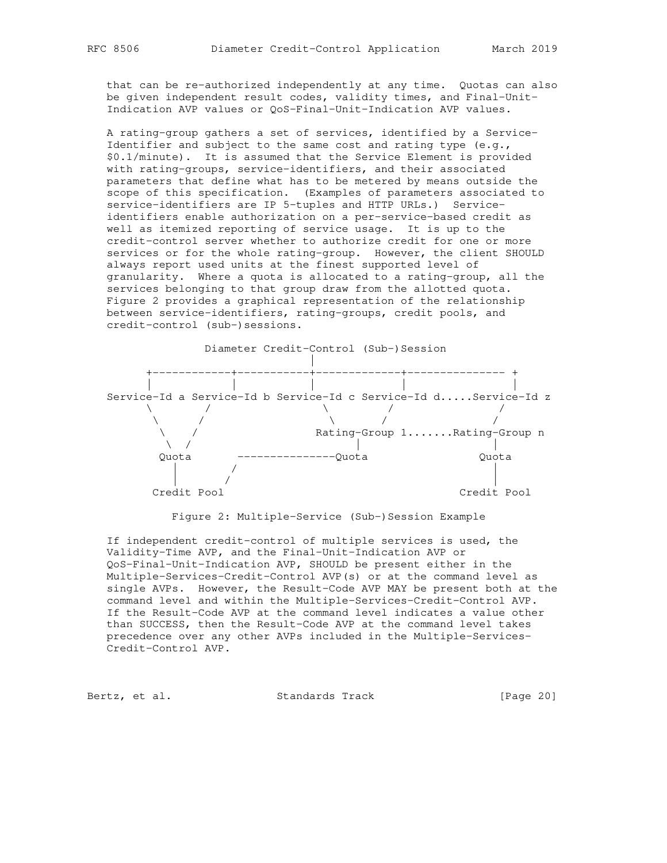that can be re-authorized independently at any time. Quotas can also be given independent result codes, validity times, and Final-Unit- Indication AVP values or QoS-Final-Unit-Indication AVP values.

 A rating-group gathers a set of services, identified by a Service- Identifier and subject to the same cost and rating type (e.g., \$0.1/minute). It is assumed that the Service Element is provided with rating-groups, service-identifiers, and their associated parameters that define what has to be metered by means outside the scope of this specification. (Examples of parameters associated to service-identifiers are IP 5-tuples and HTTP URLs.) Service identifiers enable authorization on a per-service-based credit as well as itemized reporting of service usage. It is up to the credit-control server whether to authorize credit for one or more services or for the whole rating-group. However, the client SHOULD always report used units at the finest supported level of granularity. Where a quota is allocated to a rating-group, all the services belonging to that group draw from the allotted quota. Figure 2 provides a graphical representation of the relationship between service-identifiers, rating-groups, credit pools, and credit-control (sub-)sessions.



Figure 2: Multiple-Service (Sub-) Session Example

 If independent credit-control of multiple services is used, the Validity-Time AVP, and the Final-Unit-Indication AVP or QoS-Final-Unit-Indication AVP, SHOULD be present either in the Multiple-Services-Credit-Control AVP(s) or at the command level as single AVPs. However, the Result-Code AVP MAY be present both at the command level and within the Multiple-Services-Credit-Control AVP. If the Result-Code AVP at the command level indicates a value other than SUCCESS, then the Result-Code AVP at the command level takes precedence over any other AVPs included in the Multiple-Services- Credit-Control AVP.

Bertz, et al. Standards Track [Page 20]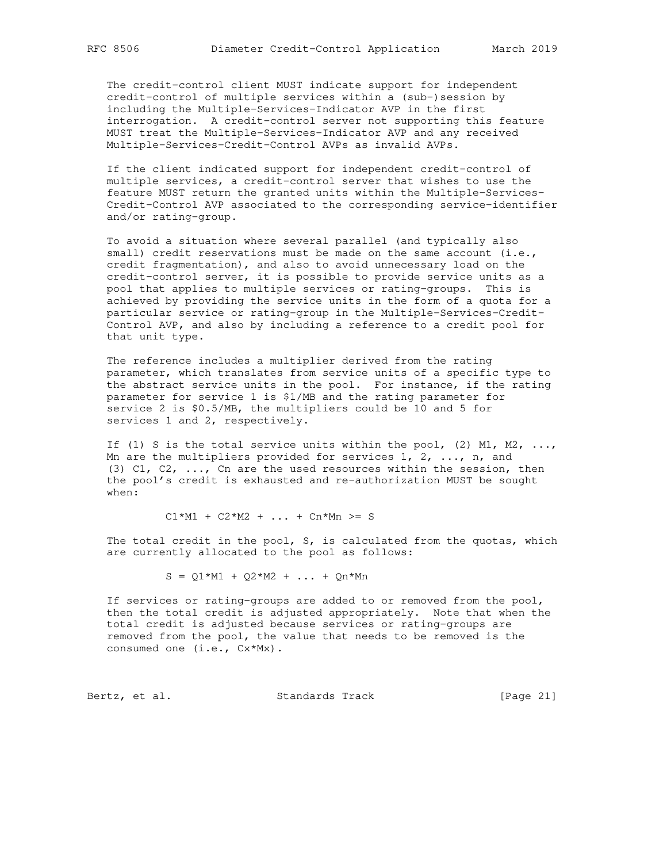The credit-control client MUST indicate support for independent credit-control of multiple services within a (sub-)session by including the Multiple-Services-Indicator AVP in the first interrogation. A credit-control server not supporting this feature MUST treat the Multiple-Services-Indicator AVP and any received Multiple-Services-Credit-Control AVPs as invalid AVPs.

 If the client indicated support for independent credit-control of multiple services, a credit-control server that wishes to use the feature MUST return the granted units within the Multiple-Services- Credit-Control AVP associated to the corresponding service-identifier and/or rating-group.

 To avoid a situation where several parallel (and typically also small) credit reservations must be made on the same account  $(i.e.,$  credit fragmentation), and also to avoid unnecessary load on the credit-control server, it is possible to provide service units as a pool that applies to multiple services or rating-groups. This is achieved by providing the service units in the form of a quota for a particular service or rating-group in the Multiple-Services-Credit- Control AVP, and also by including a reference to a credit pool for that unit type.

 The reference includes a multiplier derived from the rating parameter, which translates from service units of a specific type to the abstract service units in the pool. For instance, if the rating parameter for service 1 is \$1/MB and the rating parameter for service 2 is \$0.5/MB, the multipliers could be 10 and 5 for services 1 and 2, respectively.

If (1) S is the total service units within the pool, (2) M1, M2,  $\ldots$ , Mn are the multipliers provided for services  $1, 2, \ldots, n$ , and (3) C1, C2,  $\ldots$ , Cn are the used resources within the session, then the pool's credit is exhausted and re-authorization MUST be sought when:

 $C1*M1 + C2*M2 + ... + Cn*Mn > = S$ 

The total credit in the pool, S, is calculated from the quotas, which are currently allocated to the pool as follows:

 $S = Q1*M1 + Q2*M2 + ... + Qn*Mn$ 

 If services or rating-groups are added to or removed from the pool, then the total credit is adjusted appropriately. Note that when the total credit is adjusted because services or rating-groups are removed from the pool, the value that needs to be removed is the consumed one (i.e., Cx\*Mx).

Bertz, et al. Standards Track [Page 21]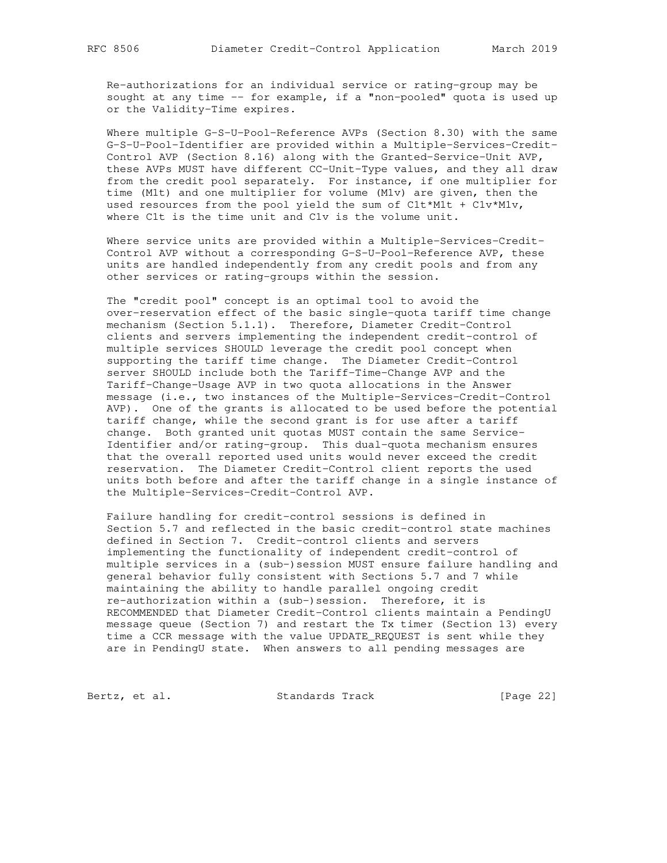Re-authorizations for an individual service or rating-group may be sought at any time -- for example, if a "non-pooled" quota is used up or the Validity-Time expires.

 Where multiple G-S-U-Pool-Reference AVPs (Section 8.30) with the same G-S-U-Pool-Identifier are provided within a Multiple-Services-Credit- Control AVP (Section 8.16) along with the Granted-Service-Unit AVP, these AVPs MUST have different CC-Unit-Type values, and they all draw from the credit pool separately. For instance, if one multiplier for time (M1t) and one multiplier for volume (M1v) are given, then the used resources from the pool yield the sum of C1t\*M1t + C1v\*M1v, where C1t is the time unit and C1v is the volume unit.

 Where service units are provided within a Multiple-Services-Credit- Control AVP without a corresponding G-S-U-Pool-Reference AVP, these units are handled independently from any credit pools and from any other services or rating-groups within the session.

 The "credit pool" concept is an optimal tool to avoid the over-reservation effect of the basic single-quota tariff time change mechanism (Section 5.1.1). Therefore, Diameter Credit-Control clients and servers implementing the independent credit-control of multiple services SHOULD leverage the credit pool concept when supporting the tariff time change. The Diameter Credit-Control server SHOULD include both the Tariff-Time-Change AVP and the Tariff-Change-Usage AVP in two quota allocations in the Answer message (i.e., two instances of the Multiple-Services-Credit-Control AVP). One of the grants is allocated to be used before the potential tariff change, while the second grant is for use after a tariff change. Both granted unit quotas MUST contain the same Service- Identifier and/or rating-group. This dual-quota mechanism ensures that the overall reported used units would never exceed the credit reservation. The Diameter Credit-Control client reports the used units both before and after the tariff change in a single instance of the Multiple-Services-Credit-Control AVP.

 Failure handling for credit-control sessions is defined in Section 5.7 and reflected in the basic credit-control state machines defined in Section 7. Credit-control clients and servers implementing the functionality of independent credit-control of multiple services in a (sub-)session MUST ensure failure handling and general behavior fully consistent with Sections 5.7 and 7 while maintaining the ability to handle parallel ongoing credit re-authorization within a (sub-)session. Therefore, it is RECOMMENDED that Diameter Credit-Control clients maintain a PendingU message queue (Section 7) and restart the Tx timer (Section 13) every time a CCR message with the value UPDATE\_REQUEST is sent while they are in PendingU state. When answers to all pending messages are

Bertz, et al. Standards Track [Page 22]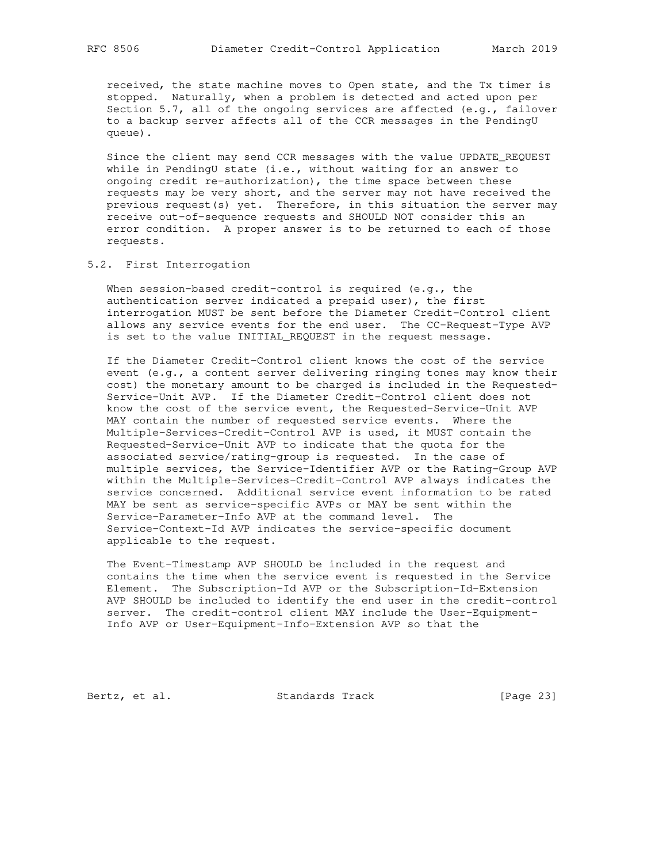received, the state machine moves to Open state, and the Tx timer is stopped. Naturally, when a problem is detected and acted upon per Section 5.7, all of the ongoing services are affected (e.g., failover to a backup server affects all of the CCR messages in the PendingU queue).

 Since the client may send CCR messages with the value UPDATE\_REQUEST while in PendingU state (i.e., without waiting for an answer to ongoing credit re-authorization), the time space between these requests may be very short, and the server may not have received the previous request(s) yet. Therefore, in this situation the server may receive out-of-sequence requests and SHOULD NOT consider this an error condition. A proper answer is to be returned to each of those requests.

# 5.2. First Interrogation

When session-based credit-control is required (e.g., the authentication server indicated a prepaid user), the first interrogation MUST be sent before the Diameter Credit-Control client allows any service events for the end user. The CC-Request-Type AVP is set to the value INITIAL\_REQUEST in the request message.

 If the Diameter Credit-Control client knows the cost of the service event (e.g., a content server delivering ringing tones may know their cost) the monetary amount to be charged is included in the Requested- Service-Unit AVP. If the Diameter Credit-Control client does not know the cost of the service event, the Requested-Service-Unit AVP MAY contain the number of requested service events. Where the Multiple-Services-Credit-Control AVP is used, it MUST contain the Requested-Service-Unit AVP to indicate that the quota for the associated service/rating-group is requested. In the case of multiple services, the Service-Identifier AVP or the Rating-Group AVP within the Multiple-Services-Credit-Control AVP always indicates the service concerned. Additional service event information to be rated MAY be sent as service-specific AVPs or MAY be sent within the Service-Parameter-Info AVP at the command level. The Service-Context-Id AVP indicates the service-specific document applicable to the request.

 The Event-Timestamp AVP SHOULD be included in the request and contains the time when the service event is requested in the Service Element. The Subscription-Id AVP or the Subscription-Id-Extension AVP SHOULD be included to identify the end user in the credit-control server. The credit-control client MAY include the User-Equipment- Info AVP or User-Equipment-Info-Extension AVP so that the

Bertz, et al. Standards Track [Page 23]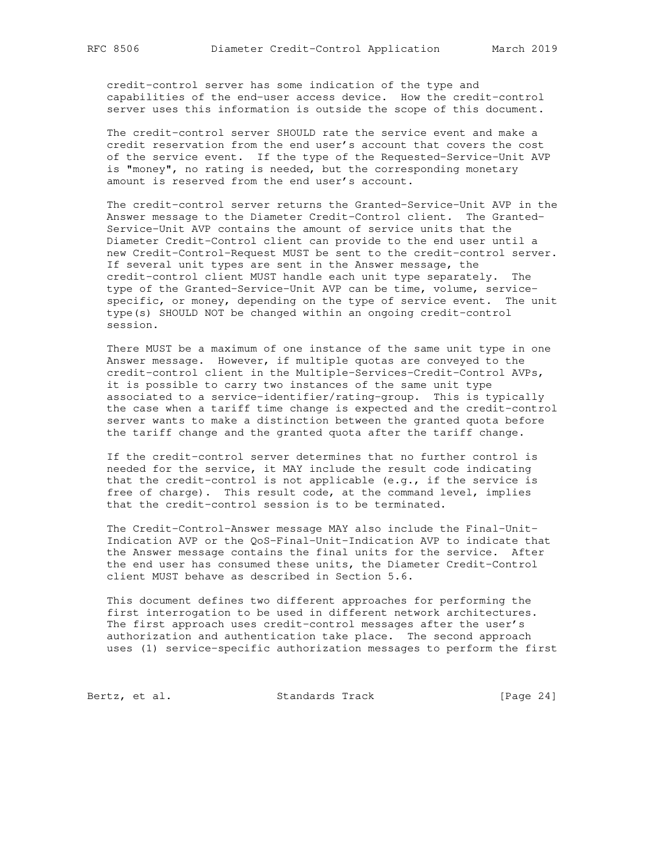credit-control server has some indication of the type and capabilities of the end-user access device. How the credit-control server uses this information is outside the scope of this document.

 The credit-control server SHOULD rate the service event and make a credit reservation from the end user's account that covers the cost of the service event. If the type of the Requested-Service-Unit AVP is "money", no rating is needed, but the corresponding monetary amount is reserved from the end user's account.

 The credit-control server returns the Granted-Service-Unit AVP in the Answer message to the Diameter Credit-Control client. The Granted- Service-Unit AVP contains the amount of service units that the Diameter Credit-Control client can provide to the end user until a new Credit-Control-Request MUST be sent to the credit-control server. If several unit types are sent in the Answer message, the credit-control client MUST handle each unit type separately. The type of the Granted-Service-Unit AVP can be time, volume, service specific, or money, depending on the type of service event. The unit type(s) SHOULD NOT be changed within an ongoing credit-control session.

 There MUST be a maximum of one instance of the same unit type in one Answer message. However, if multiple quotas are conveyed to the credit-control client in the Multiple-Services-Credit-Control AVPs, it is possible to carry two instances of the same unit type associated to a service-identifier/rating-group. This is typically the case when a tariff time change is expected and the credit-control server wants to make a distinction between the granted quota before the tariff change and the granted quota after the tariff change.

 If the credit-control server determines that no further control is needed for the service, it MAY include the result code indicating that the credit-control is not applicable (e.g., if the service is free of charge). This result code, at the command level, implies that the credit-control session is to be terminated.

 The Credit-Control-Answer message MAY also include the Final-Unit- Indication AVP or the QoS-Final-Unit-Indication AVP to indicate that the Answer message contains the final units for the service. After the end user has consumed these units, the Diameter Credit-Control client MUST behave as described in Section 5.6.

 This document defines two different approaches for performing the first interrogation to be used in different network architectures. The first approach uses credit-control messages after the user's authorization and authentication take place. The second approach uses (1) service-specific authorization messages to perform the first

Bertz, et al. Standards Track [Page 24]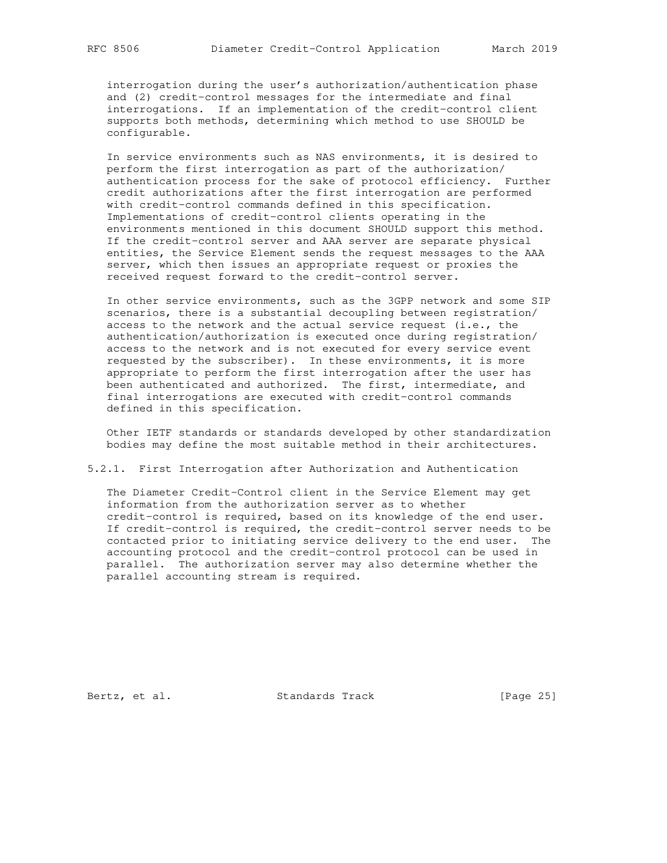interrogation during the user's authorization/authentication phase and (2) credit-control messages for the intermediate and final interrogations. If an implementation of the credit-control client supports both methods, determining which method to use SHOULD be configurable.

 In service environments such as NAS environments, it is desired to perform the first interrogation as part of the authorization/ authentication process for the sake of protocol efficiency. Further credit authorizations after the first interrogation are performed with credit-control commands defined in this specification. Implementations of credit-control clients operating in the environments mentioned in this document SHOULD support this method. If the credit-control server and AAA server are separate physical entities, the Service Element sends the request messages to the AAA server, which then issues an appropriate request or proxies the received request forward to the credit-control server.

 In other service environments, such as the 3GPP network and some SIP scenarios, there is a substantial decoupling between registration/ access to the network and the actual service request (i.e., the authentication/authorization is executed once during registration/ access to the network and is not executed for every service event requested by the subscriber). In these environments, it is more appropriate to perform the first interrogation after the user has been authenticated and authorized. The first, intermediate, and final interrogations are executed with credit-control commands defined in this specification.

 Other IETF standards or standards developed by other standardization bodies may define the most suitable method in their architectures.

5.2.1. First Interrogation after Authorization and Authentication

 The Diameter Credit-Control client in the Service Element may get information from the authorization server as to whether credit-control is required, based on its knowledge of the end user. If credit-control is required, the credit-control server needs to be contacted prior to initiating service delivery to the end user. The accounting protocol and the credit-control protocol can be used in parallel. The authorization server may also determine whether the parallel accounting stream is required.

Bertz, et al. Standards Track [Page 25]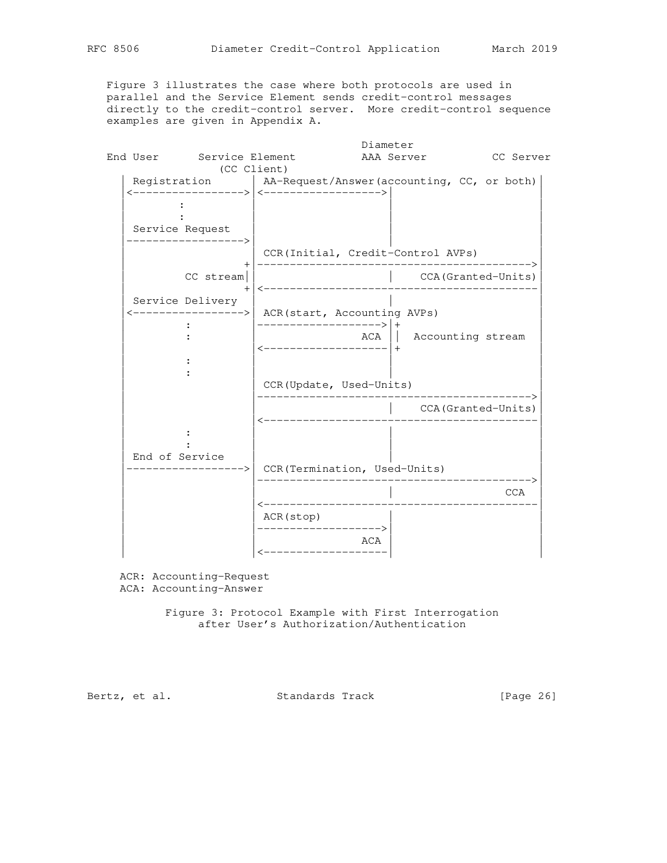Figure 3 illustrates the case where both protocols are used in parallel and the Service Element sends credit-control messages directly to the credit-control server. More credit-control sequence examples are given in Appendix A.



 ACR: Accounting-Request ACA: Accounting-Answer

> Figure 3: Protocol Example with First Interrogation after User's Authorization/Authentication

Bertz, et al. Standards Track [Page 26]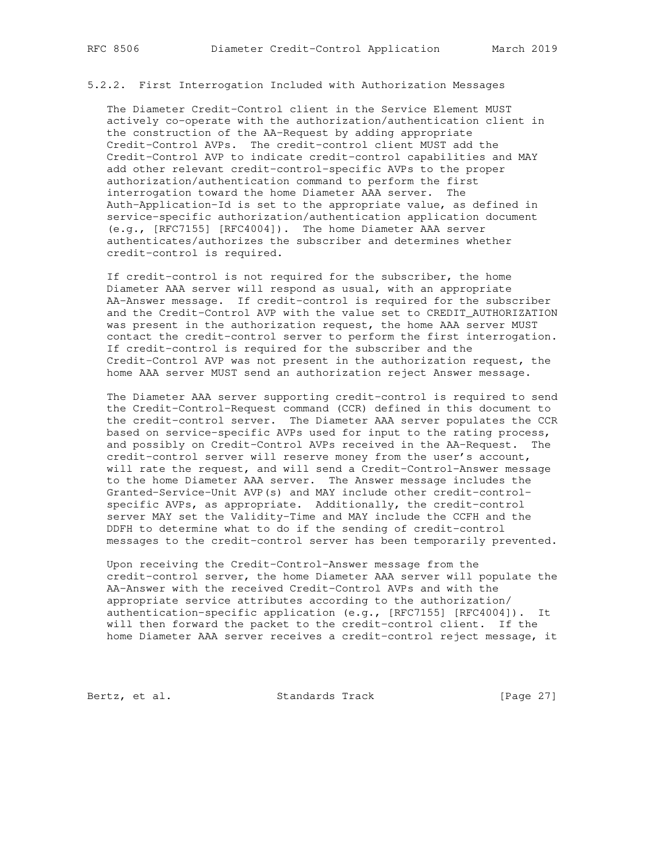### 5.2.2. First Interrogation Included with Authorization Messages

 The Diameter Credit-Control client in the Service Element MUST actively co-operate with the authorization/authentication client in the construction of the AA-Request by adding appropriate Credit-Control AVPs. The credit-control client MUST add the Credit-Control AVP to indicate credit-control capabilities and MAY add other relevant credit-control-specific AVPs to the proper authorization/authentication command to perform the first interrogation toward the home Diameter AAA server. The Auth-Application-Id is set to the appropriate value, as defined in service-specific authorization/authentication application document (e.g., [RFC7155] [RFC4004]). The home Diameter AAA server authenticates/authorizes the subscriber and determines whether credit-control is required.

 If credit-control is not required for the subscriber, the home Diameter AAA server will respond as usual, with an appropriate AA-Answer message. If credit-control is required for the subscriber and the Credit-Control AVP with the value set to CREDIT\_AUTHORIZATION was present in the authorization request, the home AAA server MUST contact the credit-control server to perform the first interrogation. If credit-control is required for the subscriber and the Credit-Control AVP was not present in the authorization request, the home AAA server MUST send an authorization reject Answer message.

 The Diameter AAA server supporting credit-control is required to send the Credit-Control-Request command (CCR) defined in this document to the credit-control server. The Diameter AAA server populates the CCR based on service-specific AVPs used for input to the rating process, and possibly on Credit-Control AVPs received in the AA-Request. The credit-control server will reserve money from the user's account, will rate the request, and will send a Credit-Control-Answer message to the home Diameter AAA server. The Answer message includes the Granted-Service-Unit AVP(s) and MAY include other credit-control specific AVPs, as appropriate. Additionally, the credit-control server MAY set the Validity-Time and MAY include the CCFH and the DDFH to determine what to do if the sending of credit-control messages to the credit-control server has been temporarily prevented.

 Upon receiving the Credit-Control-Answer message from the credit-control server, the home Diameter AAA server will populate the AA-Answer with the received Credit-Control AVPs and with the appropriate service attributes according to the authorization/ authentication-specific application (e.g., [RFC7155] [RFC4004]). It will then forward the packet to the credit-control client. If the home Diameter AAA server receives a credit-control reject message, it

Bertz, et al. Standards Track [Page 27]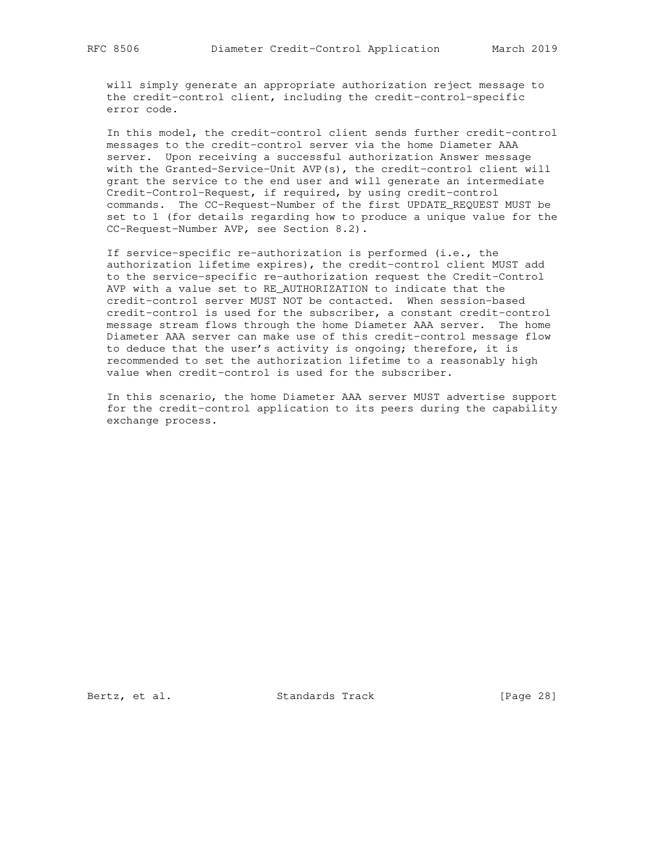will simply generate an appropriate authorization reject message to the credit-control client, including the credit-control-specific error code.

 In this model, the credit-control client sends further credit-control messages to the credit-control server via the home Diameter AAA server. Upon receiving a successful authorization Answer message with the Granted-Service-Unit AVP(s), the credit-control client will grant the service to the end user and will generate an intermediate Credit-Control-Request, if required, by using credit-control commands. The CC-Request-Number of the first UPDATE\_REQUEST MUST be set to 1 (for details regarding how to produce a unique value for the CC-Request-Number AVP, see Section 8.2).

 If service-specific re-authorization is performed (i.e., the authorization lifetime expires), the credit-control client MUST add to the service-specific re-authorization request the Credit-Control AVP with a value set to RE\_AUTHORIZATION to indicate that the credit-control server MUST NOT be contacted. When session-based credit-control is used for the subscriber, a constant credit-control message stream flows through the home Diameter AAA server. The home Diameter AAA server can make use of this credit-control message flow to deduce that the user's activity is ongoing; therefore, it is recommended to set the authorization lifetime to a reasonably high value when credit-control is used for the subscriber.

 In this scenario, the home Diameter AAA server MUST advertise support for the credit-control application to its peers during the capability exchange process.

Bertz, et al. Standards Track [Page 28]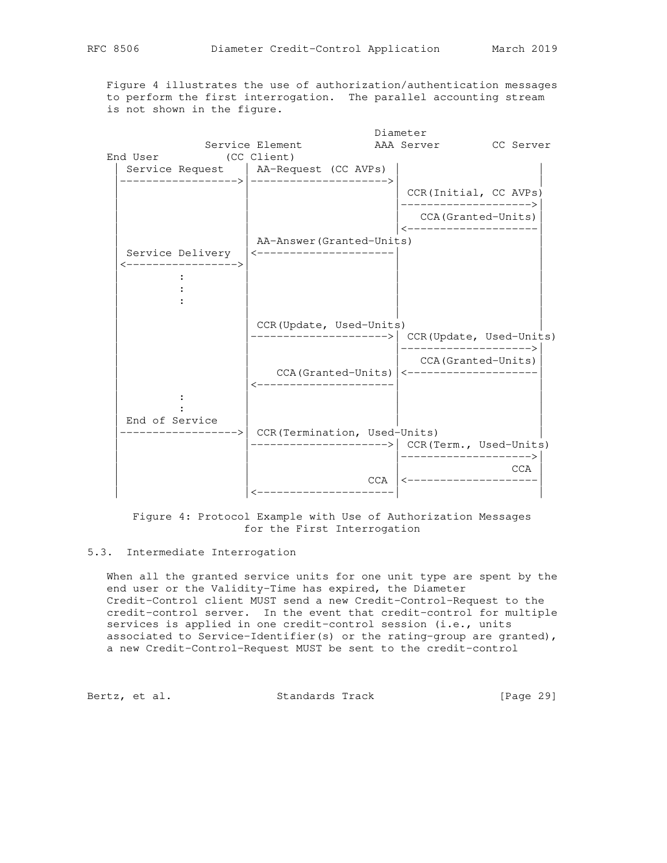Figure 4 illustrates the use of authorization/authentication messages to perform the first interrogation. The parallel accounting stream is not shown in the figure.



 Figure 4: Protocol Example with Use of Authorization Messages for the First Interrogation

## 5.3. Intermediate Interrogation

 When all the granted service units for one unit type are spent by the end user or the Validity-Time has expired, the Diameter Credit-Control client MUST send a new Credit-Control-Request to the credit-control server. In the event that credit-control for multiple services is applied in one credit-control session (i.e., units associated to Service-Identifier(s) or the rating-group are granted), a new Credit-Control-Request MUST be sent to the credit-control

Bertz, et al. Standards Track [Page 29]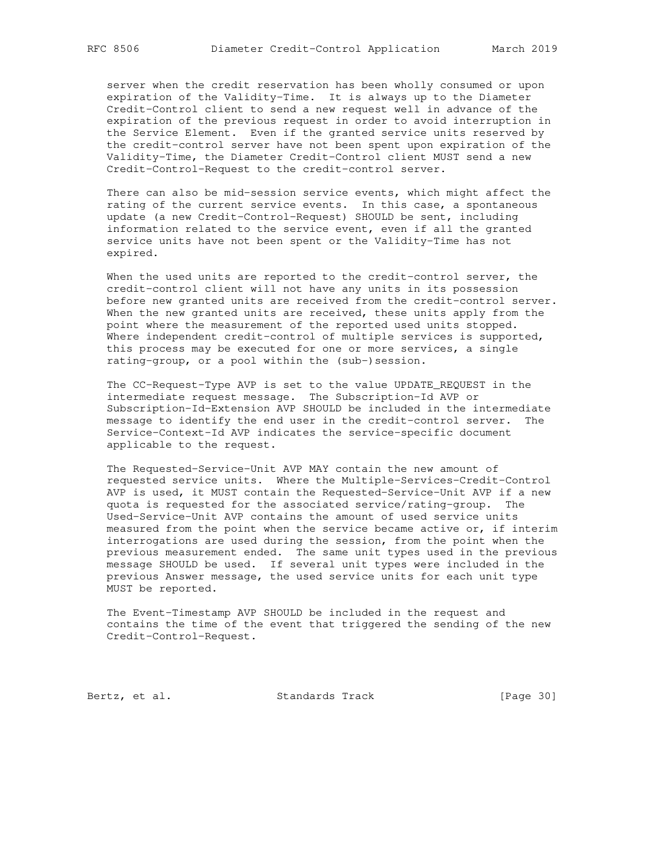server when the credit reservation has been wholly consumed or upon expiration of the Validity-Time. It is always up to the Diameter Credit-Control client to send a new request well in advance of the expiration of the previous request in order to avoid interruption in the Service Element. Even if the granted service units reserved by the credit-control server have not been spent upon expiration of the Validity-Time, the Diameter Credit-Control client MUST send a new Credit-Control-Request to the credit-control server.

 There can also be mid-session service events, which might affect the rating of the current service events. In this case, a spontaneous update (a new Credit-Control-Request) SHOULD be sent, including information related to the service event, even if all the granted service units have not been spent or the Validity-Time has not expired.

 When the used units are reported to the credit-control server, the credit-control client will not have any units in its possession before new granted units are received from the credit-control server. When the new granted units are received, these units apply from the point where the measurement of the reported used units stopped. Where independent credit-control of multiple services is supported, this process may be executed for one or more services, a single rating-group, or a pool within the (sub-)session.

 The CC-Request-Type AVP is set to the value UPDATE\_REQUEST in the intermediate request message. The Subscription-Id AVP or Subscription-Id-Extension AVP SHOULD be included in the intermediate message to identify the end user in the credit-control server. The Service-Context-Id AVP indicates the service-specific document applicable to the request.

 The Requested-Service-Unit AVP MAY contain the new amount of requested service units. Where the Multiple-Services-Credit-Control AVP is used, it MUST contain the Requested-Service-Unit AVP if a new quota is requested for the associated service/rating-group. The Used-Service-Unit AVP contains the amount of used service units measured from the point when the service became active or, if interim interrogations are used during the session, from the point when the previous measurement ended. The same unit types used in the previous message SHOULD be used. If several unit types were included in the previous Answer message, the used service units for each unit type MUST be reported.

 The Event-Timestamp AVP SHOULD be included in the request and contains the time of the event that triggered the sending of the new Credit-Control-Request.

Bertz, et al. Standards Track [Page 30]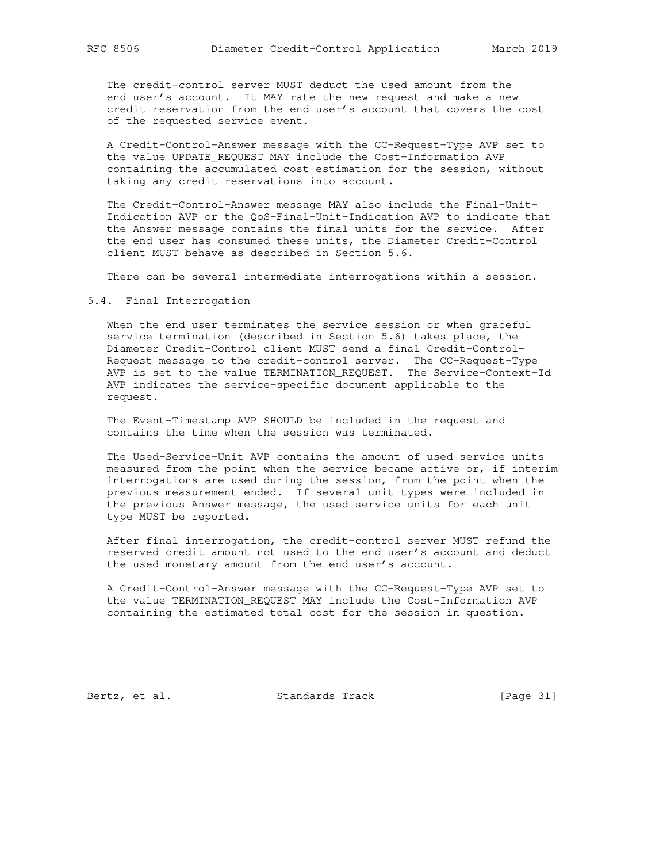The credit-control server MUST deduct the used amount from the end user's account. It MAY rate the new request and make a new credit reservation from the end user's account that covers the cost of the requested service event.

 A Credit-Control-Answer message with the CC-Request-Type AVP set to the value UPDATE\_REQUEST MAY include the Cost-Information AVP containing the accumulated cost estimation for the session, without taking any credit reservations into account.

 The Credit-Control-Answer message MAY also include the Final-Unit- Indication AVP or the QoS-Final-Unit-Indication AVP to indicate that the Answer message contains the final units for the service. After the end user has consumed these units, the Diameter Credit-Control client MUST behave as described in Section 5.6.

There can be several intermediate interrogations within a session.

#### 5.4. Final Interrogation

 When the end user terminates the service session or when graceful service termination (described in Section 5.6) takes place, the Diameter Credit-Control client MUST send a final Credit-Control- Request message to the credit-control server. The CC-Request-Type AVP is set to the value TERMINATION\_REQUEST. The Service-Context-Id AVP indicates the service-specific document applicable to the request.

 The Event-Timestamp AVP SHOULD be included in the request and contains the time when the session was terminated.

 The Used-Service-Unit AVP contains the amount of used service units measured from the point when the service became active or, if interim interrogations are used during the session, from the point when the previous measurement ended. If several unit types were included in the previous Answer message, the used service units for each unit type MUST be reported.

 After final interrogation, the credit-control server MUST refund the reserved credit amount not used to the end user's account and deduct the used monetary amount from the end user's account.

 A Credit-Control-Answer message with the CC-Request-Type AVP set to the value TERMINATION\_REQUEST MAY include the Cost-Information AVP containing the estimated total cost for the session in question.

Bertz, et al. Standards Track [Page 31]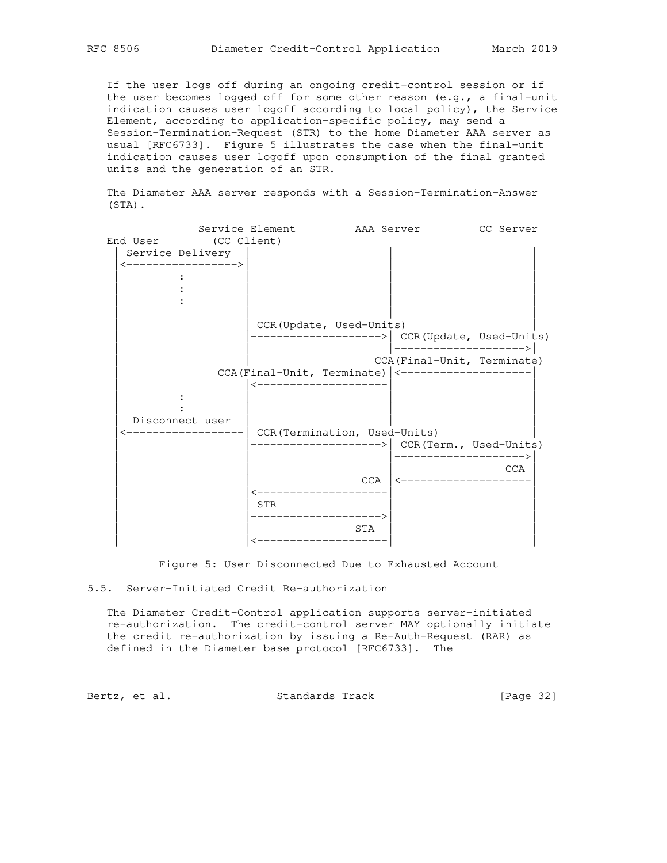If the user logs off during an ongoing credit-control session or if the user becomes logged off for some other reason (e.g., a final-unit indication causes user logoff according to local policy), the Service Element, according to application-specific policy, may send a Session-Termination-Request (STR) to the home Diameter AAA server as usual [RFC6733]. Figure 5 illustrates the case when the final-unit indication causes user logoff upon consumption of the final granted units and the generation of an STR.

 The Diameter AAA server responds with a Session-Termination-Answer (STA).

|          |                                    |                                                |                         | Service Element AAA Server                         | CC Server |
|----------|------------------------------------|------------------------------------------------|-------------------------|----------------------------------------------------|-----------|
| End User |                                    | (CC Client)                                    |                         |                                                    |           |
|          | Service Delivery                   |                                                |                         |                                                    |           |
|          | $\left\langle$ ------------------> |                                                |                         |                                                    |           |
|          |                                    |                                                |                         |                                                    |           |
|          |                                    |                                                |                         |                                                    |           |
|          |                                    |                                                |                         |                                                    |           |
|          |                                    |                                                |                         |                                                    |           |
|          |                                    |                                                | CCR(Update, Used-Units) | -------------------->   CCR(Update, Used-Units)    |           |
|          |                                    |                                                |                         | --------------------->                             |           |
|          |                                    |                                                |                         | CCA (Final-Unit, Terminate)                        |           |
|          |                                    |                                                |                         | CCA (Final-Unit, Terminate)  <-------------------- |           |
|          |                                    |                                                | <--------------------   |                                                    |           |
|          |                                    |                                                |                         |                                                    |           |
|          |                                    |                                                |                         |                                                    |           |
|          | Disconnect user                    |                                                |                         |                                                    |           |
|          |                                    | ----------------  CCR(Termination, Used-Units) |                         |                                                    |           |
|          |                                    |                                                |                         | -------------------->   CCR(Term., Used-Units)     |           |
|          |                                    |                                                |                         |                                                    |           |
|          |                                    |                                                |                         |                                                    | CCA       |
|          |                                    |                                                | CCA                     | <-------------------                               |           |
|          |                                    | -------------------                            |                         |                                                    |           |
|          |                                    | STR                                            | --------------------->  |                                                    |           |
|          |                                    |                                                | STA                     |                                                    |           |
|          |                                    |                                                | <---------------------  |                                                    |           |
|          |                                    |                                                |                         |                                                    |           |

Figure 5: User Disconnected Due to Exhausted Account

#### 5.5. Server-Initiated Credit Re-authorization

 The Diameter Credit-Control application supports server-initiated re-authorization. The credit-control server MAY optionally initiate the credit re-authorization by issuing a Re-Auth-Request (RAR) as defined in the Diameter base protocol [RFC6733]. The

Bertz, et al. Standards Track [Page 32]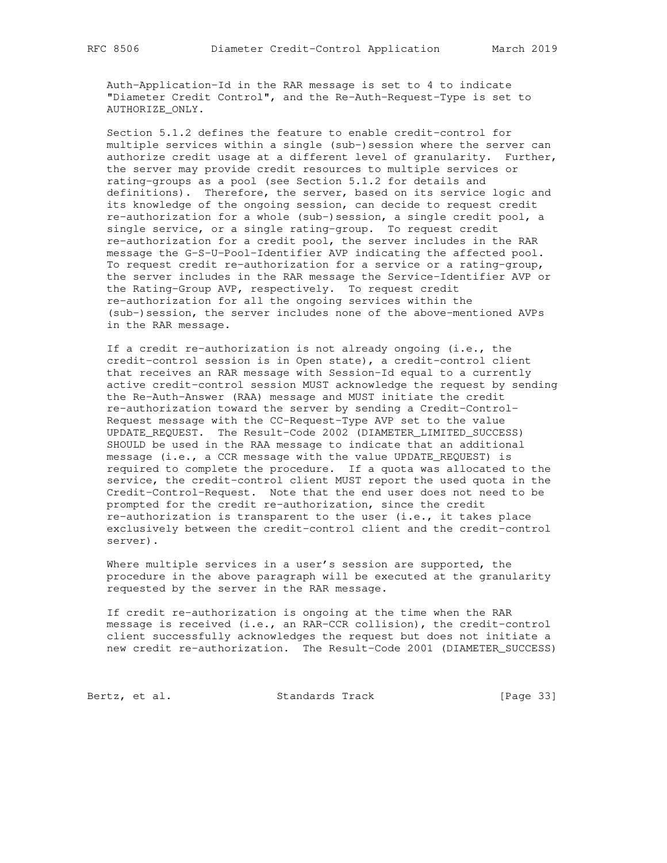Auth-Application-Id in the RAR message is set to 4 to indicate "Diameter Credit Control", and the Re-Auth-Request-Type is set to AUTHORIZE\_ONLY.

 Section 5.1.2 defines the feature to enable credit-control for multiple services within a single (sub-)session where the server can authorize credit usage at a different level of granularity. Further, the server may provide credit resources to multiple services or rating-groups as a pool (see Section 5.1.2 for details and definitions). Therefore, the server, based on its service logic and its knowledge of the ongoing session, can decide to request credit re-authorization for a whole (sub-)session, a single credit pool, a single service, or a single rating-group. To request credit re-authorization for a credit pool, the server includes in the RAR message the G-S-U-Pool-Identifier AVP indicating the affected pool. To request credit re-authorization for a service or a rating-group, the server includes in the RAR message the Service-Identifier AVP or the Rating-Group AVP, respectively. To request credit re-authorization for all the ongoing services within the (sub-)session, the server includes none of the above-mentioned AVPs in the RAR message.

 If a credit re-authorization is not already ongoing (i.e., the credit-control session is in Open state), a credit-control client that receives an RAR message with Session-Id equal to a currently active credit-control session MUST acknowledge the request by sending the Re-Auth-Answer (RAA) message and MUST initiate the credit re-authorization toward the server by sending a Credit-Control- Request message with the CC-Request-Type AVP set to the value UPDATE\_REQUEST. The Result-Code 2002 (DIAMETER\_LIMITED\_SUCCESS) SHOULD be used in the RAA message to indicate that an additional message (i.e., a CCR message with the value UPDATE\_REQUEST) is required to complete the procedure. If a quota was allocated to the service, the credit-control client MUST report the used quota in the Credit-Control-Request. Note that the end user does not need to be prompted for the credit re-authorization, since the credit re-authorization is transparent to the user (i.e., it takes place exclusively between the credit-control client and the credit-control server).

Where multiple services in a user's session are supported, the procedure in the above paragraph will be executed at the granularity requested by the server in the RAR message.

 If credit re-authorization is ongoing at the time when the RAR message is received (i.e., an RAR-CCR collision), the credit-control client successfully acknowledges the request but does not initiate a new credit re-authorization. The Result-Code 2001 (DIAMETER\_SUCCESS)

Bertz, et al. Standards Track [Page 33]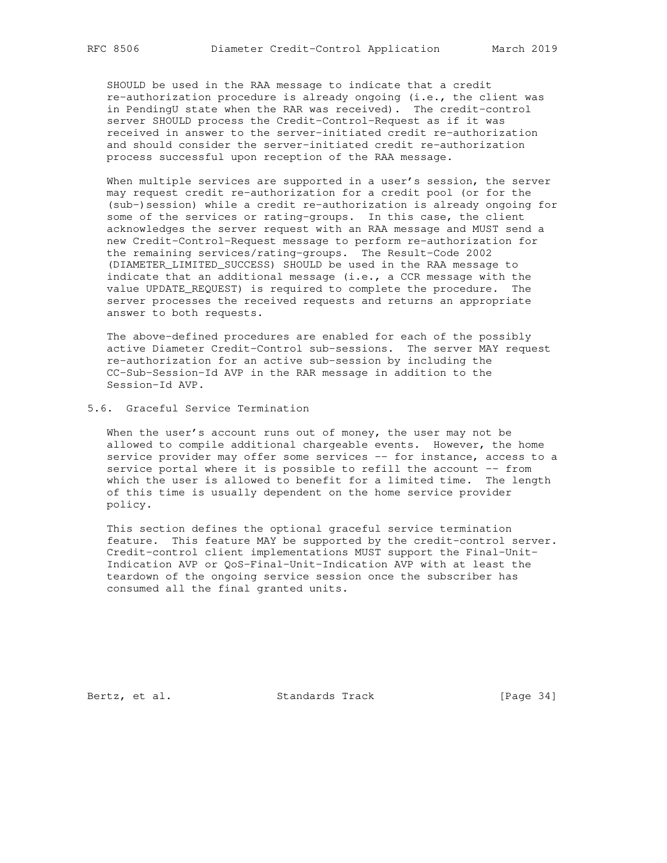SHOULD be used in the RAA message to indicate that a credit re-authorization procedure is already ongoing (i.e., the client was in PendingU state when the RAR was received). The credit-control server SHOULD process the Credit-Control-Request as if it was received in answer to the server-initiated credit re-authorization and should consider the server-initiated credit re-authorization process successful upon reception of the RAA message.

 When multiple services are supported in a user's session, the server may request credit re-authorization for a credit pool (or for the (sub-)session) while a credit re-authorization is already ongoing for some of the services or rating-groups. In this case, the client acknowledges the server request with an RAA message and MUST send a new Credit-Control-Request message to perform re-authorization for the remaining services/rating-groups. The Result-Code 2002 (DIAMETER\_LIMITED\_SUCCESS) SHOULD be used in the RAA message to indicate that an additional message (i.e., a CCR message with the value UPDATE\_REQUEST) is required to complete the procedure. The server processes the received requests and returns an appropriate answer to both requests.

 The above-defined procedures are enabled for each of the possibly active Diameter Credit-Control sub-sessions. The server MAY request re-authorization for an active sub-session by including the CC-Sub-Session-Id AVP in the RAR message in addition to the Session-Id AVP.

# 5.6. Graceful Service Termination

When the user's account runs out of money, the user may not be allowed to compile additional chargeable events. However, the home service provider may offer some services -- for instance, access to a service portal where it is possible to refill the account -- from which the user is allowed to benefit for a limited time. The length of this time is usually dependent on the home service provider policy.

 This section defines the optional graceful service termination feature. This feature MAY be supported by the credit-control server. Credit-control client implementations MUST support the Final-Unit- Indication AVP or QoS-Final-Unit-Indication AVP with at least the teardown of the ongoing service session once the subscriber has consumed all the final granted units.

Bertz, et al. Standards Track [Page 34]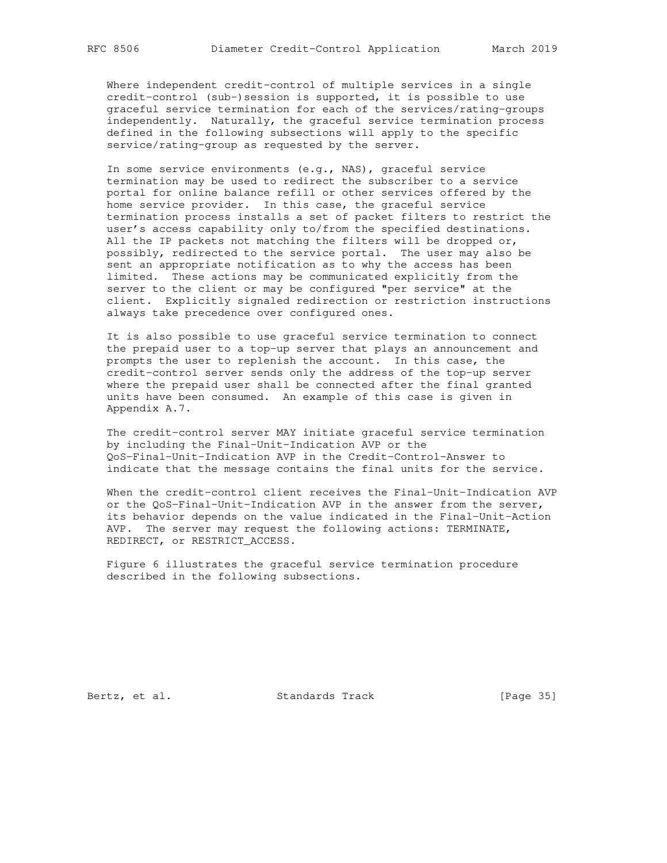Where independent credit-control of multiple services in a single credit-control (sub-)session is supported, it is possible to use graceful service termination for each of the services/rating-groups independently. Naturally, the graceful service termination process defined in the following subsections will apply to the specific service/rating-group as requested by the server.

 In some service environments (e.g., NAS), graceful service termination may be used to redirect the subscriber to a service portal for online balance refill or other services offered by the home service provider. In this case, the graceful service termination process installs a set of packet filters to restrict the user's access capability only to/from the specified destinations. All the IP packets not matching the filters will be dropped or, possibly, redirected to the service portal. The user may also be sent an appropriate notification as to why the access has been limited. These actions may be communicated explicitly from the server to the client or may be configured "per service" at the client. Explicitly signaled redirection or restriction instructions always take precedence over configured ones.

 It is also possible to use graceful service termination to connect the prepaid user to a top-up server that plays an announcement and prompts the user to replenish the account. In this case, the credit-control server sends only the address of the top-up server where the prepaid user shall be connected after the final granted units have been consumed. An example of this case is given in Appendix A.7.

 The credit-control server MAY initiate graceful service termination by including the Final-Unit-Indication AVP or the QoS-Final-Unit-Indication AVP in the Credit-Control-Answer to indicate that the message contains the final units for the service.

 When the credit-control client receives the Final-Unit-Indication AVP or the QoS-Final-Unit-Indication AVP in the answer from the server, its behavior depends on the value indicated in the Final-Unit-Action AVP. The server may request the following actions: TERMINATE, REDIRECT, or RESTRICT\_ACCESS.

 Figure 6 illustrates the graceful service termination procedure described in the following subsections.

Bertz, et al. Standards Track [Page 35]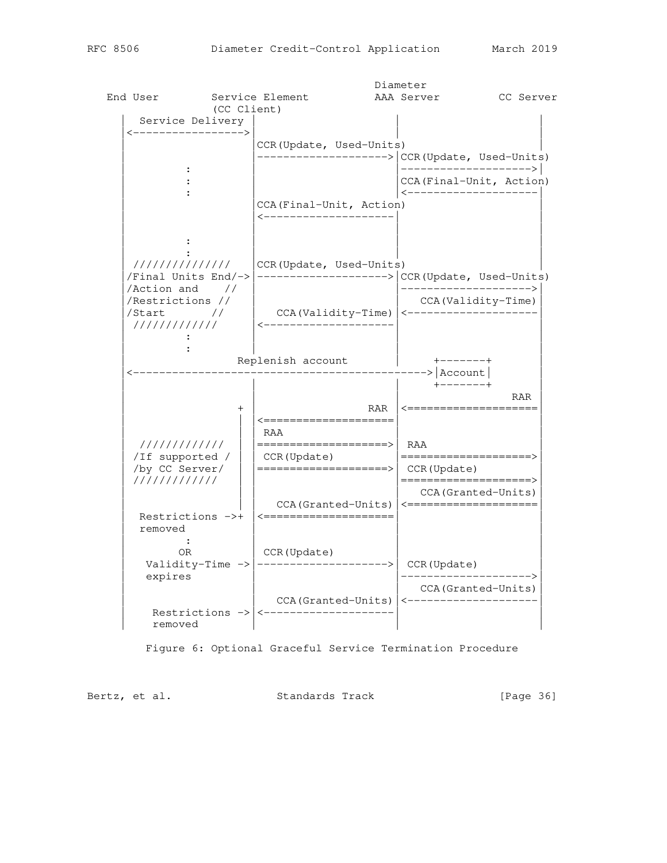

Figure 6: Optional Graceful Service Termination Procedure

Bertz, et al. Standards Track [Page 36]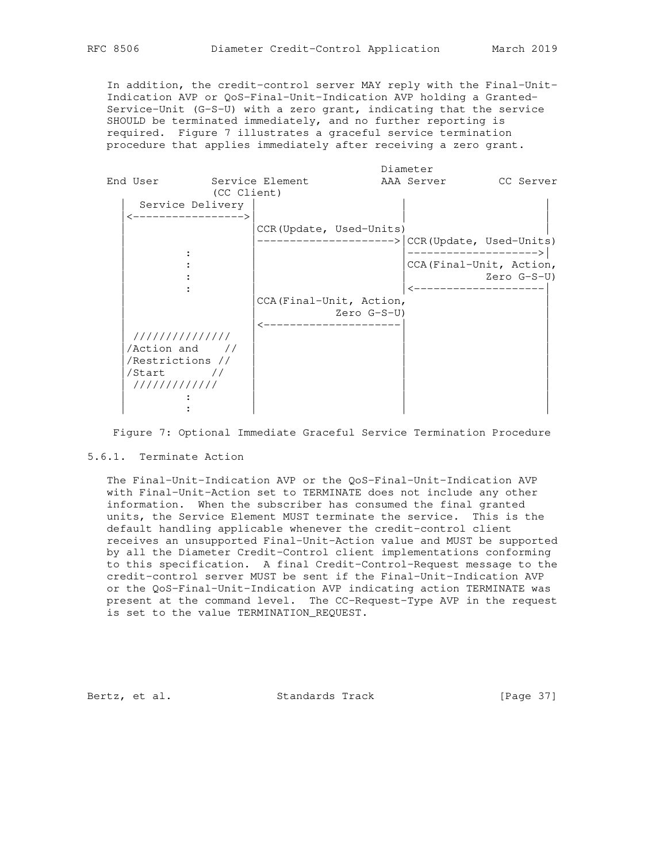In addition, the credit-control server MAY reply with the Final-Unit- Indication AVP or QoS-Final-Unit-Indication AVP holding a Granted- Service-Unit (G-S-U) with a zero grant, indicating that the service SHOULD be terminated immediately, and no further reporting is required. Figure 7 illustrates a graceful service termination procedure that applies immediately after receiving a zero grant.



Figure 7: Optional Immediate Graceful Service Termination Procedure

## 5.6.1. Terminate Action

 The Final-Unit-Indication AVP or the QoS-Final-Unit-Indication AVP with Final-Unit-Action set to TERMINATE does not include any other information. When the subscriber has consumed the final granted units, the Service Element MUST terminate the service. This is the default handling applicable whenever the credit-control client receives an unsupported Final-Unit-Action value and MUST be supported by all the Diameter Credit-Control client implementations conforming to this specification. A final Credit-Control-Request message to the credit-control server MUST be sent if the Final-Unit-Indication AVP or the QoS-Final-Unit-Indication AVP indicating action TERMINATE was present at the command level. The CC-Request-Type AVP in the request is set to the value TERMINATION\_REQUEST.

Bertz, et al. Standards Track [Page 37]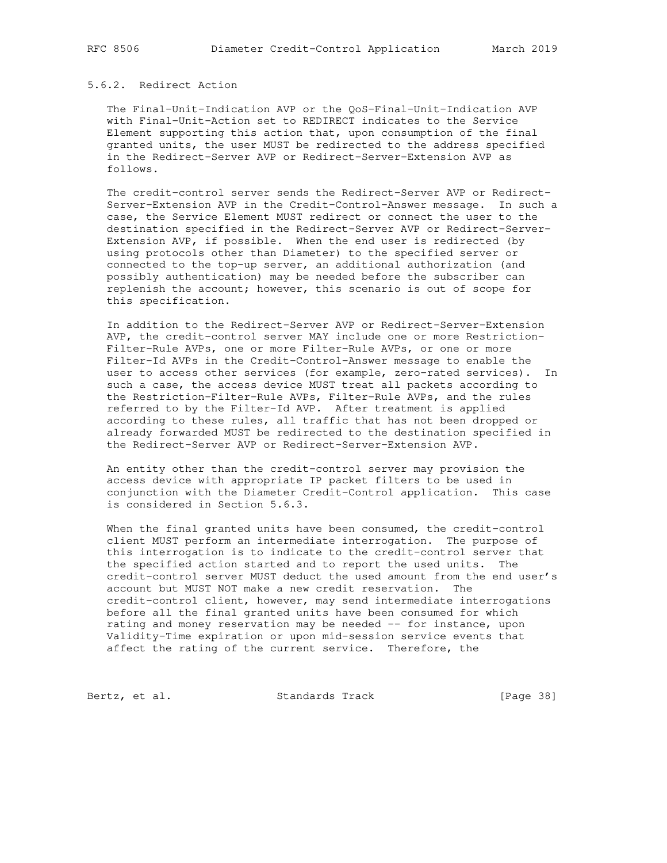## 5.6.2. Redirect Action

 The Final-Unit-Indication AVP or the QoS-Final-Unit-Indication AVP with Final-Unit-Action set to REDIRECT indicates to the Service Element supporting this action that, upon consumption of the final granted units, the user MUST be redirected to the address specified in the Redirect-Server AVP or Redirect-Server-Extension AVP as follows.

 The credit-control server sends the Redirect-Server AVP or Redirect- Server-Extension AVP in the Credit-Control-Answer message. In such a case, the Service Element MUST redirect or connect the user to the destination specified in the Redirect-Server AVP or Redirect-Server- Extension AVP, if possible. When the end user is redirected (by using protocols other than Diameter) to the specified server or connected to the top-up server, an additional authorization (and possibly authentication) may be needed before the subscriber can replenish the account; however, this scenario is out of scope for this specification.

 In addition to the Redirect-Server AVP or Redirect-Server-Extension AVP, the credit-control server MAY include one or more Restriction- Filter-Rule AVPs, one or more Filter-Rule AVPs, or one or more Filter-Id AVPs in the Credit-Control-Answer message to enable the user to access other services (for example, zero-rated services). In such a case, the access device MUST treat all packets according to the Restriction-Filter-Rule AVPs, Filter-Rule AVPs, and the rules referred to by the Filter-Id AVP. After treatment is applied according to these rules, all traffic that has not been dropped or already forwarded MUST be redirected to the destination specified in the Redirect-Server AVP or Redirect-Server-Extension AVP.

 An entity other than the credit-control server may provision the access device with appropriate IP packet filters to be used in conjunction with the Diameter Credit-Control application. This case is considered in Section 5.6.3.

 When the final granted units have been consumed, the credit-control client MUST perform an intermediate interrogation. The purpose of this interrogation is to indicate to the credit-control server that the specified action started and to report the used units. The credit-control server MUST deduct the used amount from the end user's account but MUST NOT make a new credit reservation. The credit-control client, however, may send intermediate interrogations before all the final granted units have been consumed for which rating and money reservation may be needed -- for instance, upon Validity-Time expiration or upon mid-session service events that affect the rating of the current service. Therefore, the

Bertz, et al. Standards Track [Page 38]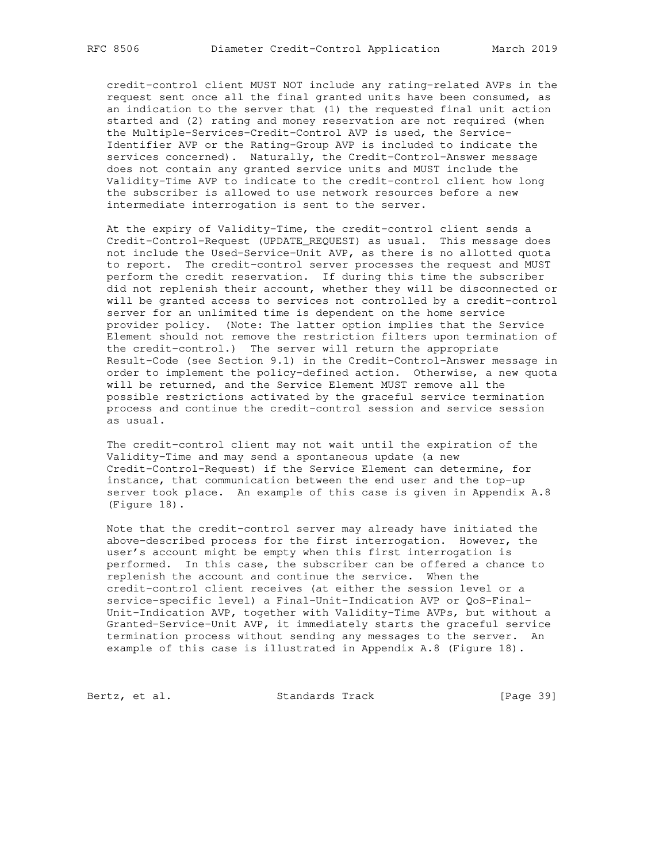credit-control client MUST NOT include any rating-related AVPs in the request sent once all the final granted units have been consumed, as an indication to the server that (1) the requested final unit action started and (2) rating and money reservation are not required (when the Multiple-Services-Credit-Control AVP is used, the Service- Identifier AVP or the Rating-Group AVP is included to indicate the services concerned). Naturally, the Credit-Control-Answer message does not contain any granted service units and MUST include the Validity-Time AVP to indicate to the credit-control client how long the subscriber is allowed to use network resources before a new intermediate interrogation is sent to the server.

 At the expiry of Validity-Time, the credit-control client sends a Credit-Control-Request (UPDATE\_REQUEST) as usual. This message does not include the Used-Service-Unit AVP, as there is no allotted quota to report. The credit-control server processes the request and MUST perform the credit reservation. If during this time the subscriber did not replenish their account, whether they will be disconnected or will be granted access to services not controlled by a credit-control server for an unlimited time is dependent on the home service provider policy. (Note: The latter option implies that the Service Element should not remove the restriction filters upon termination of the credit-control.) The server will return the appropriate Result-Code (see Section 9.1) in the Credit-Control-Answer message in order to implement the policy-defined action. Otherwise, a new quota will be returned, and the Service Element MUST remove all the possible restrictions activated by the graceful service termination process and continue the credit-control session and service session as usual.

 The credit-control client may not wait until the expiration of the Validity-Time and may send a spontaneous update (a new Credit-Control-Request) if the Service Element can determine, for instance, that communication between the end user and the top-up server took place. An example of this case is given in Appendix A.8 (Figure 18).

 Note that the credit-control server may already have initiated the above-described process for the first interrogation. However, the user's account might be empty when this first interrogation is performed. In this case, the subscriber can be offered a chance to replenish the account and continue the service. When the credit-control client receives (at either the session level or a service-specific level) a Final-Unit-Indication AVP or QoS-Final- Unit-Indication AVP, together with Validity-Time AVPs, but without a Granted-Service-Unit AVP, it immediately starts the graceful service termination process without sending any messages to the server. An example of this case is illustrated in Appendix A.8 (Figure 18).

Bertz, et al. Standards Track [Page 39]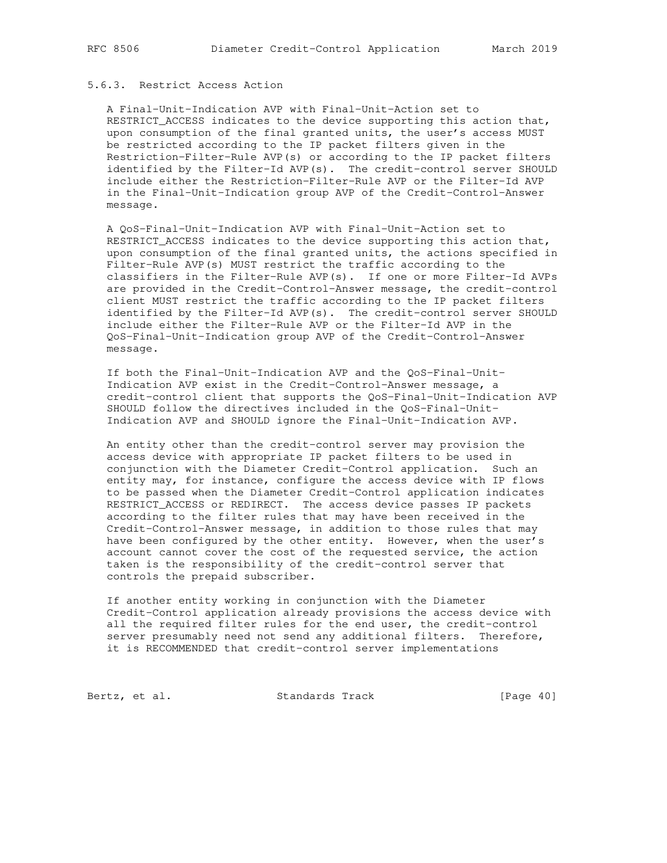# 5.6.3. Restrict Access Action

 A Final-Unit-Indication AVP with Final-Unit-Action set to RESTRICT\_ACCESS indicates to the device supporting this action that, upon consumption of the final granted units, the user's access MUST be restricted according to the IP packet filters given in the Restriction-Filter-Rule AVP(s) or according to the IP packet filters identified by the Filter-Id AVP(s). The credit-control server SHOULD include either the Restriction-Filter-Rule AVP or the Filter-Id AVP in the Final-Unit-Indication group AVP of the Credit-Control-Answer message.

 A QoS-Final-Unit-Indication AVP with Final-Unit-Action set to RESTRICT\_ACCESS indicates to the device supporting this action that, upon consumption of the final granted units, the actions specified in Filter-Rule AVP(s) MUST restrict the traffic according to the classifiers in the Filter-Rule AVP(s). If one or more Filter-Id AVPs are provided in the Credit-Control-Answer message, the credit-control client MUST restrict the traffic according to the IP packet filters identified by the Filter-Id AVP(s). The credit-control server SHOULD include either the Filter-Rule AVP or the Filter-Id AVP in the QoS-Final-Unit-Indication group AVP of the Credit-Control-Answer message.

 If both the Final-Unit-Indication AVP and the QoS-Final-Unit- Indication AVP exist in the Credit-Control-Answer message, a credit-control client that supports the QoS-Final-Unit-Indication AVP SHOULD follow the directives included in the QoS-Final-Unit- Indication AVP and SHOULD ignore the Final-Unit-Indication AVP.

 An entity other than the credit-control server may provision the access device with appropriate IP packet filters to be used in conjunction with the Diameter Credit-Control application. Such an entity may, for instance, configure the access device with IP flows to be passed when the Diameter Credit-Control application indicates RESTRICT\_ACCESS or REDIRECT. The access device passes IP packets according to the filter rules that may have been received in the Credit-Control-Answer message, in addition to those rules that may have been configured by the other entity. However, when the user's account cannot cover the cost of the requested service, the action taken is the responsibility of the credit-control server that controls the prepaid subscriber.

 If another entity working in conjunction with the Diameter Credit-Control application already provisions the access device with all the required filter rules for the end user, the credit-control server presumably need not send any additional filters. Therefore, it is RECOMMENDED that credit-control server implementations

Bertz, et al. Standards Track [Page 40]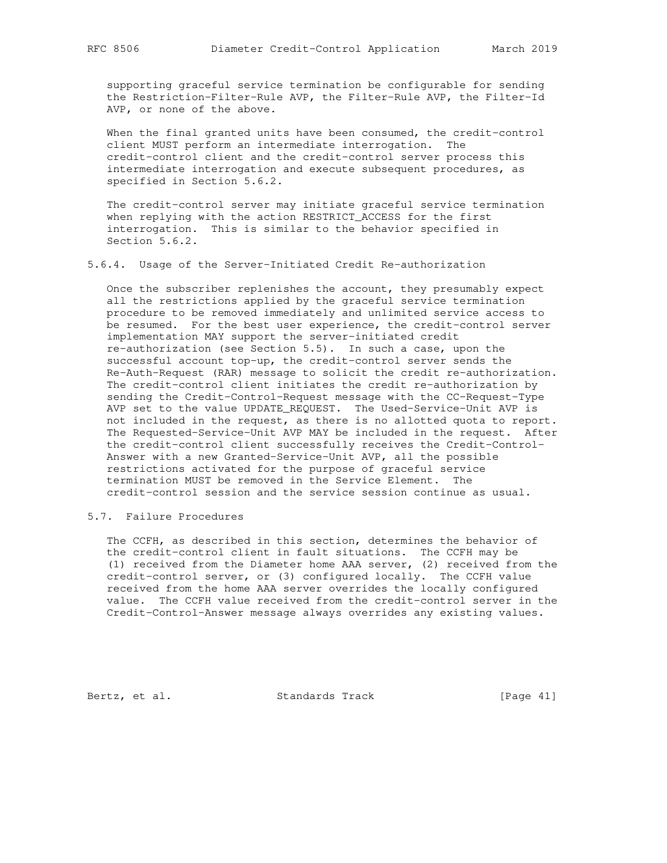supporting graceful service termination be configurable for sending the Restriction-Filter-Rule AVP, the Filter-Rule AVP, the Filter-Id AVP, or none of the above.

 When the final granted units have been consumed, the credit-control client MUST perform an intermediate interrogation. The credit-control client and the credit-control server process this intermediate interrogation and execute subsequent procedures, as specified in Section 5.6.2.

 The credit-control server may initiate graceful service termination when replying with the action RESTRICT\_ACCESS for the first interrogation. This is similar to the behavior specified in Section 5.6.2.

## 5.6.4. Usage of the Server-Initiated Credit Re-authorization

 Once the subscriber replenishes the account, they presumably expect all the restrictions applied by the graceful service termination procedure to be removed immediately and unlimited service access to be resumed. For the best user experience, the credit-control server implementation MAY support the server-initiated credit re-authorization (see Section 5.5). In such a case, upon the successful account top-up, the credit-control server sends the Re-Auth-Request (RAR) message to solicit the credit re-authorization. The credit-control client initiates the credit re-authorization by sending the Credit-Control-Request message with the CC-Request-Type AVP set to the value UPDATE\_REQUEST. The Used-Service-Unit AVP is not included in the request, as there is no allotted quota to report. The Requested-Service-Unit AVP MAY be included in the request. After the credit-control client successfully receives the Credit-Control- Answer with a new Granted-Service-Unit AVP, all the possible restrictions activated for the purpose of graceful service termination MUST be removed in the Service Element. The credit-control session and the service session continue as usual.

# 5.7. Failure Procedures

 The CCFH, as described in this section, determines the behavior of the credit-control client in fault situations. The CCFH may be (1) received from the Diameter home AAA server, (2) received from the credit-control server, or (3) configured locally. The CCFH value received from the home AAA server overrides the locally configured value. The CCFH value received from the credit-control server in the Credit-Control-Answer message always overrides any existing values.

Bertz, et al. Standards Track [Page 41]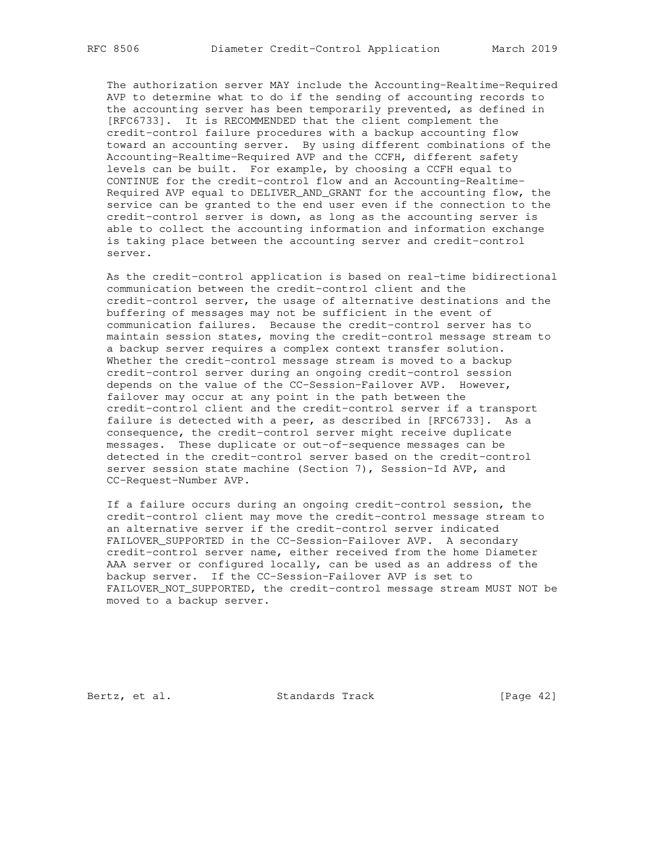The authorization server MAY include the Accounting-Realtime-Required AVP to determine what to do if the sending of accounting records to the accounting server has been temporarily prevented, as defined in [RFC6733]. It is RECOMMENDED that the client complement the credit-control failure procedures with a backup accounting flow toward an accounting server. By using different combinations of the Accounting-Realtime-Required AVP and the CCFH, different safety levels can be built. For example, by choosing a CCFH equal to CONTINUE for the credit-control flow and an Accounting-Realtime- Required AVP equal to DELIVER\_AND\_GRANT for the accounting flow, the service can be granted to the end user even if the connection to the credit-control server is down, as long as the accounting server is able to collect the accounting information and information exchange is taking place between the accounting server and credit-control server.

 As the credit-control application is based on real-time bidirectional communication between the credit-control client and the credit-control server, the usage of alternative destinations and the buffering of messages may not be sufficient in the event of communication failures. Because the credit-control server has to maintain session states, moving the credit-control message stream to a backup server requires a complex context transfer solution. Whether the credit-control message stream is moved to a backup credit-control server during an ongoing credit-control session depends on the value of the CC-Session-Failover AVP. However, failover may occur at any point in the path between the credit-control client and the credit-control server if a transport failure is detected with a peer, as described in [RFC6733]. As a consequence, the credit-control server might receive duplicate messages. These duplicate or out-of-sequence messages can be detected in the credit-control server based on the credit-control server session state machine (Section 7), Session-Id AVP, and CC-Request-Number AVP.

 If a failure occurs during an ongoing credit-control session, the credit-control client may move the credit-control message stream to an alternative server if the credit-control server indicated FAILOVER\_SUPPORTED in the CC-Session-Failover AVP. A secondary credit-control server name, either received from the home Diameter AAA server or configured locally, can be used as an address of the backup server. If the CC-Session-Failover AVP is set to FAILOVER\_NOT\_SUPPORTED, the credit-control message stream MUST NOT be moved to a backup server.

Bertz, et al. Standards Track [Page 42]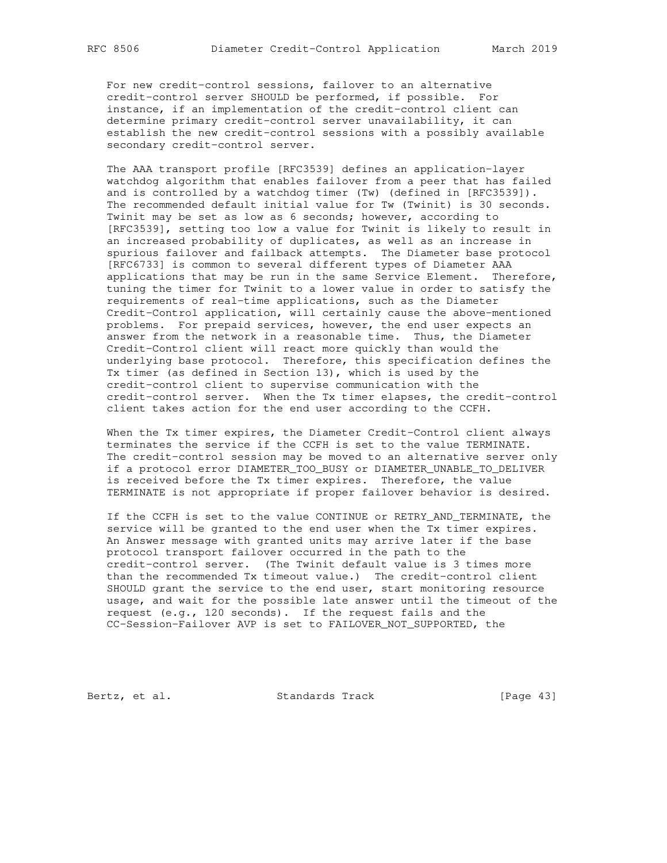For new credit-control sessions, failover to an alternative credit-control server SHOULD be performed, if possible. For instance, if an implementation of the credit-control client can determine primary credit-control server unavailability, it can establish the new credit-control sessions with a possibly available secondary credit-control server.

 The AAA transport profile [RFC3539] defines an application-layer watchdog algorithm that enables failover from a peer that has failed and is controlled by a watchdog timer (Tw) (defined in [RFC3539]). The recommended default initial value for Tw (Twinit) is 30 seconds. Twinit may be set as low as 6 seconds; however, according to [RFC3539], setting too low a value for Twinit is likely to result in an increased probability of duplicates, as well as an increase in spurious failover and failback attempts. The Diameter base protocol [RFC6733] is common to several different types of Diameter AAA applications that may be run in the same Service Element. Therefore, tuning the timer for Twinit to a lower value in order to satisfy the requirements of real-time applications, such as the Diameter Credit-Control application, will certainly cause the above-mentioned problems. For prepaid services, however, the end user expects an answer from the network in a reasonable time. Thus, the Diameter Credit-Control client will react more quickly than would the underlying base protocol. Therefore, this specification defines the Tx timer (as defined in Section 13), which is used by the credit-control client to supervise communication with the credit-control server. When the Tx timer elapses, the credit-control client takes action for the end user according to the CCFH.

 When the Tx timer expires, the Diameter Credit-Control client always terminates the service if the CCFH is set to the value TERMINATE. The credit-control session may be moved to an alternative server only if a protocol error DIAMETER\_TOO\_BUSY or DIAMETER\_UNABLE\_TO\_DELIVER is received before the Tx timer expires. Therefore, the value TERMINATE is not appropriate if proper failover behavior is desired.

 If the CCFH is set to the value CONTINUE or RETRY\_AND\_TERMINATE, the service will be granted to the end user when the Tx timer expires. An Answer message with granted units may arrive later if the base protocol transport failover occurred in the path to the credit-control server. (The Twinit default value is 3 times more than the recommended Tx timeout value.) The credit-control client SHOULD grant the service to the end user, start monitoring resource usage, and wait for the possible late answer until the timeout of the request (e.g., 120 seconds). If the request fails and the CC-Session-Failover AVP is set to FAILOVER\_NOT\_SUPPORTED, the

Bertz, et al. Standards Track [Page 43]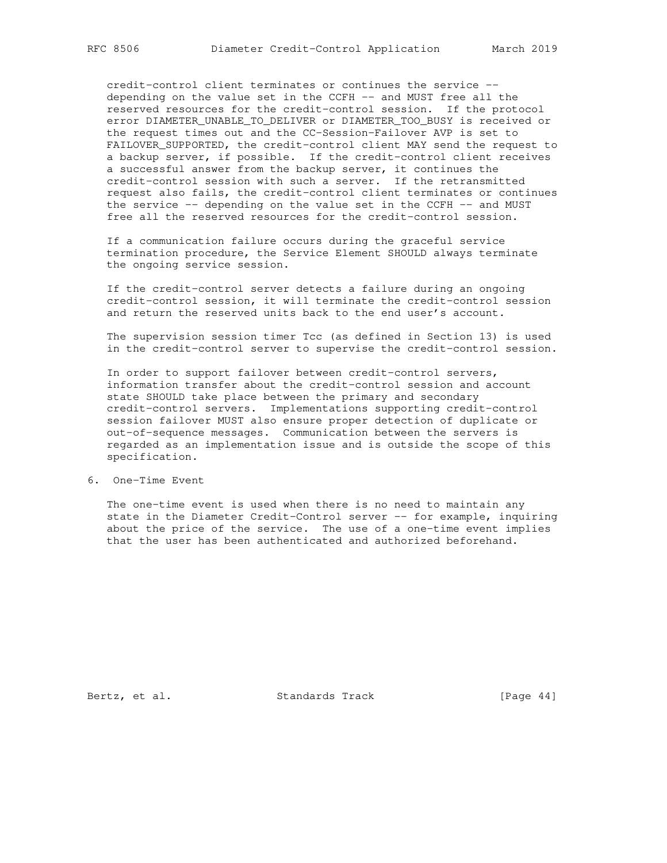credit-control client terminates or continues the service - depending on the value set in the CCFH -- and MUST free all the reserved resources for the credit-control session. If the protocol error DIAMETER\_UNABLE\_TO\_DELIVER or DIAMETER\_TOO\_BUSY is received or the request times out and the CC-Session-Failover AVP is set to FAILOVER\_SUPPORTED, the credit-control client MAY send the request to a backup server, if possible. If the credit-control client receives a successful answer from the backup server, it continues the credit-control session with such a server. If the retransmitted request also fails, the credit-control client terminates or continues the service -- depending on the value set in the CCFH -- and MUST free all the reserved resources for the credit-control session.

 If a communication failure occurs during the graceful service termination procedure, the Service Element SHOULD always terminate the ongoing service session.

 If the credit-control server detects a failure during an ongoing credit-control session, it will terminate the credit-control session and return the reserved units back to the end user's account.

 The supervision session timer Tcc (as defined in Section 13) is used in the credit-control server to supervise the credit-control session.

 In order to support failover between credit-control servers, information transfer about the credit-control session and account state SHOULD take place between the primary and secondary credit-control servers. Implementations supporting credit-control session failover MUST also ensure proper detection of duplicate or out-of-sequence messages. Communication between the servers is regarded as an implementation issue and is outside the scope of this specification.

6. One-Time Event

 The one-time event is used when there is no need to maintain any state in the Diameter Credit-Control server -- for example, inquiring about the price of the service. The use of a one-time event implies that the user has been authenticated and authorized beforehand.

Bertz, et al. Standards Track [Page 44]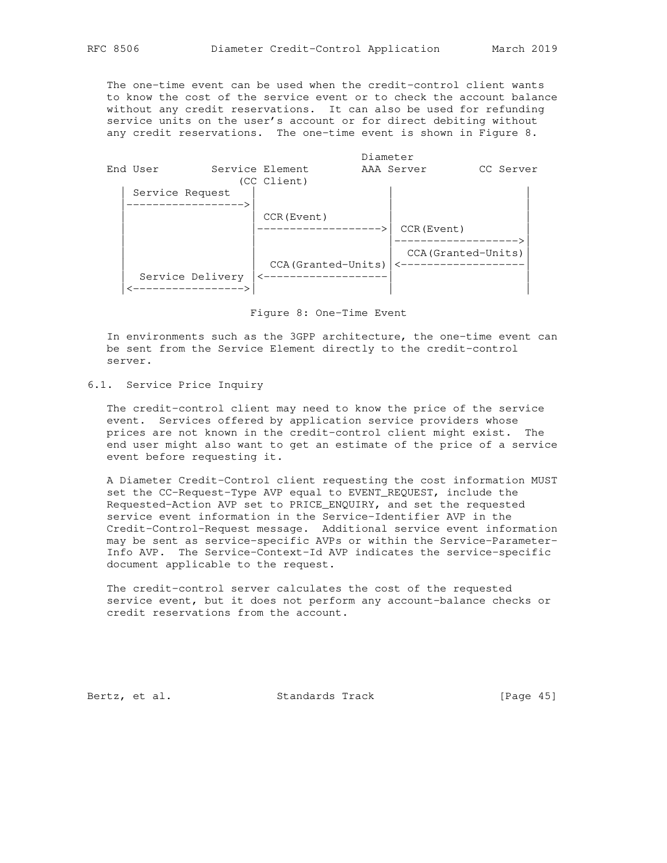The one-time event can be used when the credit-control client wants to know the cost of the service event or to check the account balance without any credit reservations. It can also be used for refunding service units on the user's account or for direct debiting without any credit reservations. The one-time event is shown in Figure 8.



Figure 8: One-Time Event

 In environments such as the 3GPP architecture, the one-time event can be sent from the Service Element directly to the credit-control server.

# 6.1. Service Price Inquiry

 The credit-control client may need to know the price of the service event. Services offered by application service providers whose prices are not known in the credit-control client might exist. The end user might also want to get an estimate of the price of a service event before requesting it.

 A Diameter Credit-Control client requesting the cost information MUST set the CC-Request-Type AVP equal to EVENT\_REQUEST, include the Requested-Action AVP set to PRICE\_ENQUIRY, and set the requested service event information in the Service-Identifier AVP in the Credit-Control-Request message. Additional service event information may be sent as service-specific AVPs or within the Service-Parameter- Info AVP. The Service-Context-Id AVP indicates the service-specific document applicable to the request.

 The credit-control server calculates the cost of the requested service event, but it does not perform any account-balance checks or credit reservations from the account.

Bertz, et al. Standards Track [Page 45]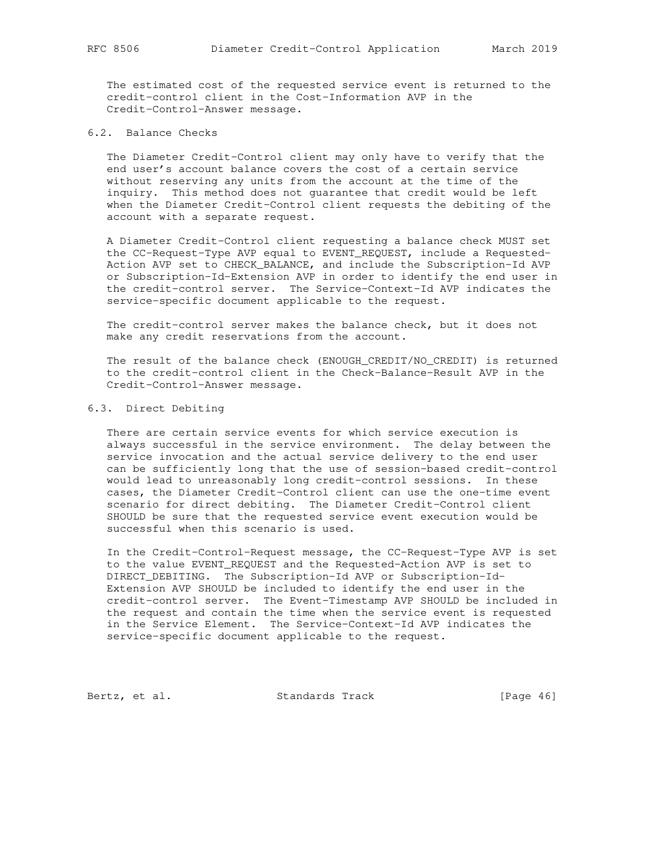The estimated cost of the requested service event is returned to the credit-control client in the Cost-Information AVP in the Credit-Control-Answer message.

### 6.2. Balance Checks

 The Diameter Credit-Control client may only have to verify that the end user's account balance covers the cost of a certain service without reserving any units from the account at the time of the inquiry. This method does not guarantee that credit would be left when the Diameter Credit-Control client requests the debiting of the account with a separate request.

 A Diameter Credit-Control client requesting a balance check MUST set the CC-Request-Type AVP equal to EVENT\_REQUEST, include a Requested- Action AVP set to CHECK\_BALANCE, and include the Subscription-Id AVP or Subscription-Id-Extension AVP in order to identify the end user in the credit-control server. The Service-Context-Id AVP indicates the service-specific document applicable to the request.

 The credit-control server makes the balance check, but it does not make any credit reservations from the account.

 The result of the balance check (ENOUGH\_CREDIT/NO\_CREDIT) is returned to the credit-control client in the Check-Balance-Result AVP in the Credit-Control-Answer message.

## 6.3. Direct Debiting

 There are certain service events for which service execution is always successful in the service environment. The delay between the service invocation and the actual service delivery to the end user can be sufficiently long that the use of session-based credit-control would lead to unreasonably long credit-control sessions. In these cases, the Diameter Credit-Control client can use the one-time event scenario for direct debiting. The Diameter Credit-Control client SHOULD be sure that the requested service event execution would be successful when this scenario is used.

 In the Credit-Control-Request message, the CC-Request-Type AVP is set to the value EVENT\_REQUEST and the Requested-Action AVP is set to DIRECT\_DEBITING. The Subscription-Id AVP or Subscription-Id- Extension AVP SHOULD be included to identify the end user in the credit-control server. The Event-Timestamp AVP SHOULD be included in the request and contain the time when the service event is requested in the Service Element. The Service-Context-Id AVP indicates the service-specific document applicable to the request.

Bertz, et al. Standards Track [Page 46]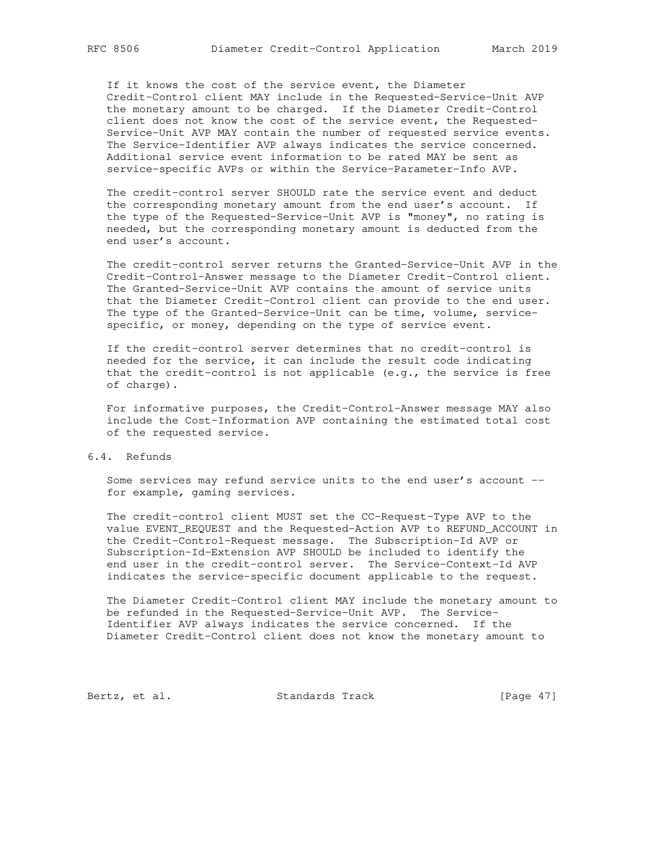If it knows the cost of the service event, the Diameter Credit-Control client MAY include in the Requested-Service-Unit AVP the monetary amount to be charged. If the Diameter Credit-Control client does not know the cost of the service event, the Requested- Service-Unit AVP MAY contain the number of requested service events. The Service-Identifier AVP always indicates the service concerned. Additional service event information to be rated MAY be sent as service-specific AVPs or within the Service-Parameter-Info AVP.

 The credit-control server SHOULD rate the service event and deduct the corresponding monetary amount from the end user's account. If the type of the Requested-Service-Unit AVP is "money", no rating is needed, but the corresponding monetary amount is deducted from the end user's account.

 The credit-control server returns the Granted-Service-Unit AVP in the Credit-Control-Answer message to the Diameter Credit-Control client. The Granted-Service-Unit AVP contains the amount of service units that the Diameter Credit-Control client can provide to the end user. The type of the Granted-Service-Unit can be time, volume, service specific, or money, depending on the type of service event.

 If the credit-control server determines that no credit-control is needed for the service, it can include the result code indicating that the credit-control is not applicable (e.g., the service is free of charge).

 For informative purposes, the Credit-Control-Answer message MAY also include the Cost-Information AVP containing the estimated total cost of the requested service.

## 6.4. Refunds

 Some services may refund service units to the end user's account - for example, gaming services.

 The credit-control client MUST set the CC-Request-Type AVP to the value EVENT\_REQUEST and the Requested-Action AVP to REFUND\_ACCOUNT in the Credit-Control-Request message. The Subscription-Id AVP or Subscription-Id-Extension AVP SHOULD be included to identify the end user in the credit-control server. The Service-Context-Id AVP indicates the service-specific document applicable to the request.

 The Diameter Credit-Control client MAY include the monetary amount to be refunded in the Requested-Service-Unit AVP. The Service- Identifier AVP always indicates the service concerned. If the Diameter Credit-Control client does not know the monetary amount to

Bertz, et al. Standards Track [Page 47]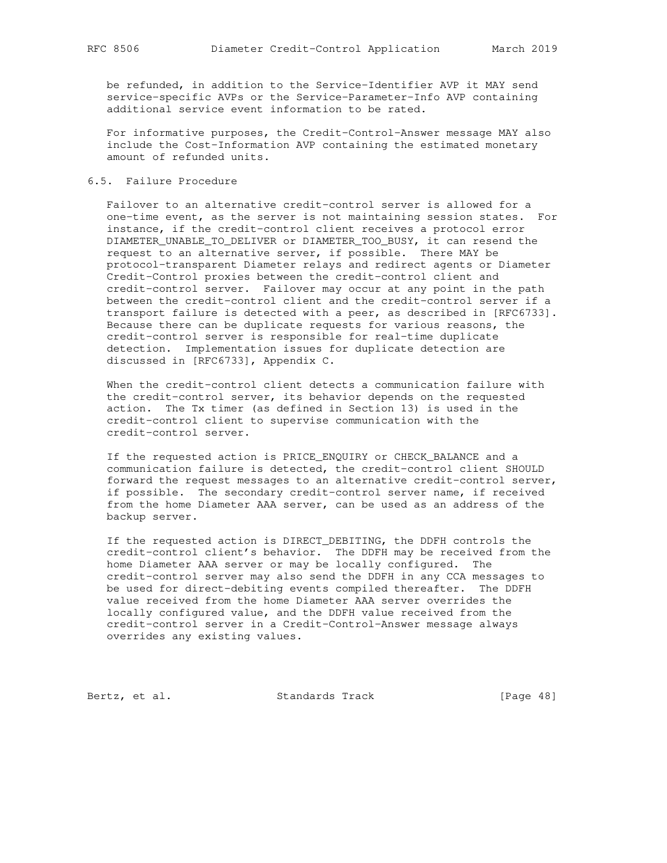be refunded, in addition to the Service-Identifier AVP it MAY send service-specific AVPs or the Service-Parameter-Info AVP containing additional service event information to be rated.

 For informative purposes, the Credit-Control-Answer message MAY also include the Cost-Information AVP containing the estimated monetary amount of refunded units.

## 6.5. Failure Procedure

 Failover to an alternative credit-control server is allowed for a one-time event, as the server is not maintaining session states. For instance, if the credit-control client receives a protocol error DIAMETER\_UNABLE\_TO\_DELIVER or DIAMETER\_TOO\_BUSY, it can resend the request to an alternative server, if possible. There MAY be protocol-transparent Diameter relays and redirect agents or Diameter Credit-Control proxies between the credit-control client and credit-control server. Failover may occur at any point in the path between the credit-control client and the credit-control server if a transport failure is detected with a peer, as described in [RFC6733]. Because there can be duplicate requests for various reasons, the credit-control server is responsible for real-time duplicate detection. Implementation issues for duplicate detection are discussed in [RFC6733], Appendix C.

 When the credit-control client detects a communication failure with the credit-control server, its behavior depends on the requested action. The Tx timer (as defined in Section 13) is used in the credit-control client to supervise communication with the credit-control server.

 If the requested action is PRICE\_ENQUIRY or CHECK\_BALANCE and a communication failure is detected, the credit-control client SHOULD forward the request messages to an alternative credit-control server, if possible. The secondary credit-control server name, if received from the home Diameter AAA server, can be used as an address of the backup server.

 If the requested action is DIRECT\_DEBITING, the DDFH controls the credit-control client's behavior. The DDFH may be received from the home Diameter AAA server or may be locally configured. The credit-control server may also send the DDFH in any CCA messages to be used for direct-debiting events compiled thereafter. The DDFH value received from the home Diameter AAA server overrides the locally configured value, and the DDFH value received from the credit-control server in a Credit-Control-Answer message always overrides any existing values.

Bertz, et al. Standards Track [Page 48]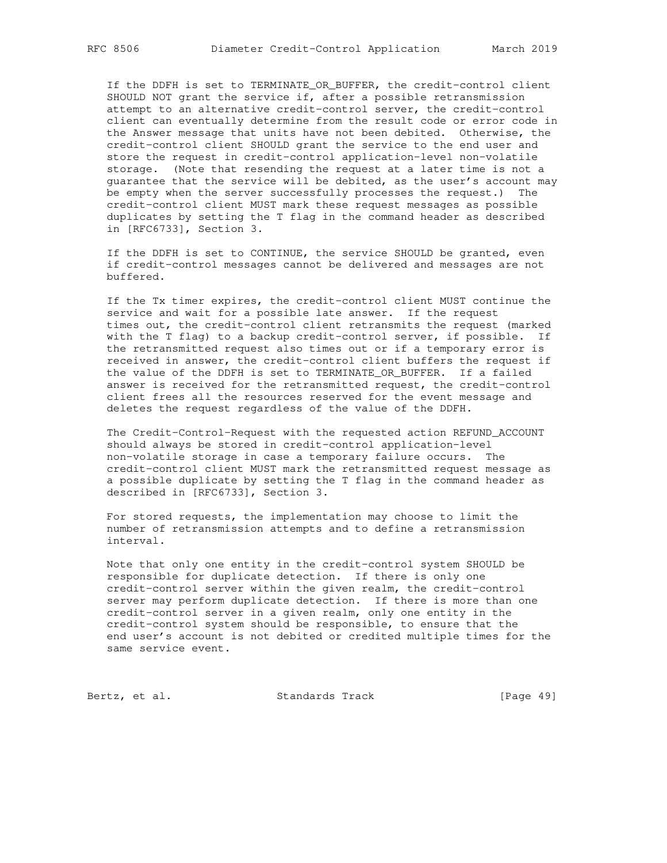If the DDFH is set to TERMINATE\_OR\_BUFFER, the credit-control client SHOULD NOT grant the service if, after a possible retransmission attempt to an alternative credit-control server, the credit-control client can eventually determine from the result code or error code in the Answer message that units have not been debited. Otherwise, the credit-control client SHOULD grant the service to the end user and store the request in credit-control application-level non-volatile storage. (Note that resending the request at a later time is not a guarantee that the service will be debited, as the user's account may be empty when the server successfully processes the request.) The credit-control client MUST mark these request messages as possible duplicates by setting the T flag in the command header as described in [RFC6733], Section 3.

 If the DDFH is set to CONTINUE, the service SHOULD be granted, even if credit-control messages cannot be delivered and messages are not buffered.

 If the Tx timer expires, the credit-control client MUST continue the service and wait for a possible late answer. If the request times out, the credit-control client retransmits the request (marked with the T flag) to a backup credit-control server, if possible. If the retransmitted request also times out or if a temporary error is received in answer, the credit-control client buffers the request if the value of the DDFH is set to TERMINATE\_OR\_BUFFER. If a failed answer is received for the retransmitted request, the credit-control client frees all the resources reserved for the event message and deletes the request regardless of the value of the DDFH.

 The Credit-Control-Request with the requested action REFUND\_ACCOUNT should always be stored in credit-control application-level non-volatile storage in case a temporary failure occurs. The credit-control client MUST mark the retransmitted request message as a possible duplicate by setting the T flag in the command header as described in [RFC6733], Section 3.

 For stored requests, the implementation may choose to limit the number of retransmission attempts and to define a retransmission interval.

 Note that only one entity in the credit-control system SHOULD be responsible for duplicate detection. If there is only one credit-control server within the given realm, the credit-control server may perform duplicate detection. If there is more than one credit-control server in a given realm, only one entity in the credit-control system should be responsible, to ensure that the end user's account is not debited or credited multiple times for the same service event.

Bertz, et al. Standards Track [Page 49]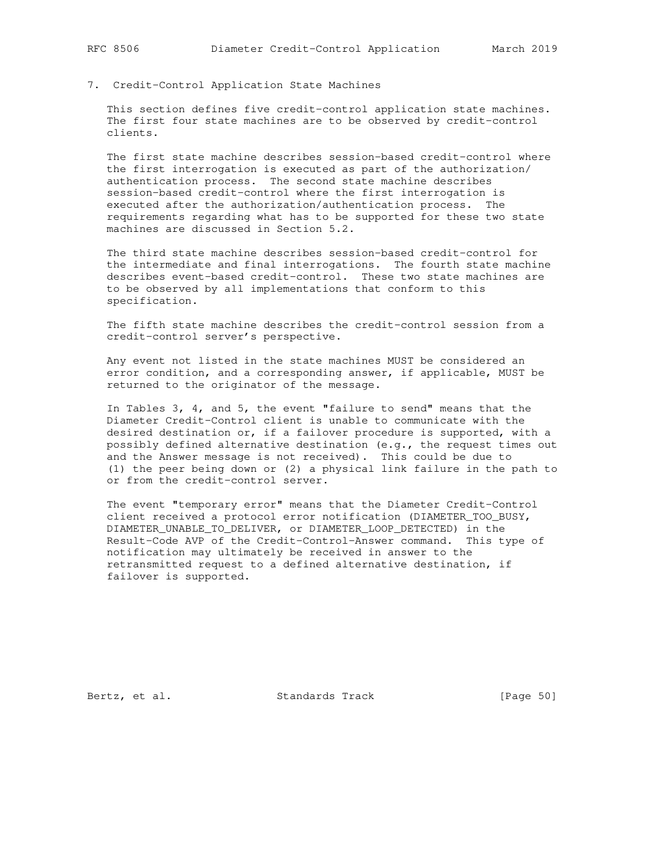7. Credit-Control Application State Machines

 This section defines five credit-control application state machines. The first four state machines are to be observed by credit-control clients.

 The first state machine describes session-based credit-control where the first interrogation is executed as part of the authorization/ authentication process. The second state machine describes session-based credit-control where the first interrogation is executed after the authorization/authentication process. The requirements regarding what has to be supported for these two state machines are discussed in Section 5.2.

 The third state machine describes session-based credit-control for the intermediate and final interrogations. The fourth state machine describes event-based credit-control. These two state machines are to be observed by all implementations that conform to this specification.

 The fifth state machine describes the credit-control session from a credit-control server's perspective.

 Any event not listed in the state machines MUST be considered an error condition, and a corresponding answer, if applicable, MUST be returned to the originator of the message.

 In Tables 3, 4, and 5, the event "failure to send" means that the Diameter Credit-Control client is unable to communicate with the desired destination or, if a failover procedure is supported, with a possibly defined alternative destination (e.g., the request times out and the Answer message is not received). This could be due to (1) the peer being down or (2) a physical link failure in the path to or from the credit-control server.

 The event "temporary error" means that the Diameter Credit-Control client received a protocol error notification (DIAMETER\_TOO\_BUSY, DIAMETER\_UNABLE\_TO\_DELIVER, or DIAMETER\_LOOP\_DETECTED) in the Result-Code AVP of the Credit-Control-Answer command. This type of notification may ultimately be received in answer to the retransmitted request to a defined alternative destination, if failover is supported.

Bertz, et al. Standards Track [Page 50]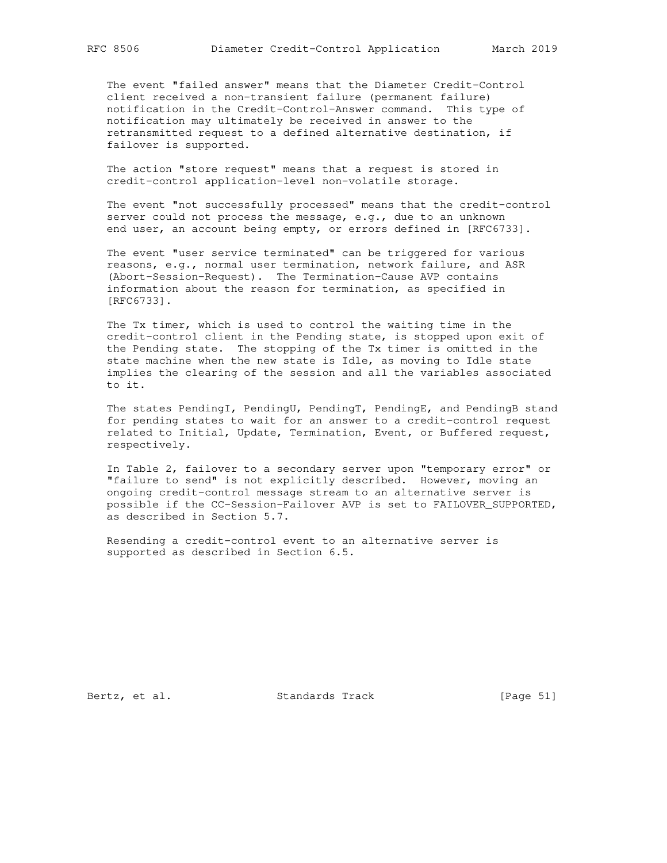The event "failed answer" means that the Diameter Credit-Control client received a non-transient failure (permanent failure) notification in the Credit-Control-Answer command. This type of notification may ultimately be received in answer to the retransmitted request to a defined alternative destination, if failover is supported.

 The action "store request" means that a request is stored in credit-control application-level non-volatile storage.

 The event "not successfully processed" means that the credit-control server could not process the message, e.g., due to an unknown end user, an account being empty, or errors defined in [RFC6733].

 The event "user service terminated" can be triggered for various reasons, e.g., normal user termination, network failure, and ASR (Abort-Session-Request). The Termination-Cause AVP contains information about the reason for termination, as specified in [RFC6733].

 The Tx timer, which is used to control the waiting time in the credit-control client in the Pending state, is stopped upon exit of the Pending state. The stopping of the Tx timer is omitted in the state machine when the new state is Idle, as moving to Idle state implies the clearing of the session and all the variables associated to it.

 The states PendingI, PendingU, PendingT, PendingE, and PendingB stand for pending states to wait for an answer to a credit-control request related to Initial, Update, Termination, Event, or Buffered request, respectively.

 In Table 2, failover to a secondary server upon "temporary error" or "failure to send" is not explicitly described. However, moving an ongoing credit-control message stream to an alternative server is possible if the CC-Session-Failover AVP is set to FAILOVER\_SUPPORTED, as described in Section 5.7.

 Resending a credit-control event to an alternative server is supported as described in Section 6.5.

Bertz, et al. Standards Track [Page 51]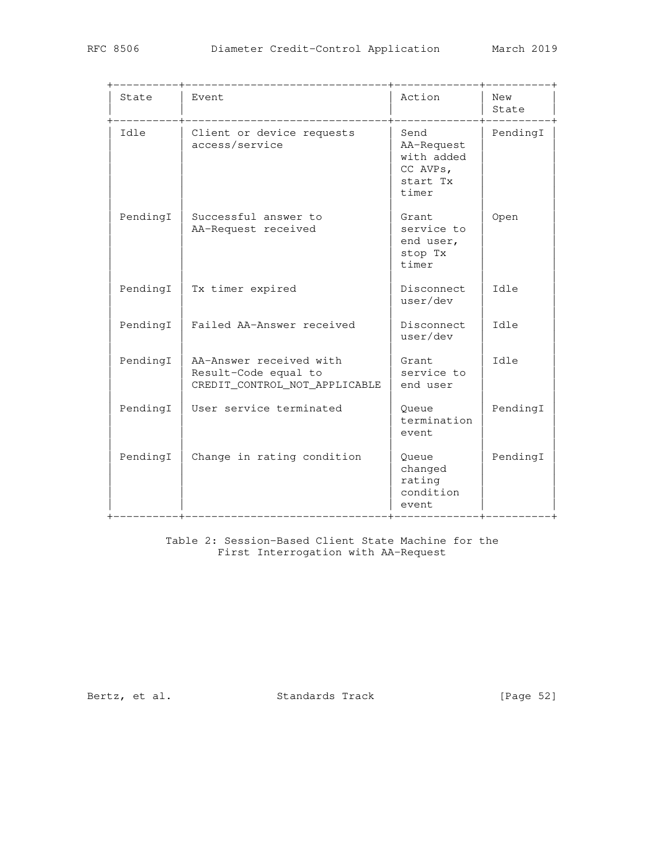| State    | Event                                                                            | Action                                                            | New<br>State |
|----------|----------------------------------------------------------------------------------|-------------------------------------------------------------------|--------------|
| Idle     | Client or device requests<br>access/service                                      | Send<br>AA-Request<br>with added<br>CC AVPs,<br>start Tx<br>timer | PendingI     |
| PendingI | Successful answer to<br>AA-Request received                                      | Grant<br>service to<br>end user,<br>stop Tx<br>timer              | Open         |
| PendingI | Tx timer expired                                                                 | Disconnect<br>user/dev                                            | Idle         |
| PendingI | Failed AA-Answer received                                                        | Disconnect<br>user/dev                                            | Idle         |
| PendingI | AA-Answer received with<br>Result-Code equal to<br>CREDIT_CONTROL_NOT_APPLICABLE | Grant<br>service to<br>end user                                   | Idle         |
| PendingI | User service terminated                                                          | Oueue<br>termination<br>event                                     | PendingI     |
| PendingI | Change in rating condition                                                       | Queue<br>changed<br>rating<br>condition<br>event                  | PendingI     |

 Table 2: Session-Based Client State Machine for the First Interrogation with AA-Request

Bertz, et al. Standards Track [Page 52]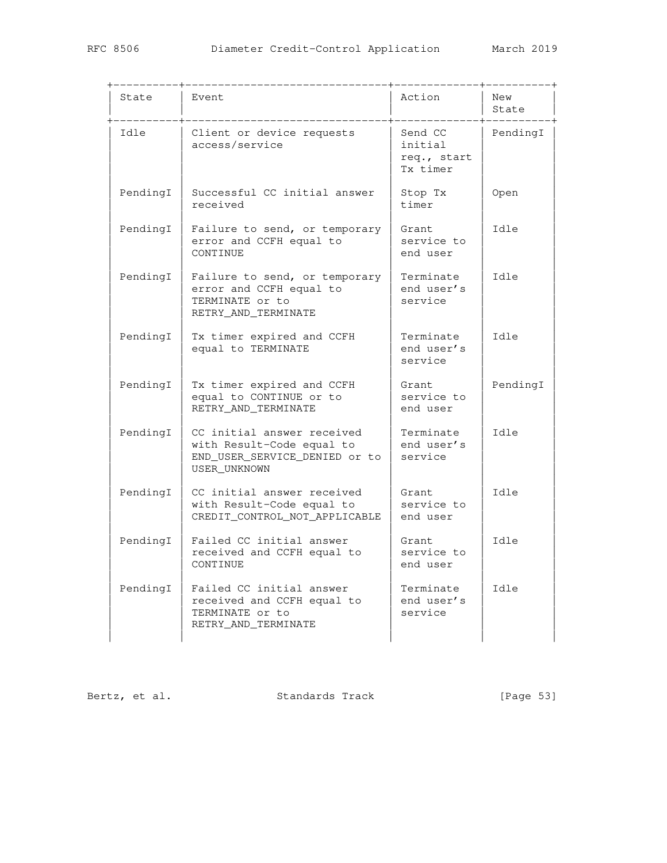| State    | Event                                                                                                    | Action                                        | New<br>State |
|----------|----------------------------------------------------------------------------------------------------------|-----------------------------------------------|--------------|
| Idle     | Client or device requests<br>access/service                                                              | Send CC<br>initial<br>req., start<br>Tx timer | PendingI     |
| PendingI | Successful CC initial answer<br>received                                                                 | Stop Tx<br>timer                              | Open         |
| PendingI | Failure to send, or temporary<br>error and CCFH equal to<br>CONTINUE                                     | Grant<br>service to<br>end user               | Idle         |
| PendingI | Failure to send, or temporary<br>error and CCFH equal to<br>TERMINATE or to<br>RETRY_AND_TERMINATE       | Terminate<br>end user's<br>service            | Idle         |
| PendingI | Tx timer expired and CCFH<br>equal to TERMINATE                                                          | Terminate<br>end user's<br>service            | Idle         |
| PendingI | Tx timer expired and CCFH<br>equal to CONTINUE or to<br>RETRY_AND_TERMINATE                              | Grant<br>service to<br>end user               | PendingI     |
| PendingI | CC initial answer received<br>with Result-Code equal to<br>END_USER_SERVICE_DENIED or to<br>USER_UNKNOWN | Terminate<br>end user's<br>service            | Idle         |
| PendingI | CC initial answer received<br>with Result-Code equal to<br>CREDIT_CONTROL_NOT_APPLICABLE                 | Grant<br>service to<br>end user               | Idle         |
| PendingI | Failed CC initial answer<br>received and CCFH equal to<br>CONTINUE                                       | Grant<br>service to<br>end user               | Idle         |
| PendingI | Failed CC initial answer<br>received and CCFH equal to<br>TERMINATE or to<br>RETRY_AND_TERMINATE         | Terminate<br>end user's<br>service            | Idle         |

Bertz, et al. Standards Track [Page 53]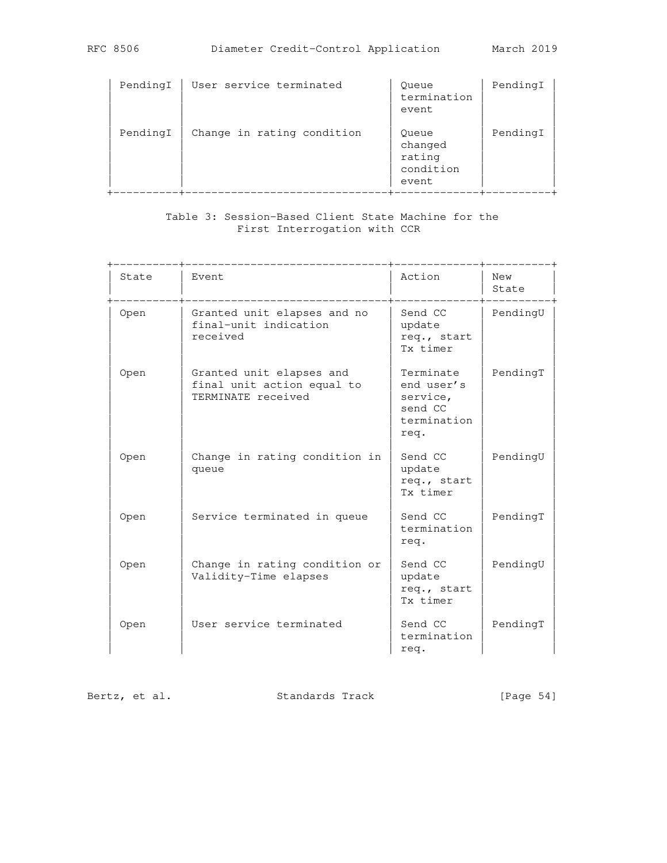| PendingI | User service terminated    | Oueue<br>termination<br>event.                   | PendingI |
|----------|----------------------------|--------------------------------------------------|----------|
| PendingI | Change in rating condition | Oueue<br>changed<br>rating<br>condition<br>event | PendingI |

# Table 3: Session-Based Client State Machine for the First Interrogation with CCR

| State | Event.                                                                       | Action                                                                | New<br>State |
|-------|------------------------------------------------------------------------------|-----------------------------------------------------------------------|--------------|
| Open  | Granted unit elapses and no<br>final-unit indication<br>received             | Send CC<br>update<br>req., start<br>Tx timer                          | PendingU     |
| Open  | Granted unit elapses and<br>final unit action equal to<br>TERMINATE received | Terminate<br>end user's<br>service,<br>send CC<br>termination<br>req. | PendingT     |
| Open  | Change in rating condition in<br>queue                                       | Send CC<br>update<br>req., start<br>Tx timer                          | PendingU     |
| Open  | Service terminated in queue                                                  | Send CC<br>termination<br>req.                                        | PendingT     |
| Open  | Change in rating condition or<br>Validity-Time elapses                       | Send CC<br>update<br>req., start<br>Tx timer                          | PendingU     |
| Open  | User service terminated                                                      | Send CC<br>termination<br>req.                                        | PendingT     |

Bertz, et al. Standards Track [Page 54]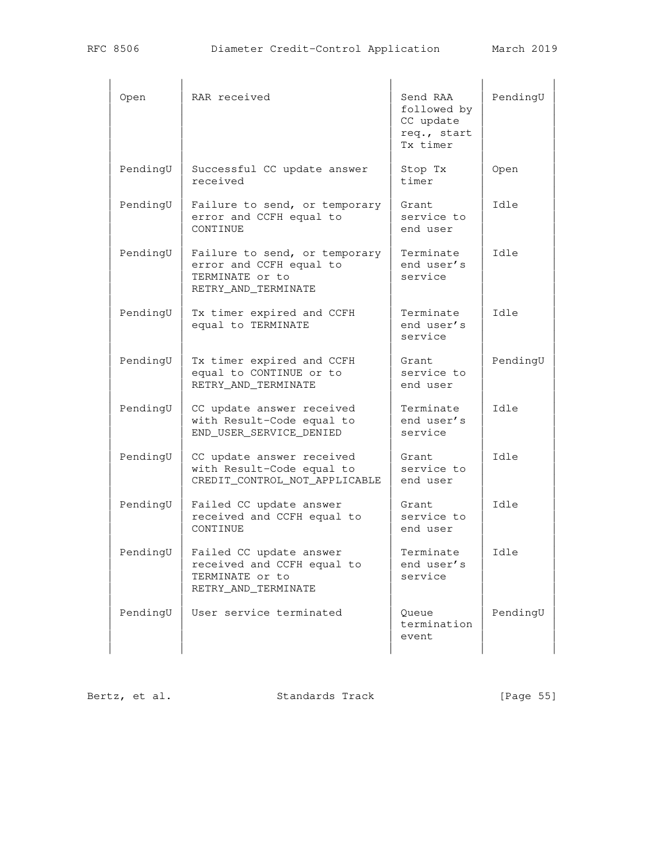| Open     | RAR received                                                                                       | Send RAA<br>followed by<br>CC update<br>req., start<br>Tx timer | PendingU |
|----------|----------------------------------------------------------------------------------------------------|-----------------------------------------------------------------|----------|
| PendingU | Successful CC update answer<br>received                                                            | Stop Tx<br>timer                                                | Open     |
| PendingU | Failure to send, or temporary<br>error and CCFH equal to<br>CONTINUE                               | Grant<br>service to<br>end user                                 | Idle     |
| PendingU | Failure to send, or temporary<br>error and CCFH equal to<br>TERMINATE or to<br>RETRY_AND_TERMINATE | Terminate<br>end user's<br>service                              | Idle     |
| PendingU | Tx timer expired and CCFH<br>equal to TERMINATE                                                    | Terminate<br>end user's<br>service                              | Idle     |
| PendingU | Tx timer expired and CCFH<br>equal to CONTINUE or to<br>RETRY_AND_TERMINATE                        | Grant<br>service to<br>end user                                 | PendingU |
| PendingU | CC update answer received<br>with Result-Code equal to<br>END_USER_SERVICE_DENIED                  | Terminate<br>end user's<br>service                              | Idle     |
| PendingU | CC update answer received<br>with Result-Code equal to<br>CREDIT_CONTROL_NOT_APPLICABLE            | Grant<br>service to<br>end user                                 | Idle     |
| PendingU | Failed CC update answer<br>received and CCFH equal to<br>CONTINUE                                  | Grant<br>service to<br>end user                                 | Idle     |
| PendingU | Failed CC update answer<br>received and CCFH equal to<br>TERMINATE or to<br>RETRY_AND_TERMINATE    | Terminate<br>end user's<br>service                              | Idle     |
| PendingU | User service terminated                                                                            | Queue<br>termination<br>event                                   | PendingU |

Bertz, et al. Standards Track [Page 55]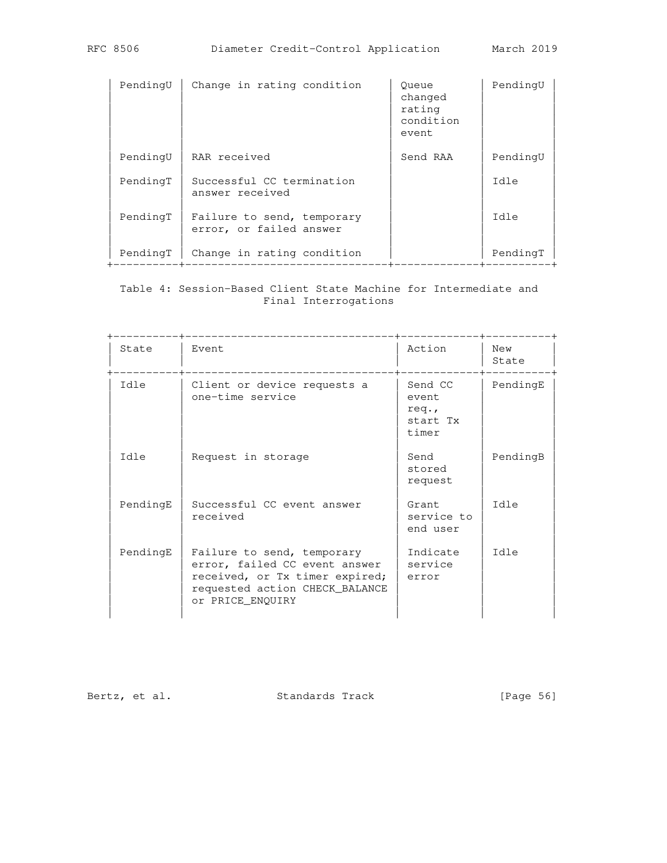| PendingU | Change in rating condition                            | Oueue<br>changed<br>rating<br>condition<br>event | PendingU |
|----------|-------------------------------------------------------|--------------------------------------------------|----------|
| PendingU | RAR received                                          | Send RAA                                         | PendingU |
| PendingT | Successful CC termination<br>answer received          |                                                  | AlbT     |
| PendingT | Failure to send, temporary<br>error, or failed answer |                                                  | Idle     |
| PendingT | Change in rating condition                            |                                                  | PendingT |

 Table 4: Session-Based Client State Machine for Intermediate and Final Interrogations

| State    | Event.                                                                                                                                              | Action                                        | New<br>State |
|----------|-----------------------------------------------------------------------------------------------------------------------------------------------------|-----------------------------------------------|--------------|
| Idle     | Client or device requests a<br>one-time service                                                                                                     | Send CC<br>event<br>req.<br>start Tx<br>timer | PendingE     |
| Idle     | Request in storage                                                                                                                                  | Send<br>stored<br>request                     | PendingB     |
| PendingE | Successful CC event answer<br>received                                                                                                              | Grant<br>service to<br>end user               | Idle         |
| PendingE | Failure to send, temporary<br>error, failed CC event answer<br>received, or Tx timer expired;<br>requested action CHECK_BALANCE<br>or PRICE ENOUIRY | Indicate<br>service<br>error                  | e [bT        |

Bertz, et al. Standards Track [Page 56]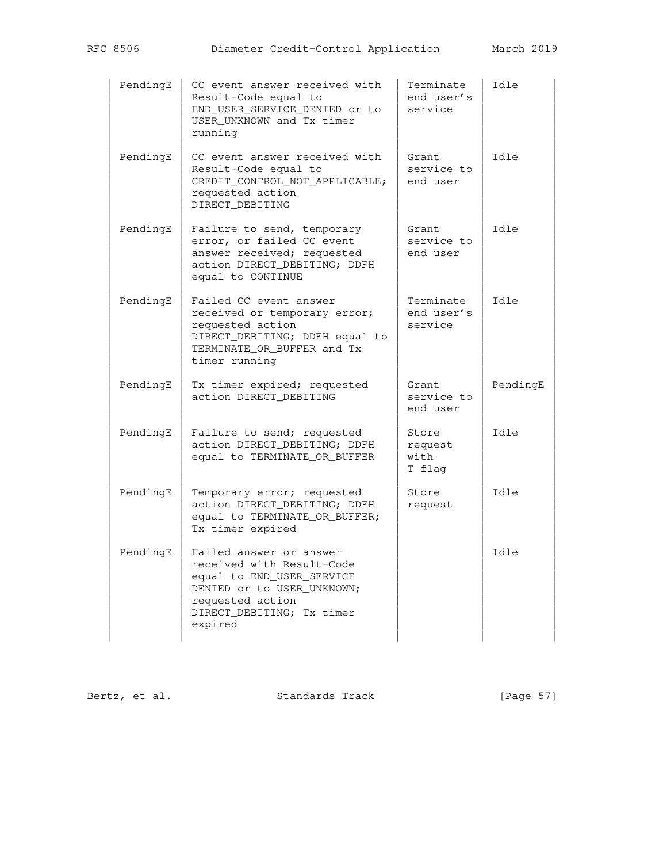| PendingE | CC event answer received with<br>Result-Code equal to<br>END_USER_SERVICE_DENIED or to<br>USER_UNKNOWN and Tx timer<br>running                                              | Terminate<br>end user's<br>service | Idle     |
|----------|-----------------------------------------------------------------------------------------------------------------------------------------------------------------------------|------------------------------------|----------|
| PendingE | CC event answer received with<br>Result-Code equal to<br>CREDIT_CONTROL_NOT_APPLICABLE;<br>requested action<br>DIRECT DEBITING                                              | Grant<br>service to<br>end user    | Idle     |
| PendingE | Failure to send, temporary<br>error, or failed CC event<br>answer received; requested<br>action DIRECT_DEBITING; DDFH<br>equal to CONTINUE                                  | Grant<br>service to<br>end user    | Idle     |
| PendingE | Failed CC event answer<br>received or temporary error;<br>requested action<br>DIRECT_DEBITING; DDFH equal to<br>TERMINATE OR BUFFER and Tx<br>timer running                 | Terminate<br>end user's<br>service | Idle     |
| PendingE | Tx timer expired; requested<br>action DIRECT_DEBITING                                                                                                                       | Grant<br>service to<br>end user    | PendingE |
| PendingE | Failure to send; requested<br>action DIRECT_DEBITING; DDFH<br>equal to TERMINATE_OR_BUFFER                                                                                  | Store<br>request<br>with<br>T flaq | Idle     |
| PendingE | Temporary error; requested<br>action DIRECT_DEBITING; DDFH<br>equal to TERMINATE OR BUFFER;<br>Tx timer expired                                                             | Store<br>request                   | Idle     |
| PendingE | Failed answer or answer<br>received with Result-Code<br>equal to END_USER_SERVICE<br>DENIED or to USER_UNKNOWN;<br>requested action<br>DIRECT_DEBITING; Tx timer<br>expired |                                    | Idle     |

Bertz, et al. Standards Track [Page 57]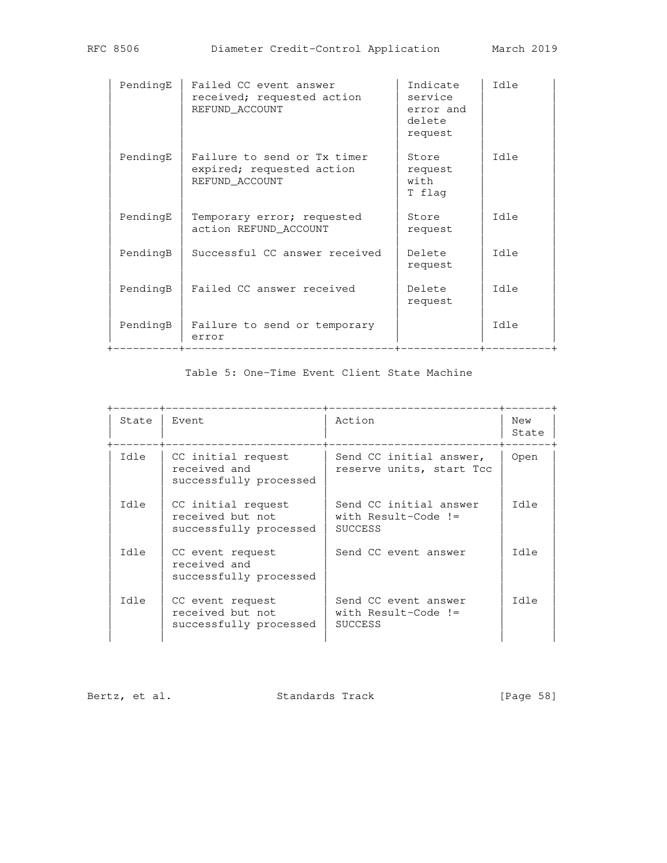| PendingE | Failed CC event answer<br>received; requested action<br>REFUND ACCOUNT     | Indicate<br>service<br>error and<br>delete<br>request | Idle |
|----------|----------------------------------------------------------------------------|-------------------------------------------------------|------|
| PendingE | Failure to send or Tx timer<br>expired; requested action<br>REFUND ACCOUNT | Store<br>request<br>with<br>T flag                    | Idle |
| PendingE | Temporary error; requested<br>action REFUND_ACCOUNT                        | Store<br>request                                      | Idle |
| PendingB | Successful CC answer received                                              | Delete<br>request                                     | Idle |
| PendingB | Failed CC answer received                                                  | Delete<br>request                                     | Idle |
| PendingB | Failure to send or temporary<br>error                                      |                                                       | Idle |

Table 5: One-Time Event Client State Machine

| State | Event                                                            | Action                                                            | New<br>State |
|-------|------------------------------------------------------------------|-------------------------------------------------------------------|--------------|
| Idle  | CC initial request<br>received and<br>successfully processed     | Send CC initial answer,<br>reserve units, start Tcc               | Open         |
| Idle  | CC initial request<br>received but not<br>successfully processed | Send CC initial answer<br>with $Result-Code$ !=<br><b>SUCCESS</b> | Idle         |
| Idle  | CC event request<br>received and<br>successfully processed       | Send CC event answer                                              | Idle         |
| Idle  | CC event request<br>received but not<br>successfully processed   | Send CC event answer<br>with $Result-Code$ ! =<br><b>SUCCESS</b>  | Idle         |

| Standards Track<br>Bertz, et al. | [Page 58] |
|----------------------------------|-----------|
|----------------------------------|-----------|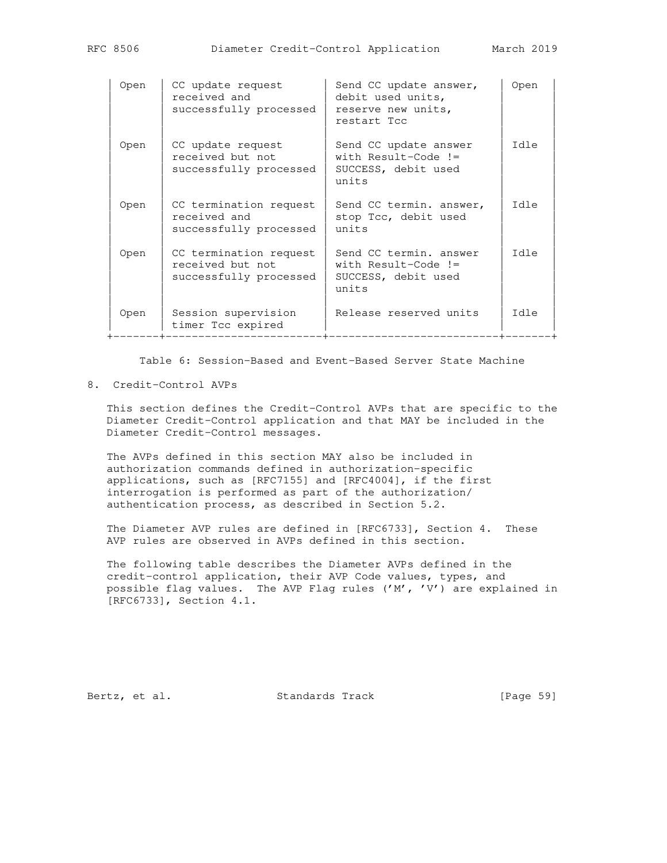| Open | CC update request<br>received and<br>successfully processed          | Send CC update answer,<br>debit used units,<br>reserve new units,<br>restart Tcc | Open |
|------|----------------------------------------------------------------------|----------------------------------------------------------------------------------|------|
| Open | CC update request<br>received but not<br>successfully processed      | Send CC update answer<br>with Result-Code !=<br>SUCCESS, debit used<br>units     | Idle |
| Open | CC termination request<br>received and<br>successfully processed     | Send CC termin. answer,<br>stop Tcc, debit used<br>units                         | Idle |
| Open | CC termination request<br>received but not<br>successfully processed | Send CC termin. answer<br>with Result-Code $!=$<br>SUCCESS, debit used<br>units  | Idle |
| Open | Session supervision<br>timer Tcc expired                             | Release reserved units                                                           | Idle |

Table 6: Session-Based and Event-Based Server State Machine

#### 8. Credit-Control AVPs

 This section defines the Credit-Control AVPs that are specific to the Diameter Credit-Control application and that MAY be included in the Diameter Credit-Control messages.

 The AVPs defined in this section MAY also be included in authorization commands defined in authorization-specific applications, such as [RFC7155] and [RFC4004], if the first interrogation is performed as part of the authorization/ authentication process, as described in Section 5.2.

 The Diameter AVP rules are defined in [RFC6733], Section 4. These AVP rules are observed in AVPs defined in this section.

 The following table describes the Diameter AVPs defined in the credit-control application, their AVP Code values, types, and possible flag values. The AVP Flag rules ('M', 'V') are explained in [RFC6733], Section 4.1.

Bertz, et al. Standards Track [Page 59]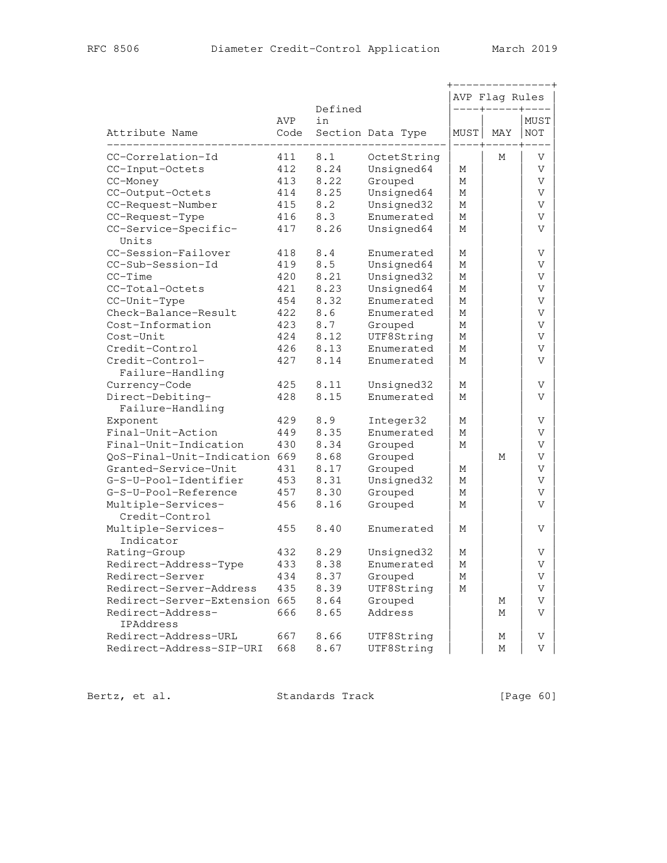| 8506 | Diamete |
|------|---------|
|      |         |

|                                      |             |               |                   | AVP Flag Rules |     |             |
|--------------------------------------|-------------|---------------|-------------------|----------------|-----|-------------|
| Attribute Name                       | AVP<br>Code | Defined<br>in | Section Data Type | MUST           | MAY | MUST<br>NOT |
| CC-Correlation-Id                    | 411         | 8.1           | OctetString       |                | М   | V           |
| CC-Input-Octets                      | 412         | 8.24          | Unsigned64        | М              |     | V           |
| CC-Money                             | 413         | 8.22          | Grouped           | М              |     | V           |
| CC-Output-Octets                     | 414         | 8.25          | Unsigned64        | М              |     | V           |
| CC-Request-Number                    | 415         | 8.2           | Unsigned32        | М              |     | V           |
| CC-Request-Type                      | 416         | 8.3           | Enumerated        | М              |     | V           |
| CC-Service-Specific-<br>Units        | 417         | 8.26          | Unsigned64        | M              |     | V           |
| CC-Session-Failover                  | 418         | 8.4           | Enumerated        | М              |     | V           |
| CC-Sub-Session-Id                    | 419         | 8.5           | Unsigned64        | М              |     | V           |
| $CC-Time$                            | 420         | 8.21          | Unsigned32        | М              |     | V           |
| CC-Total-Octets                      | 421         | 8.23          | Unsigned64        | М              |     | V           |
| CC-Unit-Type                         | 454         | 8.32          | Enumerated        | М              |     | V           |
| Check-Balance-Result                 | 422         | 8.6           | Enumerated        | М              |     | V           |
| Cost-Information                     | 423         | 8.7           | Grouped           | М              |     | V           |
| Cost-Unit                            | 424         | 8.12          | UTF8String        | М              |     | V           |
| Credit-Control                       | 426         | 8.13          | Enumerated        | М              |     | V           |
| Credit-Control-<br>Failure-Handling  | 427         | 8.14          | Enumerated        | M              |     | V           |
| Currency-Code                        | 425         | 8.11          | Unsigned32        | М              |     | V           |
| Direct-Debiting-<br>Failure-Handling | 428         | 8.15          | Enumerated        | М              |     | V           |
| Exponent                             | 429         | 8.9           | Integer32         | М              |     | V           |
| Final-Unit-Action                    | 449         | 8.35          | Enumerated        | М              |     | V           |
| Final-Unit-Indication                | 430         | 8.34          | Grouped           | М              |     | V           |
| QoS-Final-Unit-Indication 669        |             | 8.68          | Grouped           |                | М   | V           |
| Granted-Service-Unit                 | 431         | 8.17          | Grouped           | М              |     | V           |
| G-S-U-Pool-Identifier                | 453         | 8.31          | Unsigned32        | М              |     | V           |
| G-S-U-Pool-Reference                 | 457         | 8.30          | Grouped           | М              |     | V           |
| Multiple-Services-<br>Credit-Control | 456         | 8.16          | Grouped           | M              |     | V           |
| Multiple-Services-<br>Indicator      | 455         | 8.40          | Enumerated        | М              |     | V           |
| Rating-Group                         | 432         | 8.29          | Unsigned32        | М              |     | V           |
| Redirect-Address-Type                | 433         | 8.38          | Enumerated        | M              |     | V           |
| Redirect-Server                      | 434         | 8.37          | Grouped           | М              |     | V           |
| Redirect-Server-Address              | 435         | 8.39          | UTF8String        | М              |     | V           |
| Redirect-Server-Extension 665        |             | 8.64          | Grouped           |                | М   | V           |
| Redirect-Address-<br>IPAddress       | 666         | 8.65          | Address           |                | М   | V           |
| Redirect-Address-URL                 | 667         | 8.66          | UTF8String        |                | М   | V           |
| Redirect-Address-SIP-URI             | 668         | 8.67          | UTF8String        |                | М   | V           |

Bertz, et al. Standards Track (Page 60)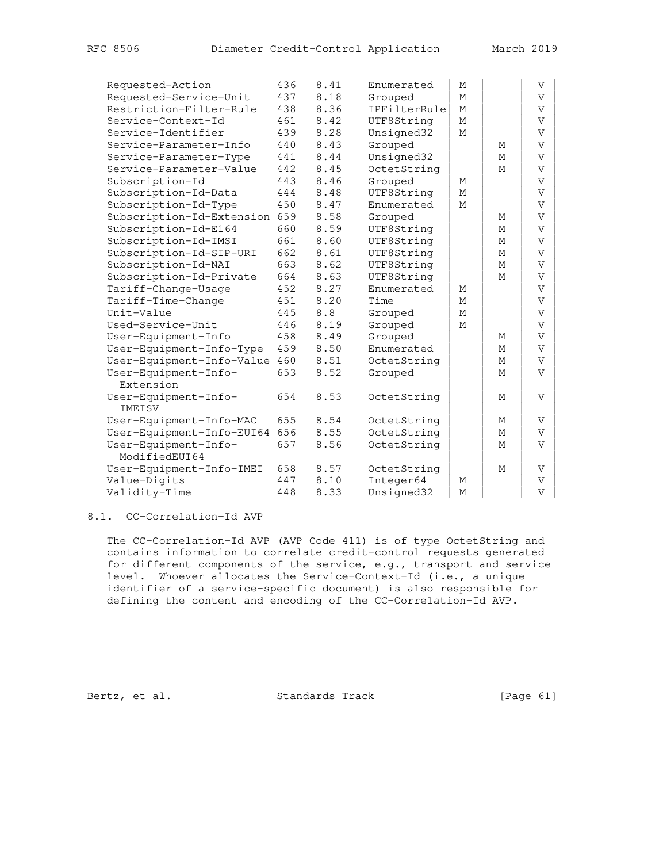| Requested-Action          | 436 | 8.41 | Enumerated   | М |   | V              |
|---------------------------|-----|------|--------------|---|---|----------------|
| Requested-Service-Unit    | 437 | 8.18 | Grouped      | M |   | $\overline{V}$ |
| Restriction-Filter-Rule   | 438 | 8.36 | IPFilterRule | M |   | $\overline{V}$ |
| Service-Context-Id        | 461 | 8.42 | UTF8String   | M |   | V              |
| Service-Identifier        | 439 | 8.28 | Unsigned32   | М |   | $\overline{V}$ |
| Service-Parameter-Info    | 440 | 8.43 | Grouped      |   | М | $\overline{V}$ |
| Service-Parameter-Type    | 441 | 8.44 | Unsigned32   |   | M | $\overline{V}$ |
| Service-Parameter-Value   | 442 | 8.45 | OctetString  |   | M | $\overline{V}$ |
| Subscription-Id           | 443 | 8.46 | Grouped      | М |   | V              |
| Subscription-Id-Data      | 444 | 8.48 | UTF8String   | M |   | $\overline{V}$ |
| Subscription-Id-Type      | 450 | 8.47 | Enumerated   | M |   | $\overline{V}$ |
| Subscription-Id-Extension | 659 | 8.58 | Grouped      |   | М | $\overline{V}$ |
| Subscription-Id-E164      | 660 | 8.59 | UTF8String   |   | М | $\overline{V}$ |
| Subscription-Id-IMSI      | 661 | 8.60 | UTF8String   |   | М | $\overline{V}$ |
| Subscription-Id-SIP-URI   | 662 | 8.61 | UTF8String   |   | М | $\overline{V}$ |
| Subscription-Id-NAI       | 663 | 8.62 | UTF8String   |   | М | $\overline{V}$ |
| Subscription-Id-Private   | 664 | 8.63 | UTF8String   |   | М | V              |
| Tariff-Change-Usage       | 452 | 8.27 | Enumerated   | М |   | V              |
| Tariff-Time-Change        | 451 | 8.20 | Time         | M |   | $\overline{V}$ |
| Unit-Value                | 445 | 8.8  | Grouped      | M |   | $\overline{V}$ |
| Used-Service-Unit         | 446 | 8.19 | Grouped      | M |   | $\overline{V}$ |
| User-Equipment-Info       | 458 | 8.49 | Grouped      |   | М | $\mathbf{V}$   |
| User-Equipment-Info-Type  | 459 | 8.50 | Enumerated   |   | М | $\overline{V}$ |
| User-Equipment-Info-Value | 460 | 8.51 | OctetString  |   | М | V              |
| User-Equipment-Info-      | 653 | 8.52 | Grouped      |   | M | $\overline{V}$ |
| Extension                 |     |      |              |   |   |                |
| User-Equipment-Info-      | 654 | 8.53 | OctetString  |   | М | V              |
| IMEISV                    |     |      |              |   |   |                |
| User-Equipment-Info-MAC   | 655 | 8.54 | OctetString  |   | М | $\overline{V}$ |
| User-Equipment-Info-EUI64 | 656 | 8.55 | OctetString  |   | M | $\overline{V}$ |
| User-Equipment-Info-      | 657 | 8.56 | OctetString  |   | М | V              |
| ModifiedEUI64             |     |      |              |   |   |                |
| User-Equipment-Info-IMEI  | 658 | 8.57 | OctetString  |   | М | V              |
| Value-Digits              | 447 | 8.10 | Integer64    | М |   | $\overline{V}$ |
| Validity-Time             | 448 | 8.33 | Unsigned32   | М |   | $\overline{V}$ |

8.1. CC-Correlation-Id AVP

 The CC-Correlation-Id AVP (AVP Code 411) is of type OctetString and contains information to correlate credit-control requests generated for different components of the service, e.g., transport and service level. Whoever allocates the Service-Context-Id (i.e., a unique identifier of a service-specific document) is also responsible for defining the content and encoding of the CC-Correlation-Id AVP.

Bertz, et al. Standards Track [Page 61]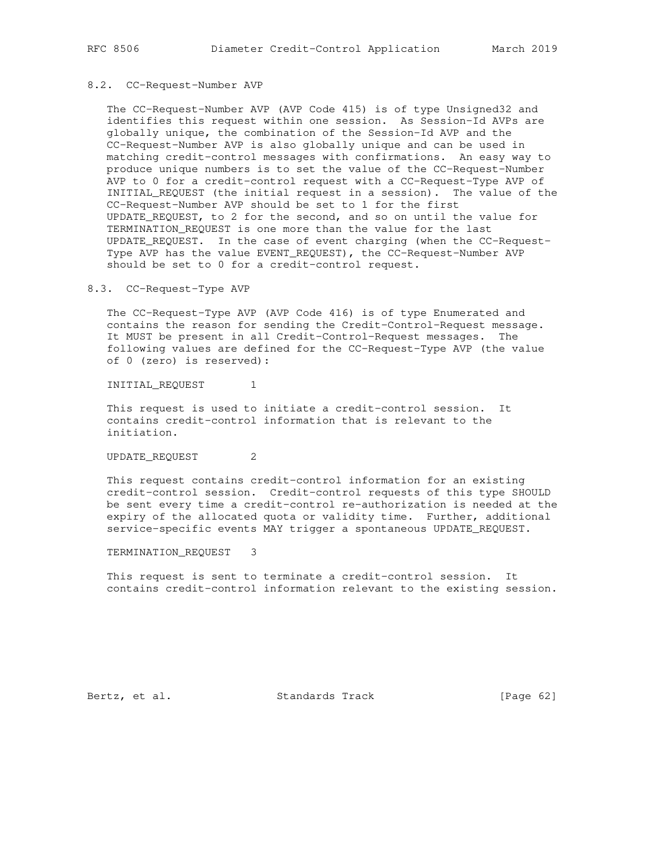### 8.2. CC-Request-Number AVP

 The CC-Request-Number AVP (AVP Code 415) is of type Unsigned32 and identifies this request within one session. As Session-Id AVPs are globally unique, the combination of the Session-Id AVP and the CC-Request-Number AVP is also globally unique and can be used in matching credit-control messages with confirmations. An easy way to produce unique numbers is to set the value of the CC-Request-Number AVP to 0 for a credit-control request with a CC-Request-Type AVP of INITIAL\_REQUEST (the initial request in a session). The value of the CC-Request-Number AVP should be set to 1 for the first UPDATE\_REQUEST, to 2 for the second, and so on until the value for TERMINATION\_REQUEST is one more than the value for the last UPDATE\_REQUEST. In the case of event charging (when the CC-Request- Type AVP has the value EVENT\_REQUEST), the CC-Request-Number AVP should be set to 0 for a credit-control request.

### 8.3. CC-Request-Type AVP

 The CC-Request-Type AVP (AVP Code 416) is of type Enumerated and contains the reason for sending the Credit-Control-Request message. It MUST be present in all Credit-Control-Request messages. The following values are defined for the CC-Request-Type AVP (the value of 0 (zero) is reserved):

INITIAL\_REQUEST 1

 This request is used to initiate a credit-control session. It contains credit-control information that is relevant to the initiation.

UPDATE\_REQUEST 2

 This request contains credit-control information for an existing credit-control session. Credit-control requests of this type SHOULD be sent every time a credit-control re-authorization is needed at the expiry of the allocated quota or validity time. Further, additional service-specific events MAY trigger a spontaneous UPDATE\_REQUEST.

### TERMINATION\_REQUEST 3

 This request is sent to terminate a credit-control session. It contains credit-control information relevant to the existing session.

Bertz, et al. Standards Track [Page 62]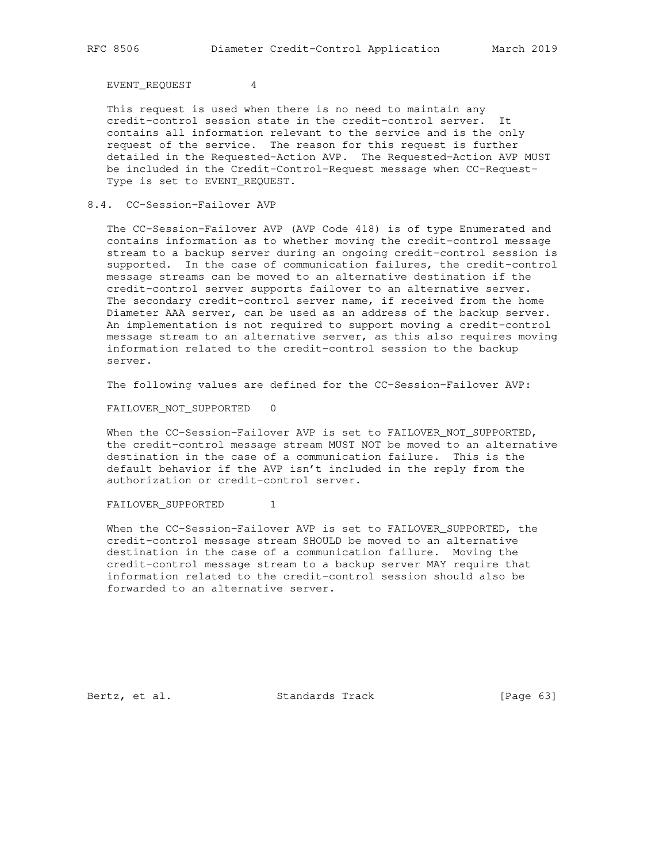## EVENT\_REQUEST 4

 This request is used when there is no need to maintain any credit-control session state in the credit-control server. It contains all information relevant to the service and is the only request of the service. The reason for this request is further detailed in the Requested-Action AVP. The Requested-Action AVP MUST be included in the Credit-Control-Request message when CC-Request- Type is set to EVENT\_REQUEST.

## 8.4. CC-Session-Failover AVP

 The CC-Session-Failover AVP (AVP Code 418) is of type Enumerated and contains information as to whether moving the credit-control message stream to a backup server during an ongoing credit-control session is supported. In the case of communication failures, the credit-control message streams can be moved to an alternative destination if the credit-control server supports failover to an alternative server. The secondary credit-control server name, if received from the home Diameter AAA server, can be used as an address of the backup server. An implementation is not required to support moving a credit-control message stream to an alternative server, as this also requires moving information related to the credit-control session to the backup server.

The following values are defined for the CC-Session-Failover AVP:

### FAILOVER\_NOT\_SUPPORTED 0

 When the CC-Session-Failover AVP is set to FAILOVER\_NOT\_SUPPORTED, the credit-control message stream MUST NOT be moved to an alternative destination in the case of a communication failure. This is the default behavior if the AVP isn't included in the reply from the authorization or credit-control server.

### FAILOVER\_SUPPORTED 1

 When the CC-Session-Failover AVP is set to FAILOVER\_SUPPORTED, the credit-control message stream SHOULD be moved to an alternative destination in the case of a communication failure. Moving the credit-control message stream to a backup server MAY require that information related to the credit-control session should also be forwarded to an alternative server.

Bertz, et al. Standards Track [Page 63]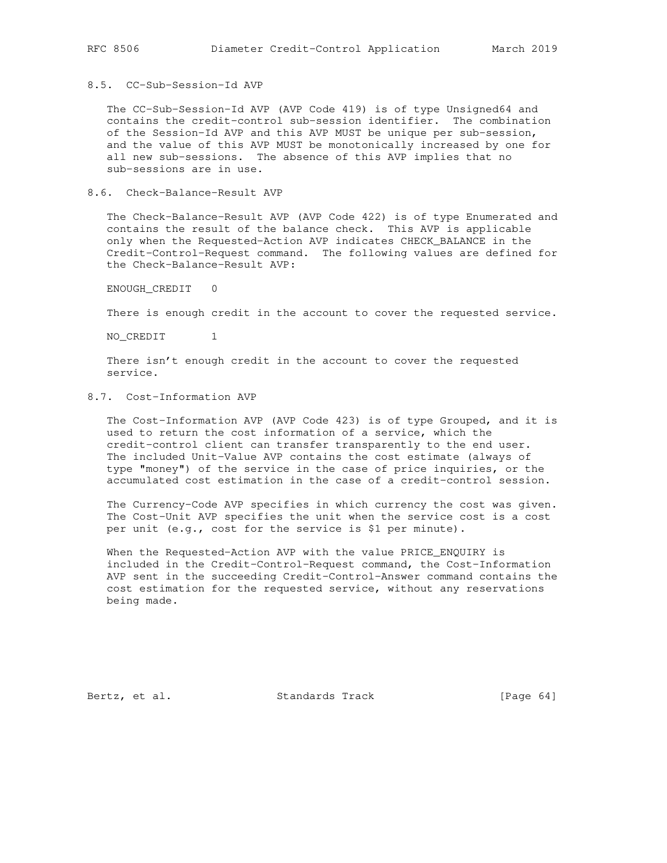8.5. CC-Sub-Session-Id AVP

 The CC-Sub-Session-Id AVP (AVP Code 419) is of type Unsigned64 and contains the credit-control sub-session identifier. The combination of the Session-Id AVP and this AVP MUST be unique per sub-session, and the value of this AVP MUST be monotonically increased by one for all new sub-sessions. The absence of this AVP implies that no sub-sessions are in use.

8.6. Check-Balance-Result AVP

 The Check-Balance-Result AVP (AVP Code 422) is of type Enumerated and contains the result of the balance check. This AVP is applicable only when the Requested-Action AVP indicates CHECK\_BALANCE in the Credit-Control-Request command. The following values are defined for the Check-Balance-Result AVP:

ENOUGH CREDIT 0

There is enough credit in the account to cover the requested service.

NO\_CREDIT 1

 There isn't enough credit in the account to cover the requested service.

8.7. Cost-Information AVP

 The Cost-Information AVP (AVP Code 423) is of type Grouped, and it is used to return the cost information of a service, which the credit-control client can transfer transparently to the end user. The included Unit-Value AVP contains the cost estimate (always of type "money") of the service in the case of price inquiries, or the accumulated cost estimation in the case of a credit-control session.

 The Currency-Code AVP specifies in which currency the cost was given. The Cost-Unit AVP specifies the unit when the service cost is a cost per unit (e.g., cost for the service is \$1 per minute).

 When the Requested-Action AVP with the value PRICE\_ENQUIRY is included in the Credit-Control-Request command, the Cost-Information AVP sent in the succeeding Credit-Control-Answer command contains the cost estimation for the requested service, without any reservations being made.

Bertz, et al. Standards Track [Page 64]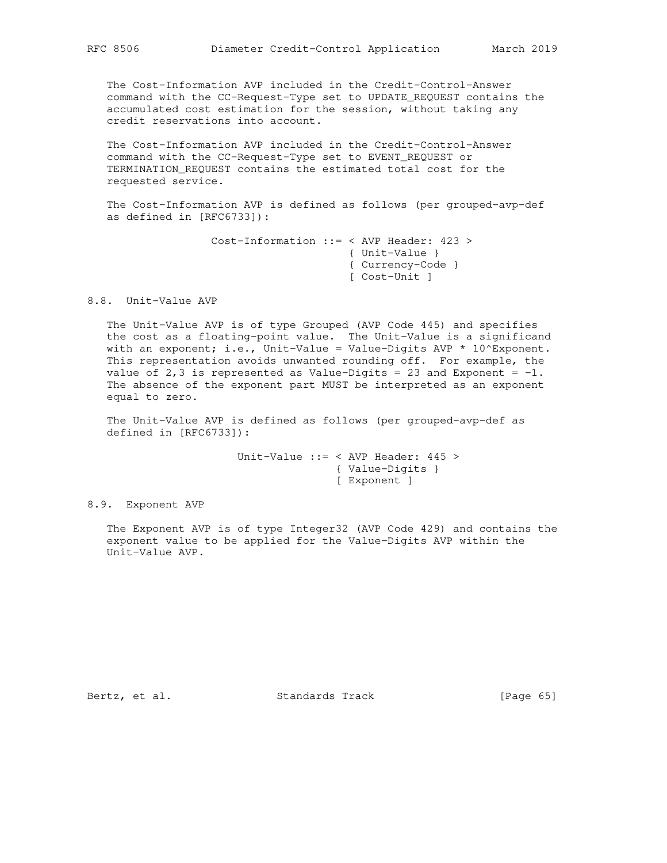The Cost-Information AVP included in the Credit-Control-Answer command with the CC-Request-Type set to UPDATE\_REQUEST contains the accumulated cost estimation for the session, without taking any credit reservations into account.

 The Cost-Information AVP included in the Credit-Control-Answer command with the CC-Request-Type set to EVENT\_REQUEST or TERMINATION\_REQUEST contains the estimated total cost for the requested service.

 The Cost-Information AVP is defined as follows (per grouped-avp-def as defined in [RFC6733]):

```
 Cost-Information ::= < AVP Header: 423 >
           { Unit-Value }
           { Currency-Code }
           [ Cost-Unit ]
```
# 8.8. Unit-Value AVP

 The Unit-Value AVP is of type Grouped (AVP Code 445) and specifies the cost as a floating-point value. The Unit-Value is a significand with an exponent; i.e., Unit-Value = Value-Digits AVP \*  $10^{\circ}$ Exponent. This representation avoids unwanted rounding off. For example, the value of 2,3 is represented as Value-Digits = 23 and Exponent =  $-1$ . The absence of the exponent part MUST be interpreted as an exponent equal to zero.

 The Unit-Value AVP is defined as follows (per grouped-avp-def as defined in [RFC6733]):

> Unit-Value ::= < AVP Header: 445 > { Value-Digits } [ Exponent ]

8.9. Exponent AVP

 The Exponent AVP is of type Integer32 (AVP Code 429) and contains the exponent value to be applied for the Value-Digits AVP within the Unit-Value AVP.

Bertz, et al. Standards Track [Page 65]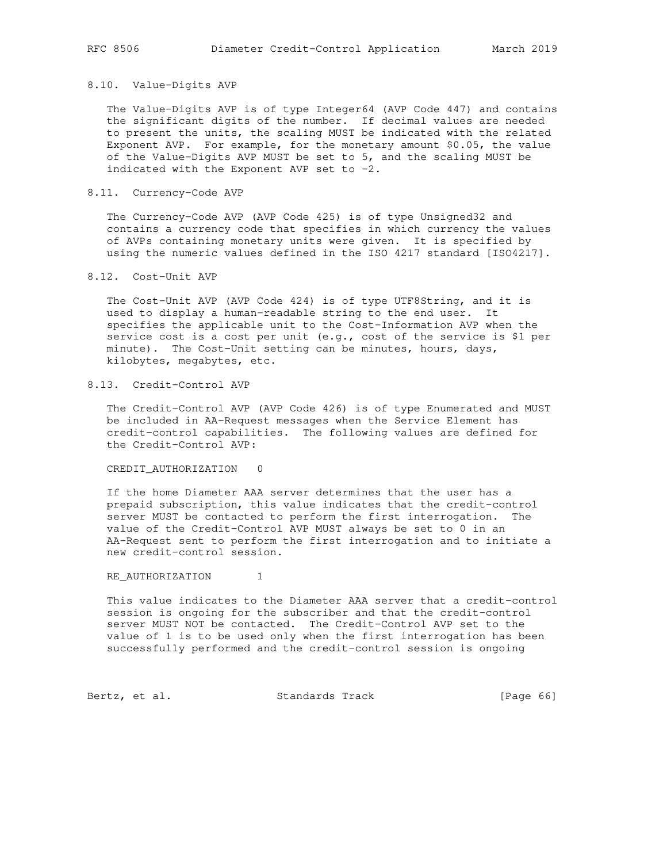### 8.10. Value-Digits AVP

 The Value-Digits AVP is of type Integer64 (AVP Code 447) and contains the significant digits of the number. If decimal values are needed to present the units, the scaling MUST be indicated with the related Exponent AVP. For example, for the monetary amount \$0.05, the value of the Value-Digits AVP MUST be set to 5, and the scaling MUST be indicated with the Exponent AVP set to  $-2$ .

## 8.11. Currency-Code AVP

 The Currency-Code AVP (AVP Code 425) is of type Unsigned32 and contains a currency code that specifies in which currency the values of AVPs containing monetary units were given. It is specified by using the numeric values defined in the ISO 4217 standard [ISO4217].

#### 8.12. Cost-Unit AVP

 The Cost-Unit AVP (AVP Code 424) is of type UTF8String, and it is used to display a human-readable string to the end user. It specifies the applicable unit to the Cost-Information AVP when the service cost is a cost per unit (e.g., cost of the service is \$1 per minute). The Cost-Unit setting can be minutes, hours, days, kilobytes, megabytes, etc.

### 8.13. Credit-Control AVP

 The Credit-Control AVP (AVP Code 426) is of type Enumerated and MUST be included in AA-Request messages when the Service Element has credit-control capabilities. The following values are defined for the Credit-Control AVP:

### CREDIT\_AUTHORIZATION 0

 If the home Diameter AAA server determines that the user has a prepaid subscription, this value indicates that the credit-control server MUST be contacted to perform the first interrogation. The value of the Credit-Control AVP MUST always be set to 0 in an AA-Request sent to perform the first interrogation and to initiate a new credit-control session.

# RE\_AUTHORIZATION 1

 This value indicates to the Diameter AAA server that a credit-control session is ongoing for the subscriber and that the credit-control server MUST NOT be contacted. The Credit-Control AVP set to the value of 1 is to be used only when the first interrogation has been successfully performed and the credit-control session is ongoing

Bertz, et al. Standards Track [Page 66]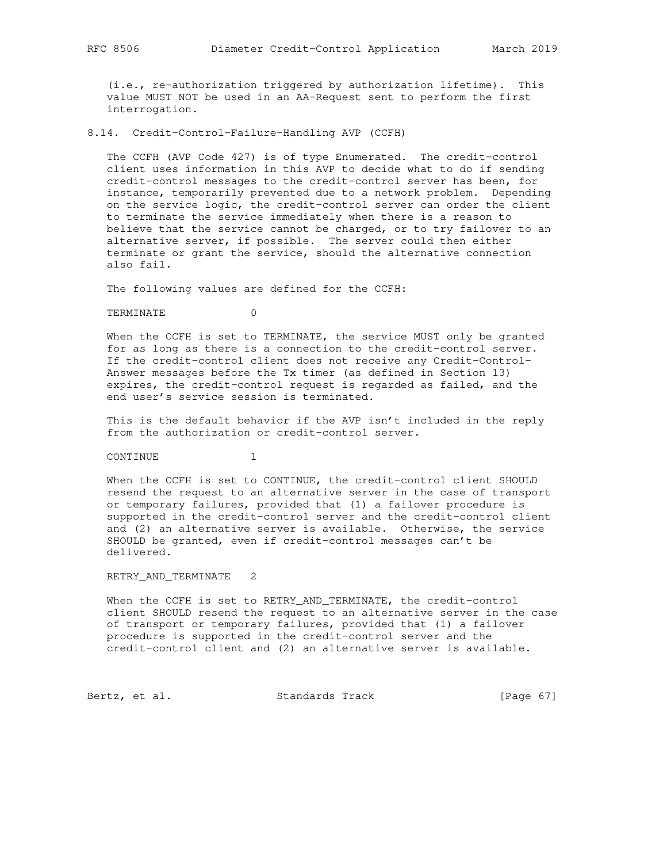(i.e., re-authorization triggered by authorization lifetime). This value MUST NOT be used in an AA-Request sent to perform the first interrogation.

### 8.14. Credit-Control-Failure-Handling AVP (CCFH)

 The CCFH (AVP Code 427) is of type Enumerated. The credit-control client uses information in this AVP to decide what to do if sending credit-control messages to the credit-control server has been, for instance, temporarily prevented due to a network problem. Depending on the service logic, the credit-control server can order the client to terminate the service immediately when there is a reason to believe that the service cannot be charged, or to try failover to an alternative server, if possible. The server could then either terminate or grant the service, should the alternative connection also fail.

The following values are defined for the CCFH:

### TERMINATE 0

 When the CCFH is set to TERMINATE, the service MUST only be granted for as long as there is a connection to the credit-control server. If the credit-control client does not receive any Credit-Control- Answer messages before the Tx timer (as defined in Section 13) expires, the credit-control request is regarded as failed, and the end user's service session is terminated.

 This is the default behavior if the AVP isn't included in the reply from the authorization or credit-control server.

#### CONTINUE 1

 When the CCFH is set to CONTINUE, the credit-control client SHOULD resend the request to an alternative server in the case of transport or temporary failures, provided that (1) a failover procedure is supported in the credit-control server and the credit-control client and (2) an alternative server is available. Otherwise, the service SHOULD be granted, even if credit-control messages can't be delivered.

# RETRY AND TERMINATE 2

 When the CCFH is set to RETRY\_AND\_TERMINATE, the credit-control client SHOULD resend the request to an alternative server in the case of transport or temporary failures, provided that (1) a failover procedure is supported in the credit-control server and the credit-control client and (2) an alternative server is available.

Bertz, et al. Standards Track [Page 67]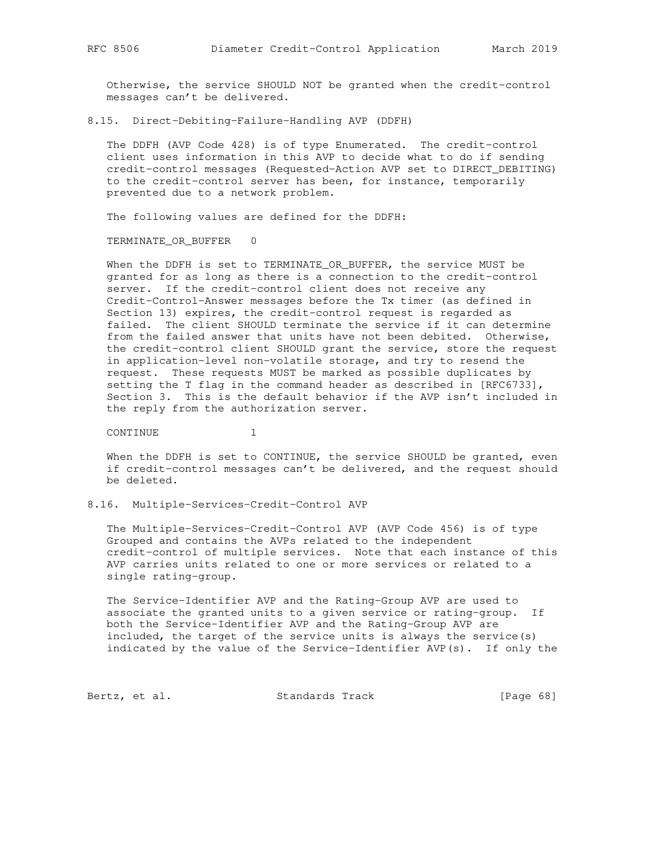Otherwise, the service SHOULD NOT be granted when the credit-control messages can't be delivered.

8.15. Direct-Debiting-Failure-Handling AVP (DDFH)

 The DDFH (AVP Code 428) is of type Enumerated. The credit-control client uses information in this AVP to decide what to do if sending credit-control messages (Requested-Action AVP set to DIRECT\_DEBITING) to the credit-control server has been, for instance, temporarily prevented due to a network problem.

The following values are defined for the DDFH:

## TERMINATE\_OR\_BUFFER 0

 When the DDFH is set to TERMINATE\_OR\_BUFFER, the service MUST be granted for as long as there is a connection to the credit-control server. If the credit-control client does not receive any Credit-Control-Answer messages before the Tx timer (as defined in Section 13) expires, the credit-control request is regarded as failed. The client SHOULD terminate the service if it can determine from the failed answer that units have not been debited. Otherwise, the credit-control client SHOULD grant the service, store the request in application-level non-volatile storage, and try to resend the request. These requests MUST be marked as possible duplicates by setting the T flag in the command header as described in [RFC6733], Section 3. This is the default behavior if the AVP isn't included in the reply from the authorization server.

CONTINUE 1

When the DDFH is set to CONTINUE, the service SHOULD be granted, even if credit-control messages can't be delivered, and the request should be deleted.

8.16. Multiple-Services-Credit-Control AVP

 The Multiple-Services-Credit-Control AVP (AVP Code 456) is of type Grouped and contains the AVPs related to the independent credit-control of multiple services. Note that each instance of this AVP carries units related to one or more services or related to a single rating-group.

 The Service-Identifier AVP and the Rating-Group AVP are used to associate the granted units to a given service or rating-group. If both the Service-Identifier AVP and the Rating-Group AVP are included, the target of the service units is always the service(s) indicated by the value of the Service-Identifier AVP(s). If only the

Bertz, et al. Standards Track [Page 68]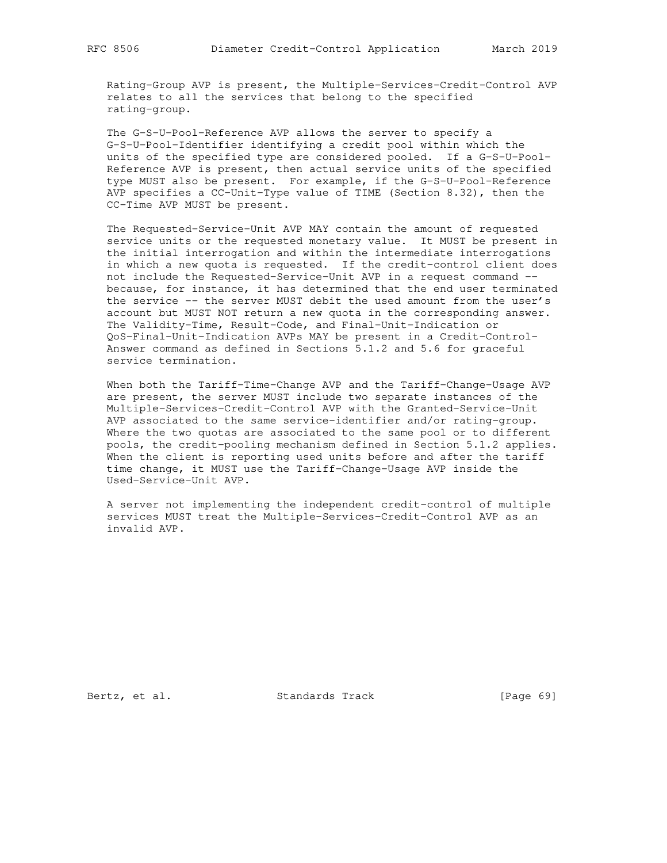Rating-Group AVP is present, the Multiple-Services-Credit-Control AVP relates to all the services that belong to the specified rating-group.

 The G-S-U-Pool-Reference AVP allows the server to specify a G-S-U-Pool-Identifier identifying a credit pool within which the units of the specified type are considered pooled. If a G-S-U-Pool- Reference AVP is present, then actual service units of the specified type MUST also be present. For example, if the G-S-U-Pool-Reference AVP specifies a CC-Unit-Type value of TIME (Section 8.32), then the CC-Time AVP MUST be present.

 The Requested-Service-Unit AVP MAY contain the amount of requested service units or the requested monetary value. It MUST be present in the initial interrogation and within the intermediate interrogations in which a new quota is requested. If the credit-control client does not include the Requested-Service-Unit AVP in a request command - because, for instance, it has determined that the end user terminated the service -- the server MUST debit the used amount from the user's account but MUST NOT return a new quota in the corresponding answer. The Validity-Time, Result-Code, and Final-Unit-Indication or QoS-Final-Unit-Indication AVPs MAY be present in a Credit-Control- Answer command as defined in Sections 5.1.2 and 5.6 for graceful service termination.

 When both the Tariff-Time-Change AVP and the Tariff-Change-Usage AVP are present, the server MUST include two separate instances of the Multiple-Services-Credit-Control AVP with the Granted-Service-Unit AVP associated to the same service-identifier and/or rating-group. Where the two quotas are associated to the same pool or to different pools, the credit-pooling mechanism defined in Section 5.1.2 applies. When the client is reporting used units before and after the tariff time change, it MUST use the Tariff-Change-Usage AVP inside the Used-Service-Unit AVP.

 A server not implementing the independent credit-control of multiple services MUST treat the Multiple-Services-Credit-Control AVP as an invalid AVP.

Bertz, et al. Standards Track [Page 69]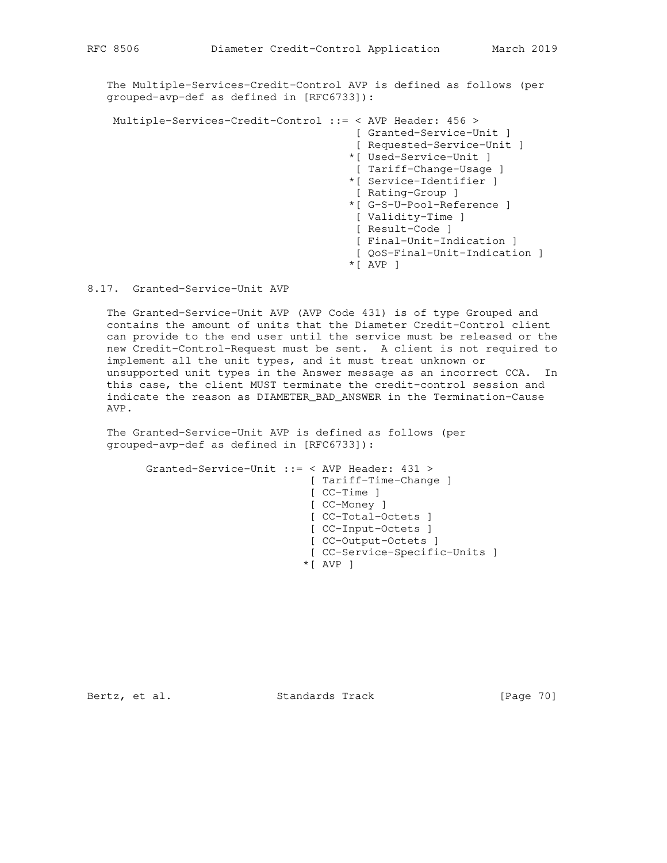The Multiple-Services-Credit-Control AVP is defined as follows (per grouped-avp-def as defined in [RFC6733]):

 Multiple-Services-Credit-Control ::= < AVP Header: 456 > [ Granted-Service-Unit ] [ Requested-Service-Unit ] \*[ Used-Service-Unit ] [ Tariff-Change-Usage ] \*[ Service-Identifier ] [ Rating-Group ] \*[ G-S-U-Pool-Reference ] [ Validity-Time ] [ Result-Code ] [ Final-Unit-Indication ] [ QoS-Final-Unit-Indication ]  $*$  [ AVP ]

8.17. Granted-Service-Unit AVP

 The Granted-Service-Unit AVP (AVP Code 431) is of type Grouped and contains the amount of units that the Diameter Credit-Control client can provide to the end user until the service must be released or the new Credit-Control-Request must be sent. A client is not required to implement all the unit types, and it must treat unknown or unsupported unit types in the Answer message as an incorrect CCA. In this case, the client MUST terminate the credit-control session and indicate the reason as DIAMETER\_BAD\_ANSWER in the Termination-Cause AVP.

 The Granted-Service-Unit AVP is defined as follows (per grouped-avp-def as defined in [RFC6733]):

```
 Granted-Service-Unit ::= < AVP Header: 431 >
               [ Tariff-Time-Change ]
               [ CC-Time ]
               [ CC-Money ]
               [ CC-Total-Octets ]
               [ CC-Input-Octets ]
               [ CC-Output-Octets ]
               [ CC-Service-Specific-Units ]
              *[ AVP ]
```
Bertz, et al. Standards Track [Page 70]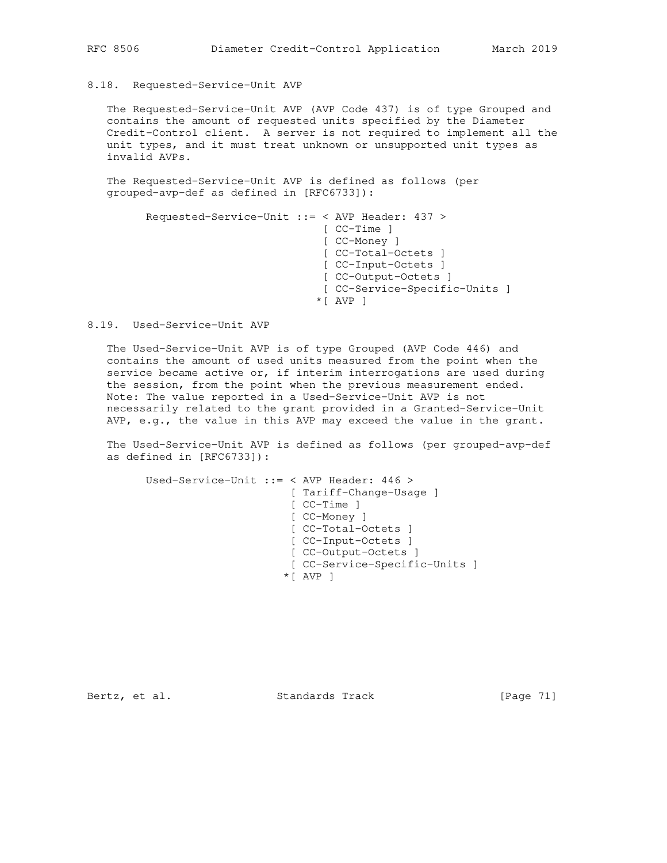## 8.18. Requested-Service-Unit AVP

 The Requested-Service-Unit AVP (AVP Code 437) is of type Grouped and contains the amount of requested units specified by the Diameter Credit-Control client. A server is not required to implement all the unit types, and it must treat unknown or unsupported unit types as invalid AVPs.

 The Requested-Service-Unit AVP is defined as follows (per grouped-avp-def as defined in [RFC6733]):

```
 Requested-Service-Unit ::= < AVP Header: 437 >
                 [ CC-Time ]
                  [ CC-Money ]
                 [ CC-Total-Octets ]
                 [ CC-Input-Octets ]
                 [ CC-Output-Octets ]
                 [ CC-Service-Specific-Units ]
               * [ AVP ]
```
## 8.19. Used-Service-Unit AVP

 The Used-Service-Unit AVP is of type Grouped (AVP Code 446) and contains the amount of used units measured from the point when the service became active or, if interim interrogations are used during the session, from the point when the previous measurement ended. Note: The value reported in a Used-Service-Unit AVP is not necessarily related to the grant provided in a Granted-Service-Unit AVP, e.g., the value in this AVP may exceed the value in the grant.

 The Used-Service-Unit AVP is defined as follows (per grouped-avp-def as defined in [RFC6733]):

```
 Used-Service-Unit ::= < AVP Header: 446 >
            [ Tariff-Change-Usage ]
            [ CC-Time ]
            [ CC-Money ]
            [ CC-Total-Octets ]
            [ CC-Input-Octets ]
            [ CC-Output-Octets ]
            [ CC-Service-Specific-Units ]
          * [ AVP ]
```
Bertz, et al. Standards Track [Page 71]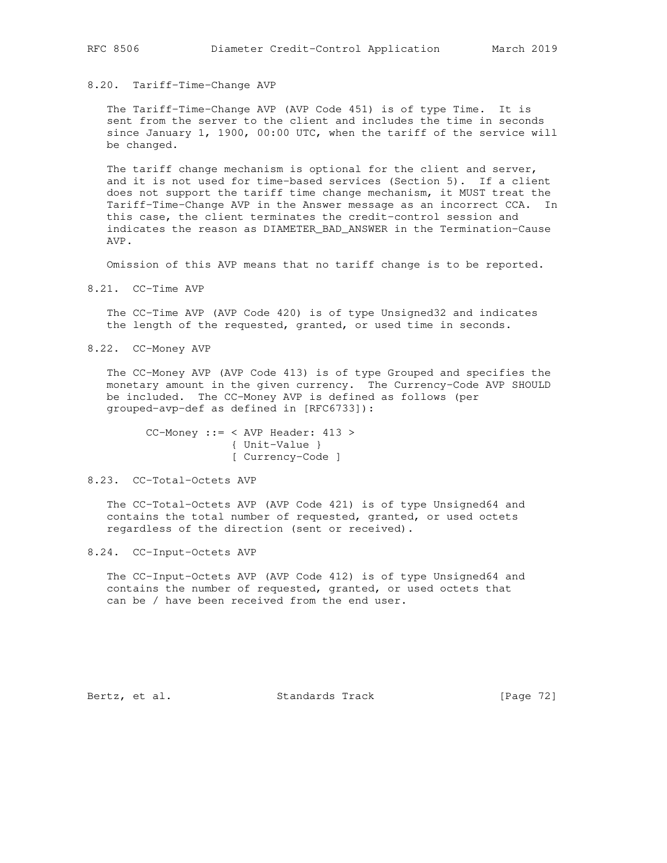## 8.20. Tariff-Time-Change AVP

 The Tariff-Time-Change AVP (AVP Code 451) is of type Time. It is sent from the server to the client and includes the time in seconds since January 1, 1900, 00:00 UTC, when the tariff of the service will be changed.

The tariff change mechanism is optional for the client and server, and it is not used for time-based services (Section 5). If a client does not support the tariff time change mechanism, it MUST treat the Tariff-Time-Change AVP in the Answer message as an incorrect CCA. In this case, the client terminates the credit-control session and indicates the reason as DIAMETER\_BAD\_ANSWER in the Termination-Cause AVP.

Omission of this AVP means that no tariff change is to be reported.

8.21. CC-Time AVP

 The CC-Time AVP (AVP Code 420) is of type Unsigned32 and indicates the length of the requested, granted, or used time in seconds.

8.22. CC-Money AVP

 The CC-Money AVP (AVP Code 413) is of type Grouped and specifies the monetary amount in the given currency. The Currency-Code AVP SHOULD be included. The CC-Money AVP is defined as follows (per grouped-avp-def as defined in [RFC6733]):

 CC-Money ::= < AVP Header: 413 > { Unit-Value } [ Currency-Code ]

## 8.23. CC-Total-Octets AVP

 The CC-Total-Octets AVP (AVP Code 421) is of type Unsigned64 and contains the total number of requested, granted, or used octets regardless of the direction (sent or received).

8.24. CC-Input-Octets AVP

 The CC-Input-Octets AVP (AVP Code 412) is of type Unsigned64 and contains the number of requested, granted, or used octets that can be / have been received from the end user.

Bertz, et al. Standards Track [Page 72]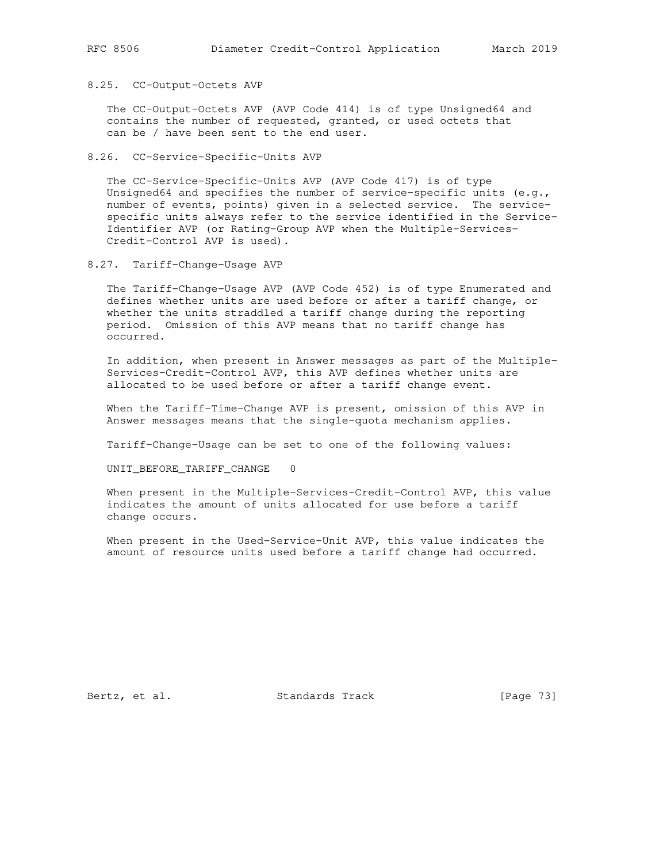8.25. CC-Output-Octets AVP

 The CC-Output-Octets AVP (AVP Code 414) is of type Unsigned64 and contains the number of requested, granted, or used octets that can be / have been sent to the end user.

8.26. CC-Service-Specific-Units AVP

 The CC-Service-Specific-Units AVP (AVP Code 417) is of type Unsigned64 and specifies the number of service-specific units  $(e.g.,$  number of events, points) given in a selected service. The service specific units always refer to the service identified in the Service- Identifier AVP (or Rating-Group AVP when the Multiple-Services- Credit-Control AVP is used).

8.27. Tariff-Change-Usage AVP

 The Tariff-Change-Usage AVP (AVP Code 452) is of type Enumerated and defines whether units are used before or after a tariff change, or whether the units straddled a tariff change during the reporting period. Omission of this AVP means that no tariff change has occurred.

 In addition, when present in Answer messages as part of the Multiple- Services-Credit-Control AVP, this AVP defines whether units are allocated to be used before or after a tariff change event.

 When the Tariff-Time-Change AVP is present, omission of this AVP in Answer messages means that the single-quota mechanism applies.

Tariff-Change-Usage can be set to one of the following values:

UNIT\_BEFORE\_TARIFF\_CHANGE 0

 When present in the Multiple-Services-Credit-Control AVP, this value indicates the amount of units allocated for use before a tariff change occurs.

 When present in the Used-Service-Unit AVP, this value indicates the amount of resource units used before a tariff change had occurred.

Bertz, et al. Standards Track [Page 73]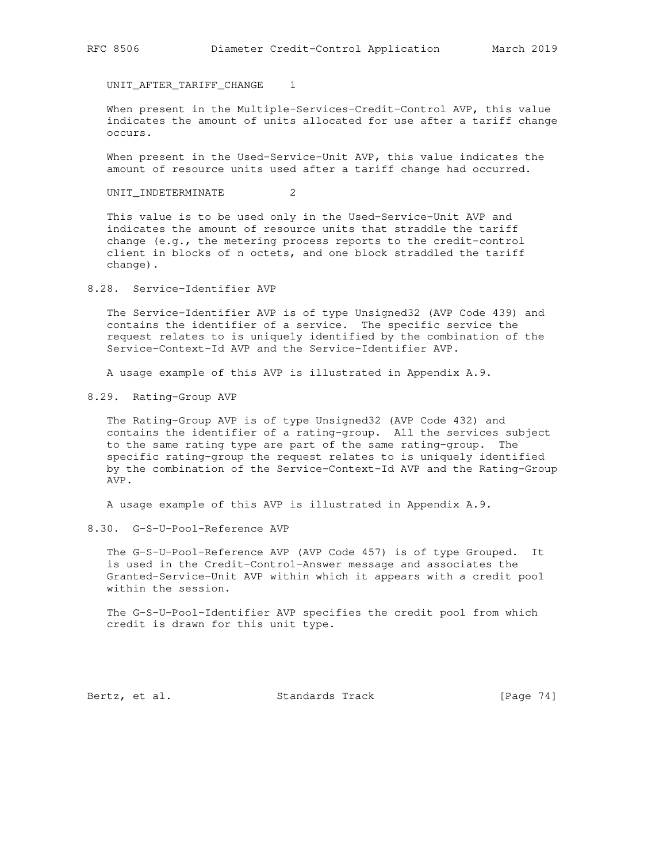UNIT\_AFTER\_TARIFF\_CHANGE 1

 When present in the Multiple-Services-Credit-Control AVP, this value indicates the amount of units allocated for use after a tariff change occurs.

 When present in the Used-Service-Unit AVP, this value indicates the amount of resource units used after a tariff change had occurred.

UNIT\_INDETERMINATE 2

 This value is to be used only in the Used-Service-Unit AVP and indicates the amount of resource units that straddle the tariff change (e.g., the metering process reports to the credit-control client in blocks of n octets, and one block straddled the tariff change).

8.28. Service-Identifier AVP

 The Service-Identifier AVP is of type Unsigned32 (AVP Code 439) and contains the identifier of a service. The specific service the request relates to is uniquely identified by the combination of the Service-Context-Id AVP and the Service-Identifier AVP.

A usage example of this AVP is illustrated in Appendix A.9.

8.29. Rating-Group AVP

 The Rating-Group AVP is of type Unsigned32 (AVP Code 432) and contains the identifier of a rating-group. All the services subject to the same rating type are part of the same rating-group. The specific rating-group the request relates to is uniquely identified by the combination of the Service-Context-Id AVP and the Rating-Group AVP.

A usage example of this AVP is illustrated in Appendix A.9.

8.30. G-S-U-Pool-Reference AVP

 The G-S-U-Pool-Reference AVP (AVP Code 457) is of type Grouped. It is used in the Credit-Control-Answer message and associates the Granted-Service-Unit AVP within which it appears with a credit pool within the session.

 The G-S-U-Pool-Identifier AVP specifies the credit pool from which credit is drawn for this unit type.

Bertz, et al. Standards Track [Page 74]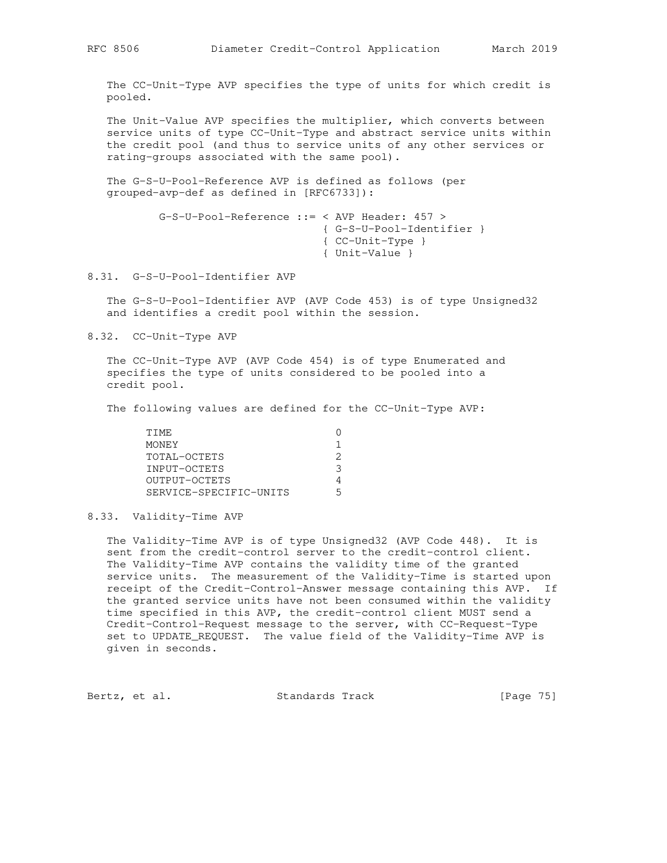The CC-Unit-Type AVP specifies the type of units for which credit is pooled.

 The Unit-Value AVP specifies the multiplier, which converts between service units of type CC-Unit-Type and abstract service units within the credit pool (and thus to service units of any other services or rating-groups associated with the same pool).

 The G-S-U-Pool-Reference AVP is defined as follows (per grouped-avp-def as defined in [RFC6733]):

```
 G-S-U-Pool-Reference ::= < AVP Header: 457 >
               { G-S-U-Pool-Identifier }
               { CC-Unit-Type }
               { Unit-Value }
```
8.31. G-S-U-Pool-Identifier AVP

 The G-S-U-Pool-Identifier AVP (AVP Code 453) is of type Unsigned32 and identifies a credit pool within the session.

8.32. CC-Unit-Type AVP

 The CC-Unit-Type AVP (AVP Code 454) is of type Enumerated and specifies the type of units considered to be pooled into a credit pool.

The following values are defined for the CC-Unit-Type AVP:

| TTMF.                  |   |
|------------------------|---|
| MONEY                  |   |
| TOTAL-OCTETS           | 2 |
| INPUT-OCTETS           | २ |
| OUTPUT-OCTETS          | 4 |
| SERVICE-SPECIFIC-UNITS | 5 |

8.33. Validity-Time AVP

 The Validity-Time AVP is of type Unsigned32 (AVP Code 448). It is sent from the credit-control server to the credit-control client. The Validity-Time AVP contains the validity time of the granted service units. The measurement of the Validity-Time is started upon receipt of the Credit-Control-Answer message containing this AVP. If the granted service units have not been consumed within the validity time specified in this AVP, the credit-control client MUST send a Credit-Control-Request message to the server, with CC-Request-Type set to UPDATE\_REQUEST. The value field of the Validity-Time AVP is given in seconds.

Bertz, et al. Standards Track [Page 75]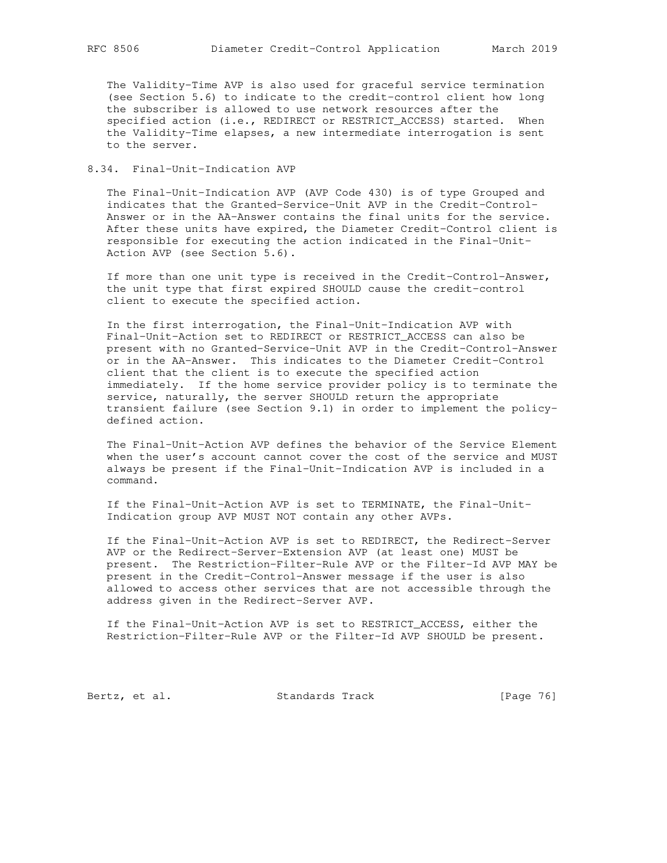The Validity-Time AVP is also used for graceful service termination (see Section 5.6) to indicate to the credit-control client how long the subscriber is allowed to use network resources after the specified action (i.e., REDIRECT or RESTRICT\_ACCESS) started. When the Validity-Time elapses, a new intermediate interrogation is sent to the server.

## 8.34. Final-Unit-Indication AVP

 The Final-Unit-Indication AVP (AVP Code 430) is of type Grouped and indicates that the Granted-Service-Unit AVP in the Credit-Control- Answer or in the AA-Answer contains the final units for the service. After these units have expired, the Diameter Credit-Control client is responsible for executing the action indicated in the Final-Unit- Action AVP (see Section 5.6).

 If more than one unit type is received in the Credit-Control-Answer, the unit type that first expired SHOULD cause the credit-control client to execute the specified action.

 In the first interrogation, the Final-Unit-Indication AVP with Final-Unit-Action set to REDIRECT or RESTRICT\_ACCESS can also be present with no Granted-Service-Unit AVP in the Credit-Control-Answer or in the AA-Answer. This indicates to the Diameter Credit-Control client that the client is to execute the specified action immediately. If the home service provider policy is to terminate the service, naturally, the server SHOULD return the appropriate transient failure (see Section 9.1) in order to implement the policy defined action.

 The Final-Unit-Action AVP defines the behavior of the Service Element when the user's account cannot cover the cost of the service and MUST always be present if the Final-Unit-Indication AVP is included in a command.

 If the Final-Unit-Action AVP is set to TERMINATE, the Final-Unit- Indication group AVP MUST NOT contain any other AVPs.

 If the Final-Unit-Action AVP is set to REDIRECT, the Redirect-Server AVP or the Redirect-Server-Extension AVP (at least one) MUST be present. The Restriction-Filter-Rule AVP or the Filter-Id AVP MAY be present in the Credit-Control-Answer message if the user is also allowed to access other services that are not accessible through the address given in the Redirect-Server AVP.

 If the Final-Unit-Action AVP is set to RESTRICT\_ACCESS, either the Restriction-Filter-Rule AVP or the Filter-Id AVP SHOULD be present.

Bertz, et al. Standards Track [Page 76]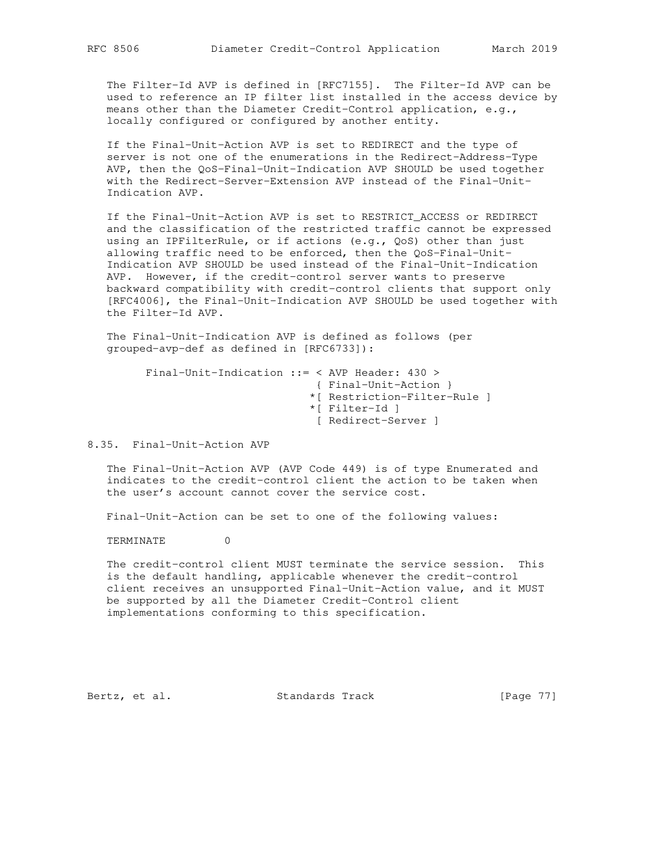The Filter-Id AVP is defined in [RFC7155]. The Filter-Id AVP can be used to reference an IP filter list installed in the access device by means other than the Diameter Credit-Control application, e.g., locally configured or configured by another entity.

 If the Final-Unit-Action AVP is set to REDIRECT and the type of server is not one of the enumerations in the Redirect-Address-Type AVP, then the QoS-Final-Unit-Indication AVP SHOULD be used together with the Redirect-Server-Extension AVP instead of the Final-Unit- Indication AVP.

 If the Final-Unit-Action AVP is set to RESTRICT\_ACCESS or REDIRECT and the classification of the restricted traffic cannot be expressed using an IPFilterRule, or if actions (e.g., QoS) other than just allowing traffic need to be enforced, then the QoS-Final-Unit- Indication AVP SHOULD be used instead of the Final-Unit-Indication AVP. However, if the credit-control server wants to preserve backward compatibility with credit-control clients that support only [RFC4006], the Final-Unit-Indication AVP SHOULD be used together with the Filter-Id AVP.

 The Final-Unit-Indication AVP is defined as follows (per grouped-avp-def as defined in [RFC6733]):

```
 Final-Unit-Indication ::= < AVP Header: 430 >
                { Final-Unit-Action }
               *[ Restriction-Filter-Rule ]
               *[ Filter-Id ]
                [ Redirect-Server ]
```
8.35. Final-Unit-Action AVP

 The Final-Unit-Action AVP (AVP Code 449) is of type Enumerated and indicates to the credit-control client the action to be taken when the user's account cannot cover the service cost.

Final-Unit-Action can be set to one of the following values:

TERMINATE 0

 The credit-control client MUST terminate the service session. This is the default handling, applicable whenever the credit-control client receives an unsupported Final-Unit-Action value, and it MUST be supported by all the Diameter Credit-Control client implementations conforming to this specification.

Bertz, et al. Standards Track [Page 77]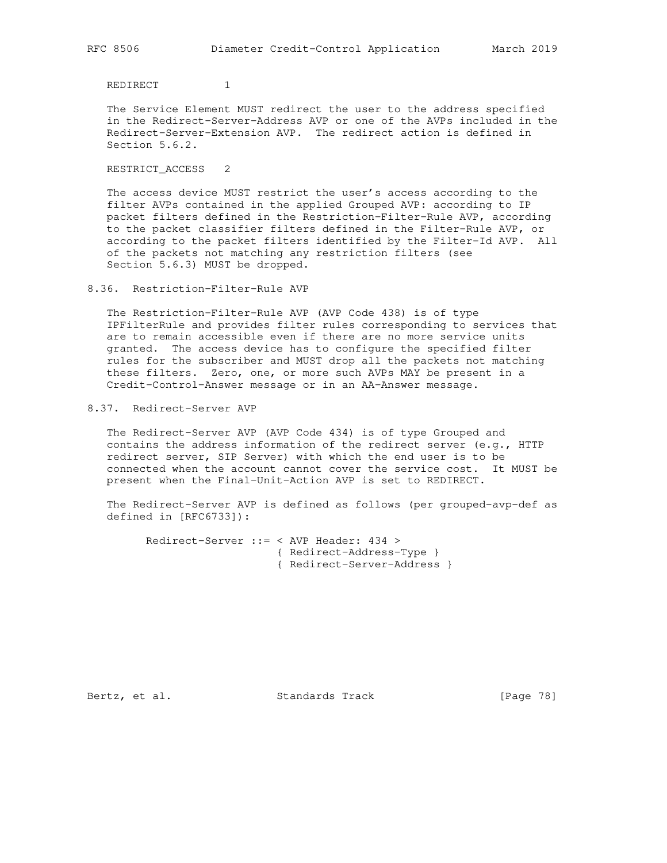REDIRECT 1

 The Service Element MUST redirect the user to the address specified in the Redirect-Server-Address AVP or one of the AVPs included in the Redirect-Server-Extension AVP. The redirect action is defined in Section 5.6.2.

RESTRICT\_ACCESS 2

 The access device MUST restrict the user's access according to the filter AVPs contained in the applied Grouped AVP: according to IP packet filters defined in the Restriction-Filter-Rule AVP, according to the packet classifier filters defined in the Filter-Rule AVP, or according to the packet filters identified by the Filter-Id AVP. All of the packets not matching any restriction filters (see Section 5.6.3) MUST be dropped.

8.36. Restriction-Filter-Rule AVP

 The Restriction-Filter-Rule AVP (AVP Code 438) is of type IPFilterRule and provides filter rules corresponding to services that are to remain accessible even if there are no more service units granted. The access device has to configure the specified filter rules for the subscriber and MUST drop all the packets not matching these filters. Zero, one, or more such AVPs MAY be present in a Credit-Control-Answer message or in an AA-Answer message.

8.37. Redirect-Server AVP

 The Redirect-Server AVP (AVP Code 434) is of type Grouped and contains the address information of the redirect server (e.g., HTTP redirect server, SIP Server) with which the end user is to be connected when the account cannot cover the service cost. It MUST be present when the Final-Unit-Action AVP is set to REDIRECT.

 The Redirect-Server AVP is defined as follows (per grouped-avp-def as defined in [RFC6733]):

 Redirect-Server ::= < AVP Header: 434 > { Redirect-Address-Type } { Redirect-Server-Address }

Bertz, et al. Standards Track [Page 78]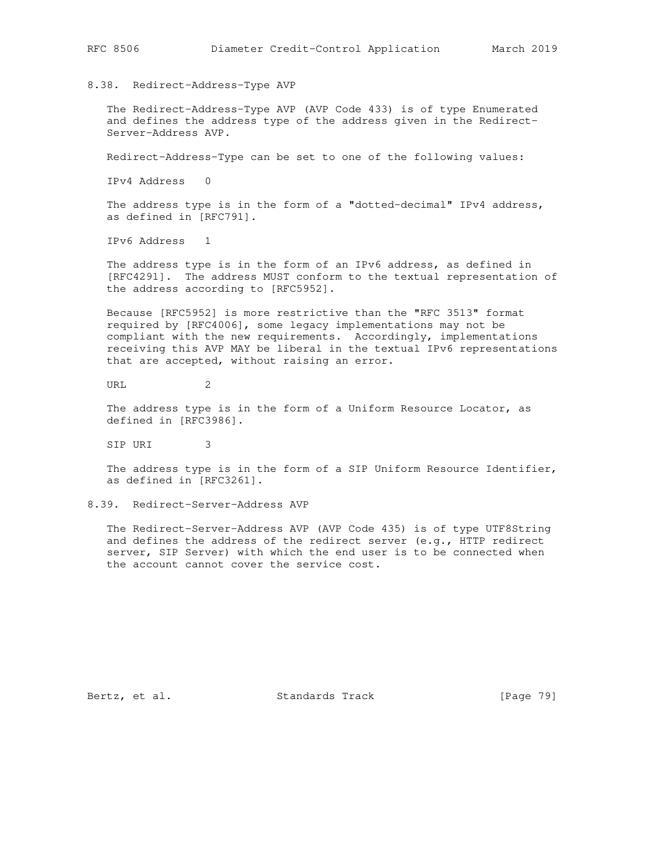8.38. Redirect-Address-Type AVP

 The Redirect-Address-Type AVP (AVP Code 433) is of type Enumerated and defines the address type of the address given in the Redirect- Server-Address AVP.

Redirect-Address-Type can be set to one of the following values:

IPv4 Address 0

 The address type is in the form of a "dotted-decimal" IPv4 address, as defined in [RFC791].

IPv6 Address 1

 The address type is in the form of an IPv6 address, as defined in [RFC4291]. The address MUST conform to the textual representation of the address according to [RFC5952].

 Because [RFC5952] is more restrictive than the "RFC 3513" format required by [RFC4006], some legacy implementations may not be compliant with the new requirements. Accordingly, implementations receiving this AVP MAY be liberal in the textual IPv6 representations that are accepted, without raising an error.

URL 2

 The address type is in the form of a Uniform Resource Locator, as defined in [RFC3986].

SIP URI 3

 The address type is in the form of a SIP Uniform Resource Identifier, as defined in [RFC3261].

8.39. Redirect-Server-Address AVP

 The Redirect-Server-Address AVP (AVP Code 435) is of type UTF8String and defines the address of the redirect server (e.g., HTTP redirect server, SIP Server) with which the end user is to be connected when the account cannot cover the service cost.

Bertz, et al. Standards Track [Page 79]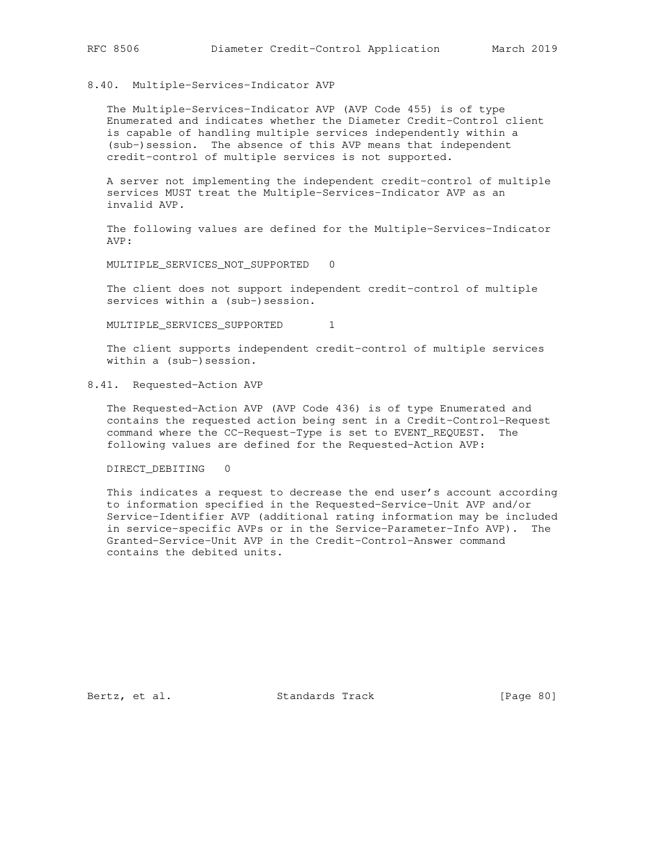### 8.40. Multiple-Services-Indicator AVP

 The Multiple-Services-Indicator AVP (AVP Code 455) is of type Enumerated and indicates whether the Diameter Credit-Control client is capable of handling multiple services independently within a (sub-)session. The absence of this AVP means that independent credit-control of multiple services is not supported.

 A server not implementing the independent credit-control of multiple services MUST treat the Multiple-Services-Indicator AVP as an invalid AVP.

 The following values are defined for the Multiple-Services-Indicator AVP:

MULTIPLE\_SERVICES\_NOT\_SUPPORTED 0

 The client does not support independent credit-control of multiple services within a (sub-)session.

MULTIPLE\_SERVICES\_SUPPORTED 1

 The client supports independent credit-control of multiple services within a (sub-)session.

8.41. Requested-Action AVP

 The Requested-Action AVP (AVP Code 436) is of type Enumerated and contains the requested action being sent in a Credit-Control-Request command where the CC-Request-Type is set to EVENT\_REQUEST. The following values are defined for the Requested-Action AVP:

DIRECT\_DEBITING 0

 This indicates a request to decrease the end user's account according to information specified in the Requested-Service-Unit AVP and/or Service-Identifier AVP (additional rating information may be included in service-specific AVPs or in the Service-Parameter-Info AVP). The Granted-Service-Unit AVP in the Credit-Control-Answer command contains the debited units.

Bertz, et al. Standards Track [Page 80]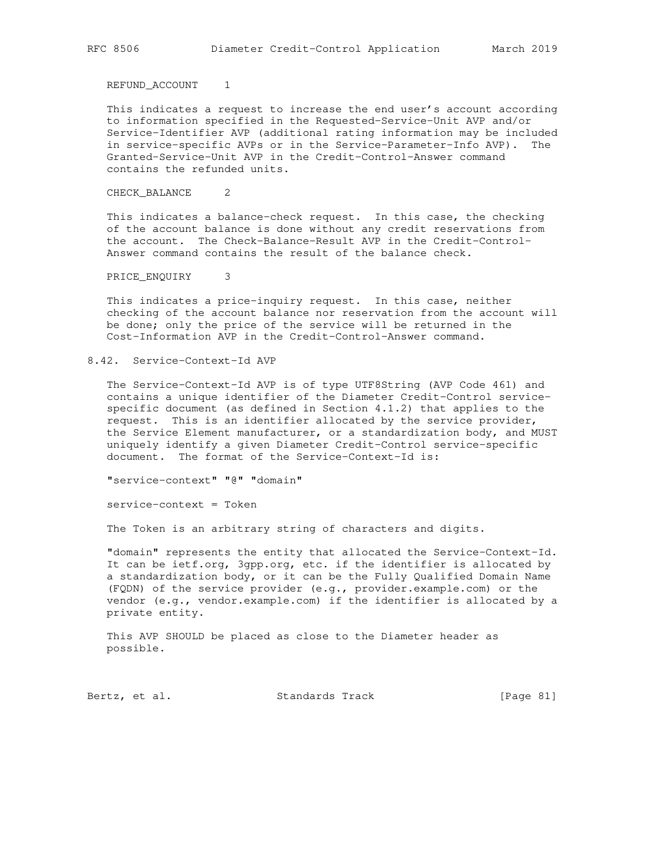REFUND\_ACCOUNT 1

 This indicates a request to increase the end user's account according to information specified in the Requested-Service-Unit AVP and/or Service-Identifier AVP (additional rating information may be included in service-specific AVPs or in the Service-Parameter-Info AVP). The Granted-Service-Unit AVP in the Credit-Control-Answer command contains the refunded units.

CHECK\_BALANCE 2

 This indicates a balance-check request. In this case, the checking of the account balance is done without any credit reservations from the account. The Check-Balance-Result AVP in the Credit-Control- Answer command contains the result of the balance check.

PRICE\_ENQUIRY 3

 This indicates a price-inquiry request. In this case, neither checking of the account balance nor reservation from the account will be done; only the price of the service will be returned in the Cost-Information AVP in the Credit-Control-Answer command.

8.42. Service-Context-Id AVP

 The Service-Context-Id AVP is of type UTF8String (AVP Code 461) and contains a unique identifier of the Diameter Credit-Control service specific document (as defined in Section 4.1.2) that applies to the request. This is an identifier allocated by the service provider, the Service Element manufacturer, or a standardization body, and MUST uniquely identify a given Diameter Credit-Control service-specific document. The format of the Service-Context-Id is:

"service-context" "@" "domain"

service-context = Token

The Token is an arbitrary string of characters and digits.

 "domain" represents the entity that allocated the Service-Context-Id. It can be ietf.org, 3gpp.org, etc. if the identifier is allocated by a standardization body, or it can be the Fully Qualified Domain Name (FQDN) of the service provider (e.g., provider.example.com) or the vendor (e.g., vendor.example.com) if the identifier is allocated by a private entity.

 This AVP SHOULD be placed as close to the Diameter header as possible.

Bertz, et al. Standards Track [Page 81]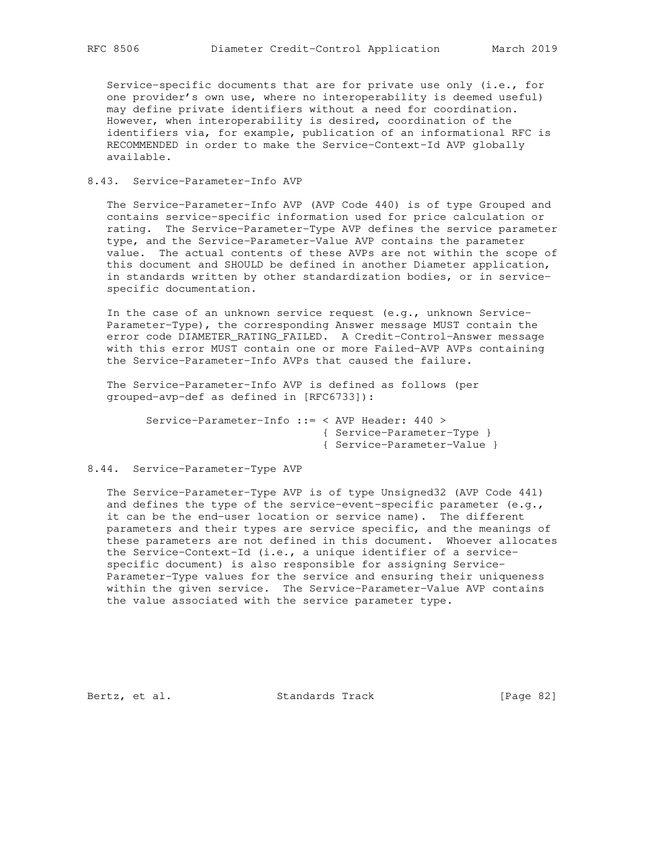Service-specific documents that are for private use only (i.e., for one provider's own use, where no interoperability is deemed useful) may define private identifiers without a need for coordination. However, when interoperability is desired, coordination of the identifiers via, for example, publication of an informational RFC is RECOMMENDED in order to make the Service-Context-Id AVP globally available.

# 8.43. Service-Parameter-Info AVP

 The Service-Parameter-Info AVP (AVP Code 440) is of type Grouped and contains service-specific information used for price calculation or rating. The Service-Parameter-Type AVP defines the service parameter type, and the Service-Parameter-Value AVP contains the parameter value. The actual contents of these AVPs are not within the scope of this document and SHOULD be defined in another Diameter application, in standards written by other standardization bodies, or in service specific documentation.

 In the case of an unknown service request (e.g., unknown Service- Parameter-Type), the corresponding Answer message MUST contain the error code DIAMETER\_RATING\_FAILED. A Credit-Control-Answer message with this error MUST contain one or more Failed-AVP AVPs containing the Service-Parameter-Info AVPs that caused the failure.

 The Service-Parameter-Info AVP is defined as follows (per grouped-avp-def as defined in [RFC6733]):

> Service-Parameter-Info ::= < AVP Header: 440 > { Service-Parameter-Type } { Service-Parameter-Value }

#### 8.44. Service-Parameter-Type AVP

 The Service-Parameter-Type AVP is of type Unsigned32 (AVP Code 441) and defines the type of the service-event-specific parameter  $(e,q, r)$  it can be the end-user location or service name). The different parameters and their types are service specific, and the meanings of these parameters are not defined in this document. Whoever allocates the Service-Context-Id (i.e., a unique identifier of a service specific document) is also responsible for assigning Service- Parameter-Type values for the service and ensuring their uniqueness within the given service. The Service-Parameter-Value AVP contains the value associated with the service parameter type.

Bertz, et al. Standards Track [Page 82]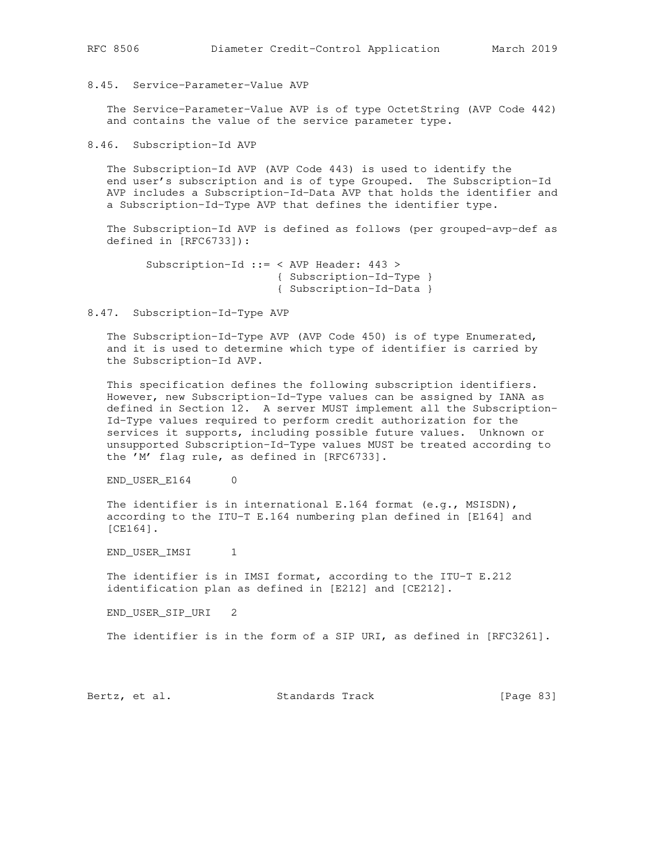8.45. Service-Parameter-Value AVP

 The Service-Parameter-Value AVP is of type OctetString (AVP Code 442) and contains the value of the service parameter type.

8.46. Subscription-Id AVP

 The Subscription-Id AVP (AVP Code 443) is used to identify the end user's subscription and is of type Grouped. The Subscription-Id AVP includes a Subscription-Id-Data AVP that holds the identifier and a Subscription-Id-Type AVP that defines the identifier type.

 The Subscription-Id AVP is defined as follows (per grouped-avp-def as defined in [RFC6733]):

```
 Subscription-Id ::= < AVP Header: 443 >
         { Subscription-Id-Type }
          { Subscription-Id-Data }
```
8.47. Subscription-Id-Type AVP

 The Subscription-Id-Type AVP (AVP Code 450) is of type Enumerated, and it is used to determine which type of identifier is carried by the Subscription-Id AVP.

 This specification defines the following subscription identifiers. However, new Subscription-Id-Type values can be assigned by IANA as defined in Section 12. A server MUST implement all the Subscription- Id-Type values required to perform credit authorization for the services it supports, including possible future values. Unknown or unsupported Subscription-Id-Type values MUST be treated according to the 'M' flag rule, as defined in [RFC6733].

END\_USER\_E164 0

The identifier is in international E.164 format (e.g., MSISDN), according to the ITU-T E.164 numbering plan defined in [E164] and [CE164].

END\_USER\_IMSI 1

 The identifier is in IMSI format, according to the ITU-T E.212 identification plan as defined in [E212] and [CE212].

END\_USER\_SIP\_URI 2

The identifier is in the form of a SIP URI, as defined in [RFC3261].

Bertz, et al. Standards Track [Page 83]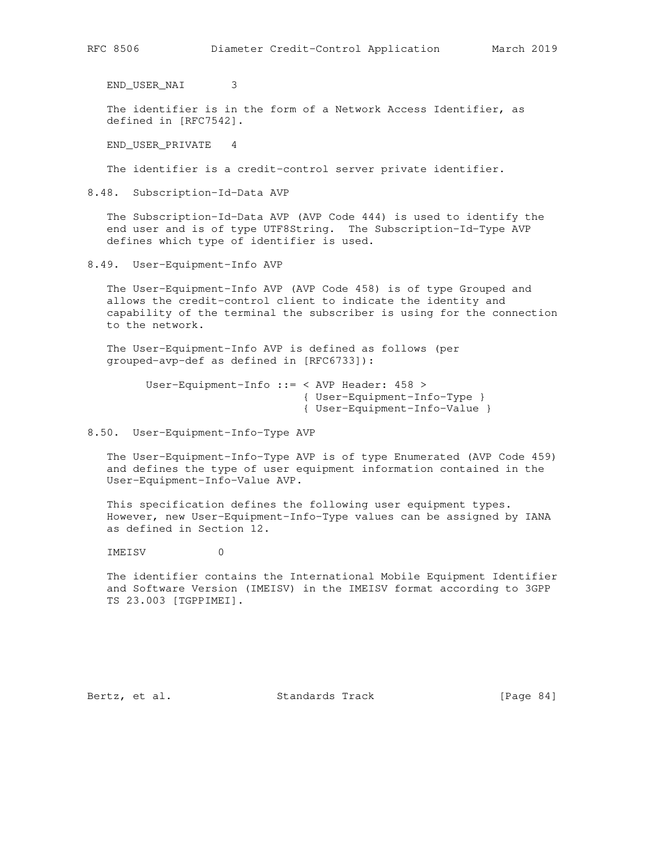END\_USER\_NAI 3

 The identifier is in the form of a Network Access Identifier, as defined in [RFC7542].

END\_USER\_PRIVATE 4

The identifier is a credit-control server private identifier.

8.48. Subscription-Id-Data AVP

 The Subscription-Id-Data AVP (AVP Code 444) is used to identify the end user and is of type UTF8String. The Subscription-Id-Type AVP defines which type of identifier is used.

8.49. User-Equipment-Info AVP

 The User-Equipment-Info AVP (AVP Code 458) is of type Grouped and allows the credit-control client to indicate the identity and capability of the terminal the subscriber is using for the connection to the network.

 The User-Equipment-Info AVP is defined as follows (per grouped-avp-def as defined in [RFC6733]):

> User-Equipment-Info ::= < AVP Header: 458 > { User-Equipment-Info-Type } { User-Equipment-Info-Value }

8.50. User-Equipment-Info-Type AVP

 The User-Equipment-Info-Type AVP is of type Enumerated (AVP Code 459) and defines the type of user equipment information contained in the User-Equipment-Info-Value AVP.

 This specification defines the following user equipment types. However, new User-Equipment-Info-Type values can be assigned by IANA as defined in Section 12.

IMEISV 0

 The identifier contains the International Mobile Equipment Identifier and Software Version (IMEISV) in the IMEISV format according to 3GPP TS 23.003 [TGPPIMEI].

Bertz, et al. Standards Track [Page 84]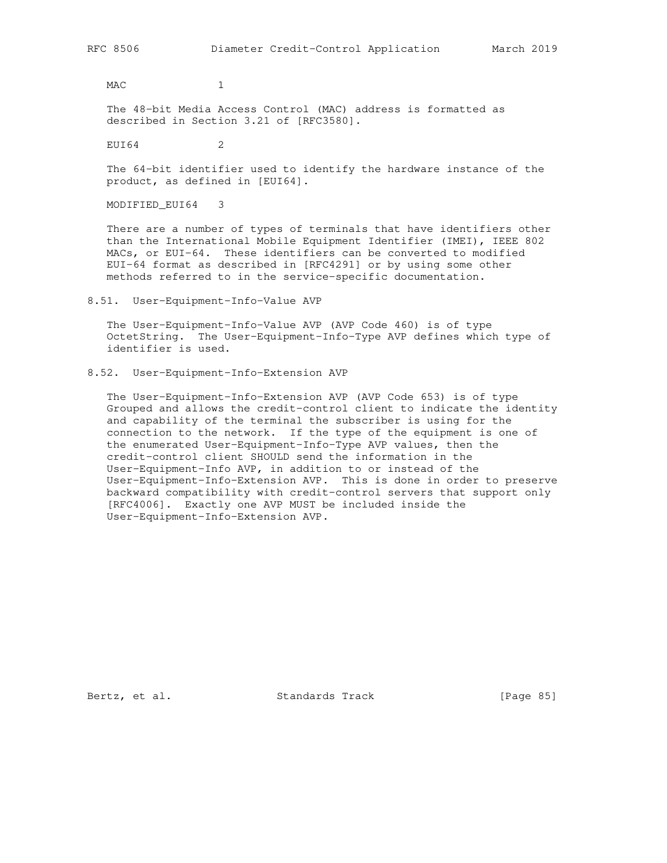MAC 1

 The 48-bit Media Access Control (MAC) address is formatted as described in Section 3.21 of [RFC3580].

EUI64 2

 The 64-bit identifier used to identify the hardware instance of the product, as defined in [EUI64].

MODIFIED\_EUI64 3

 There are a number of types of terminals that have identifiers other than the International Mobile Equipment Identifier (IMEI), IEEE 802 MACs, or EUI-64. These identifiers can be converted to modified EUI-64 format as described in [RFC4291] or by using some other methods referred to in the service-specific documentation.

8.51. User-Equipment-Info-Value AVP

 The User-Equipment-Info-Value AVP (AVP Code 460) is of type OctetString. The User-Equipment-Info-Type AVP defines which type of identifier is used.

### 8.52. User-Equipment-Info-Extension AVP

 The User-Equipment-Info-Extension AVP (AVP Code 653) is of type Grouped and allows the credit-control client to indicate the identity and capability of the terminal the subscriber is using for the connection to the network. If the type of the equipment is one of the enumerated User-Equipment-Info-Type AVP values, then the credit-control client SHOULD send the information in the User-Equipment-Info AVP, in addition to or instead of the User-Equipment-Info-Extension AVP. This is done in order to preserve backward compatibility with credit-control servers that support only [RFC4006]. Exactly one AVP MUST be included inside the User-Equipment-Info-Extension AVP.

Bertz, et al. Standards Track [Page 85]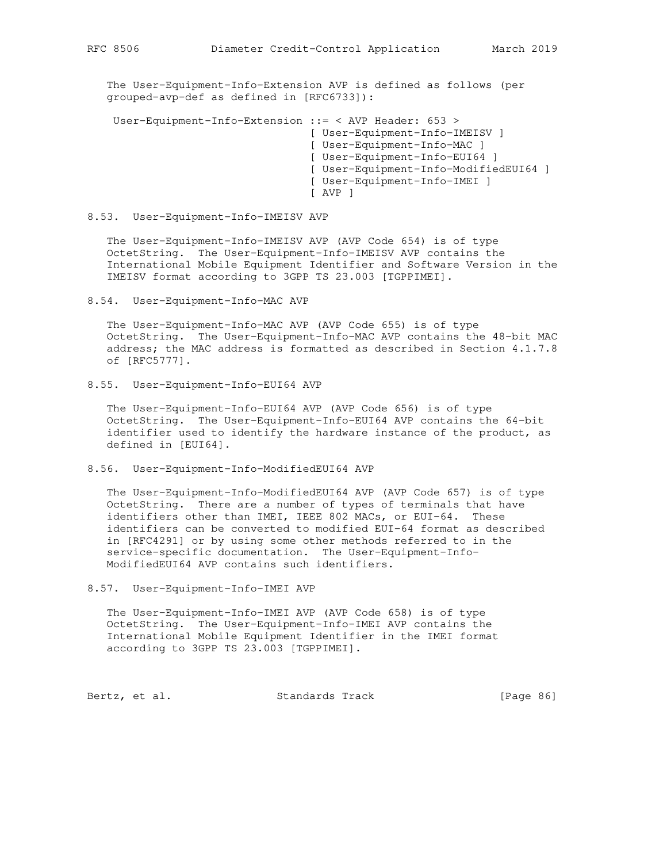The User-Equipment-Info-Extension AVP is defined as follows (per grouped-avp-def as defined in [RFC6733]):

 User-Equipment-Info-Extension ::= < AVP Header: 653 > [ User-Equipment-Info-IMEISV ] [ User-Equipment-Info-MAC ] [ User-Equipment-Info-EUI64 ] [ User-Equipment-Info-ModifiedEUI64 ] [ User-Equipment-Info-IMEI ] [ AVP ]

8.53. User-Equipment-Info-IMEISV AVP

 The User-Equipment-Info-IMEISV AVP (AVP Code 654) is of type OctetString. The User-Equipment-Info-IMEISV AVP contains the International Mobile Equipment Identifier and Software Version in the IMEISV format according to 3GPP TS 23.003 [TGPPIMEI].

8.54. User-Equipment-Info-MAC AVP

 The User-Equipment-Info-MAC AVP (AVP Code 655) is of type OctetString. The User-Equipment-Info-MAC AVP contains the 48-bit MAC address; the MAC address is formatted as described in Section 4.1.7.8 of [RFC5777].

8.55. User-Equipment-Info-EUI64 AVP

 The User-Equipment-Info-EUI64 AVP (AVP Code 656) is of type OctetString. The User-Equipment-Info-EUI64 AVP contains the 64-bit identifier used to identify the hardware instance of the product, as defined in [EUI64].

8.56. User-Equipment-Info-ModifiedEUI64 AVP

 The User-Equipment-Info-ModifiedEUI64 AVP (AVP Code 657) is of type OctetString. There are a number of types of terminals that have identifiers other than IMEI, IEEE 802 MACs, or EUI-64. These identifiers can be converted to modified EUI-64 format as described in [RFC4291] or by using some other methods referred to in the service-specific documentation. The User-Equipment-Info- ModifiedEUI64 AVP contains such identifiers.

8.57. User-Equipment-Info-IMEI AVP

 The User-Equipment-Info-IMEI AVP (AVP Code 658) is of type OctetString. The User-Equipment-Info-IMEI AVP contains the International Mobile Equipment Identifier in the IMEI format according to 3GPP TS 23.003 [TGPPIMEI].

Bertz, et al. Standards Track [Page 86]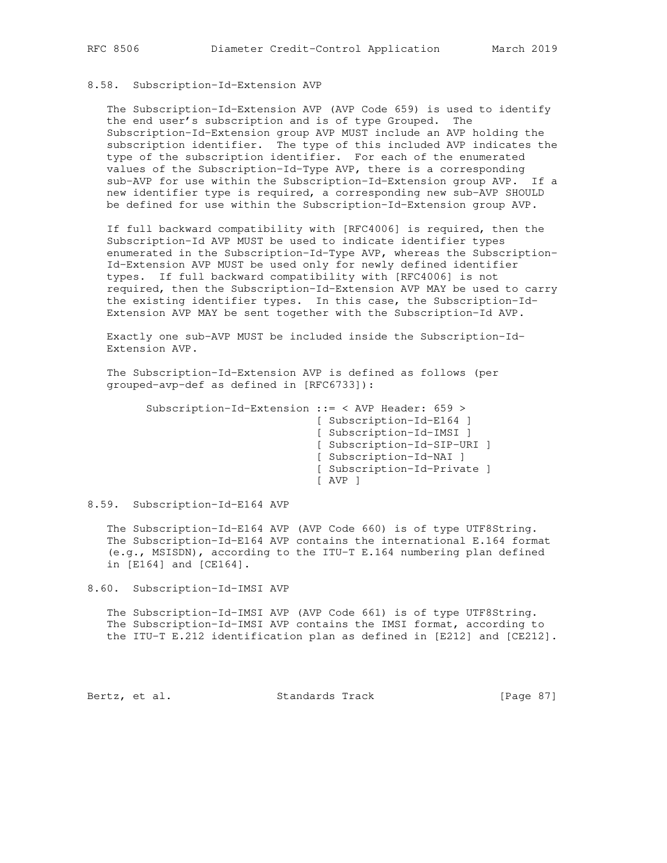# 8.58. Subscription-Id-Extension AVP

 The Subscription-Id-Extension AVP (AVP Code 659) is used to identify the end user's subscription and is of type Grouped. The Subscription-Id-Extension group AVP MUST include an AVP holding the subscription identifier. The type of this included AVP indicates the type of the subscription identifier. For each of the enumerated values of the Subscription-Id-Type AVP, there is a corresponding sub-AVP for use within the Subscription-Id-Extension group AVP. If a new identifier type is required, a corresponding new sub-AVP SHOULD be defined for use within the Subscription-Id-Extension group AVP.

 If full backward compatibility with [RFC4006] is required, then the Subscription-Id AVP MUST be used to indicate identifier types enumerated in the Subscription-Id-Type AVP, whereas the Subscription- Id-Extension AVP MUST be used only for newly defined identifier types. If full backward compatibility with [RFC4006] is not required, then the Subscription-Id-Extension AVP MAY be used to carry the existing identifier types. In this case, the Subscription-Id- Extension AVP MAY be sent together with the Subscription-Id AVP.

 Exactly one sub-AVP MUST be included inside the Subscription-Id- Extension AVP.

 The Subscription-Id-Extension AVP is defined as follows (per grouped-avp-def as defined in [RFC6733]):

> Subscription-Id-Extension ::= < AVP Header: 659 > [ Subscription-Id-E164 ] [ Subscription-Id-IMSI ] [ Subscription-Id-SIP-URI ] [ Subscription-Id-NAI ] [ Subscription-Id-Private ] [ AVP ]

8.59. Subscription-Id-E164 AVP

 The Subscription-Id-E164 AVP (AVP Code 660) is of type UTF8String. The Subscription-Id-E164 AVP contains the international E.164 format (e.g., MSISDN), according to the ITU-T E.164 numbering plan defined in [E164] and [CE164].

8.60. Subscription-Id-IMSI AVP

 The Subscription-Id-IMSI AVP (AVP Code 661) is of type UTF8String. The Subscription-Id-IMSI AVP contains the IMSI format, according to the ITU-T E.212 identification plan as defined in [E212] and [CE212].

Bertz, et al. Standards Track [Page 87]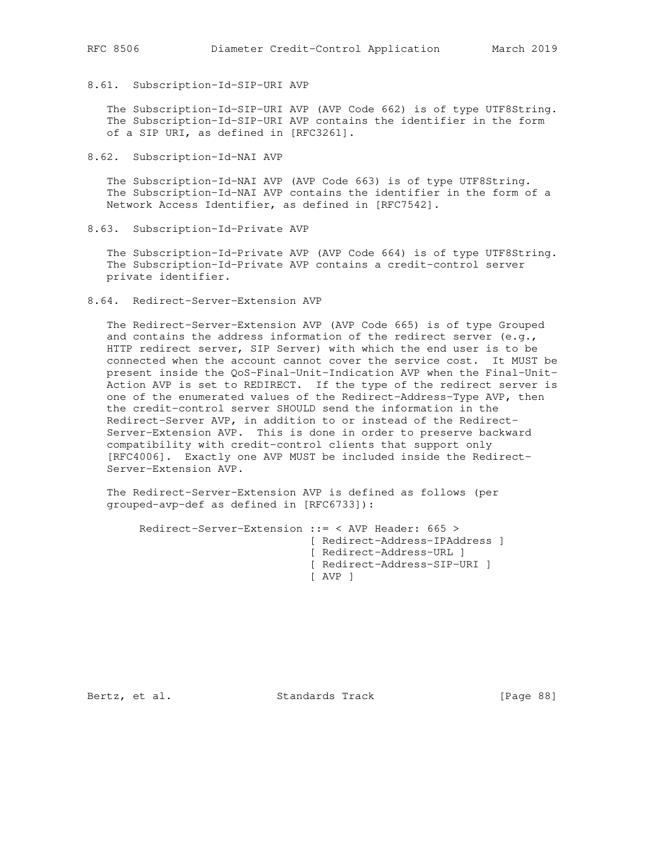8.61. Subscription-Id-SIP-URI AVP

 The Subscription-Id-SIP-URI AVP (AVP Code 662) is of type UTF8String. The Subscription-Id-SIP-URI AVP contains the identifier in the form of a SIP URI, as defined in [RFC3261].

8.62. Subscription-Id-NAI AVP

 The Subscription-Id-NAI AVP (AVP Code 663) is of type UTF8String. The Subscription-Id-NAI AVP contains the identifier in the form of a Network Access Identifier, as defined in [RFC7542].

8.63. Subscription-Id-Private AVP

 The Subscription-Id-Private AVP (AVP Code 664) is of type UTF8String. The Subscription-Id-Private AVP contains a credit-control server private identifier.

8.64. Redirect-Server-Extension AVP

 The Redirect-Server-Extension AVP (AVP Code 665) is of type Grouped and contains the address information of the redirect server (e.g., HTTP redirect server, SIP Server) with which the end user is to be connected when the account cannot cover the service cost. It MUST be present inside the QoS-Final-Unit-Indication AVP when the Final-Unit- Action AVP is set to REDIRECT. If the type of the redirect server is one of the enumerated values of the Redirect-Address-Type AVP, then the credit-control server SHOULD send the information in the Redirect-Server AVP, in addition to or instead of the Redirect- Server-Extension AVP. This is done in order to preserve backward compatibility with credit-control clients that support only [RFC4006]. Exactly one AVP MUST be included inside the Redirect- Server-Extension AVP.

 The Redirect-Server-Extension AVP is defined as follows (per grouped-avp-def as defined in [RFC6733]):

 Redirect-Server-Extension ::= < AVP Header: 665 > [ Redirect-Address-IPAddress ] [ Redirect-Address-URL ] [ Redirect-Address-SIP-URI ] [ AVP ]

Bertz, et al. Standards Track [Page 88]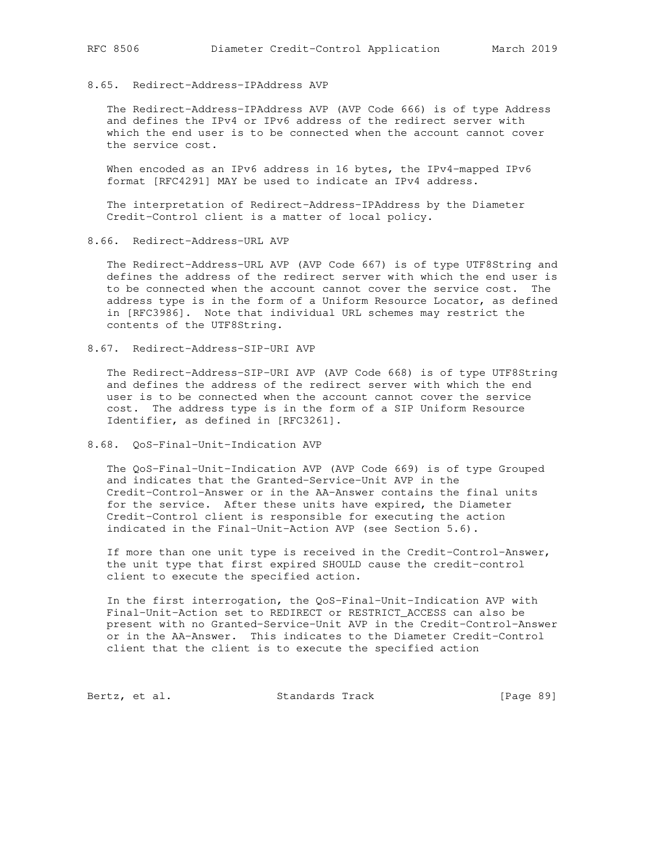# 8.65. Redirect-Address-IPAddress AVP

 The Redirect-Address-IPAddress AVP (AVP Code 666) is of type Address and defines the IPv4 or IPv6 address of the redirect server with which the end user is to be connected when the account cannot cover the service cost.

When encoded as an IPv6 address in 16 bytes, the IPv4-mapped IPv6 format [RFC4291] MAY be used to indicate an IPv4 address.

 The interpretation of Redirect-Address-IPAddress by the Diameter Credit-Control client is a matter of local policy.

8.66. Redirect-Address-URL AVP

 The Redirect-Address-URL AVP (AVP Code 667) is of type UTF8String and defines the address of the redirect server with which the end user is to be connected when the account cannot cover the service cost. The address type is in the form of a Uniform Resource Locator, as defined in [RFC3986]. Note that individual URL schemes may restrict the contents of the UTF8String.

8.67. Redirect-Address-SIP-URI AVP

 The Redirect-Address-SIP-URI AVP (AVP Code 668) is of type UTF8String and defines the address of the redirect server with which the end user is to be connected when the account cannot cover the service cost. The address type is in the form of a SIP Uniform Resource Identifier, as defined in [RFC3261].

## 8.68. QoS-Final-Unit-Indication AVP

 The QoS-Final-Unit-Indication AVP (AVP Code 669) is of type Grouped and indicates that the Granted-Service-Unit AVP in the Credit-Control-Answer or in the AA-Answer contains the final units for the service. After these units have expired, the Diameter Credit-Control client is responsible for executing the action indicated in the Final-Unit-Action AVP (see Section 5.6).

 If more than one unit type is received in the Credit-Control-Answer, the unit type that first expired SHOULD cause the credit-control client to execute the specified action.

 In the first interrogation, the QoS-Final-Unit-Indication AVP with Final-Unit-Action set to REDIRECT or RESTRICT\_ACCESS can also be present with no Granted-Service-Unit AVP in the Credit-Control-Answer or in the AA-Answer. This indicates to the Diameter Credit-Control client that the client is to execute the specified action

Bertz, et al. Standards Track [Page 89]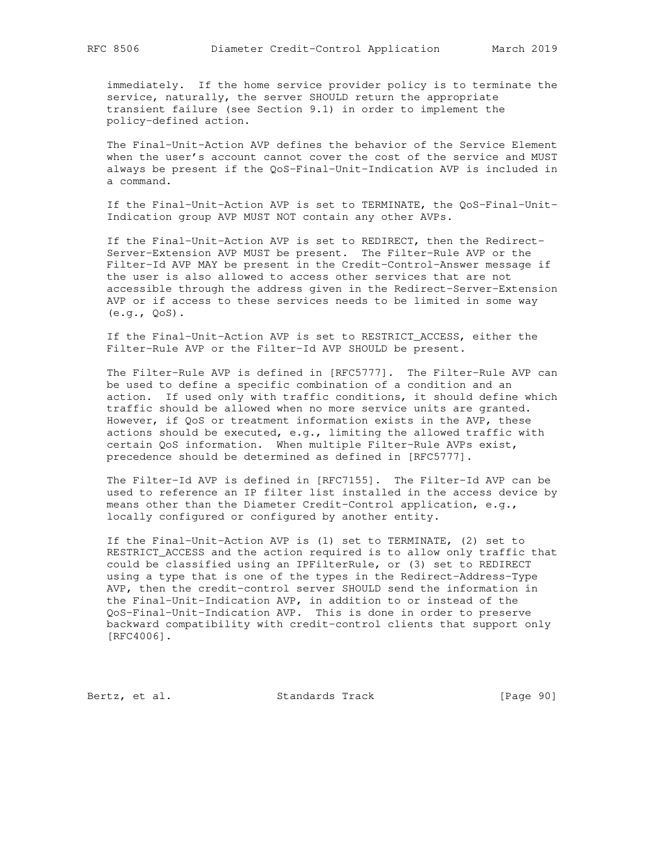immediately. If the home service provider policy is to terminate the service, naturally, the server SHOULD return the appropriate transient failure (see Section 9.1) in order to implement the policy-defined action.

 The Final-Unit-Action AVP defines the behavior of the Service Element when the user's account cannot cover the cost of the service and MUST always be present if the QoS-Final-Unit-Indication AVP is included in a command.

 If the Final-Unit-Action AVP is set to TERMINATE, the QoS-Final-Unit- Indication group AVP MUST NOT contain any other AVPs.

 If the Final-Unit-Action AVP is set to REDIRECT, then the Redirect- Server-Extension AVP MUST be present. The Filter-Rule AVP or the Filter-Id AVP MAY be present in the Credit-Control-Answer message if the user is also allowed to access other services that are not accessible through the address given in the Redirect-Server-Extension AVP or if access to these services needs to be limited in some way  $(e.g., QoS)$ .

 If the Final-Unit-Action AVP is set to RESTRICT\_ACCESS, either the Filter-Rule AVP or the Filter-Id AVP SHOULD be present.

 The Filter-Rule AVP is defined in [RFC5777]. The Filter-Rule AVP can be used to define a specific combination of a condition and an action. If used only with traffic conditions, it should define which traffic should be allowed when no more service units are granted. However, if QoS or treatment information exists in the AVP, these actions should be executed, e.g., limiting the allowed traffic with certain QoS information. When multiple Filter-Rule AVPs exist, precedence should be determined as defined in [RFC5777].

 The Filter-Id AVP is defined in [RFC7155]. The Filter-Id AVP can be used to reference an IP filter list installed in the access device by means other than the Diameter Credit-Control application, e.g., locally configured or configured by another entity.

 If the Final-Unit-Action AVP is (1) set to TERMINATE, (2) set to RESTRICT\_ACCESS and the action required is to allow only traffic that could be classified using an IPFilterRule, or (3) set to REDIRECT using a type that is one of the types in the Redirect-Address-Type AVP, then the credit-control server SHOULD send the information in the Final-Unit-Indication AVP, in addition to or instead of the QoS-Final-Unit-Indication AVP. This is done in order to preserve backward compatibility with credit-control clients that support only [RFC4006].

Bertz, et al. Standards Track [Page 90]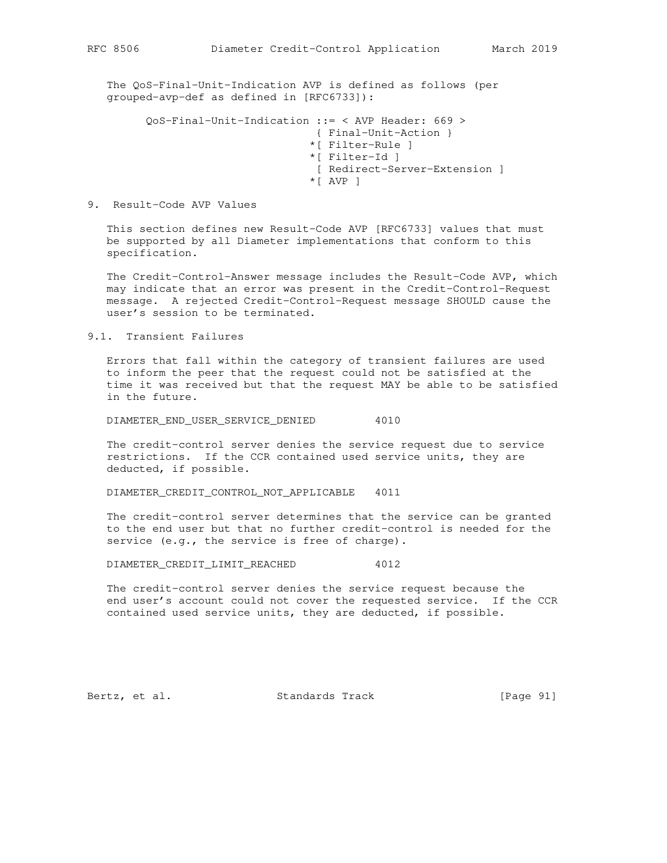The QoS-Final-Unit-Indication AVP is defined as follows (per grouped-avp-def as defined in [RFC6733]):

 QoS-Final-Unit-Indication ::= < AVP Header: 669 > { Final-Unit-Action } \*[ Filter-Rule ] \*[ Filter-Id ] [ Redirect-Server-Extension ]  $*$  [ AVP ]

# 9. Result-Code AVP Values

 This section defines new Result-Code AVP [RFC6733] values that must be supported by all Diameter implementations that conform to this specification.

 The Credit-Control-Answer message includes the Result-Code AVP, which may indicate that an error was present in the Credit-Control-Request message. A rejected Credit-Control-Request message SHOULD cause the user's session to be terminated.

# 9.1. Transient Failures

 Errors that fall within the category of transient failures are used to inform the peer that the request could not be satisfied at the time it was received but that the request MAY be able to be satisfied in the future.

DIAMETER\_END\_USER\_SERVICE\_DENIED 4010

 The credit-control server denies the service request due to service restrictions. If the CCR contained used service units, they are deducted, if possible.

DIAMETER\_CREDIT\_CONTROL\_NOT\_APPLICABLE 4011

 The credit-control server determines that the service can be granted to the end user but that no further credit-control is needed for the service (e.g., the service is free of charge).

DIAMETER\_CREDIT\_LIMIT\_REACHED 4012

 The credit-control server denies the service request because the end user's account could not cover the requested service. If the CCR contained used service units, they are deducted, if possible.

Bertz, et al. Standards Track [Page 91]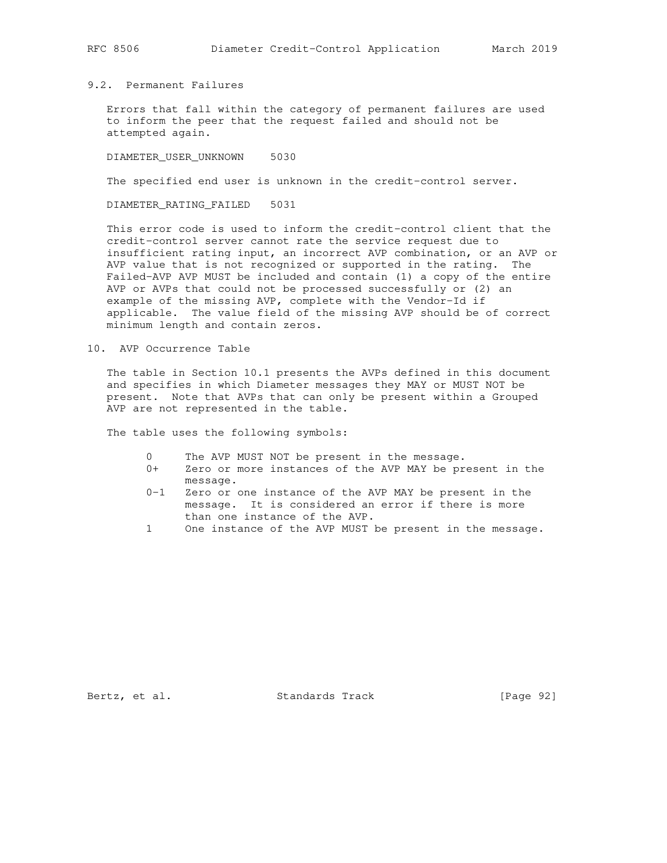# 9.2. Permanent Failures

 Errors that fall within the category of permanent failures are used to inform the peer that the request failed and should not be attempted again.

DIAMETER\_USER\_UNKNOWN 5030

The specified end user is unknown in the credit-control server.

DIAMETER\_RATING\_FAILED 5031

 This error code is used to inform the credit-control client that the credit-control server cannot rate the service request due to insufficient rating input, an incorrect AVP combination, or an AVP or AVP value that is not recognized or supported in the rating. The Failed-AVP AVP MUST be included and contain (1) a copy of the entire AVP or AVPs that could not be processed successfully or (2) an example of the missing AVP, complete with the Vendor-Id if applicable. The value field of the missing AVP should be of correct minimum length and contain zeros.

10. AVP Occurrence Table

 The table in Section 10.1 presents the AVPs defined in this document and specifies in which Diameter messages they MAY or MUST NOT be present. Note that AVPs that can only be present within a Grouped AVP are not represented in the table.

The table uses the following symbols:

- 0 The AVP MUST NOT be present in the message.
- 0+ Zero or more instances of the AVP MAY be present in the message.
- 0-1 Zero or one instance of the AVP MAY be present in the message. It is considered an error if there is more than one instance of the AVP.
- 1 One instance of the AVP MUST be present in the message.

Bertz, et al. Standards Track [Page 92]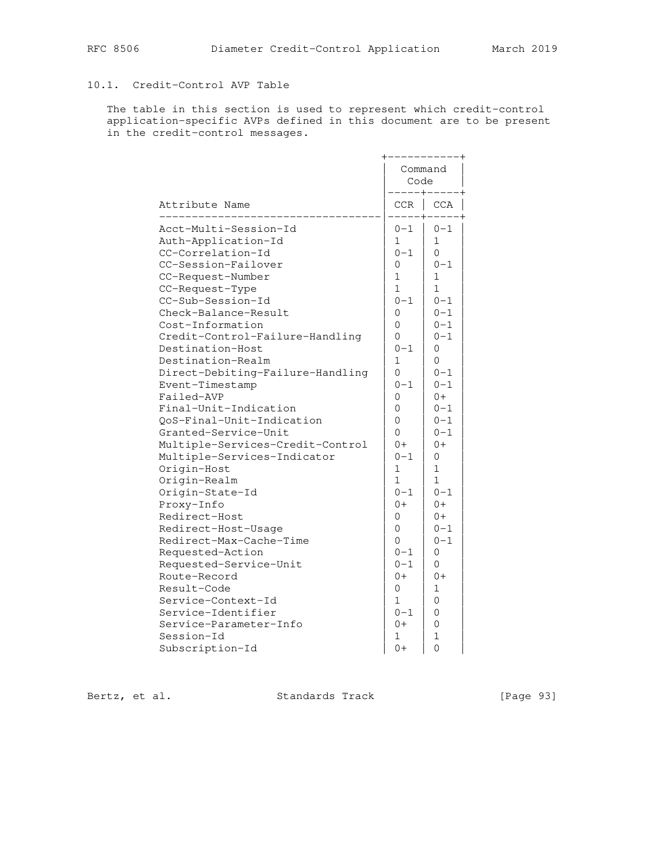# 10.1. Credit-Control AVP Table

 The table in this section is used to represent which credit-control application-specific AVPs defined in this document are to be present in the credit-control messages.

|                                  |              | Command<br>Code |  |
|----------------------------------|--------------|-----------------|--|
| Attribute Name                   | CCR          | CCA             |  |
| Acct-Multi-Session-Id            | $0 - 1$      | $0 - 1$         |  |
| Auth-Application-Id              | 1            | $\mathbf{1}$    |  |
| CC-Correlation-Id                | $0 - 1$      | 0               |  |
| CC-Session-Failover              | 0            | $0 - 1$         |  |
| CC-Request-Number                | 1            | $\mathbf{1}$    |  |
| CC-Request-Type                  | $\mathbf{1}$ | $\mathbf{1}$    |  |
| CC-Sub-Session-Id                | $0 - 1$      | $0 - 1$         |  |
| Check-Balance-Result             | 0            | $0 - 1$         |  |
| Cost-Information                 | 0            | $0 - 1$         |  |
| Credit-Control-Failure-Handling  | $\mathbf{0}$ | $0 - 1$         |  |
| Destination-Host                 | $0 - 1$      | 0               |  |
| Destination-Realm                | 1            | 0               |  |
| Direct-Debiting-Failure-Handling | 0            | $0 - 1$         |  |
| Event-Timestamp                  | $0 - 1$      | $0 - 1$         |  |
| Failed-AVP                       | 0            | $0+$            |  |
| Final-Unit-Indication            | 0            | $0 - 1$         |  |
| OoS-Final-Unit-Indication        | $\Omega$     | $0 - 1$         |  |
| Granted-Service-Unit             | $\Omega$     | $0 - 1$         |  |
| Multiple-Services-Credit-Control | $0+$         | $0+$            |  |
| Multiple-Services-Indicator      | $0 - 1$      | 0               |  |
| Origin-Host                      | $\mathbf{1}$ | $\mathbf{1}$    |  |
| Origin-Realm                     | $\mathbf{1}$ | $\mathbf{1}$    |  |
| Origin-State-Id                  | $0 - 1$      | $0 - 1$         |  |
| Proxy-Info                       | $0+$         | $0+$            |  |
| Redirect-Host                    | 0            | $0+$            |  |
| Redirect-Host-Usage              | 0            | $0 - 1$         |  |
| Redirect-Max-Cache-Time          | $\Omega$     | $0 - 1$         |  |
| Requested-Action                 | $0 - 1$      | 0               |  |
| Requested-Service-Unit           | $0 - 1$      | 0               |  |
| Route-Record                     | $0+$         | $0+$            |  |
| Result-Code                      | 0            | $\mathbf 1$     |  |
| Service-Context-Id               | $\mathbf{1}$ | 0               |  |
| Service-Identifier               | $0 - 1$      | 0               |  |
| Service-Parameter-Info           | $0+$         | 0               |  |
| Session-Id                       | $\mathbf{1}$ | $\mathbf 1$     |  |
| Subscription-Id                  | $0+$         | 0               |  |

Bertz, et al. Standards Track [Page 93]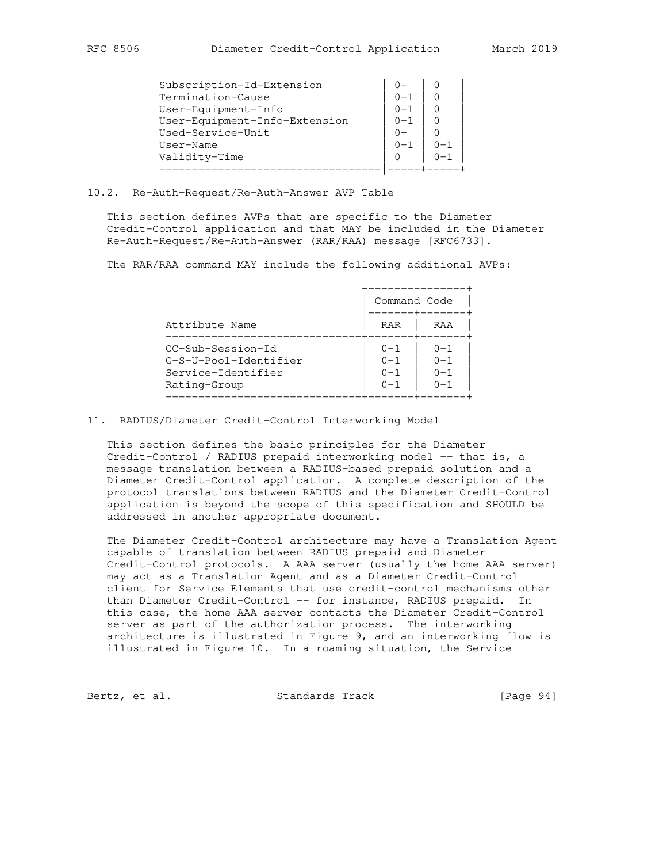| Subscription-Id-Extension     | 0+       |         |
|-------------------------------|----------|---------|
| Termination-Cause             | $() - 1$ |         |
| User-Equipment-Info           | $0 - 1$  |         |
| User-Equipment-Info-Extension | $() - 1$ |         |
| Used-Service-Unit             | $() +$   |         |
| User-Name                     | $() - 1$ | $0 - 1$ |
| Validity-Time                 |          |         |
|                               |          |         |

# 10.2. Re-Auth-Request/Re-Auth-Answer AVP Table

 This section defines AVPs that are specific to the Diameter Credit-Control application and that MAY be included in the Diameter Re-Auth-Request/Re-Auth-Answer (RAR/RAA) message [RFC6733].

The RAR/RAA command MAY include the following additional AVPs:

|                                                                                  |                                             | Command Code                              |  |
|----------------------------------------------------------------------------------|---------------------------------------------|-------------------------------------------|--|
| Attribute Name                                                                   | RAR                                         | RAA                                       |  |
| CC-Sub-Session-Id<br>G-S-U-Pool-Identifier<br>Service-Identifier<br>Rating-Group | $() - 1$<br>$() - 1$<br>$() - 1$<br>$0 - 1$ | $0 - 1$<br>$0 - 1$<br>$0 - 1$<br>$() - 1$ |  |

## 11. RADIUS/Diameter Credit-Control Interworking Model

 This section defines the basic principles for the Diameter Credit-Control / RADIUS prepaid interworking model -- that is, a message translation between a RADIUS-based prepaid solution and a Diameter Credit-Control application. A complete description of the protocol translations between RADIUS and the Diameter Credit-Control application is beyond the scope of this specification and SHOULD be addressed in another appropriate document.

 The Diameter Credit-Control architecture may have a Translation Agent capable of translation between RADIUS prepaid and Diameter Credit-Control protocols. A AAA server (usually the home AAA server) may act as a Translation Agent and as a Diameter Credit-Control client for Service Elements that use credit-control mechanisms other than Diameter Credit-Control -- for instance, RADIUS prepaid. In this case, the home AAA server contacts the Diameter Credit-Control server as part of the authorization process. The interworking architecture is illustrated in Figure 9, and an interworking flow is illustrated in Figure 10. In a roaming situation, the Service

Bertz, et al. Standards Track [Page 94]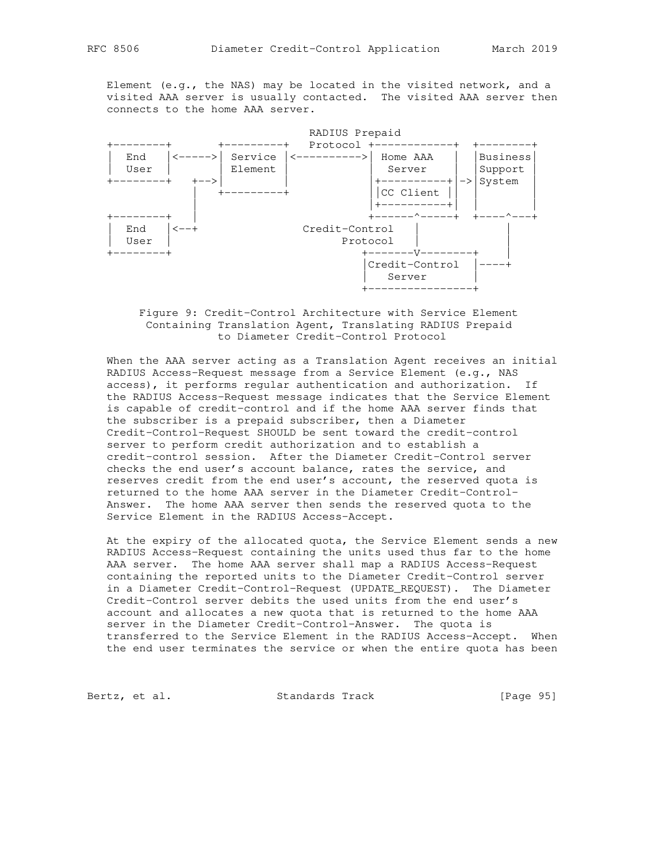Element (e.g., the NAS) may be located in the visited network, and a visited AAA server is usually contacted. The visited AAA server then connects to the home AAA server.



 Figure 9: Credit-Control Architecture with Service Element Containing Translation Agent, Translating RADIUS Prepaid to Diameter Credit-Control Protocol

 When the AAA server acting as a Translation Agent receives an initial RADIUS Access-Request message from a Service Element (e.g., NAS access), it performs regular authentication and authorization. If the RADIUS Access-Request message indicates that the Service Element is capable of credit-control and if the home AAA server finds that the subscriber is a prepaid subscriber, then a Diameter Credit-Control-Request SHOULD be sent toward the credit-control server to perform credit authorization and to establish a credit-control session. After the Diameter Credit-Control server checks the end user's account balance, rates the service, and reserves credit from the end user's account, the reserved quota is returned to the home AAA server in the Diameter Credit-Control- Answer. The home AAA server then sends the reserved quota to the Service Element in the RADIUS Access-Accept.

 At the expiry of the allocated quota, the Service Element sends a new RADIUS Access-Request containing the units used thus far to the home AAA server. The home AAA server shall map a RADIUS Access-Request containing the reported units to the Diameter Credit-Control server in a Diameter Credit-Control-Request (UPDATE\_REQUEST). The Diameter Credit-Control server debits the used units from the end user's account and allocates a new quota that is returned to the home AAA server in the Diameter Credit-Control-Answer. The quota is transferred to the Service Element in the RADIUS Access-Accept. When the end user terminates the service or when the entire quota has been

Bertz, et al. Standards Track [Page 95]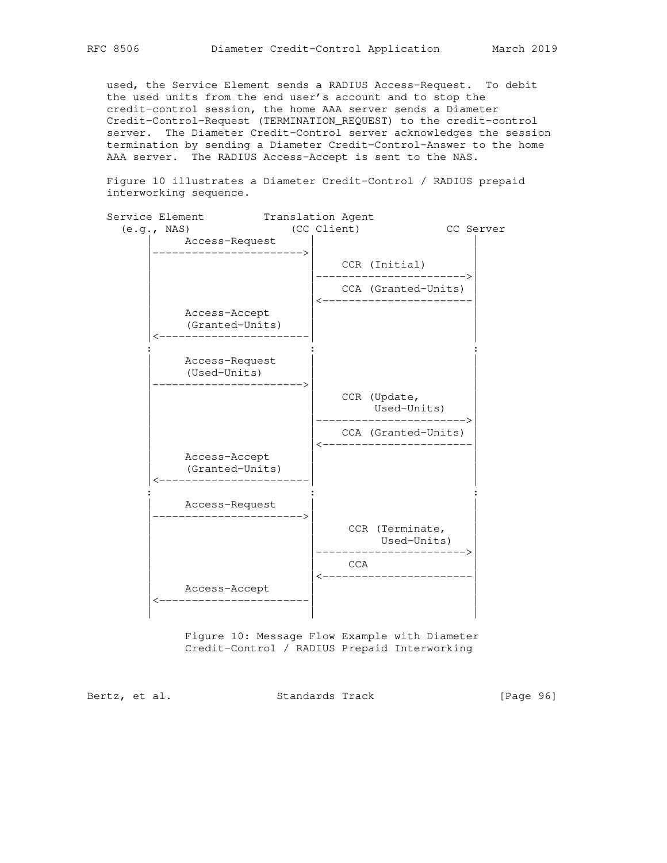used, the Service Element sends a RADIUS Access-Request. To debit the used units from the end user's account and to stop the credit-control session, the home AAA server sends a Diameter Credit-Control-Request (TERMINATION\_REQUEST) to the credit-control server. The Diameter Credit-Control server acknowledges the session termination by sending a Diameter Credit-Control-Answer to the home AAA server. The RADIUS Access-Accept is sent to the NAS.

 Figure 10 illustrates a Diameter Credit-Control / RADIUS prepaid interworking sequence.

| Service Element |                                  | Translation Agent |     |                                |           |
|-----------------|----------------------------------|-------------------|-----|--------------------------------|-----------|
| (e.g., NASA)    |                                  | (CC Client)       |     |                                | CC Server |
|                 | Access-Request                   |                   |     |                                |           |
|                 |                                  |                   |     | CCR (Initial)                  |           |
|                 |                                  |                   |     | CCA (Granted-Units)            |           |
|                 | Access-Accept                    |                   |     |                                |           |
|                 | (Granted-Units)                  |                   |     |                                |           |
|                 |                                  |                   |     |                                |           |
|                 | Access-Request<br>(Used-Units)   |                   |     |                                |           |
|                 |                                  |                   |     | CCR (Update,<br>Used-Units)    |           |
|                 |                                  |                   |     | CCA (Granted-Units)            |           |
|                 | Access-Accept<br>(Granted-Units) |                   |     |                                |           |
|                 | Access-Request                   |                   |     |                                |           |
|                 |                                  |                   |     | CCR (Terminate,<br>Used-Units) |           |
|                 |                                  |                   | CCA |                                |           |
|                 | Access-Accept                    |                   |     |                                |           |
|                 |                                  |                   |     |                                |           |

 Figure 10: Message Flow Example with Diameter Credit-Control / RADIUS Prepaid Interworking

Bertz, et al. Standards Track [Page 96]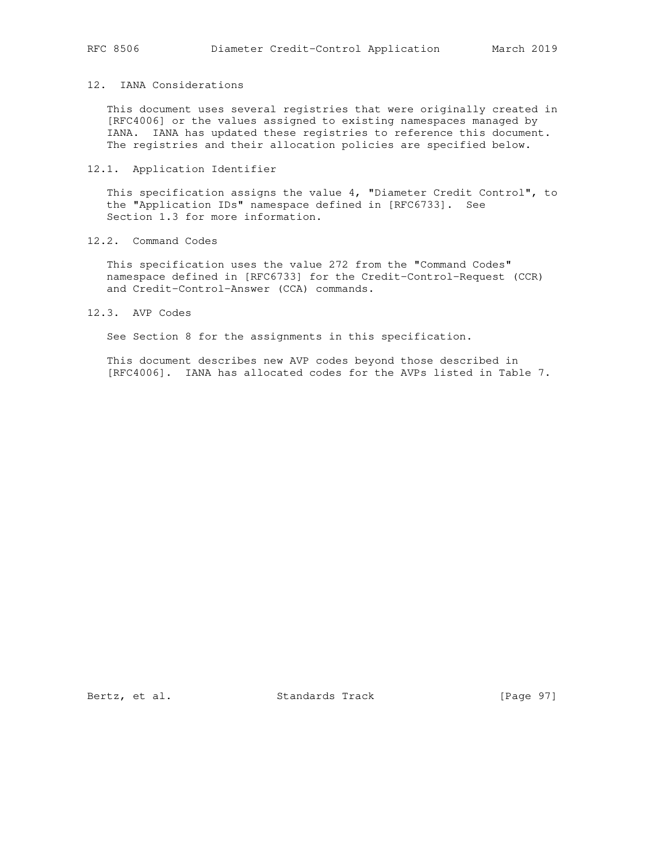## 12. IANA Considerations

 This document uses several registries that were originally created in [RFC4006] or the values assigned to existing namespaces managed by IANA. IANA has updated these registries to reference this document. The registries and their allocation policies are specified below.

12.1. Application Identifier

 This specification assigns the value 4, "Diameter Credit Control", to the "Application IDs" namespace defined in [RFC6733]. See Section 1.3 for more information.

12.2. Command Codes

 This specification uses the value 272 from the "Command Codes" namespace defined in [RFC6733] for the Credit-Control-Request (CCR) and Credit-Control-Answer (CCA) commands.

12.3. AVP Codes

See Section 8 for the assignments in this specification.

 This document describes new AVP codes beyond those described in [RFC4006]. IANA has allocated codes for the AVPs listed in Table 7.

Bertz, et al. Standards Track [Page 97]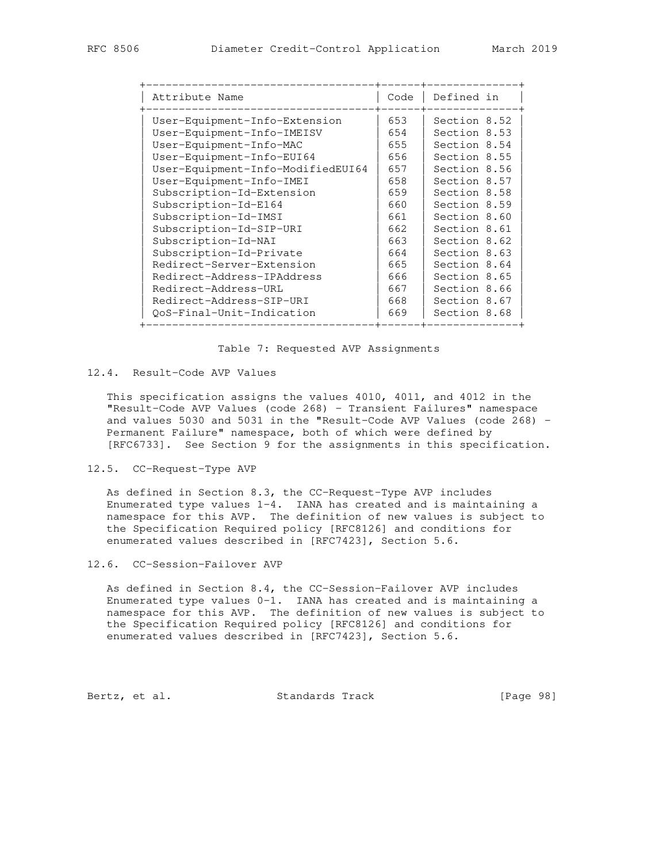| Attribute Name                    | Code | Defined in   |
|-----------------------------------|------|--------------|
| User-Equipment-Info-Extension     | 653  | Section 8.52 |
| User-Equipment-Info-IMEISV        | 654  | Section 8.53 |
| User-Equipment-Info-MAC           | 655  | Section 8.54 |
| User-Equipment-Info-EUI64         | 656  | Section 8.55 |
| User-Equipment-Info-ModifiedEUI64 | 657  | Section 8.56 |
| User-Equipment-Info-IMEI          | 658  | Section 8.57 |
| Subscription-Id-Extension         | 659  | Section 8.58 |
| Subscription-Id-E164              | 660  | Section 8.59 |
| Subscription-Id-IMSI              | 661  | Section 8.60 |
| Subscription-Id-SIP-URI           | 662  | Section 8.61 |
| Subscription-Id-NAI               | 663  | Section 8.62 |
| Subscription-Id-Private           | 664  | Section 8.63 |
| Redirect-Server-Extension         | 665  | Section 8.64 |
| Redirect-Address-IPAddress        | 666  | Section 8.65 |
| Redirect-Address-URL              | 667  | Section 8.66 |
| Redirect-Address-SIP-URI          | 668  | Section 8.67 |
| OoS-Final-Unit-Indication         | 669  | Section 8.68 |
|                                   |      |              |

### Table 7: Requested AVP Assignments

# 12.4. Result-Code AVP Values

 This specification assigns the values 4010, 4011, and 4012 in the "Result-Code AVP Values (code 268) - Transient Failures" namespace and values 5030 and 5031 in the "Result-Code AVP Values (code 268) - Permanent Failure" namespace, both of which were defined by [RFC6733]. See Section 9 for the assignments in this specification.

# 12.5. CC-Request-Type AVP

 As defined in Section 8.3, the CC-Request-Type AVP includes Enumerated type values  $1-4$ . IANA has created and is maintaining a namespace for this AVP. The definition of new values is subject to the Specification Required policy [RFC8126] and conditions for enumerated values described in [RFC7423], Section 5.6.

## 12.6. CC-Session-Failover AVP

 As defined in Section 8.4, the CC-Session-Failover AVP includes Enumerated type values 0-1. IANA has created and is maintaining a namespace for this AVP. The definition of new values is subject to the Specification Required policy [RFC8126] and conditions for enumerated values described in [RFC7423], Section 5.6.

Bertz, et al. Standards Track [Page 98]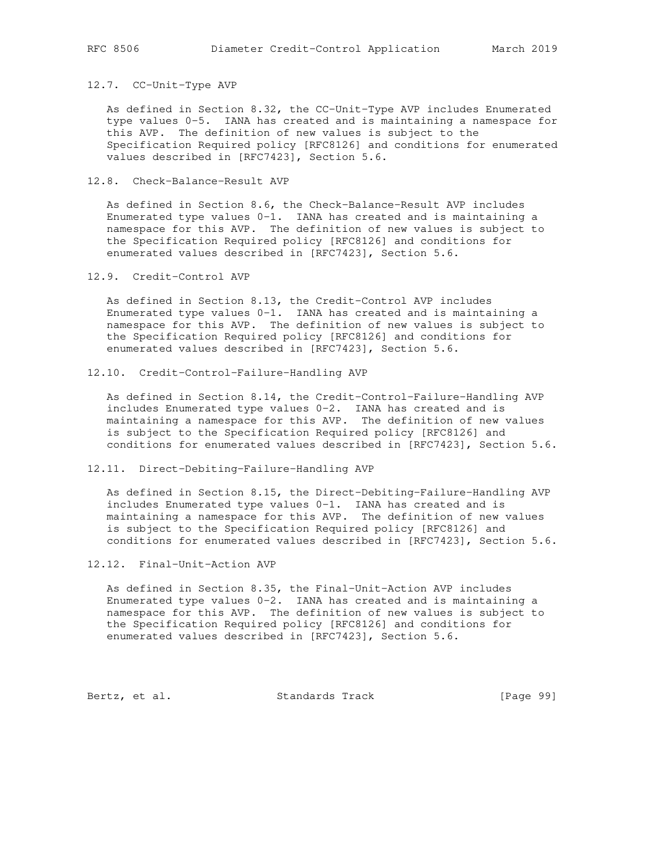#### 12.7. CC-Unit-Type AVP

 As defined in Section 8.32, the CC-Unit-Type AVP includes Enumerated type values 0-5. IANA has created and is maintaining a namespace for this AVP. The definition of new values is subject to the Specification Required policy [RFC8126] and conditions for enumerated values described in [RFC7423], Section 5.6.

# 12.8. Check-Balance-Result AVP

 As defined in Section 8.6, the Check-Balance-Result AVP includes Enumerated type values 0-1. IANA has created and is maintaining a namespace for this AVP. The definition of new values is subject to the Specification Required policy [RFC8126] and conditions for enumerated values described in [RFC7423], Section 5.6.

#### 12.9. Credit-Control AVP

 As defined in Section 8.13, the Credit-Control AVP includes Enumerated type values  $0-1$ . IANA has created and is maintaining a namespace for this AVP. The definition of new values is subject to the Specification Required policy [RFC8126] and conditions for enumerated values described in [RFC7423], Section 5.6.

12.10. Credit-Control-Failure-Handling AVP

 As defined in Section 8.14, the Credit-Control-Failure-Handling AVP includes Enumerated type values 0-2. IANA has created and is maintaining a namespace for this AVP. The definition of new values is subject to the Specification Required policy [RFC8126] and conditions for enumerated values described in [RFC7423], Section 5.6.

### 12.11. Direct-Debiting-Failure-Handling AVP

 As defined in Section 8.15, the Direct-Debiting-Failure-Handling AVP includes Enumerated type values 0-1. IANA has created and is maintaining a namespace for this AVP. The definition of new values is subject to the Specification Required policy [RFC8126] and conditions for enumerated values described in [RFC7423], Section 5.6.

## 12.12. Final-Unit-Action AVP

 As defined in Section 8.35, the Final-Unit-Action AVP includes Enumerated type values 0-2. IANA has created and is maintaining a namespace for this AVP. The definition of new values is subject to the Specification Required policy [RFC8126] and conditions for enumerated values described in [RFC7423], Section 5.6.

Bertz, et al. Standards Track [Page 99]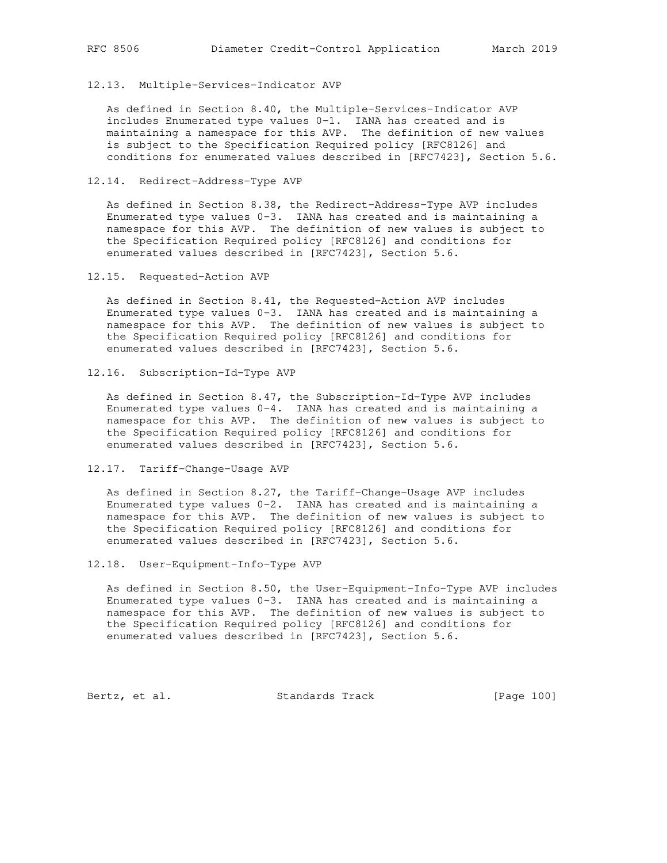### 12.13. Multiple-Services-Indicator AVP

 As defined in Section 8.40, the Multiple-Services-Indicator AVP includes Enumerated type values 0-1. IANA has created and is maintaining a namespace for this AVP. The definition of new values is subject to the Specification Required policy [RFC8126] and conditions for enumerated values described in [RFC7423], Section 5.6.

# 12.14. Redirect-Address-Type AVP

 As defined in Section 8.38, the Redirect-Address-Type AVP includes Enumerated type values 0-3. IANA has created and is maintaining a namespace for this AVP. The definition of new values is subject to the Specification Required policy [RFC8126] and conditions for enumerated values described in [RFC7423], Section 5.6.

### 12.15. Requested-Action AVP

 As defined in Section 8.41, the Requested-Action AVP includes Enumerated type values 0-3. IANA has created and is maintaining a namespace for this AVP. The definition of new values is subject to the Specification Required policy [RFC8126] and conditions for enumerated values described in [RFC7423], Section 5.6.

# 12.16. Subscription-Id-Type AVP

 As defined in Section 8.47, the Subscription-Id-Type AVP includes Enumerated type values 0-4. IANA has created and is maintaining a namespace for this AVP. The definition of new values is subject to the Specification Required policy [RFC8126] and conditions for enumerated values described in [RFC7423], Section 5.6.

### 12.17. Tariff-Change-Usage AVP

 As defined in Section 8.27, the Tariff-Change-Usage AVP includes Enumerated type values 0-2. IANA has created and is maintaining a namespace for this AVP. The definition of new values is subject to the Specification Required policy [RFC8126] and conditions for enumerated values described in [RFC7423], Section 5.6.

#### 12.18. User-Equipment-Info-Type AVP

 As defined in Section 8.50, the User-Equipment-Info-Type AVP includes Enumerated type values 0-3. IANA has created and is maintaining a namespace for this AVP. The definition of new values is subject to the Specification Required policy [RFC8126] and conditions for enumerated values described in [RFC7423], Section 5.6.

Bertz, et al. Standards Track [Page 100]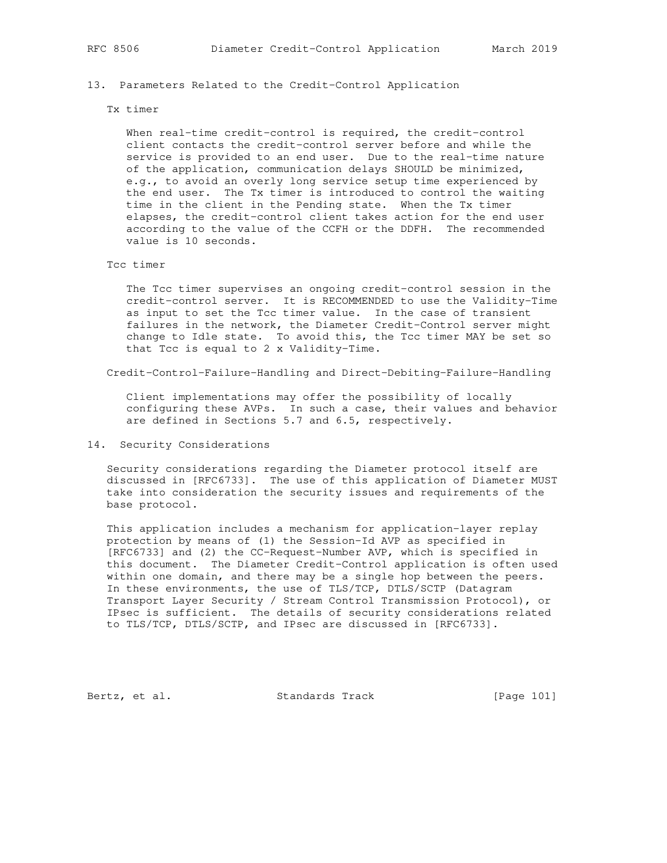13. Parameters Related to the Credit-Control Application

#### Tx timer

 When real-time credit-control is required, the credit-control client contacts the credit-control server before and while the service is provided to an end user. Due to the real-time nature of the application, communication delays SHOULD be minimized, e.g., to avoid an overly long service setup time experienced by the end user. The Tx timer is introduced to control the waiting time in the client in the Pending state. When the Tx timer elapses, the credit-control client takes action for the end user according to the value of the CCFH or the DDFH. The recommended value is 10 seconds.

Tcc timer

 The Tcc timer supervises an ongoing credit-control session in the credit-control server. It is RECOMMENDED to use the Validity-Time as input to set the Tcc timer value. In the case of transient failures in the network, the Diameter Credit-Control server might change to Idle state. To avoid this, the Tcc timer MAY be set so that Tcc is equal to 2 x Validity-Time.

Credit-Control-Failure-Handling and Direct-Debiting-Failure-Handling

 Client implementations may offer the possibility of locally configuring these AVPs. In such a case, their values and behavior are defined in Sections 5.7 and 6.5, respectively.

## 14. Security Considerations

 Security considerations regarding the Diameter protocol itself are discussed in [RFC6733]. The use of this application of Diameter MUST take into consideration the security issues and requirements of the base protocol.

 This application includes a mechanism for application-layer replay protection by means of (1) the Session-Id AVP as specified in [RFC6733] and (2) the CC-Request-Number AVP, which is specified in this document. The Diameter Credit-Control application is often used within one domain, and there may be a single hop between the peers. In these environments, the use of TLS/TCP, DTLS/SCTP (Datagram Transport Layer Security / Stream Control Transmission Protocol), or IPsec is sufficient. The details of security considerations related to TLS/TCP, DTLS/SCTP, and IPsec are discussed in [RFC6733].

Bertz, et al. Standards Track [Page 101]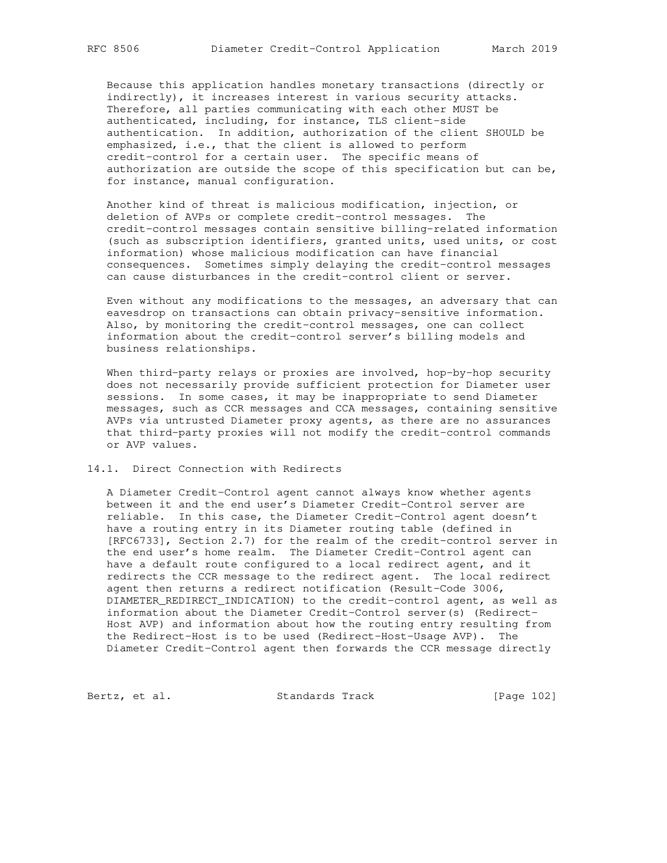Because this application handles monetary transactions (directly or indirectly), it increases interest in various security attacks. Therefore, all parties communicating with each other MUST be authenticated, including, for instance, TLS client-side authentication. In addition, authorization of the client SHOULD be emphasized, i.e., that the client is allowed to perform credit-control for a certain user. The specific means of authorization are outside the scope of this specification but can be, for instance, manual configuration.

 Another kind of threat is malicious modification, injection, or deletion of AVPs or complete credit-control messages. The credit-control messages contain sensitive billing-related information (such as subscription identifiers, granted units, used units, or cost information) whose malicious modification can have financial consequences. Sometimes simply delaying the credit-control messages can cause disturbances in the credit-control client or server.

 Even without any modifications to the messages, an adversary that can eavesdrop on transactions can obtain privacy-sensitive information. Also, by monitoring the credit-control messages, one can collect information about the credit-control server's billing models and business relationships.

When third-party relays or proxies are involved, hop-by-hop security does not necessarily provide sufficient protection for Diameter user sessions. In some cases, it may be inappropriate to send Diameter messages, such as CCR messages and CCA messages, containing sensitive AVPs via untrusted Diameter proxy agents, as there are no assurances that third-party proxies will not modify the credit-control commands or AVP values.

14.1. Direct Connection with Redirects

 A Diameter Credit-Control agent cannot always know whether agents between it and the end user's Diameter Credit-Control server are reliable. In this case, the Diameter Credit-Control agent doesn't have a routing entry in its Diameter routing table (defined in [RFC6733], Section 2.7) for the realm of the credit-control server in the end user's home realm. The Diameter Credit-Control agent can have a default route configured to a local redirect agent, and it redirects the CCR message to the redirect agent. The local redirect agent then returns a redirect notification (Result-Code 3006, DIAMETER\_REDIRECT\_INDICATION) to the credit-control agent, as well as information about the Diameter Credit-Control server(s) (Redirect- Host AVP) and information about how the routing entry resulting from the Redirect-Host is to be used (Redirect-Host-Usage AVP). The Diameter Credit-Control agent then forwards the CCR message directly

Bertz, et al. Standards Track [Page 102]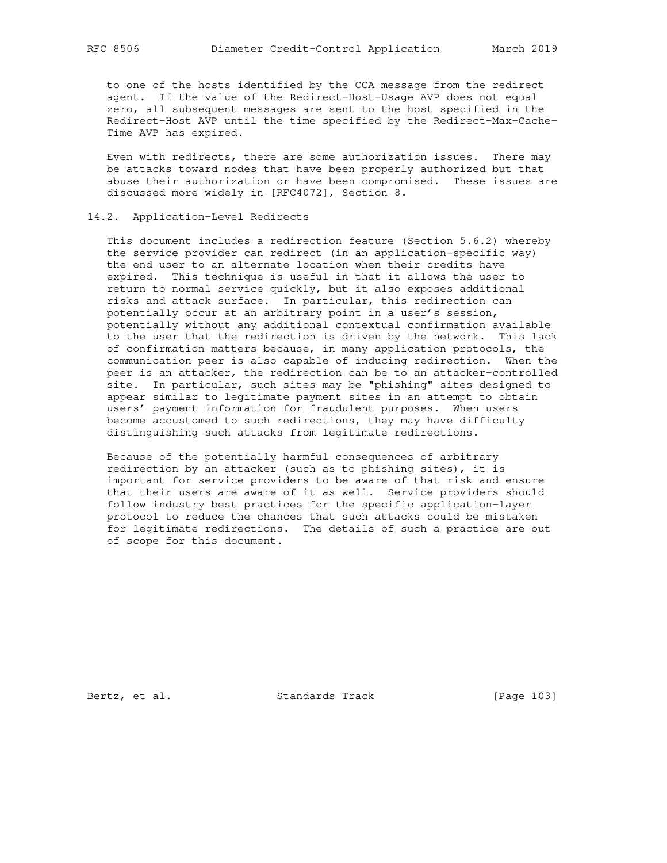to one of the hosts identified by the CCA message from the redirect agent. If the value of the Redirect-Host-Usage AVP does not equal zero, all subsequent messages are sent to the host specified in the Redirect-Host AVP until the time specified by the Redirect-Max-Cache- Time AVP has expired.

 Even with redirects, there are some authorization issues. There may be attacks toward nodes that have been properly authorized but that abuse their authorization or have been compromised. These issues are discussed more widely in [RFC4072], Section 8.

## 14.2. Application-Level Redirects

 This document includes a redirection feature (Section 5.6.2) whereby the service provider can redirect (in an application-specific way) the end user to an alternate location when their credits have expired. This technique is useful in that it allows the user to return to normal service quickly, but it also exposes additional risks and attack surface. In particular, this redirection can potentially occur at an arbitrary point in a user's session, potentially without any additional contextual confirmation available to the user that the redirection is driven by the network. This lack of confirmation matters because, in many application protocols, the communication peer is also capable of inducing redirection. When the peer is an attacker, the redirection can be to an attacker-controlled site. In particular, such sites may be "phishing" sites designed to appear similar to legitimate payment sites in an attempt to obtain users' payment information for fraudulent purposes. When users become accustomed to such redirections, they may have difficulty distinguishing such attacks from legitimate redirections.

 Because of the potentially harmful consequences of arbitrary redirection by an attacker (such as to phishing sites), it is important for service providers to be aware of that risk and ensure that their users are aware of it as well. Service providers should follow industry best practices for the specific application-layer protocol to reduce the chances that such attacks could be mistaken for legitimate redirections. The details of such a practice are out of scope for this document.

Bertz, et al. Standards Track [Page 103]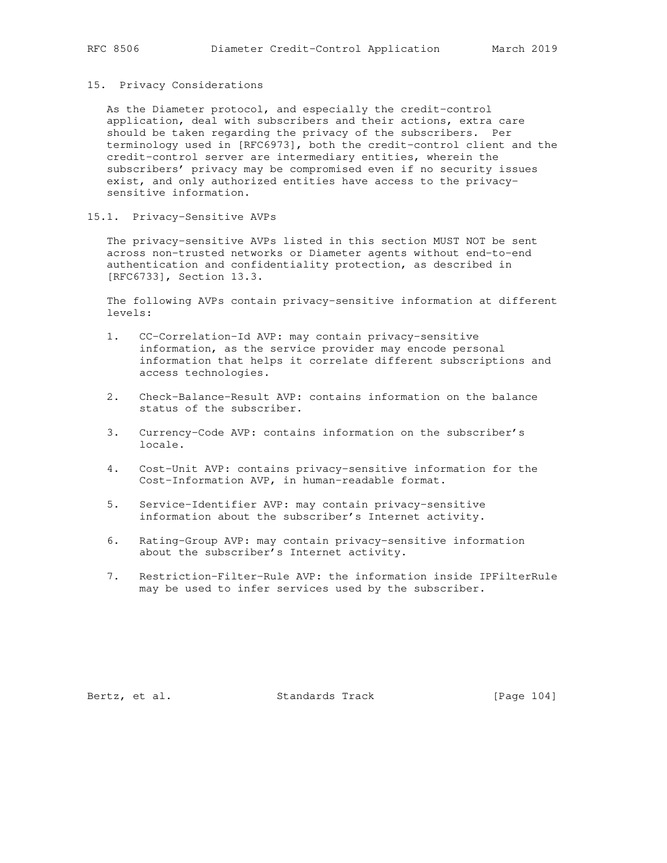#### 15. Privacy Considerations

 As the Diameter protocol, and especially the credit-control application, deal with subscribers and their actions, extra care should be taken regarding the privacy of the subscribers. Per terminology used in [RFC6973], both the credit-control client and the credit-control server are intermediary entities, wherein the subscribers' privacy may be compromised even if no security issues exist, and only authorized entities have access to the privacy sensitive information.

### 15.1. Privacy-Sensitive AVPs

 The privacy-sensitive AVPs listed in this section MUST NOT be sent across non-trusted networks or Diameter agents without end-to-end authentication and confidentiality protection, as described in [RFC6733], Section 13.3.

 The following AVPs contain privacy-sensitive information at different levels:

- 1. CC-Correlation-Id AVP: may contain privacy-sensitive information, as the service provider may encode personal information that helps it correlate different subscriptions and access technologies.
- 2. Check-Balance-Result AVP: contains information on the balance status of the subscriber.
- 3. Currency-Code AVP: contains information on the subscriber's locale.
- 4. Cost-Unit AVP: contains privacy-sensitive information for the Cost-Information AVP, in human-readable format.
- 5. Service-Identifier AVP: may contain privacy-sensitive information about the subscriber's Internet activity.
- 6. Rating-Group AVP: may contain privacy-sensitive information about the subscriber's Internet activity.
- 7. Restriction-Filter-Rule AVP: the information inside IPFilterRule may be used to infer services used by the subscriber.

Bertz, et al. Standards Track [Page 104]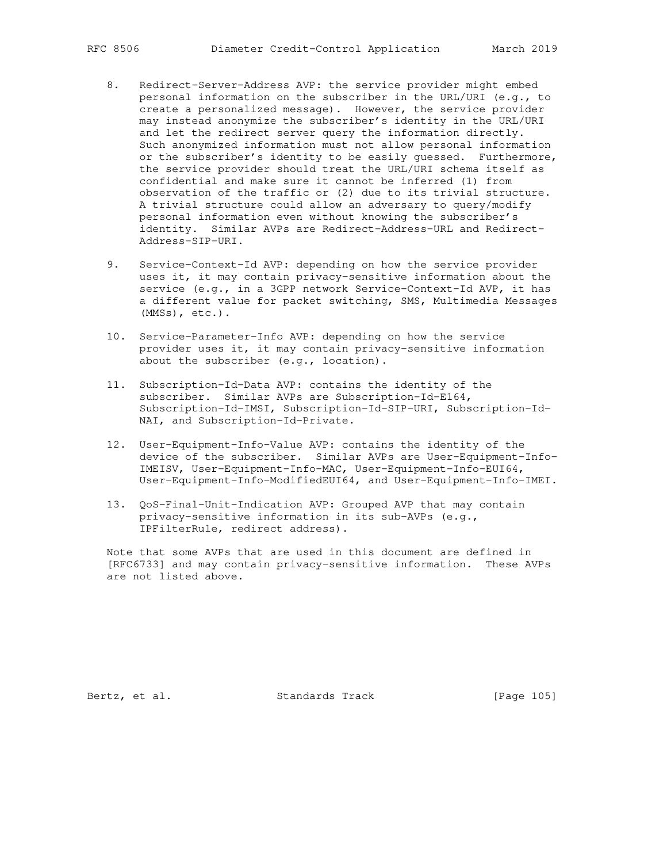- 8. Redirect-Server-Address AVP: the service provider might embed personal information on the subscriber in the URL/URI (e.g., to create a personalized message). However, the service provider may instead anonymize the subscriber's identity in the URL/URI and let the redirect server query the information directly. Such anonymized information must not allow personal information or the subscriber's identity to be easily guessed. Furthermore, the service provider should treat the URL/URI schema itself as confidential and make sure it cannot be inferred (1) from observation of the traffic or (2) due to its trivial structure. A trivial structure could allow an adversary to query/modify personal information even without knowing the subscriber's identity. Similar AVPs are Redirect-Address-URL and Redirect- Address-SIP-URI.
- 9. Service-Context-Id AVP: depending on how the service provider uses it, it may contain privacy-sensitive information about the service (e.g., in a 3GPP network Service-Context-Id AVP, it has a different value for packet switching, SMS, Multimedia Messages (MMSs), etc.).
- 10. Service-Parameter-Info AVP: depending on how the service provider uses it, it may contain privacy-sensitive information about the subscriber (e.g., location).
- 11. Subscription-Id-Data AVP: contains the identity of the subscriber. Similar AVPs are Subscription-Id-E164, Subscription-Id-IMSI, Subscription-Id-SIP-URI, Subscription-Id- NAI, and Subscription-Id-Private.
- 12. User-Equipment-Info-Value AVP: contains the identity of the device of the subscriber. Similar AVPs are User-Equipment-Info- IMEISV, User-Equipment-Info-MAC, User-Equipment-Info-EUI64, User-Equipment-Info-ModifiedEUI64, and User-Equipment-Info-IMEI.
- 13. QoS-Final-Unit-Indication AVP: Grouped AVP that may contain privacy-sensitive information in its sub-AVPs (e.g., IPFilterRule, redirect address).

 Note that some AVPs that are used in this document are defined in [RFC6733] and may contain privacy-sensitive information. These AVPs are not listed above.

Bertz, et al. Standards Track [Page 105]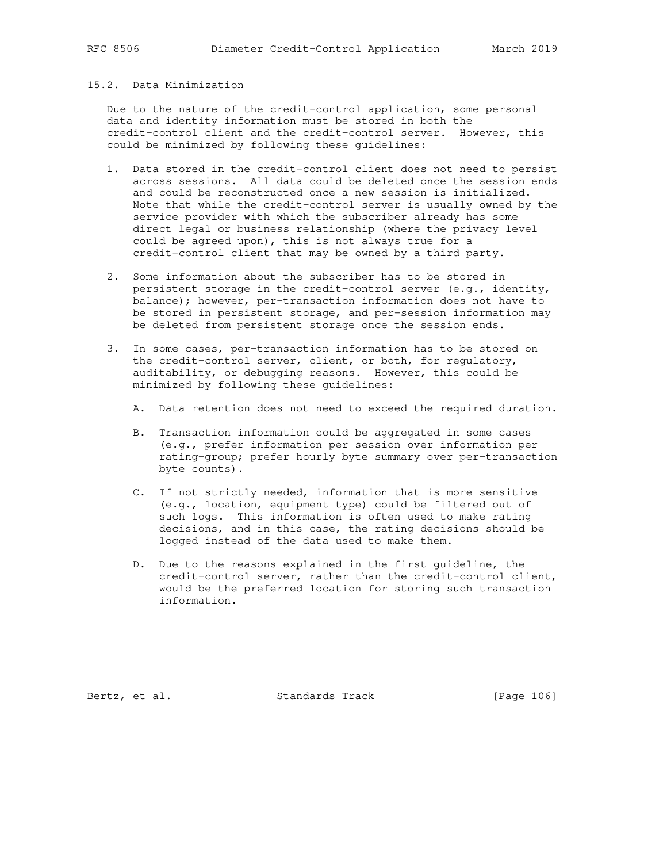# 15.2. Data Minimization

 Due to the nature of the credit-control application, some personal data and identity information must be stored in both the credit-control client and the credit-control server. However, this could be minimized by following these guidelines:

- 1. Data stored in the credit-control client does not need to persist across sessions. All data could be deleted once the session ends and could be reconstructed once a new session is initialized. Note that while the credit-control server is usually owned by the service provider with which the subscriber already has some direct legal or business relationship (where the privacy level could be agreed upon), this is not always true for a credit-control client that may be owned by a third party.
- 2. Some information about the subscriber has to be stored in persistent storage in the credit-control server (e.g., identity, balance); however, per-transaction information does not have to be stored in persistent storage, and per-session information may be deleted from persistent storage once the session ends.
- 3. In some cases, per-transaction information has to be stored on the credit-control server, client, or both, for regulatory, auditability, or debugging reasons. However, this could be minimized by following these guidelines:
	- A. Data retention does not need to exceed the required duration.
	- B. Transaction information could be aggregated in some cases (e.g., prefer information per session over information per rating-group; prefer hourly byte summary over per-transaction byte counts).
	- C. If not strictly needed, information that is more sensitive (e.g., location, equipment type) could be filtered out of such logs. This information is often used to make rating decisions, and in this case, the rating decisions should be logged instead of the data used to make them.
	- D. Due to the reasons explained in the first guideline, the credit-control server, rather than the credit-control client, would be the preferred location for storing such transaction information.

Bertz, et al. Standards Track [Page 106]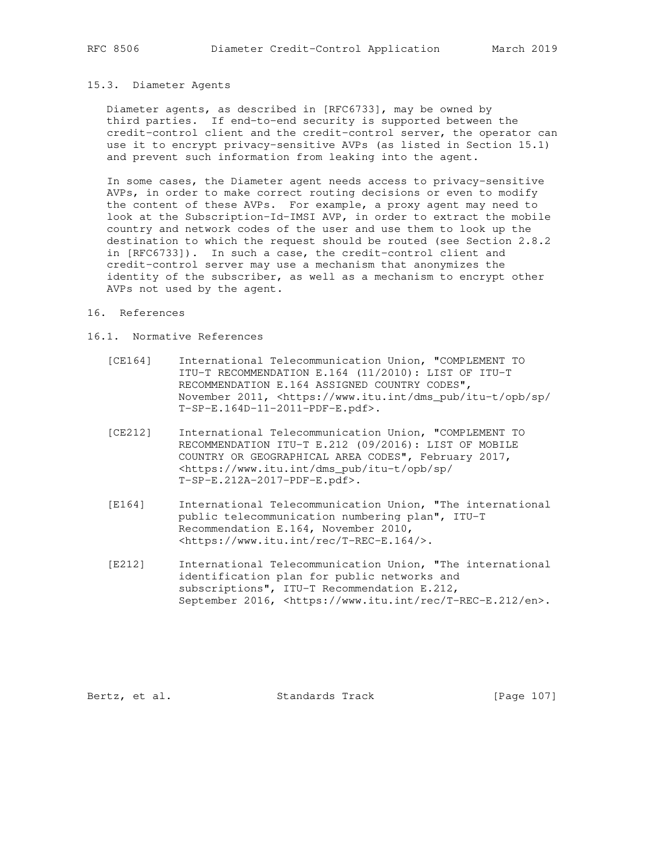#### 15.3. Diameter Agents

 Diameter agents, as described in [RFC6733], may be owned by third parties. If end-to-end security is supported between the credit-control client and the credit-control server, the operator can use it to encrypt privacy-sensitive AVPs (as listed in Section 15.1) and prevent such information from leaking into the agent.

 In some cases, the Diameter agent needs access to privacy-sensitive AVPs, in order to make correct routing decisions or even to modify the content of these AVPs. For example, a proxy agent may need to look at the Subscription-Id-IMSI AVP, in order to extract the mobile country and network codes of the user and use them to look up the destination to which the request should be routed (see Section 2.8.2 in [RFC6733]). In such a case, the credit-control client and credit-control server may use a mechanism that anonymizes the identity of the subscriber, as well as a mechanism to encrypt other AVPs not used by the agent.

### 16. References

16.1. Normative References

- [CE164] International Telecommunication Union, "COMPLEMENT TO ITU-T RECOMMENDATION E.164 (11/2010): LIST OF ITU-T RECOMMENDATION E.164 ASSIGNED COUNTRY CODES", November 2011, <https://www.itu.int/dms\_pub/itu-t/opb/sp/ T-SP-E.164D-11-2011-PDF-E.pdf>.
- [CE212] International Telecommunication Union, "COMPLEMENT TO RECOMMENDATION ITU-T E.212 (09/2016): LIST OF MOBILE COUNTRY OR GEOGRAPHICAL AREA CODES", February 2017, <https://www.itu.int/dms\_pub/itu-t/opb/sp/ T-SP-E.212A-2017-PDF-E.pdf>.
- [E164] International Telecommunication Union, "The international public telecommunication numbering plan", ITU-T Recommendation E.164, November 2010, <https://www.itu.int/rec/T-REC-E.164/>.
- [E212] International Telecommunication Union, "The international identification plan for public networks and subscriptions", ITU-T Recommendation E.212, September 2016, <https://www.itu.int/rec/T-REC-E.212/en>.

Bertz, et al. Standards Track [Page 107]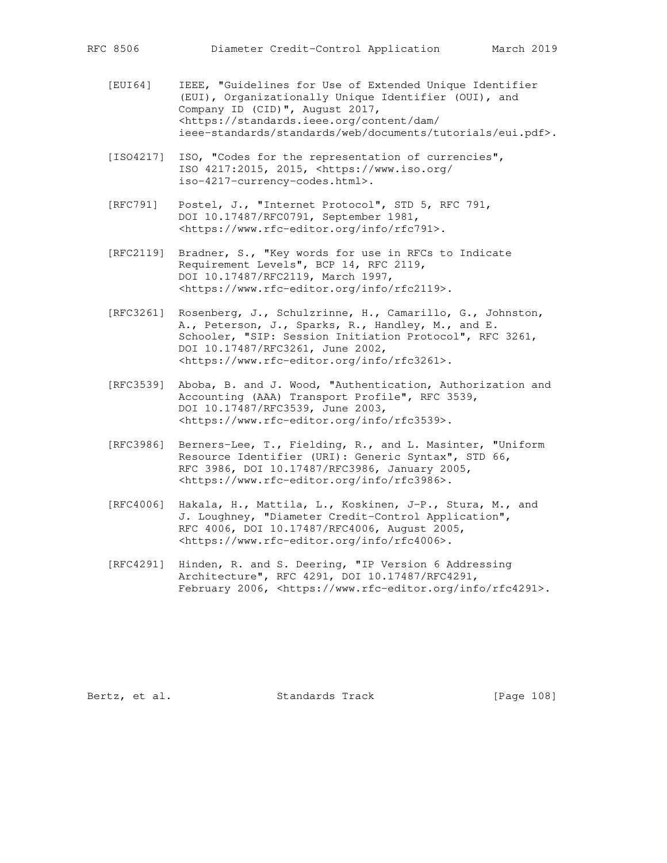- [EUI64] IEEE, "Guidelines for Use of Extended Unique Identifier (EUI), Organizationally Unique Identifier (OUI), and Company ID (CID)", August 2017, <https://standards.ieee.org/content/dam/ ieee-standards/standards/web/documents/tutorials/eui.pdf>.
- [ISO4217] ISO, "Codes for the representation of currencies", ISO 4217:2015, 2015, <https://www.iso.org/ iso-4217-currency-codes.html>.
- [RFC791] Postel, J., "Internet Protocol", STD 5, RFC 791, DOI 10.17487/RFC0791, September 1981, <https://www.rfc-editor.org/info/rfc791>.
- [RFC2119] Bradner, S., "Key words for use in RFCs to Indicate Requirement Levels", BCP 14, RFC 2119, DOI 10.17487/RFC2119, March 1997, <https://www.rfc-editor.org/info/rfc2119>.
- [RFC3261] Rosenberg, J., Schulzrinne, H., Camarillo, G., Johnston, A., Peterson, J., Sparks, R., Handley, M., and E. Schooler, "SIP: Session Initiation Protocol", RFC 3261, DOI 10.17487/RFC3261, June 2002, <https://www.rfc-editor.org/info/rfc3261>.
- [RFC3539] Aboba, B. and J. Wood, "Authentication, Authorization and Accounting (AAA) Transport Profile", RFC 3539, DOI 10.17487/RFC3539, June 2003, <https://www.rfc-editor.org/info/rfc3539>.
- [RFC3986] Berners-Lee, T., Fielding, R., and L. Masinter, "Uniform Resource Identifier (URI): Generic Syntax", STD 66, RFC 3986, DOI 10.17487/RFC3986, January 2005, <https://www.rfc-editor.org/info/rfc3986>.
- [RFC4006] Hakala, H., Mattila, L., Koskinen, J-P., Stura, M., and J. Loughney, "Diameter Credit-Control Application", RFC 4006, DOI 10.17487/RFC4006, August 2005, <https://www.rfc-editor.org/info/rfc4006>.
- [RFC4291] Hinden, R. and S. Deering, "IP Version 6 Addressing Architecture", RFC 4291, DOI 10.17487/RFC4291, February 2006, <https://www.rfc-editor.org/info/rfc4291>.

Bertz, et al. Standards Track [Page 108]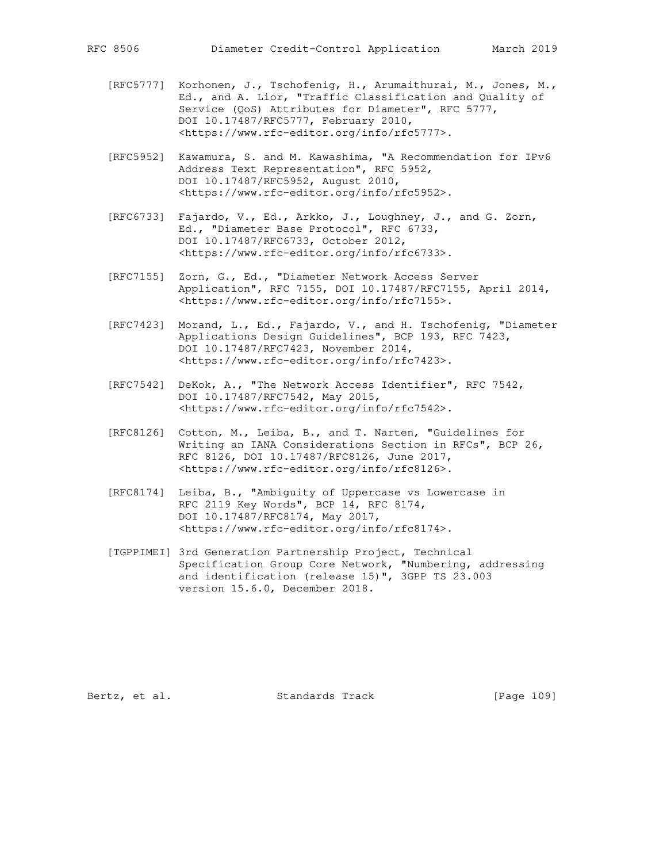- [RFC5777] Korhonen, J., Tschofenig, H., Arumaithurai, M., Jones, M., Ed., and A. Lior, "Traffic Classification and Quality of Service (QoS) Attributes for Diameter", RFC 5777, DOI 10.17487/RFC5777, February 2010, <https://www.rfc-editor.org/info/rfc5777>.
- [RFC5952] Kawamura, S. and M. Kawashima, "A Recommendation for IPv6 Address Text Representation", RFC 5952, DOI 10.17487/RFC5952, August 2010, <https://www.rfc-editor.org/info/rfc5952>.
- [RFC6733] Fajardo, V., Ed., Arkko, J., Loughney, J., and G. Zorn, Ed., "Diameter Base Protocol", RFC 6733, DOI 10.17487/RFC6733, October 2012, <https://www.rfc-editor.org/info/rfc6733>.
- [RFC7155] Zorn, G., Ed., "Diameter Network Access Server Application", RFC 7155, DOI 10.17487/RFC7155, April 2014, <https://www.rfc-editor.org/info/rfc7155>.
- [RFC7423] Morand, L., Ed., Fajardo, V., and H. Tschofenig, "Diameter Applications Design Guidelines", BCP 193, RFC 7423, DOI 10.17487/RFC7423, November 2014, <https://www.rfc-editor.org/info/rfc7423>.
- [RFC7542] DeKok, A., "The Network Access Identifier", RFC 7542, DOI 10.17487/RFC7542, May 2015, <https://www.rfc-editor.org/info/rfc7542>.
- [RFC8126] Cotton, M., Leiba, B., and T. Narten, "Guidelines for Writing an IANA Considerations Section in RFCs", BCP 26, RFC 8126, DOI 10.17487/RFC8126, June 2017, <https://www.rfc-editor.org/info/rfc8126>.
- [RFC8174] Leiba, B., "Ambiguity of Uppercase vs Lowercase in RFC 2119 Key Words", BCP 14, RFC 8174, DOI 10.17487/RFC8174, May 2017, <https://www.rfc-editor.org/info/rfc8174>.
- [TGPPIMEI] 3rd Generation Partnership Project, Technical Specification Group Core Network, "Numbering, addressing and identification (release 15)", 3GPP TS 23.003 version 15.6.0, December 2018.

Bertz, et al. Standards Track [Page 109]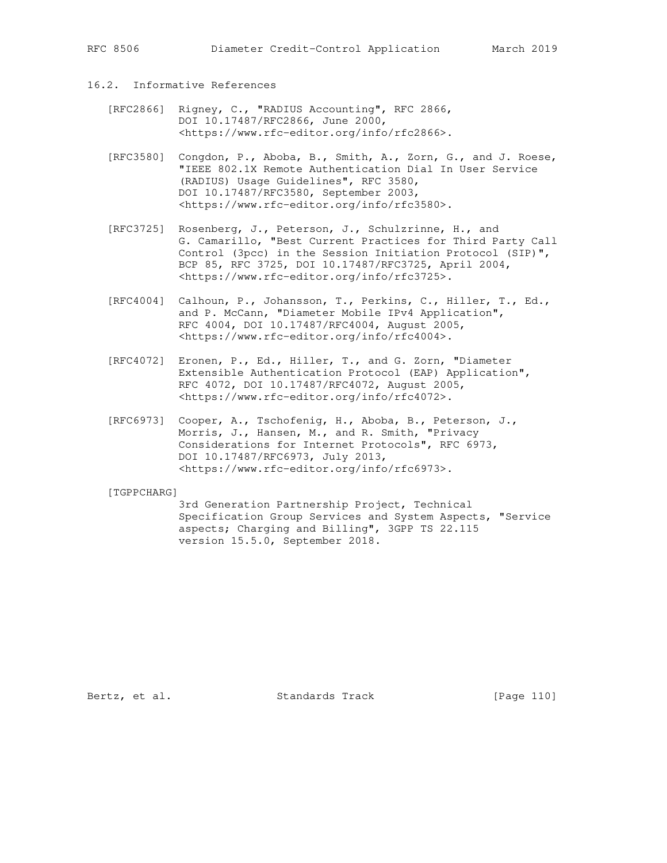# 16.2. Informative References

- [RFC2866] Rigney, C., "RADIUS Accounting", RFC 2866, DOI 10.17487/RFC2866, June 2000, <https://www.rfc-editor.org/info/rfc2866>.
- [RFC3580] Congdon, P., Aboba, B., Smith, A., Zorn, G., and J. Roese, "IEEE 802.1X Remote Authentication Dial In User Service (RADIUS) Usage Guidelines", RFC 3580, DOI 10.17487/RFC3580, September 2003, <https://www.rfc-editor.org/info/rfc3580>.
- [RFC3725] Rosenberg, J., Peterson, J., Schulzrinne, H., and G. Camarillo, "Best Current Practices for Third Party Call Control (3pcc) in the Session Initiation Protocol (SIP)", BCP 85, RFC 3725, DOI 10.17487/RFC3725, April 2004, <https://www.rfc-editor.org/info/rfc3725>.
- [RFC4004] Calhoun, P., Johansson, T., Perkins, C., Hiller, T., Ed., and P. McCann, "Diameter Mobile IPv4 Application", RFC 4004, DOI 10.17487/RFC4004, August 2005, <https://www.rfc-editor.org/info/rfc4004>.
- [RFC4072] Eronen, P., Ed., Hiller, T., and G. Zorn, "Diameter Extensible Authentication Protocol (EAP) Application", RFC 4072, DOI 10.17487/RFC4072, August 2005, <https://www.rfc-editor.org/info/rfc4072>.
- [RFC6973] Cooper, A., Tschofenig, H., Aboba, B., Peterson, J., Morris, J., Hansen, M., and R. Smith, "Privacy Considerations for Internet Protocols", RFC 6973, DOI 10.17487/RFC6973, July 2013, <https://www.rfc-editor.org/info/rfc6973>.

## [TGPPCHARG]

 3rd Generation Partnership Project, Technical Specification Group Services and System Aspects, "Service aspects; Charging and Billing", 3GPP TS 22.115 version 15.5.0, September 2018.

Bertz, et al. Standards Track [Page 110]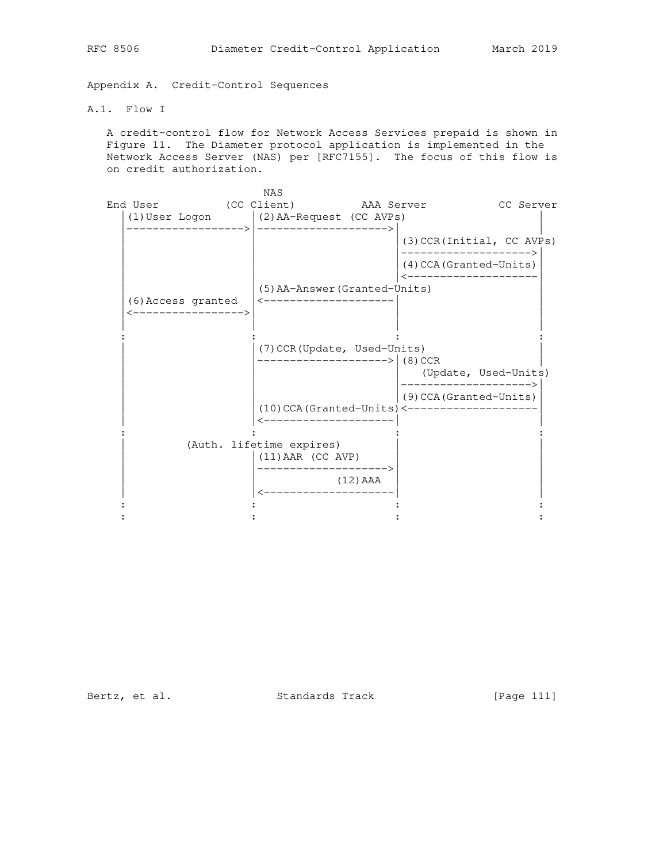Appendix A. Credit-Control Sequences

A.1. Flow I

 A credit-control flow for Network Access Services prepaid is shown in Figure 11. The Diameter protocol application is implemented in the Network Access Server (NAS) per [RFC7155]. The focus of this flow is on credit authorization.

|                     | <b>NAS</b>                                                                                        |                                                      |
|---------------------|---------------------------------------------------------------------------------------------------|------------------------------------------------------|
| _____________       | End User (CC Client) AAA Server<br>(1) User Logon (2) AA-Request (CC AVPs)<br>___________________ | CC Server                                            |
|                     |                                                                                                   | (3) CCR (Initial, CC AVPs)<br>______________________ |
|                     |                                                                                                   | (4) CCA (Granted-Units)                              |
| (6) Access granted  | (5) AA-Answer (Granted-Units)<br><---------------------                                           |                                                      |
| <-----------------> |                                                                                                   |                                                      |
|                     | (7) CCR (Update, Used-Units)                                                                      | (Update, Used-Units)                                 |
|                     | $(10)$ CCA (Granted-Units) <------------                                                          | (9) CCA (Granted-Units)                              |
|                     | (Auth. lifetime expires)<br>$(11)$ AAR $(CC$ AVP)                                                 |                                                      |
|                     | (12) AAA<br>-------------------                                                                   |                                                      |
|                     |                                                                                                   |                                                      |

Bertz, et al. Standards Track [Page 111]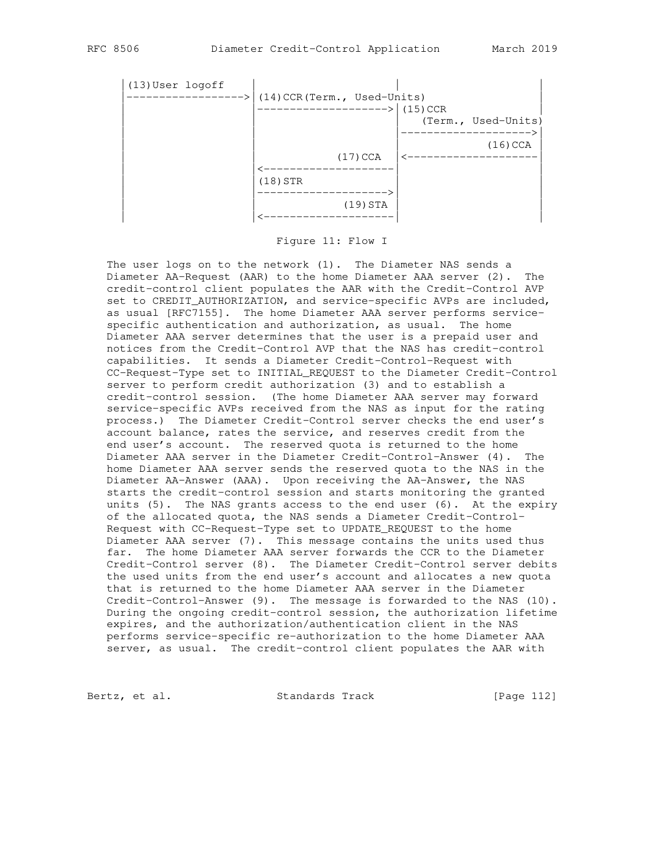| (13) User logoff |                              |                     |
|------------------|------------------------------|---------------------|
| $\rightarrow$    | (14) CCR (Term., Used-Units) |                     |
|                  |                              | $(15)$ CCR          |
|                  |                              | (Term., Used-Units) |
|                  |                              |                     |
|                  |                              | $(16)$ CCA          |
|                  | $(17)$ CCA                   |                     |
|                  |                              |                     |
|                  | $(18)$ STR                   |                     |
|                  |                              |                     |
|                  | $(19)$ STA                   |                     |
|                  |                              |                     |

Figure 11: Flow I

The user logs on to the network (1). The Diameter NAS sends a Diameter AA-Request (AAR) to the home Diameter AAA server (2). The credit-control client populates the AAR with the Credit-Control AVP set to CREDIT\_AUTHORIZATION, and service-specific AVPs are included, as usual [RFC7155]. The home Diameter AAA server performs service specific authentication and authorization, as usual. The home Diameter AAA server determines that the user is a prepaid user and notices from the Credit-Control AVP that the NAS has credit-control capabilities. It sends a Diameter Credit-Control-Request with CC-Request-Type set to INITIAL\_REQUEST to the Diameter Credit-Control server to perform credit authorization (3) and to establish a credit-control session. (The home Diameter AAA server may forward service-specific AVPs received from the NAS as input for the rating process.) The Diameter Credit-Control server checks the end user's account balance, rates the service, and reserves credit from the end user's account. The reserved quota is returned to the home Diameter AAA server in the Diameter Credit-Control-Answer (4). The home Diameter AAA server sends the reserved quota to the NAS in the Diameter AA-Answer (AAA). Upon receiving the AA-Answer, the NAS starts the credit-control session and starts monitoring the granted units  $(5)$ . The NAS grants access to the end user  $(6)$ . At the expiry of the allocated quota, the NAS sends a Diameter Credit-Control- Request with CC-Request-Type set to UPDATE\_REQUEST to the home Diameter AAA server (7). This message contains the units used thus far. The home Diameter AAA server forwards the CCR to the Diameter Credit-Control server (8). The Diameter Credit-Control server debits the used units from the end user's account and allocates a new quota that is returned to the home Diameter AAA server in the Diameter Credit-Control-Answer (9). The message is forwarded to the NAS (10). During the ongoing credit-control session, the authorization lifetime expires, and the authorization/authentication client in the NAS performs service-specific re-authorization to the home Diameter AAA server, as usual. The credit-control client populates the AAR with

Bertz, et al. Standards Track [Page 112]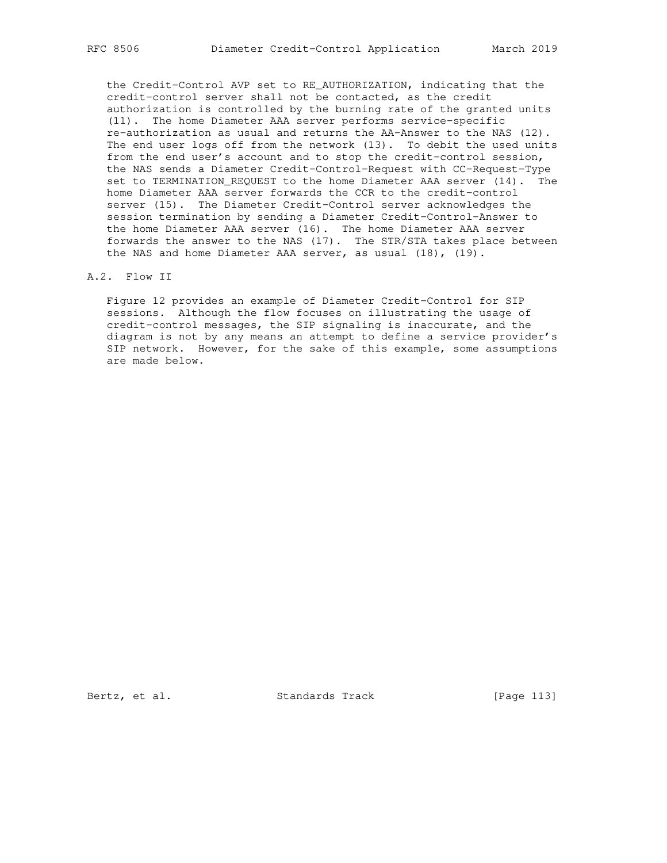the Credit-Control AVP set to RE\_AUTHORIZATION, indicating that the credit-control server shall not be contacted, as the credit authorization is controlled by the burning rate of the granted units (11). The home Diameter AAA server performs service-specific re-authorization as usual and returns the AA-Answer to the NAS (12). The end user logs off from the network (13). To debit the used units from the end user's account and to stop the credit-control session, the NAS sends a Diameter Credit-Control-Request with CC-Request-Type set to TERMINATION\_REQUEST to the home Diameter AAA server (14). The home Diameter AAA server forwards the CCR to the credit-control server (15). The Diameter Credit-Control server acknowledges the session termination by sending a Diameter Credit-Control-Answer to the home Diameter AAA server (16). The home Diameter AAA server forwards the answer to the NAS (17). The STR/STA takes place between the NAS and home Diameter AAA server, as usual (18), (19).

## A.2. Flow II

 Figure 12 provides an example of Diameter Credit-Control for SIP sessions. Although the flow focuses on illustrating the usage of credit-control messages, the SIP signaling is inaccurate, and the diagram is not by any means an attempt to define a service provider's SIP network. However, for the sake of this example, some assumptions are made below.

Bertz, et al. Standards Track [Page 113]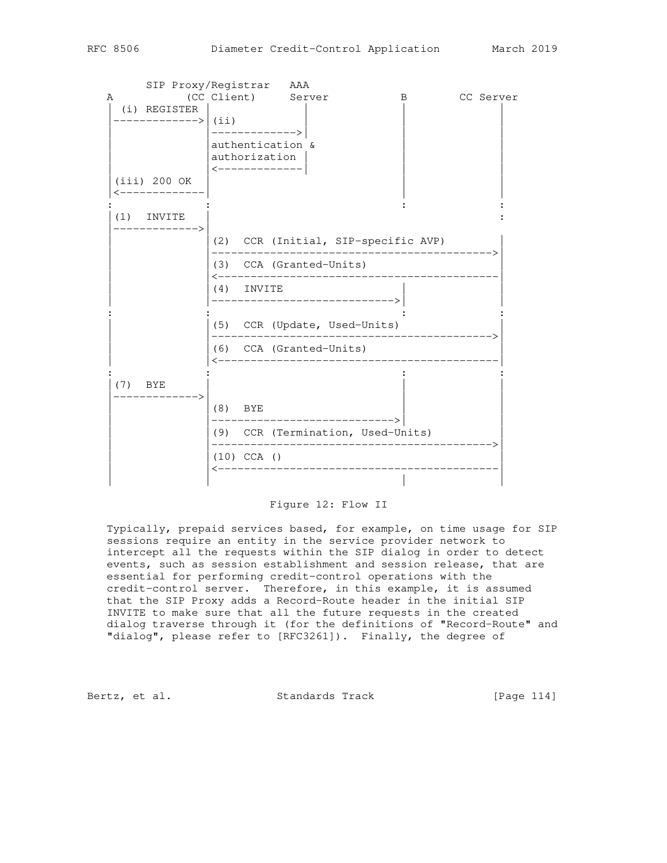SIP Proxy/Registrar AAA A (CC Client) Server B CC Server | (i) REGISTER | | | | |------------->|(ii) | | | | |------------->| | | |authentication &  $|$  authorization  $|$  | |<-------------| | | (iii) 200 OK |<-------------| | | : : : : (1) INVITE |------------->| | |(2) CCR (Initial, SIP-specific AVP) | | |------------------------------------------->| (3) CCA (Granted-Units) | |<-------------------------------------------| (4) INVITE | |---------------------------->| | : : : : | |(5) CCR (Update, Used-Units) | | |------------------------------------------->| | |(6) CCA (Granted-Units) | | |<-------------------------------------------| : : : : |(7) BYE | | | |------------->| | |  $|(8)$  BYE | |---------------------------->| | | |(9) CCR (Termination, Used-Units) | | |------------------------------------------->|  $(10)$  CCA () | |<-------------------------------------------| | | | |

## Figure 12: Flow II

 Typically, prepaid services based, for example, on time usage for SIP sessions require an entity in the service provider network to intercept all the requests within the SIP dialog in order to detect events, such as session establishment and session release, that are essential for performing credit-control operations with the credit-control server. Therefore, in this example, it is assumed that the SIP Proxy adds a Record-Route header in the initial SIP INVITE to make sure that all the future requests in the created dialog traverse through it (for the definitions of "Record-Route" and "dialog", please refer to [RFC3261]). Finally, the degree of

Bertz, et al. Standards Track [Page 114]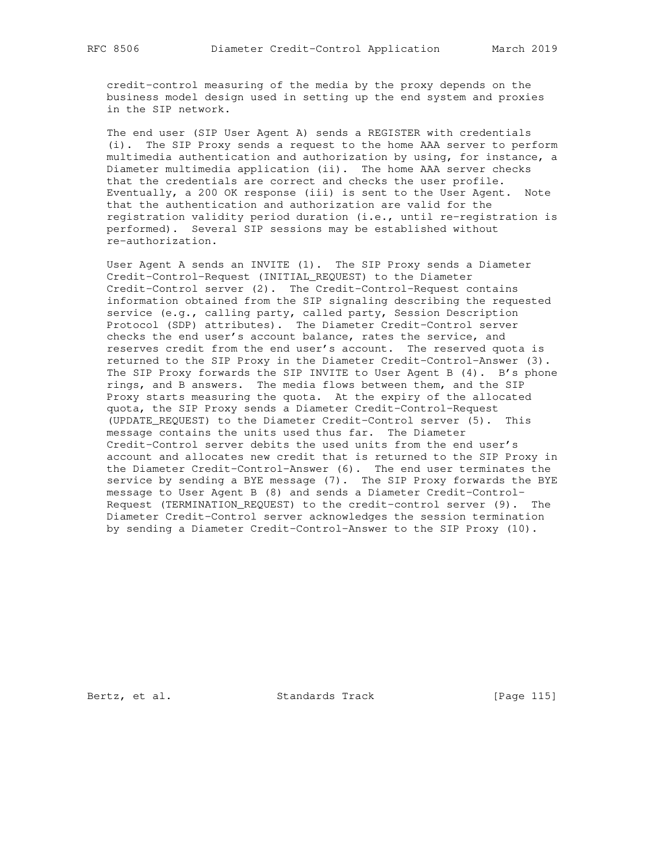credit-control measuring of the media by the proxy depends on the business model design used in setting up the end system and proxies in the SIP network.

 The end user (SIP User Agent A) sends a REGISTER with credentials (i). The SIP Proxy sends a request to the home AAA server to perform multimedia authentication and authorization by using, for instance, a Diameter multimedia application (ii). The home AAA server checks that the credentials are correct and checks the user profile. Eventually, a 200 OK response (iii) is sent to the User Agent. Note that the authentication and authorization are valid for the registration validity period duration (i.e., until re-registration is performed). Several SIP sessions may be established without re-authorization.

 User Agent A sends an INVITE (1). The SIP Proxy sends a Diameter Credit-Control-Request (INITIAL\_REQUEST) to the Diameter Credit-Control server (2). The Credit-Control-Request contains information obtained from the SIP signaling describing the requested service (e.g., calling party, called party, Session Description Protocol (SDP) attributes). The Diameter Credit-Control server checks the end user's account balance, rates the service, and reserves credit from the end user's account. The reserved quota is returned to the SIP Proxy in the Diameter Credit-Control-Answer (3). The SIP Proxy forwards the SIP INVITE to User Agent B (4). B's phone rings, and B answers. The media flows between them, and the SIP Proxy starts measuring the quota. At the expiry of the allocated quota, the SIP Proxy sends a Diameter Credit-Control-Request (UPDATE\_REQUEST) to the Diameter Credit-Control server (5). This message contains the units used thus far. The Diameter Credit-Control server debits the used units from the end user's account and allocates new credit that is returned to the SIP Proxy in the Diameter Credit-Control-Answer (6). The end user terminates the service by sending a BYE message (7). The SIP Proxy forwards the BYE message to User Agent B (8) and sends a Diameter Credit-Control- Request (TERMINATION\_REQUEST) to the credit-control server (9). The Diameter Credit-Control server acknowledges the session termination by sending a Diameter Credit-Control-Answer to the SIP Proxy (10).

Bertz, et al. Standards Track [Page 115]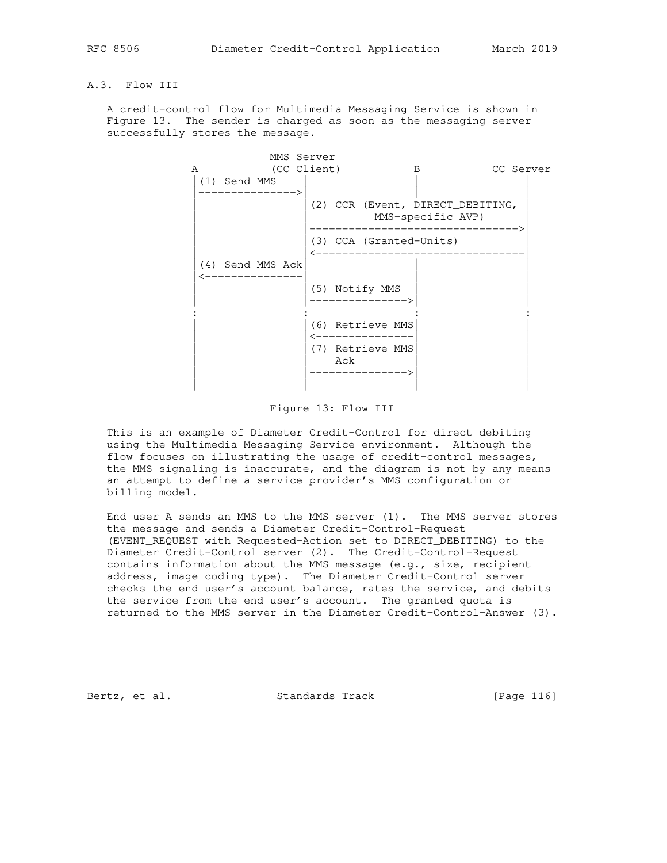### A.3. Flow III

 A credit-control flow for Multimedia Messaging Service is shown in Figure 13. The sender is charged as soon as the messaging server successfully stores the message.



### Figure 13: Flow III

 This is an example of Diameter Credit-Control for direct debiting using the Multimedia Messaging Service environment. Although the flow focuses on illustrating the usage of credit-control messages, the MMS signaling is inaccurate, and the diagram is not by any means an attempt to define a service provider's MMS configuration or billing model.

 End user A sends an MMS to the MMS server (1). The MMS server stores the message and sends a Diameter Credit-Control-Request (EVENT\_REQUEST with Requested-Action set to DIRECT\_DEBITING) to the Diameter Credit-Control server (2). The Credit-Control-Request contains information about the MMS message (e.g., size, recipient address, image coding type). The Diameter Credit-Control server checks the end user's account balance, rates the service, and debits the service from the end user's account. The granted quota is returned to the MMS server in the Diameter Credit-Control-Answer (3).

Bertz, et al. Standards Track [Page 116]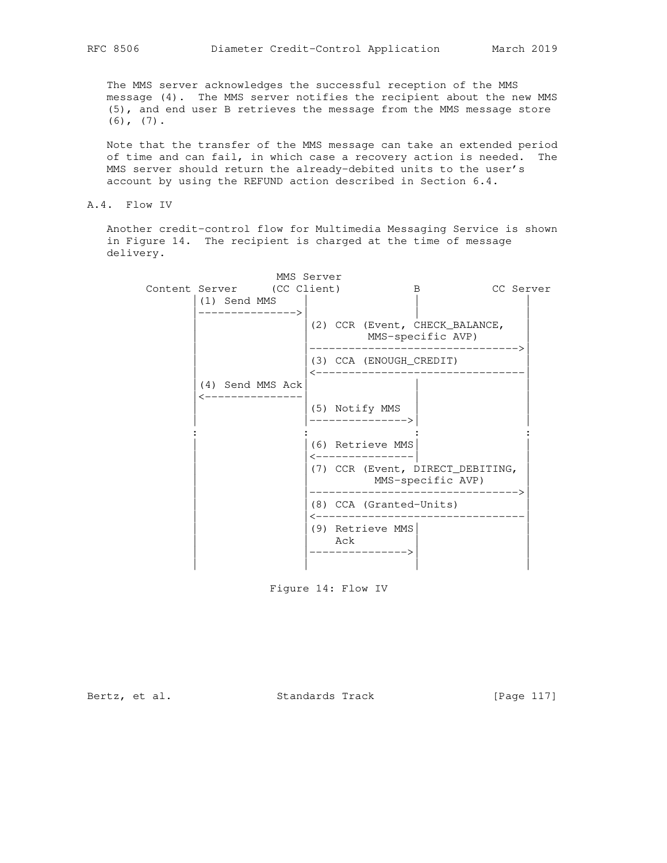The MMS server acknowledges the successful reception of the MMS message (4). The MMS server notifies the recipient about the new MMS (5), and end user B retrieves the message from the MMS message store (6), (7).

 Note that the transfer of the MMS message can take an extended period of time and can fail, in which case a recovery action is needed. The MMS server should return the already-debited units to the user's account by using the REFUND action described in Section 6.4.

A.4. Flow IV

 Another credit-control flow for Multimedia Messaging Service is shown in Figure 14. The recipient is charged at the time of message delivery.



Figure 14: Flow IV

Bertz, et al. Standards Track [Page 117]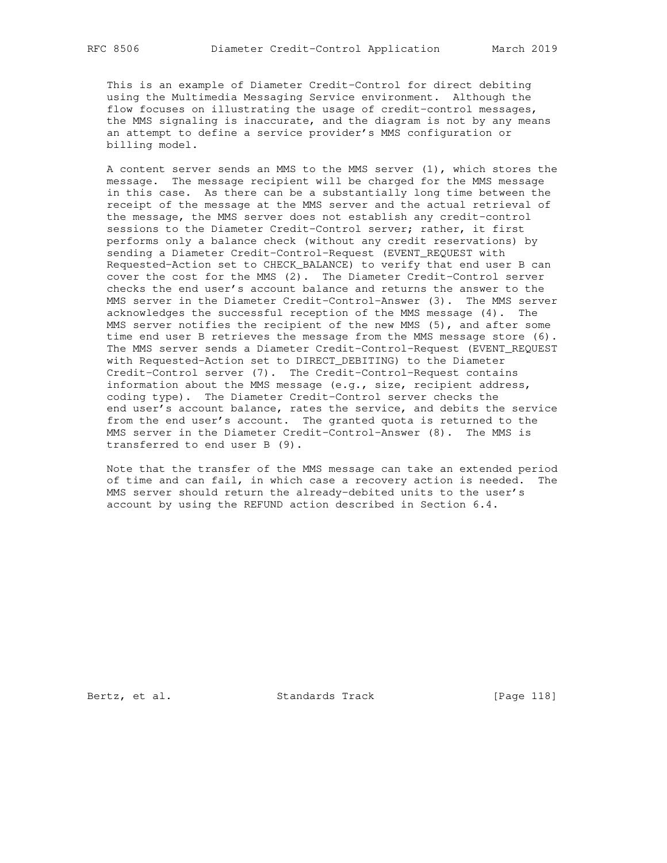This is an example of Diameter Credit-Control for direct debiting using the Multimedia Messaging Service environment. Although the flow focuses on illustrating the usage of credit-control messages, the MMS signaling is inaccurate, and the diagram is not by any means an attempt to define a service provider's MMS configuration or billing model.

 A content server sends an MMS to the MMS server (1), which stores the message. The message recipient will be charged for the MMS message in this case. As there can be a substantially long time between the receipt of the message at the MMS server and the actual retrieval of the message, the MMS server does not establish any credit-control sessions to the Diameter Credit-Control server; rather, it first performs only a balance check (without any credit reservations) by sending a Diameter Credit-Control-Request (EVENT\_REQUEST with Requested-Action set to CHECK\_BALANCE) to verify that end user B can cover the cost for the MMS (2). The Diameter Credit-Control server checks the end user's account balance and returns the answer to the MMS server in the Diameter Credit-Control-Answer (3). The MMS server acknowledges the successful reception of the MMS message (4). The MMS server notifies the recipient of the new MMS (5), and after some time end user B retrieves the message from the MMS message store (6). The MMS server sends a Diameter Credit-Control-Request (EVENT\_REQUEST with Requested-Action set to DIRECT\_DEBITING) to the Diameter Credit-Control server (7). The Credit-Control-Request contains information about the MMS message (e.g., size, recipient address, coding type). The Diameter Credit-Control server checks the end user's account balance, rates the service, and debits the service from the end user's account. The granted quota is returned to the MMS server in the Diameter Credit-Control-Answer (8). The MMS is transferred to end user B (9).

 Note that the transfer of the MMS message can take an extended period of time and can fail, in which case a recovery action is needed. The MMS server should return the already-debited units to the user's account by using the REFUND action described in Section 6.4.

Bertz, et al. Standards Track [Page 118]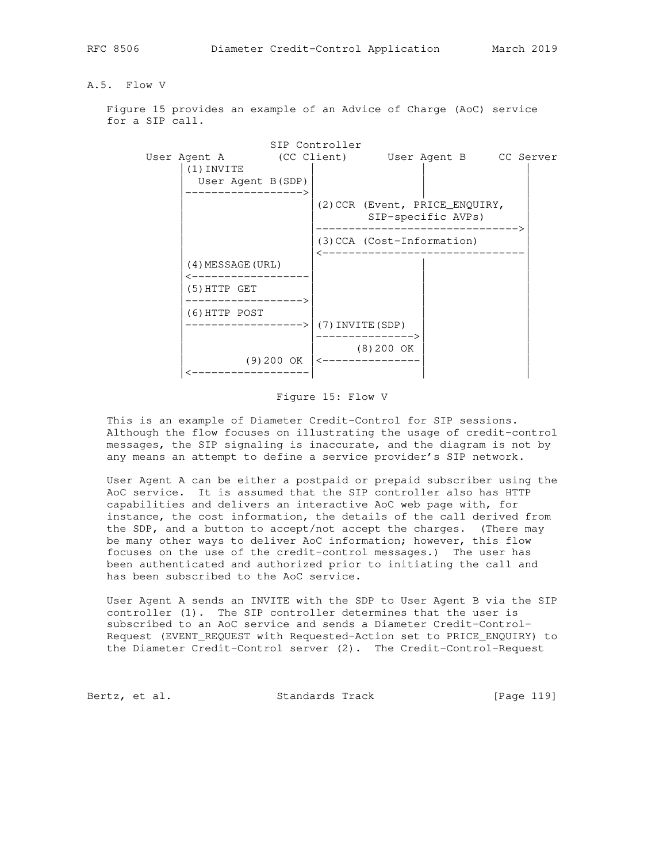# A.5. Flow V

 Figure 15 provides an example of an Advice of Charge (AoC) service for a SIP call.



### Figure 15: Flow V

 This is an example of Diameter Credit-Control for SIP sessions. Although the flow focuses on illustrating the usage of credit-control messages, the SIP signaling is inaccurate, and the diagram is not by any means an attempt to define a service provider's SIP network.

 User Agent A can be either a postpaid or prepaid subscriber using the AoC service. It is assumed that the SIP controller also has HTTP capabilities and delivers an interactive AoC web page with, for instance, the cost information, the details of the call derived from the SDP, and a button to accept/not accept the charges. (There may be many other ways to deliver AoC information; however, this flow focuses on the use of the credit-control messages.) The user has been authenticated and authorized prior to initiating the call and has been subscribed to the AoC service.

 User Agent A sends an INVITE with the SDP to User Agent B via the SIP controller (1). The SIP controller determines that the user is subscribed to an AoC service and sends a Diameter Credit-Control- Request (EVENT\_REQUEST with Requested-Action set to PRICE\_ENQUIRY) to the Diameter Credit-Control server (2). The Credit-Control-Request

Bertz, et al. Standards Track [Page 119]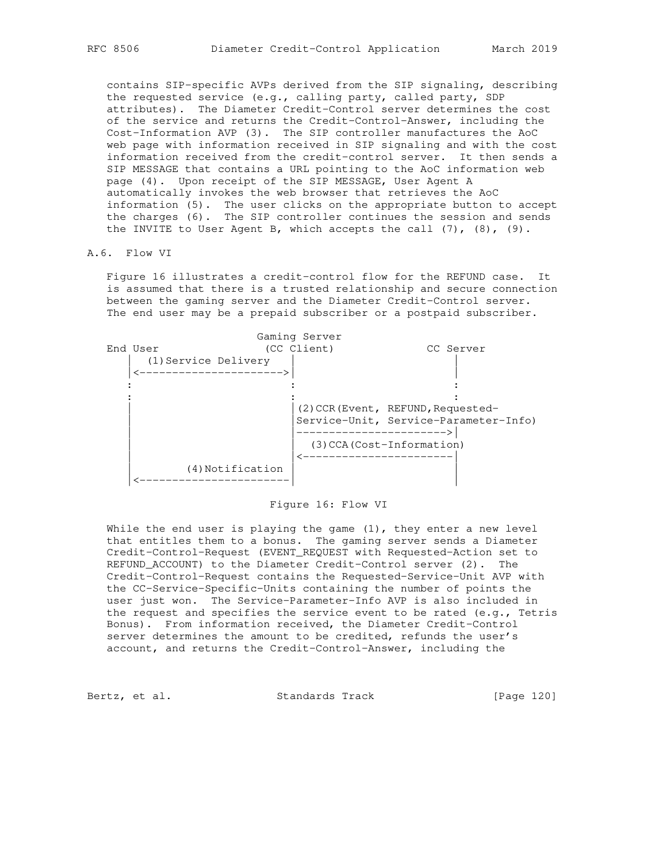contains SIP-specific AVPs derived from the SIP signaling, describing the requested service (e.g., calling party, called party, SDP attributes). The Diameter Credit-Control server determines the cost of the service and returns the Credit-Control-Answer, including the Cost-Information AVP (3). The SIP controller manufactures the AoC web page with information received in SIP signaling and with the cost information received from the credit-control server. It then sends a SIP MESSAGE that contains a URL pointing to the AoC information web page (4). Upon receipt of the SIP MESSAGE, User Agent A automatically invokes the web browser that retrieves the AoC information (5). The user clicks on the appropriate button to accept the charges (6). The SIP controller continues the session and sends the INVITE to User Agent B, which accepts the call  $(7)$ ,  $(8)$ ,  $(9)$ .

## A.6. Flow VI

 Figure 16 illustrates a credit-control flow for the REFUND case. It is assumed that there is a trusted relationship and secure connection between the gaming server and the Diameter Credit-Control server. The end user may be a prepaid subscriber or a postpaid subscriber.



## Figure 16: Flow VI

While the end user is playing the game  $(1)$ , they enter a new level that entitles them to a bonus. The gaming server sends a Diameter Credit-Control-Request (EVENT\_REQUEST with Requested-Action set to REFUND\_ACCOUNT) to the Diameter Credit-Control server (2). The Credit-Control-Request contains the Requested-Service-Unit AVP with the CC-Service-Specific-Units containing the number of points the user just won. The Service-Parameter-Info AVP is also included in the request and specifies the service event to be rated (e.g., Tetris Bonus). From information received, the Diameter Credit-Control server determines the amount to be credited, refunds the user's account, and returns the Credit-Control-Answer, including the

Bertz, et al. Standards Track [Page 120]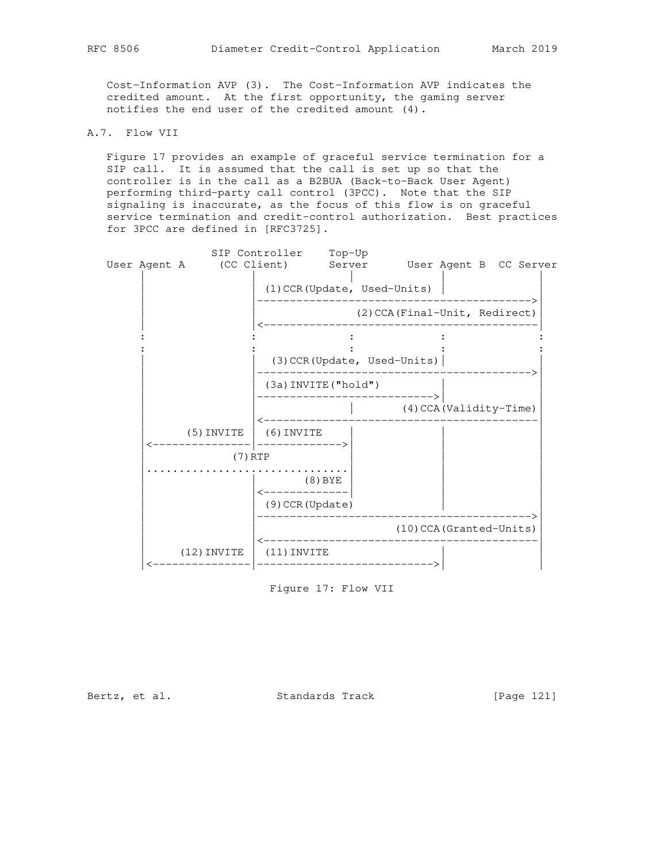Cost-Information AVP (3). The Cost-Information AVP indicates the credited amount. At the first opportunity, the gaming server notifies the end user of the credited amount (4).

# A.7. Flow VII

 Figure 17 provides an example of graceful service termination for a SIP call. It is assumed that the call is set up so that the controller is in the call as a B2BUA (Back-to-Back User Agent) performing third-party call control (3PCC). Note that the SIP signaling is inaccurate, as the focus of this flow is on graceful service termination and credit-control authorization. Best practices for 3PCC are defined in [RFC3725].



Figure 17: Flow VII

Bertz, et al. Standards Track [Page 121]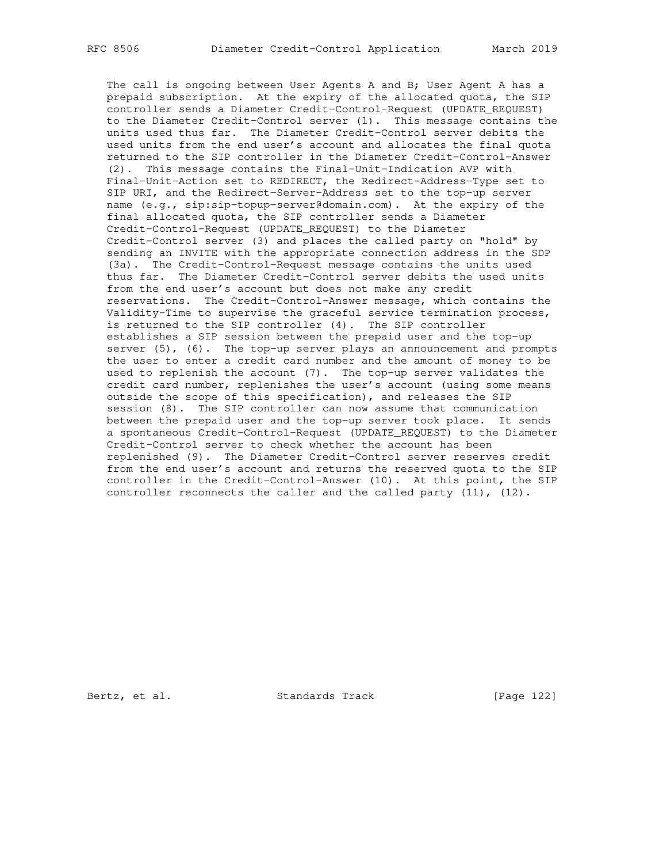The call is ongoing between User Agents A and B; User Agent A has a prepaid subscription. At the expiry of the allocated quota, the SIP controller sends a Diameter Credit-Control-Request (UPDATE\_REQUEST) to the Diameter Credit-Control server (1). This message contains the units used thus far. The Diameter Credit-Control server debits the used units from the end user's account and allocates the final quota returned to the SIP controller in the Diameter Credit-Control-Answer (2). This message contains the Final-Unit-Indication AVP with Final-Unit-Action set to REDIRECT, the Redirect-Address-Type set to SIP URI, and the Redirect-Server-Address set to the top-up server name (e.g., sip:sip-topup-server@domain.com). At the expiry of the final allocated quota, the SIP controller sends a Diameter Credit-Control-Request (UPDATE\_REQUEST) to the Diameter Credit-Control server (3) and places the called party on "hold" by sending an INVITE with the appropriate connection address in the SDP (3a). The Credit-Control-Request message contains the units used thus far. The Diameter Credit-Control server debits the used units from the end user's account but does not make any credit reservations. The Credit-Control-Answer message, which contains the Validity-Time to supervise the graceful service termination process, is returned to the SIP controller (4). The SIP controller establishes a SIP session between the prepaid user and the top-up server (5), (6). The top-up server plays an announcement and prompts the user to enter a credit card number and the amount of money to be used to replenish the account (7). The top-up server validates the credit card number, replenishes the user's account (using some means outside the scope of this specification), and releases the SIP session (8). The SIP controller can now assume that communication between the prepaid user and the top-up server took place. It sends a spontaneous Credit-Control-Request (UPDATE\_REQUEST) to the Diameter Credit-Control server to check whether the account has been replenished (9). The Diameter Credit-Control server reserves credit from the end user's account and returns the reserved quota to the SIP controller in the Credit-Control-Answer (10). At this point, the SIP controller reconnects the caller and the called party (11), (12).

Bertz, et al. Standards Track [Page 122]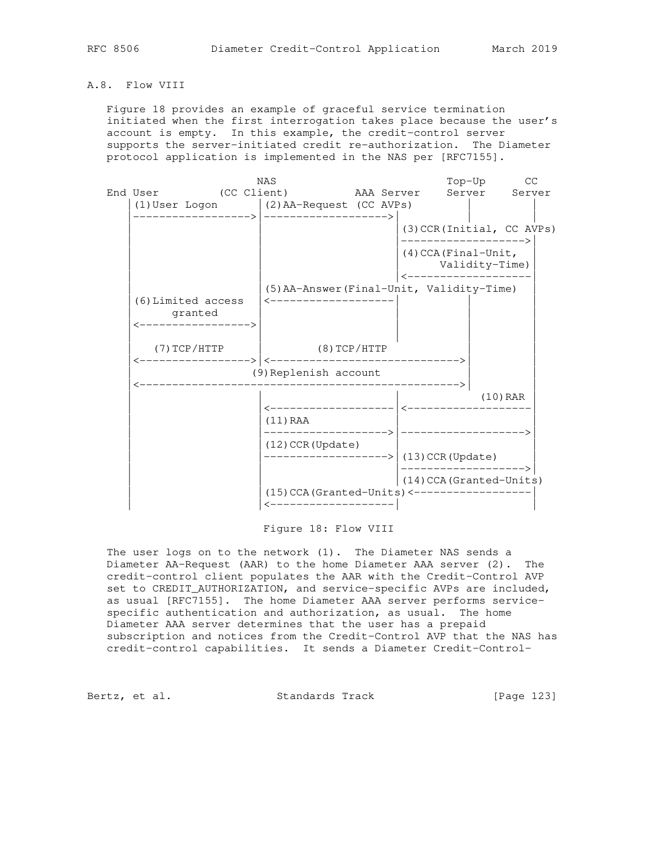# A.8. Flow VIII

 Figure 18 provides an example of graceful service termination initiated when the first interrogation takes place because the user's account is empty. In this example, the credit-control server supports the server-initiated credit re-authorization. The Diameter protocol application is implemented in the NAS per [RFC7155].

|                    | <b>NAS</b>                                | Top-Up<br>CC                                        |
|--------------------|-------------------------------------------|-----------------------------------------------------|
|                    | End User (CC Client) AAA Server           | Server Server                                       |
|                    | (1) User Logon (2) AA-Request (CC AVPs)   |                                                     |
|                    |                                           |                                                     |
|                    |                                           | (3) CCR (Initial, CC AVPs)<br>--------------------> |
|                    |                                           | $(4)$ CCA (Final-Unit,                              |
|                    |                                           | Validity-Time)                                      |
|                    |                                           | -------------------                                 |
|                    | (5) AA-Answer (Final-Unit, Validity-Time) |                                                     |
| (6) Limited access | ___________________                       |                                                     |
| granted            |                                           |                                                     |
| ---------------->  |                                           |                                                     |
|                    | $(7) TCP / HTTP$ (8) TCP/HTTP             |                                                     |
|                    |                                           |                                                     |
|                    | (9) Replenish account                     |                                                     |
|                    |                                           | $(10)$ RAR                                          |
|                    |                                           |                                                     |
|                    | $(11)$ RAA                                |                                                     |
|                    |                                           |                                                     |
|                    | $(12)$ CCR (Update)                       |                                                     |
|                    | ------------------->  (13)CCR (Update)    |                                                     |
|                    |                                           | ------------------>                                 |
|                    |                                           | (14) CCA (Granted-Units)                            |
|                    |                                           | $(15)$ CCA (Granted-Units) <------------------      |
|                    |                                           |                                                     |

Figure 18: Flow VIII

The user logs on to the network (1). The Diameter NAS sends a Diameter AA-Request (AAR) to the home Diameter AAA server (2). The credit-control client populates the AAR with the Credit-Control AVP set to CREDIT\_AUTHORIZATION, and service-specific AVPs are included, as usual [RFC7155]. The home Diameter AAA server performs service specific authentication and authorization, as usual. The home Diameter AAA server determines that the user has a prepaid subscription and notices from the Credit-Control AVP that the NAS has credit-control capabilities. It sends a Diameter Credit-Control-

Bertz, et al. Standards Track [Page 123]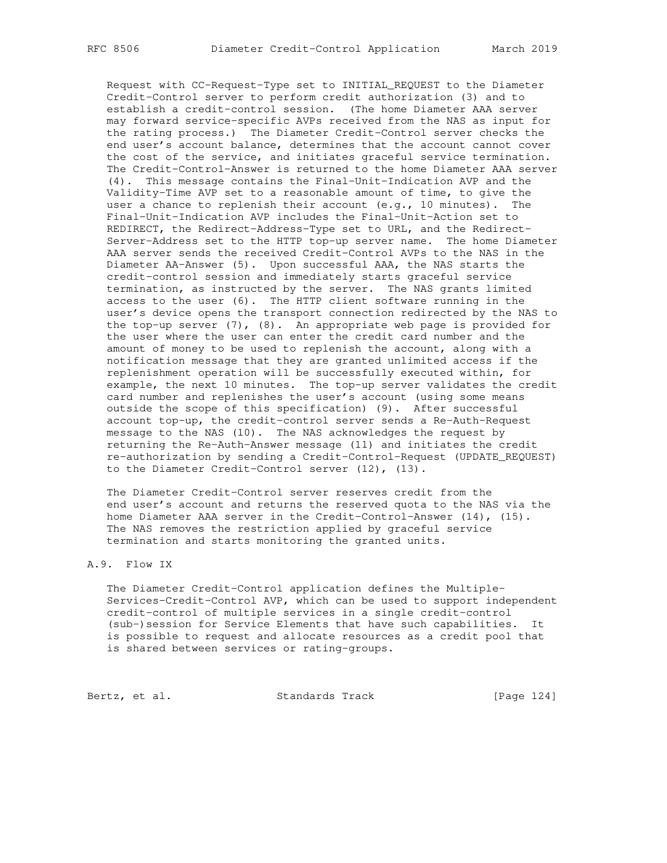Request with CC-Request-Type set to INITIAL\_REQUEST to the Diameter Credit-Control server to perform credit authorization (3) and to establish a credit-control session. (The home Diameter AAA server may forward service-specific AVPs received from the NAS as input for the rating process.) The Diameter Credit-Control server checks the end user's account balance, determines that the account cannot cover the cost of the service, and initiates graceful service termination. The Credit-Control-Answer is returned to the home Diameter AAA server (4). This message contains the Final-Unit-Indication AVP and the Validity-Time AVP set to a reasonable amount of time, to give the user a chance to replenish their account (e.g., 10 minutes). The Final-Unit-Indication AVP includes the Final-Unit-Action set to REDIRECT, the Redirect-Address-Type set to URL, and the Redirect- Server-Address set to the HTTP top-up server name. The home Diameter AAA server sends the received Credit-Control AVPs to the NAS in the Diameter AA-Answer (5). Upon successful AAA, the NAS starts the credit-control session and immediately starts graceful service termination, as instructed by the server. The NAS grants limited access to the user (6). The HTTP client software running in the user's device opens the transport connection redirected by the NAS to the top-up server  $(7)$ ,  $(8)$ . An appropriate web page is provided for the user where the user can enter the credit card number and the amount of money to be used to replenish the account, along with a notification message that they are granted unlimited access if the replenishment operation will be successfully executed within, for example, the next 10 minutes. The top-up server validates the credit card number and replenishes the user's account (using some means outside the scope of this specification) (9). After successful account top-up, the credit-control server sends a Re-Auth-Request message to the NAS (10). The NAS acknowledges the request by returning the Re-Auth-Answer message (11) and initiates the credit re-authorization by sending a Credit-Control-Request (UPDATE\_REQUEST) to the Diameter Credit-Control server (12), (13).

 The Diameter Credit-Control server reserves credit from the end user's account and returns the reserved quota to the NAS via the home Diameter AAA server in the Credit-Control-Answer (14), (15). The NAS removes the restriction applied by graceful service termination and starts monitoring the granted units.

## A.9. Flow IX

 The Diameter Credit-Control application defines the Multiple- Services-Credit-Control AVP, which can be used to support independent credit-control of multiple services in a single credit-control (sub-)session for Service Elements that have such capabilities. It is possible to request and allocate resources as a credit pool that is shared between services or rating-groups.

Bertz, et al. Standards Track [Page 124]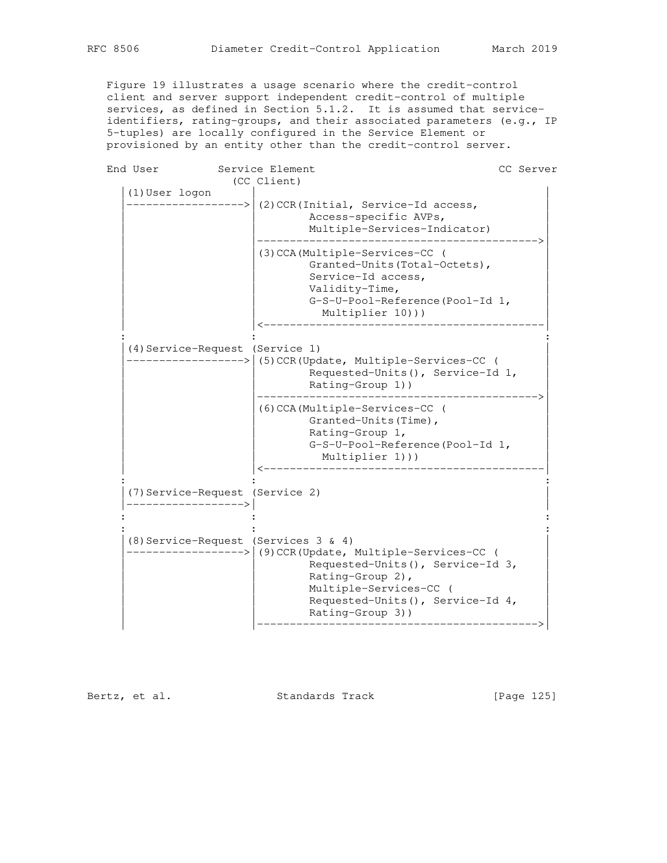Figure 19 illustrates a usage scenario where the credit-control client and server support independent credit-control of multiple services, as defined in Section 5.1.2. It is assumed that service identifiers, rating-groups, and their associated parameters (e.g., IP 5-tuples) are locally configured in the Service Element or provisioned by an entity other than the credit-control server.

| End User       |                  | Service Element<br>(CC Client)                                                                                                                                                                                                        | CC Server |
|----------------|------------------|---------------------------------------------------------------------------------------------------------------------------------------------------------------------------------------------------------------------------------------|-----------|
| (1) User logon |                  | (2) CCR(Initial, Service-Id access,<br>Access-specific AVPs,<br>Multiple-Services-Indicator)                                                                                                                                          |           |
|                |                  | (3) CCA (Multiple-Services-CC (<br>Granted-Units (Total-Octets),<br>Service-Id access,<br>Validity-Time,<br>G-S-U-Pool-Reference(Pool-Id 1,<br>Multiplier 10)))                                                                       |           |
|                |                  | (4) Service-Request (Service 1)<br>--> (5) CCR (Update, Multiple-Services-CC (<br>Requested-Units (), Service-Id 1,<br>Rating-Group 1))                                                                                               |           |
|                |                  | (6) CCA (Multiple-Services-CC (<br>Granted-Units (Time),<br>Rating-Group 1,<br>G-S-U-Pool-Reference (Pool-Id 1,<br>Multiplier 1)))                                                                                                    |           |
|                | ---------------> | (7) Service-Request (Service 2)                                                                                                                                                                                                       |           |
|                |                  | (8) Service-Request (Services 3 & 4)<br>----------> (9)CCR(Update, Multiple-Services-CC (<br>Requested-Units (), Service-Id 3,<br>Rating-Group 2),<br>Multiple-Services-CC (<br>Requested-Units (), Service-Id 4,<br>Rating-Group 3)) |           |
|                |                  |                                                                                                                                                                                                                                       |           |

Bertz, et al. Standards Track [Page 125]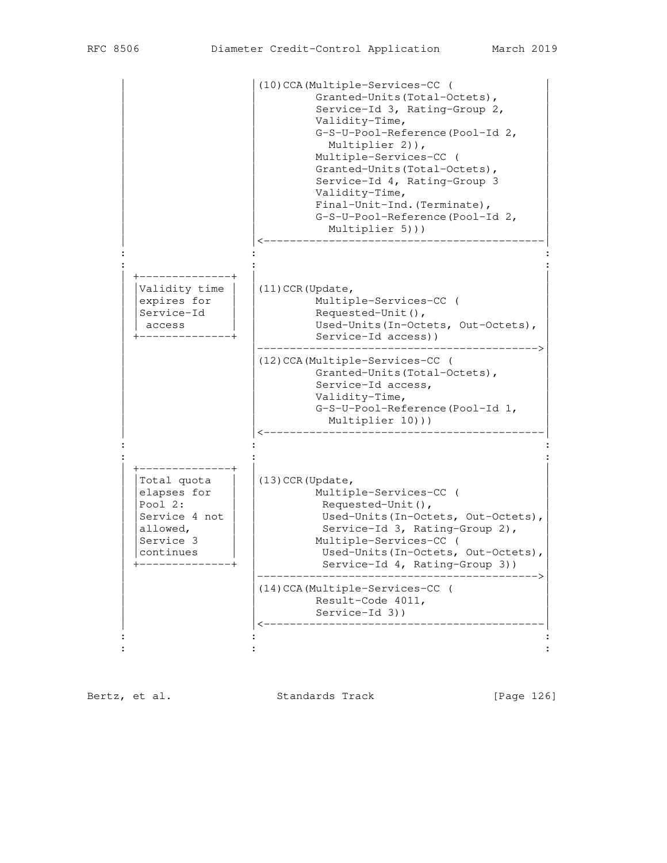

Bertz, et al. Standards Track [Page 126]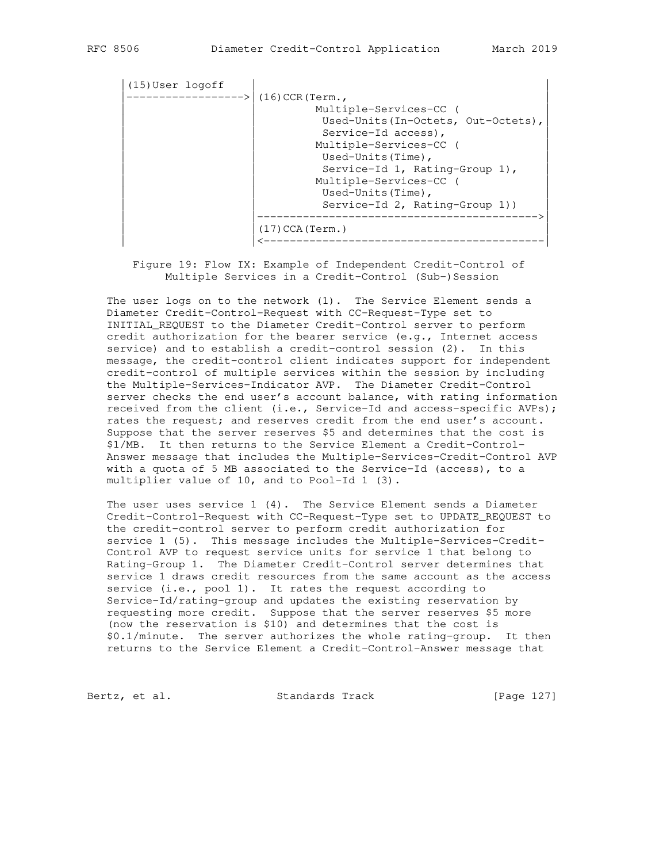| $(15)$ User logoff |                                     |  |
|--------------------|-------------------------------------|--|
|                    | $(16)$ CCR (Term.,                  |  |
|                    | Multiple-Services-CC (              |  |
|                    | Used-Units (In-Octets, Out-Octets), |  |
|                    | Service-Id access),                 |  |
|                    | Multiple-Services-CC (              |  |
|                    | Used-Units (Time),                  |  |
|                    | Service-Id 1, Rating-Group 1),      |  |
|                    | Multiple-Services-CC (              |  |
|                    | Used-Units (Time),                  |  |
|                    | Service-Id 2, Rating-Group 1))      |  |
|                    |                                     |  |
|                    | $(17)$ CCA (Term.)                  |  |
|                    |                                     |  |

 Figure 19: Flow IX: Example of Independent Credit-Control of Multiple Services in a Credit-Control (Sub-) Session

 The user logs on to the network (1). The Service Element sends a Diameter Credit-Control-Request with CC-Request-Type set to INITIAL\_REQUEST to the Diameter Credit-Control server to perform credit authorization for the bearer service (e.g., Internet access service) and to establish a credit-control session (2). In this message, the credit-control client indicates support for independent credit-control of multiple services within the session by including the Multiple-Services-Indicator AVP. The Diameter Credit-Control server checks the end user's account balance, with rating information received from the client (i.e., Service-Id and access-specific AVPs); rates the request; and reserves credit from the end user's account. Suppose that the server reserves \$5 and determines that the cost is \$1/MB. It then returns to the Service Element a Credit-Control- Answer message that includes the Multiple-Services-Credit-Control AVP with a quota of 5 MB associated to the Service-Id (access), to a multiplier value of 10, and to Pool-Id 1 (3).

 The user uses service 1 (4). The Service Element sends a Diameter Credit-Control-Request with CC-Request-Type set to UPDATE\_REQUEST to the credit-control server to perform credit authorization for service 1 (5). This message includes the Multiple-Services-Credit- Control AVP to request service units for service 1 that belong to Rating-Group 1. The Diameter Credit-Control server determines that service 1 draws credit resources from the same account as the access service (i.e., pool 1). It rates the request according to Service-Id/rating-group and updates the existing reservation by requesting more credit. Suppose that the server reserves \$5 more (now the reservation is \$10) and determines that the cost is \$0.1/minute. The server authorizes the whole rating-group. It then returns to the Service Element a Credit-Control-Answer message that

Bertz, et al. Standards Track [Page 127]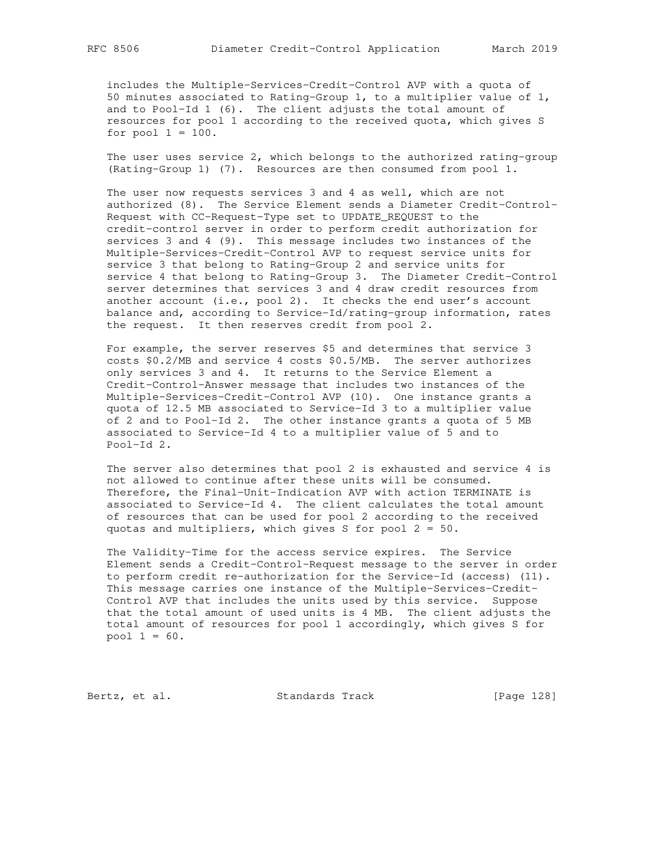includes the Multiple-Services-Credit-Control AVP with a quota of 50 minutes associated to Rating-Group 1, to a multiplier value of 1, and to Pool-Id 1 (6). The client adjusts the total amount of resources for pool 1 according to the received quota, which gives S for pool  $1 = 100$ .

 The user uses service 2, which belongs to the authorized rating-group (Rating-Group 1) (7). Resources are then consumed from pool 1.

 The user now requests services 3 and 4 as well, which are not authorized (8). The Service Element sends a Diameter Credit-Control- Request with CC-Request-Type set to UPDATE\_REQUEST to the credit-control server in order to perform credit authorization for services 3 and 4 (9). This message includes two instances of the Multiple-Services-Credit-Control AVP to request service units for service 3 that belong to Rating-Group 2 and service units for service 4 that belong to Rating-Group 3. The Diameter Credit-Control server determines that services 3 and 4 draw credit resources from another account (i.e., pool 2). It checks the end user's account balance and, according to Service-Id/rating-group information, rates the request. It then reserves credit from pool 2.

 For example, the server reserves \$5 and determines that service 3 costs \$0.2/MB and service 4 costs \$0.5/MB. The server authorizes only services 3 and 4. It returns to the Service Element a Credit-Control-Answer message that includes two instances of the Multiple-Services-Credit-Control AVP (10). One instance grants a quota of 12.5 MB associated to Service-Id 3 to a multiplier value of 2 and to Pool-Id 2. The other instance grants a quota of 5 MB associated to Service-Id 4 to a multiplier value of 5 and to Pool-Id 2.

 The server also determines that pool 2 is exhausted and service 4 is not allowed to continue after these units will be consumed. Therefore, the Final-Unit-Indication AVP with action TERMINATE is associated to Service-Id 4. The client calculates the total amount of resources that can be used for pool 2 according to the received quotas and multipliers, which gives S for pool 2 = 50.

 The Validity-Time for the access service expires. The Service Element sends a Credit-Control-Request message to the server in order to perform credit re-authorization for the Service-Id (access) (11). This message carries one instance of the Multiple-Services-Credit- Control AVP that includes the units used by this service. Suppose that the total amount of used units is 4 MB. The client adjusts the total amount of resources for pool 1 accordingly, which gives S for pool  $1 = 60$ .

Bertz, et al. Standards Track [Page 128]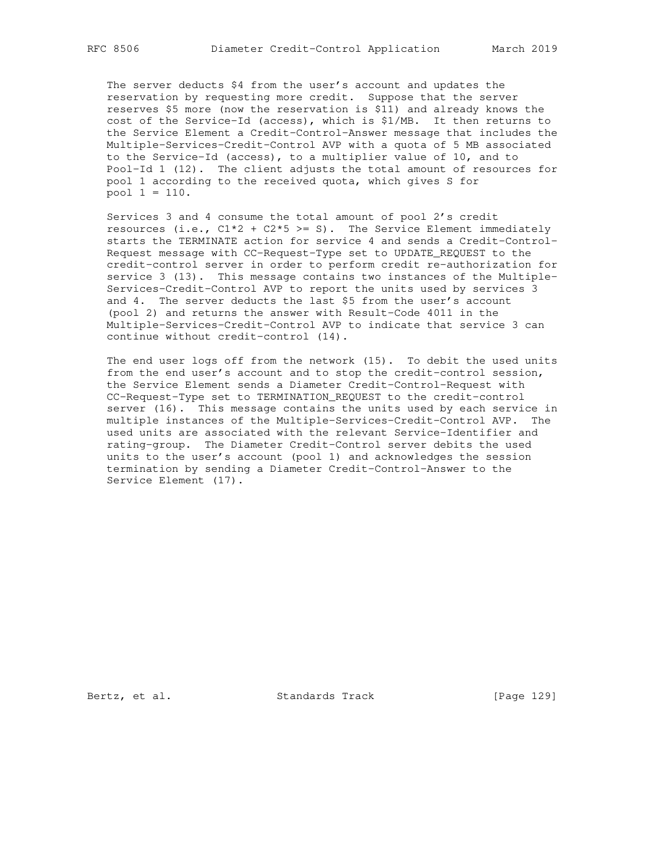The server deducts \$4 from the user's account and updates the reservation by requesting more credit. Suppose that the server reserves \$5 more (now the reservation is \$11) and already knows the cost of the Service-Id (access), which is \$1/MB. It then returns to the Service Element a Credit-Control-Answer message that includes the Multiple-Services-Credit-Control AVP with a quota of 5 MB associated to the Service-Id (access), to a multiplier value of 10, and to Pool-Id 1 (12). The client adjusts the total amount of resources for pool 1 according to the received quota, which gives S for pool  $1 = 110$ .

 Services 3 and 4 consume the total amount of pool 2's credit resources (i.e.,  $C1*2 + C2*5 \geq S$ ). The Service Element immediately starts the TERMINATE action for service 4 and sends a Credit-Control- Request message with CC-Request-Type set to UPDATE\_REQUEST to the credit-control server in order to perform credit re-authorization for service 3 (13). This message contains two instances of the Multiple- Services-Credit-Control AVP to report the units used by services 3 and 4. The server deducts the last \$5 from the user's account (pool 2) and returns the answer with Result-Code 4011 in the Multiple-Services-Credit-Control AVP to indicate that service 3 can continue without credit-control (14).

 The end user logs off from the network (15). To debit the used units from the end user's account and to stop the credit-control session, the Service Element sends a Diameter Credit-Control-Request with CC-Request-Type set to TERMINATION\_REQUEST to the credit-control server (16). This message contains the units used by each service in multiple instances of the Multiple-Services-Credit-Control AVP. The used units are associated with the relevant Service-Identifier and rating-group. The Diameter Credit-Control server debits the used units to the user's account (pool 1) and acknowledges the session termination by sending a Diameter Credit-Control-Answer to the Service Element (17).

Bertz, et al. Standards Track [Page 129]